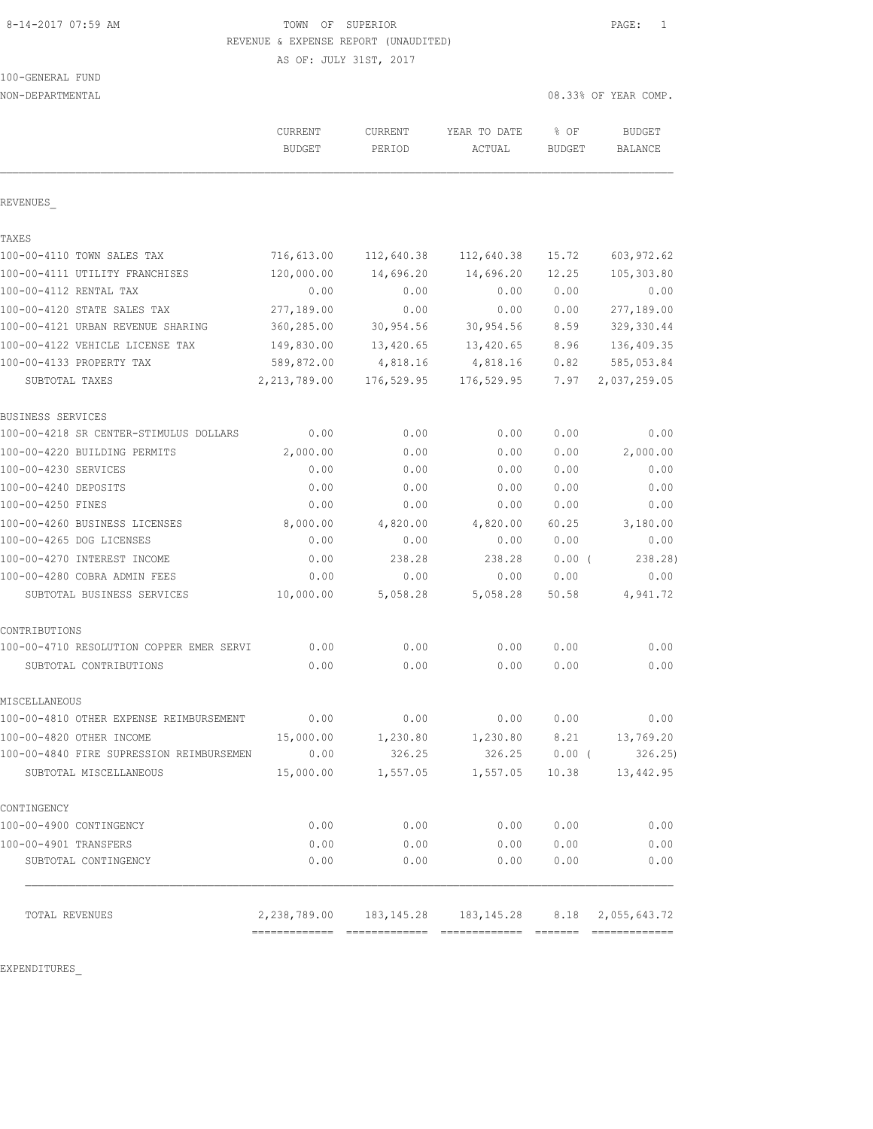## 8-14-2017 07:59 AM **TOWN** OF SUPERIOR **PAGE:** 1 REVENUE & EXPENSE REPORT (UNAUDITED)

AS OF: JULY 31ST, 2017

100-GENERAL FUND

| NON-DEPARTMENTAL                         |                |            |                                        |               | 08.33% OF YEAR COMP. |  |
|------------------------------------------|----------------|------------|----------------------------------------|---------------|----------------------|--|
|                                          | <b>CURRENT</b> | CURRENT    | YEAR TO DATE                           | % OF          | <b>BUDGET</b>        |  |
|                                          | <b>BUDGET</b>  | PERIOD     | ACTUAL                                 | <b>BUDGET</b> | BALANCE              |  |
| REVENUES                                 |                |            |                                        |               |                      |  |
| TAXES                                    |                |            |                                        |               |                      |  |
| 100-00-4110 TOWN SALES TAX               | 716,613.00     | 112,640.38 | 112,640.38                             | 15.72         | 603, 972.62          |  |
| 100-00-4111 UTILITY FRANCHISES           | 120,000.00     | 14,696.20  | 14,696.20                              | 12.25         | 105,303.80           |  |
| 100-00-4112 RENTAL TAX                   | 0.00           | 0.00       | 0.00                                   | 0.00          | 0.00                 |  |
| 100-00-4120 STATE SALES TAX              | 277,189.00     | 0.00       | 0.00                                   | 0.00          | 277,189.00           |  |
| 100-00-4121 URBAN REVENUE SHARING        | 360,285.00     | 30,954.56  | 30, 954.56                             | 8.59          | 329, 330.44          |  |
| 100-00-4122 VEHICLE LICENSE TAX          | 149,830.00     | 13,420.65  | 13,420.65                              | 8.96          | 136, 409.35          |  |
| 100-00-4133 PROPERTY TAX                 | 589,872.00     | 4,818.16   | 4,818.16                               | 0.82          | 585,053.84           |  |
| SUBTOTAL TAXES                           | 2, 213, 789.00 | 176,529.95 | 176,529.95                             | 7.97          | 2,037,259.05         |  |
| BUSINESS SERVICES                        |                |            |                                        |               |                      |  |
| 100-00-4218 SR CENTER-STIMULUS DOLLARS   | 0.00           | 0.00       | 0.00                                   | 0.00          | 0.00                 |  |
| 100-00-4220 BUILDING PERMITS             | 2,000.00       | 0.00       | 0.00                                   | 0.00          | 2,000.00             |  |
| 100-00-4230 SERVICES                     | 0.00           | 0.00       | 0.00                                   | 0.00          | 0.00                 |  |
| 100-00-4240 DEPOSITS                     | 0.00           | 0.00       | 0.00                                   | 0.00          | 0.00                 |  |
| 100-00-4250 FINES                        | 0.00           | 0.00       | 0.00                                   | 0.00          | 0.00                 |  |
| 100-00-4260 BUSINESS LICENSES            | 8,000.00       | 4,820.00   | 4,820.00                               | 60.25         | 3,180.00             |  |
| 100-00-4265 DOG LICENSES                 | 0.00           | 0.00       | 0.00                                   | 0.00          | 0.00                 |  |
| 100-00-4270 INTEREST INCOME              | 0.00           | 238.28     | 238.28                                 | $0.00$ (      | 238.28)              |  |
| 100-00-4280 COBRA ADMIN FEES             | 0.00           | 0.00       | 0.00                                   | 0.00          | 0.00                 |  |
| SUBTOTAL BUSINESS SERVICES               | 10,000.00      | 5,058.28   | 5,058.28                               | 50.58         | 4,941.72             |  |
| CONTRIBUTIONS                            |                |            |                                        |               |                      |  |
| 100-00-4710 RESOLUTION COPPER EMER SERVI | 0.00           | 0.00       | 0.00                                   | 0.00          | 0.00                 |  |
| SUBTOTAL CONTRIBUTIONS                   | 0.00           | 0.00       | 0.00                                   | 0.00          | 0.00                 |  |
| MISCELLANEOUS                            |                |            |                                        |               |                      |  |
| 100-00-4810 OTHER EXPENSE REIMBURSEMENT  | 0.00           | 0.00       | 0.00                                   | 0.00          | 0.00                 |  |
| 100-00-4820 OTHER INCOME                 | 15,000.00      | 1,230.80   | 1,230.80                               | 8.21          | 13,769.20            |  |
| 100-00-4840 FIRE SUPRESSION REIMBURSEMEN | 0.00           | 326.25     | 326.25                                 | $0.00$ (      | 326.25               |  |
| SUBTOTAL MISCELLANEOUS                   | 15,000.00      | 1,557.05   | 1,557.05                               | 10.38         | 13,442.95            |  |
| CONTINGENCY                              |                |            |                                        |               |                      |  |
| 100-00-4900 CONTINGENCY                  | 0.00           | 0.00       | 0.00                                   | 0.00          | 0.00                 |  |
| 100-00-4901 TRANSFERS                    | 0.00           | 0.00       | 0.00                                   | 0.00          | 0.00                 |  |
| SUBTOTAL CONTINGENCY                     | 0.00           | 0.00       | 0.00                                   | 0.00          | 0.00                 |  |
| TOTAL REVENUES                           |                |            | 2, 238, 789.00 183, 145.28 183, 145.28 | 8.18          | 2,055,643.72         |  |
|                                          |                |            |                                        |               |                      |  |

EXPENDITURES\_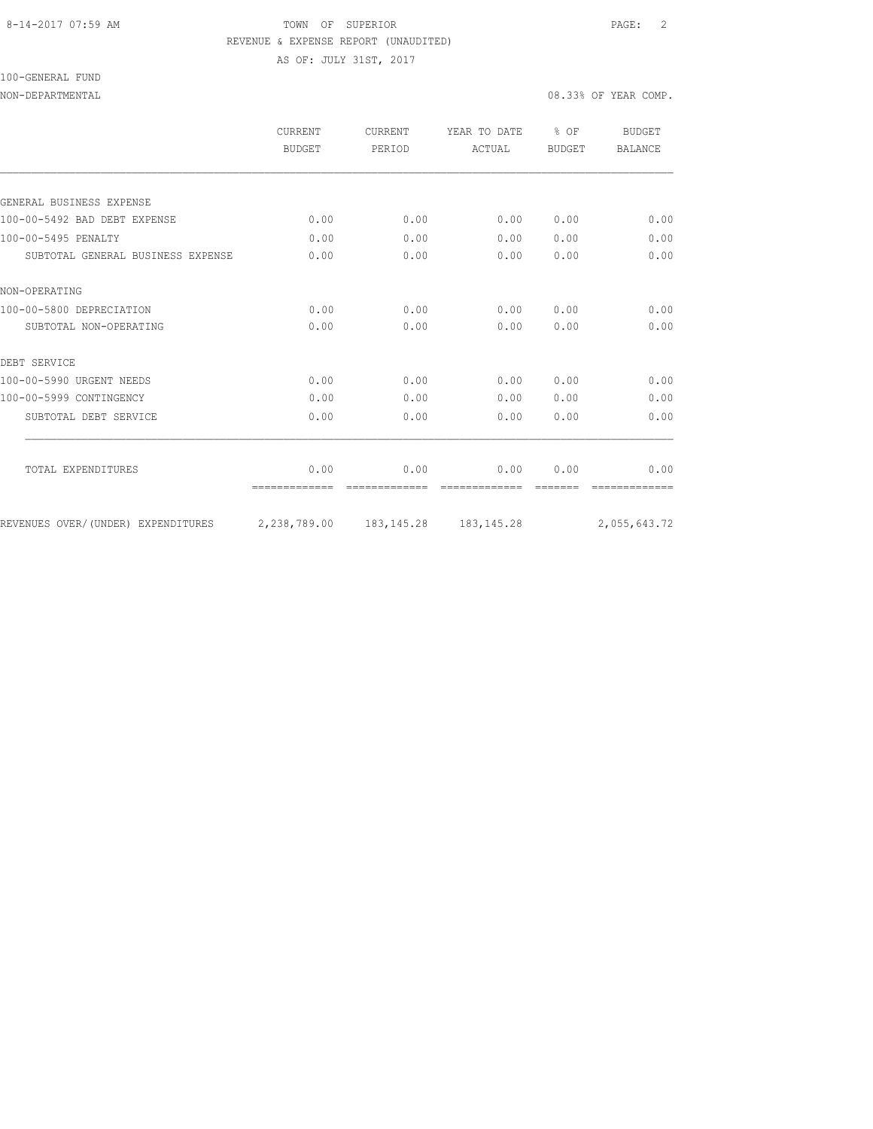#### 8-14-2017 07:59 AM TOWN OF SUPERIOR PAGE: 2 REVENUE & EXPENSE REPORT (UNAUDITED)

AS OF: JULY 31ST, 2017

100-GENERAL FUND

NON-DEPARTMENTAL 2008.33% OF YEAR COMP.

| CURRENT<br><b>BUDGET</b> | CURRENT<br>PERIOD    | YEAR TO DATE<br>ACTUAL | % OF<br><b>BUDGET</b> | <b>BUDGET</b><br><b>BALANCE</b> |
|--------------------------|----------------------|------------------------|-----------------------|---------------------------------|
|                          |                      |                        |                       |                                 |
|                          |                      |                        |                       |                                 |
| 0.00                     | 0.00                 | 0.00                   | 0.00                  | 0.00                            |
| 0.00                     | 0.00                 | 0.00                   | 0.00                  | 0.00                            |
| 0.00                     | 0.00                 | 0.00                   | 0.00                  | 0.00                            |
|                          |                      |                        |                       |                                 |
| 0.00                     | 0.00                 | 0.00                   | 0.00                  | 0.00                            |
| 0.00                     | 0.00                 | 0.00                   | 0.00                  | 0.00                            |
|                          |                      |                        |                       |                                 |
| 0.00                     | 0.00                 | 0.00                   | 0.00                  | 0.00                            |
| 0.00                     | 0.00                 | 0.00                   | 0.00                  | 0.00                            |
| 0.00                     | 0.00                 | 0.00                   | 0.00                  | 0.00                            |
|                          |                      |                        |                       |                                 |
|                          |                      |                        |                       | 0.00                            |
|                          |                      |                        |                       | 2,055,643.72                    |
|                          | 0.00<br>2,238,789.00 | 0.00<br>183, 145. 28   | 0.00<br>183, 145. 28  | 0.00                            |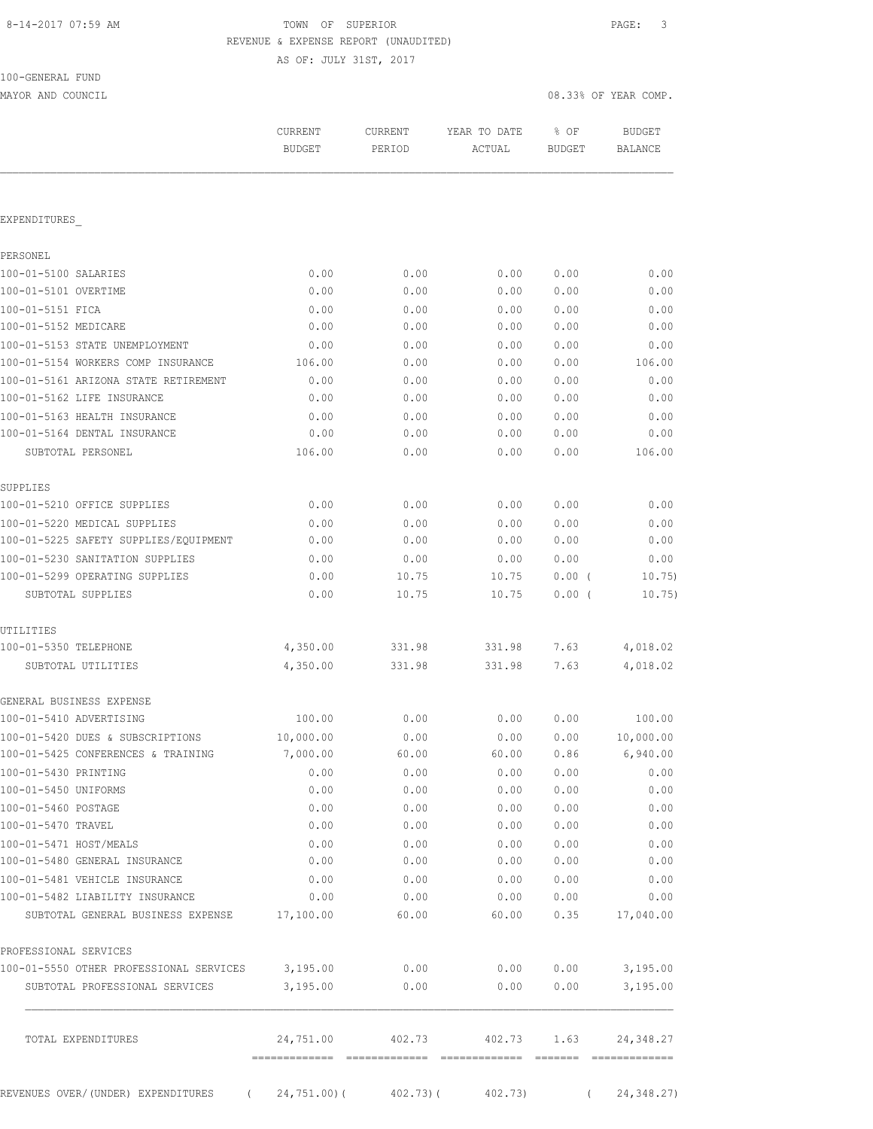## 8-14-2017 07:59 AM TOWN OF SUPERIOR PAGE: 3 REVENUE & EXPENSE REPORT (UNAUDITED)

AS OF: JULY 31ST, 2017

| 100-GENERAL FUND |  |
|------------------|--|
|                  |  |

MAYOR AND COUNCIL COUNCIL COMP. THE COMPLETE STATE OF STATE OF STATE OF STATE OF STATE OF STATE OF STATE OF STATE OF STATE OF STATE OF STATE OF STATE OF STATE OF STATE OF STATE OF STATE OF STATE OF STATE OF STATE OF STATE

|                                         | <b>CURRENT</b><br><b>BUDGET</b> | CURRENT<br>PERIOD | YEAR TO DATE<br>ACTUAL | % OF<br><b>BUDGET</b> | <b>BUDGET</b><br>BALANCE |
|-----------------------------------------|---------------------------------|-------------------|------------------------|-----------------------|--------------------------|
|                                         |                                 |                   |                        |                       |                          |
| EXPENDITURES                            |                                 |                   |                        |                       |                          |
| PERSONEL                                |                                 |                   |                        |                       |                          |
| 100-01-5100 SALARIES                    | 0.00                            | 0.00              | 0.00                   | 0.00                  | 0.00                     |
| 100-01-5101 OVERTIME                    | 0.00                            | 0.00              | 0.00                   | 0.00                  | 0.00                     |
| 100-01-5151 FICA                        | 0.00                            | 0.00              | 0.00                   | 0.00                  | 0.00                     |
| 100-01-5152 MEDICARE                    | 0.00                            | 0.00              | 0.00                   | 0.00                  | 0.00                     |
| 100-01-5153 STATE UNEMPLOYMENT          | 0.00                            | 0.00              | 0.00                   | 0.00                  | 0.00                     |
| 100-01-5154 WORKERS COMP INSURANCE      | 106.00                          | 0.00              | 0.00                   | 0.00                  | 106.00                   |
| 100-01-5161 ARIZONA STATE RETIREMENT    | 0.00                            | 0.00              | 0.00                   | 0.00                  | 0.00                     |
| 100-01-5162 LIFE INSURANCE              | 0.00                            | 0.00              | 0.00                   | 0.00                  | 0.00                     |
| 100-01-5163 HEALTH INSURANCE            | 0.00                            | 0.00              | 0.00                   | 0.00                  | 0.00                     |
| 100-01-5164 DENTAL INSURANCE            | 0.00                            | 0.00              | 0.00                   | 0.00                  | 0.00                     |
| SUBTOTAL PERSONEL                       | 106.00                          | 0.00              | 0.00                   | 0.00                  | 106.00                   |
| SUPPLIES                                |                                 |                   |                        |                       |                          |
| 100-01-5210 OFFICE SUPPLIES             | 0.00                            | 0.00              | 0.00                   | 0.00                  | 0.00                     |
| 100-01-5220 MEDICAL SUPPLIES            | 0.00                            | 0.00              | 0.00                   | 0.00                  | 0.00                     |
| 100-01-5225 SAFETY SUPPLIES/EQUIPMENT   | 0.00                            | 0.00              | 0.00                   | 0.00                  | 0.00                     |
| 100-01-5230 SANITATION SUPPLIES         | 0.00                            | 0.00              | 0.00                   | 0.00                  | 0.00                     |
| 100-01-5299 OPERATING SUPPLIES          | 0.00                            | 10.75             | 10.75                  | 0.00(                 | 10.75)                   |
| SUBTOTAL SUPPLIES                       | 0.00                            | 10.75             | 10.75                  | 0.00(                 | 10.75)                   |
| UTILITIES                               |                                 |                   |                        |                       |                          |
| 100-01-5350 TELEPHONE                   | 4,350.00                        | 331.98            | 331.98                 | 7.63                  | 4,018.02                 |
| SUBTOTAL UTILITIES                      | 4,350.00                        | 331.98            | 331.98                 | 7.63                  | 4,018.02                 |
| GENERAL BUSINESS EXPENSE                |                                 |                   |                        |                       |                          |
| 100-01-5410 ADVERTISING                 | 100.00                          | 0.00              | 0.00                   | 0.00                  | 100.00                   |
| 100-01-5420 DUES & SUBSCRIPTIONS        | 10,000.00                       | 0.00              | 0.00                   | 0.00                  | 10,000.00                |
| 100-01-5425 CONFERENCES & TRAINING      | 7,000.00                        | 60.00             | 60.00                  | 0.86                  | 6,940.00                 |
| 100-01-5430 PRINTING                    | 0.00                            | 0.00              | 0.00                   | 0.00                  | 0.00                     |
| 100-01-5450 UNIFORMS                    | 0.00                            | 0.00              | 0.00                   | 0.00                  | 0.00                     |
| 100-01-5460 POSTAGE                     | 0.00                            | 0.00              | 0.00                   | 0.00                  | 0.00                     |
| 100-01-5470 TRAVEL                      | 0.00                            | 0.00              | 0.00                   | 0.00                  | 0.00                     |
| 100-01-5471 HOST/MEALS                  | 0.00                            | 0.00              | 0.00                   | 0.00                  | 0.00                     |
| 100-01-5480 GENERAL INSURANCE           | 0.00                            | 0.00              | 0.00                   | 0.00                  | 0.00                     |
| 100-01-5481 VEHICLE INSURANCE           | 0.00                            | 0.00              | 0.00                   | 0.00                  | 0.00                     |
| 100-01-5482 LIABILITY INSURANCE         | 0.00                            | 0.00              | 0.00                   | 0.00                  | 0.00                     |
| SUBTOTAL GENERAL BUSINESS EXPENSE       | 17,100.00                       | 60.00             | 60.00                  | 0.35                  | 17,040.00                |
| PROFESSIONAL SERVICES                   |                                 |                   |                        |                       |                          |
| 100-01-5550 OTHER PROFESSIONAL SERVICES | 3,195.00                        | 0.00              | 0.00                   | 0.00                  | 3,195.00                 |
| SUBTOTAL PROFESSIONAL SERVICES          | 3,195.00                        | 0.00              | 0.00                   | 0.00                  | 3,195.00                 |
| TOTAL EXPENDITURES                      | 24,751.00                       | 402.73            | 402.73                 | 1.63                  | 24,348.27                |

REVENUES OVER/(UNDER) EXPENDITURES ( 24,751.00)( 402.73)( 402.73) ( 24,348.27)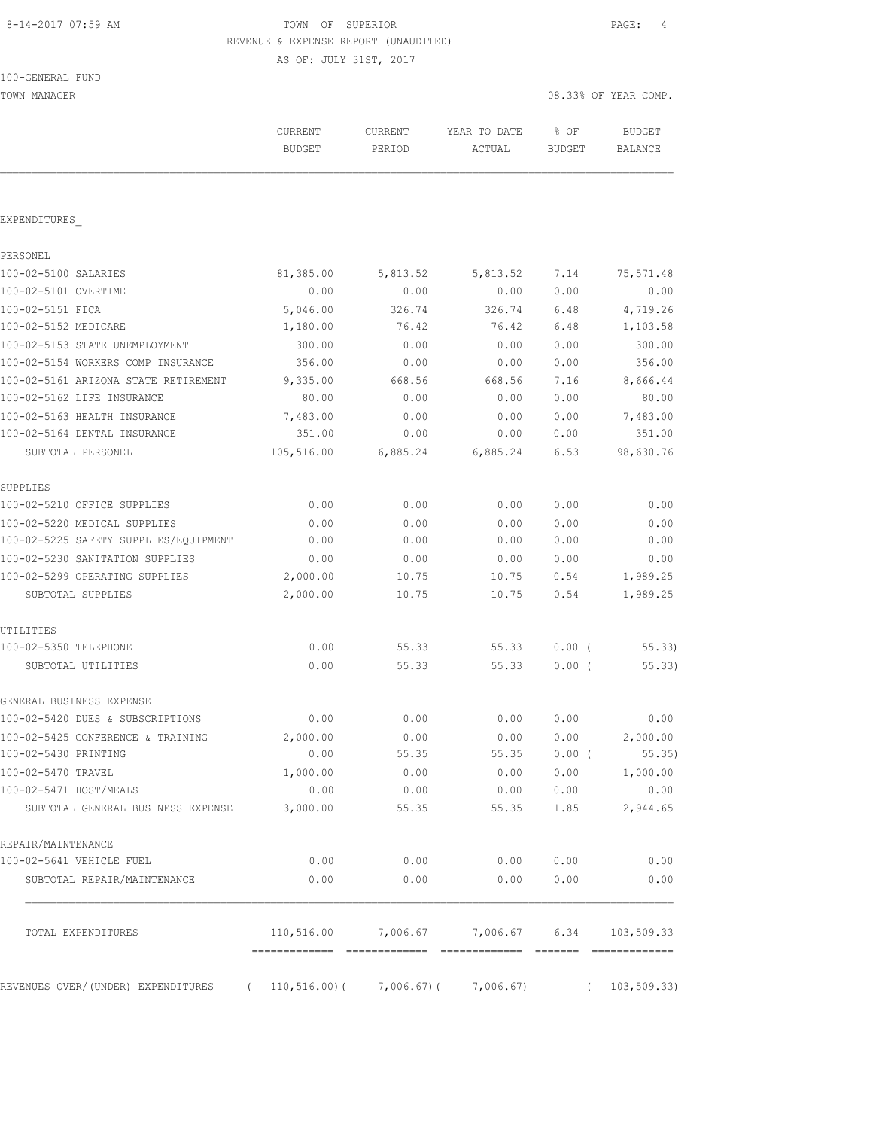# 8-14-2017 07:59 AM TOWN OF SUPERIOR PAGE: 4 REVENUE & EXPENSE REPORT (UNAUDITED)

AS OF: JULY 31ST, 2017

| 100-GENERAL FUND |  |
|------------------|--|
|------------------|--|

| TOWN MANAGER                          |                                 |                          |                                              | 08.33% OF YEAR COMP.  |                                 |
|---------------------------------------|---------------------------------|--------------------------|----------------------------------------------|-----------------------|---------------------------------|
|                                       | <b>CURRENT</b><br><b>BUDGET</b> | <b>CURRENT</b><br>PERIOD | YEAR TO DATE<br>ACTUAL                       | % OF<br><b>BUDGET</b> | <b>BUDGET</b><br><b>BALANCE</b> |
|                                       |                                 |                          |                                              |                       |                                 |
| EXPENDITURES                          |                                 |                          |                                              |                       |                                 |
| PERSONEL                              |                                 |                          |                                              |                       |                                 |
| 100-02-5100 SALARIES                  | 81,385.00                       | 5,813.52                 | 5,813.52                                     | 7.14                  | 75,571.48                       |
| 100-02-5101 OVERTIME                  | 0.00                            | 0.00                     | 0.00                                         | 0.00                  | 0.00                            |
| 100-02-5151 FICA                      | 5,046.00                        | 326.74                   | 326.74                                       | 6.48                  | 4,719.26                        |
| 100-02-5152 MEDICARE                  | 1,180.00                        | 76.42                    | 76.42                                        | 6.48                  | 1,103.58                        |
| 100-02-5153 STATE UNEMPLOYMENT        | 300.00                          | 0.00                     | 0.00                                         | 0.00                  | 300.00                          |
| 100-02-5154 WORKERS COMP INSURANCE    | 356.00                          | 0.00                     | 0.00                                         | 0.00                  | 356.00                          |
| 100-02-5161 ARIZONA STATE RETIREMENT  | 9,335.00                        | 668.56                   | 668.56                                       | 7.16                  | 8,666.44                        |
| 100-02-5162 LIFE INSURANCE            | 80.00                           | 0.00                     | 0.00                                         | 0.00                  | 80.00                           |
| 100-02-5163 HEALTH INSURANCE          | 7,483.00                        | 0.00                     | 0.00                                         | 0.00                  | 7,483.00                        |
| 100-02-5164 DENTAL INSURANCE          | 351.00                          | 0.00                     | 0.00                                         | 0.00                  | 351.00                          |
| SUBTOTAL PERSONEL                     | 105,516.00                      | 6,885.24                 | 6,885.24                                     | 6.53                  | 98,630.76                       |
| SUPPLIES                              |                                 |                          |                                              |                       |                                 |
| 100-02-5210 OFFICE SUPPLIES           | 0.00                            | 0.00                     | 0.00                                         | 0.00                  | 0.00                            |
| 100-02-5220 MEDICAL SUPPLIES          | 0.00                            | 0.00                     | 0.00                                         | 0.00                  | 0.00                            |
| 100-02-5225 SAFETY SUPPLIES/EQUIPMENT | 0.00                            | 0.00                     | 0.00                                         | 0.00                  | 0.00                            |
| 100-02-5230 SANITATION SUPPLIES       | 0.00                            | 0.00                     | 0.00                                         | 0.00                  | 0.00                            |
| 100-02-5299 OPERATING SUPPLIES        | 2,000.00                        | 10.75                    | 10.75                                        | 0.54                  | 1,989.25                        |
| SUBTOTAL SUPPLIES                     | 2,000.00                        | 10.75                    | 10.75                                        | 0.54                  | 1,989.25                        |
| UTILITIES                             |                                 |                          |                                              |                       |                                 |
| 100-02-5350 TELEPHONE                 | 0.00                            | 55.33                    | 55.33                                        | $0.00$ (              | 55.33                           |
| SUBTOTAL UTILITIES                    | 0.00                            | 55.33                    | 55.33                                        | $0.00$ (              | 55.33)                          |
| GENERAL BUSINESS EXPENSE              |                                 |                          |                                              |                       |                                 |
| 100-02-5420 DUES & SUBSCRIPTIONS      | 0.00                            | 0.00                     | 0.00                                         | 0.00                  | 0.00                            |
| 100-02-5425 CONFERENCE & TRAINING     | 2,000.00                        | 0.00                     | 0.00                                         | 0.00                  | 2,000.00                        |
| 100-02-5430 PRINTING                  | 0.00                            | 55.35                    | 55.35                                        | $0.00$ (              | 55.35)                          |
| 100-02-5470 TRAVEL                    | 1,000.00                        | 0.00                     | 0.00                                         | 0.00                  | 1,000.00                        |
| 100-02-5471 HOST/MEALS                | 0.00                            | 0.00                     | 0.00                                         | 0.00                  | 0.00                            |
| SUBTOTAL GENERAL BUSINESS EXPENSE     | 3,000.00                        | 55.35                    | 55.35                                        | 1.85                  | 2,944.65                        |
| REPAIR/MAINTENANCE                    |                                 |                          |                                              |                       |                                 |
| 100-02-5641 VEHICLE FUEL              | 0.00                            | 0.00                     | 0.00                                         | 0.00                  | 0.00                            |
| SUBTOTAL REPAIR/MAINTENANCE           | 0.00                            | 0.00                     | 0.00                                         | 0.00                  | 0.00                            |
| TOTAL EXPENDITURES                    |                                 |                          | 110,516.00 7,006.67 7,006.67 6.34 103,509.33 |                       |                                 |
|                                       |                                 |                          |                                              |                       |                                 |
| REVENUES OVER/ (UNDER) EXPENDITURES   | $110, 516.00$ (<br>$\sqrt{2}$   | 7,006.67)(               | 7,006.67)                                    | $\sqrt{2}$            | 103, 509.33                     |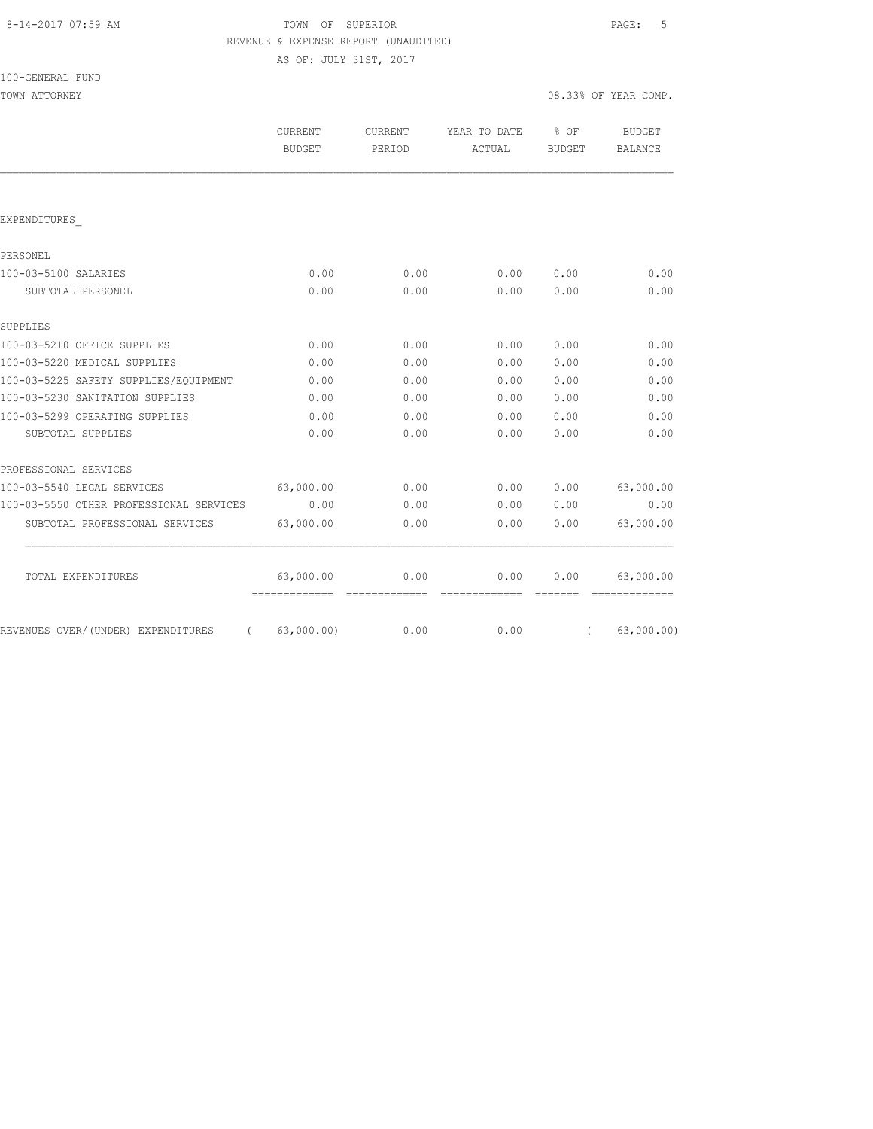# 8-14-2017 07:59 AM TOWN OF SUPERIOR PAGE: 5 REVENUE & EXPENSE REPORT (UNAUDITED)

AS OF: JULY 31ST, 2017

| 100-GENERAL FUND |  |
|------------------|--|
|------------------|--|

| TOWN ATTORNEY                           |                                            |                   |                             |         | 08.33% OF YEAR COMP.     |
|-----------------------------------------|--------------------------------------------|-------------------|-----------------------------|---------|--------------------------|
|                                         | CURRENT<br><b>BUDGET</b>                   | CURRENT<br>PERIOD | YEAR TO DATE % OF<br>ACTUAL | BUDGET  | <b>BUDGET</b><br>BALANCE |
|                                         |                                            |                   |                             |         |                          |
| EXPENDITURES                            |                                            |                   |                             |         |                          |
| PERSONEL                                |                                            |                   |                             |         |                          |
| 100-03-5100 SALARIES                    | 0.00                                       | 0.00              | 0.00                        | 0.00    | 0.00                     |
| SUBTOTAL PERSONEL                       | 0.00                                       | 0.00              | 0.00                        | 0.00    | 0.00                     |
| SUPPLIES                                |                                            |                   |                             |         |                          |
| 100-03-5210 OFFICE SUPPLIES             | 0.00                                       | 0.00              | 0.00                        | 0.00    | 0.00                     |
| 100-03-5220 MEDICAL SUPPLIES            | 0.00                                       | 0.00              | 0.00                        | 0.00    | 0.00                     |
| 100-03-5225 SAFETY SUPPLIES/EQUIPMENT   | 0.00                                       | 0.00              | 0.00                        | 0.00    | 0.00                     |
| 100-03-5230 SANITATION SUPPLIES         | 0.00                                       | 0.00              | 0.00                        | 0.00    | 0.00                     |
| 100-03-5299 OPERATING SUPPLIES          | 0.00                                       | 0.00              | 0.00                        | 0.00    | 0.00                     |
| SUBTOTAL SUPPLIES                       | 0.00                                       | 0.00              | 0.00                        | 0.00    | 0.00                     |
| PROFESSIONAL SERVICES                   |                                            |                   |                             |         |                          |
| 100-03-5540 LEGAL SERVICES              | 63,000.00                                  | 0.00              | 0.00                        | 0.00    | 63,000.00                |
| 100-03-5550 OTHER PROFESSIONAL SERVICES | 0.00                                       | 0.00              | 0.00                        | 0.00    | 0.00                     |
| SUBTOTAL PROFESSIONAL SERVICES          | 63,000.00                                  | 0.00              | 0.00                        | 0.00    | 63,000.00                |
| TOTAL EXPENDITURES                      | 63,000.00                                  | 0.00              | 0.00                        | 0.00    | 63,000.00                |
| REVENUES OVER/(UNDER) EXPENDITURES      | -------------- -------------<br>63,000.00) | 0.00              | =============<br>0.00       | ======= | 63,000.00)               |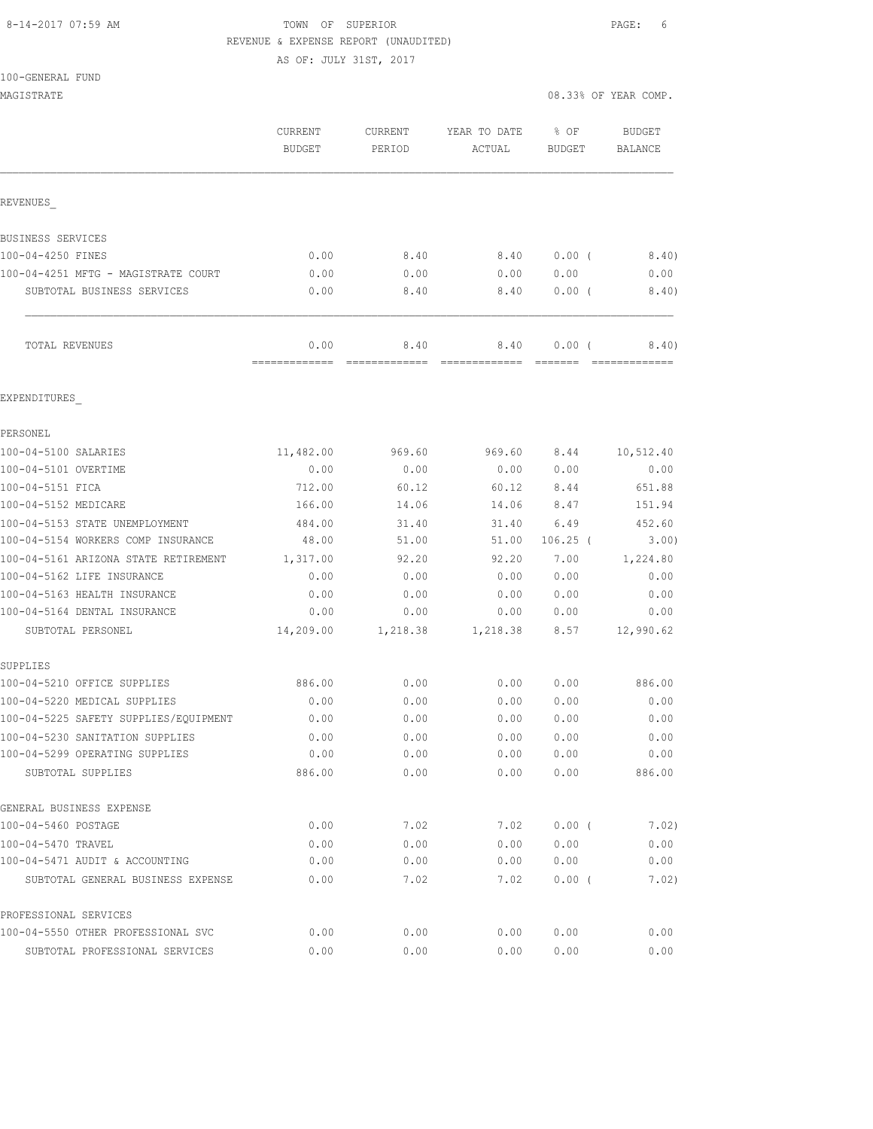## 8-14-2017 07:59 AM **TOWN** OF SUPERIOR **PAGE:** 6 REVENUE & EXPENSE REPORT (UNAUDITED)

AS OF: JULY 31ST, 2017

100-GENERAL FUND

|                                       | CURRENT<br><b>BUDGET</b> | CURRENT<br>PERIOD                                                                                                                                                                                                                                                                                                                                                                                                                                                                                    | YEAR TO DATE<br>ACTUAL                                                                                                                                                                                                                                                                                                                                                                   | % OF<br>BUDGET    | <b>BUDGET</b><br><b>BALANCE</b> |
|---------------------------------------|--------------------------|------------------------------------------------------------------------------------------------------------------------------------------------------------------------------------------------------------------------------------------------------------------------------------------------------------------------------------------------------------------------------------------------------------------------------------------------------------------------------------------------------|------------------------------------------------------------------------------------------------------------------------------------------------------------------------------------------------------------------------------------------------------------------------------------------------------------------------------------------------------------------------------------------|-------------------|---------------------------------|
| REVENUES                              |                          |                                                                                                                                                                                                                                                                                                                                                                                                                                                                                                      |                                                                                                                                                                                                                                                                                                                                                                                          |                   |                                 |
| BUSINESS SERVICES                     |                          |                                                                                                                                                                                                                                                                                                                                                                                                                                                                                                      |                                                                                                                                                                                                                                                                                                                                                                                          |                   |                                 |
| 100-04-4250 FINES                     | 0.00                     | 8.40                                                                                                                                                                                                                                                                                                                                                                                                                                                                                                 | 8.40                                                                                                                                                                                                                                                                                                                                                                                     | 0.00(             | 8.40)                           |
| 100-04-4251 MFTG - MAGISTRATE COURT   | 0.00                     | 0.00                                                                                                                                                                                                                                                                                                                                                                                                                                                                                                 | 0.00                                                                                                                                                                                                                                                                                                                                                                                     | 0.00              | 0.00                            |
| SUBTOTAL BUSINESS SERVICES            | 0.00                     | 8.40                                                                                                                                                                                                                                                                                                                                                                                                                                                                                                 | 8.40                                                                                                                                                                                                                                                                                                                                                                                     | 0.00(             | 8.40)                           |
| TOTAL REVENUES                        | 0.00<br>-------------    | 8.40<br>$\begin{array}{c} \multicolumn{2}{c} {\textbf{1}} & \multicolumn{2}{c} {\textbf{2}} & \multicolumn{2}{c} {\textbf{3}} & \multicolumn{2}{c} {\textbf{4}} \\ \multicolumn{2}{c} {\textbf{5}} & \multicolumn{2}{c} {\textbf{6}} & \multicolumn{2}{c} {\textbf{7}} & \multicolumn{2}{c} {\textbf{8}} & \multicolumn{2}{c} {\textbf{9}} \\ \multicolumn{2}{c} {\textbf{6}} & \multicolumn{2}{c} {\textbf{7}} & \multicolumn{2}{c} {\textbf{8}} & \multicolumn{2}{c} {\textbf{9}} & \multicolumn{$ | 8.40<br>$\begin{array}{c} \rule{0pt}{2.2pt} \rule{0pt}{2.2pt} \rule{0pt}{2.2pt} \rule{0pt}{2.2pt} \rule{0pt}{2.2pt} \rule{0pt}{2.2pt} \rule{0pt}{2.2pt} \rule{0pt}{2.2pt} \rule{0pt}{2.2pt} \rule{0pt}{2.2pt} \rule{0pt}{2.2pt} \rule{0pt}{2.2pt} \rule{0pt}{2.2pt} \rule{0pt}{2.2pt} \rule{0pt}{2.2pt} \rule{0pt}{2.2pt} \rule{0pt}{2.2pt} \rule{0pt}{2.2pt} \rule{0pt}{2.2pt} \rule{0$ | 0.00(<br>-------- | 8.40)<br>--------------         |
| EXPENDITURES                          |                          |                                                                                                                                                                                                                                                                                                                                                                                                                                                                                                      |                                                                                                                                                                                                                                                                                                                                                                                          |                   |                                 |
| PERSONEL                              |                          |                                                                                                                                                                                                                                                                                                                                                                                                                                                                                                      |                                                                                                                                                                                                                                                                                                                                                                                          |                   |                                 |
| 100-04-5100 SALARIES                  | 11,482.00                | 969.60                                                                                                                                                                                                                                                                                                                                                                                                                                                                                               | 969.60                                                                                                                                                                                                                                                                                                                                                                                   | 8.44              | 10,512.40                       |
| 100-04-5101 OVERTIME                  | 0.00                     | 0.00                                                                                                                                                                                                                                                                                                                                                                                                                                                                                                 | 0.00                                                                                                                                                                                                                                                                                                                                                                                     | 0.00              | 0.00                            |
| 100-04-5151 FICA                      | 712.00                   | 60.12                                                                                                                                                                                                                                                                                                                                                                                                                                                                                                | 60.12                                                                                                                                                                                                                                                                                                                                                                                    | 8.44              | 651.88                          |
| 100-04-5152 MEDICARE                  | 166.00                   | 14.06                                                                                                                                                                                                                                                                                                                                                                                                                                                                                                | 14.06                                                                                                                                                                                                                                                                                                                                                                                    | 8.47              | 151.94                          |
| 100-04-5153 STATE UNEMPLOYMENT        | 484.00                   | 31.40                                                                                                                                                                                                                                                                                                                                                                                                                                                                                                | 31.40                                                                                                                                                                                                                                                                                                                                                                                    | 6.49              | 452.60                          |
| 100-04-5154 WORKERS COMP INSURANCE    | 48.00                    | 51.00                                                                                                                                                                                                                                                                                                                                                                                                                                                                                                | 51.00                                                                                                                                                                                                                                                                                                                                                                                    | $106.25$ (        | 3.00)                           |
| 100-04-5161 ARIZONA STATE RETIREMENT  | 1,317.00                 | 92.20                                                                                                                                                                                                                                                                                                                                                                                                                                                                                                | 92.20                                                                                                                                                                                                                                                                                                                                                                                    | 7.00              | 1,224.80                        |
| 100-04-5162 LIFE INSURANCE            | 0.00                     | 0.00                                                                                                                                                                                                                                                                                                                                                                                                                                                                                                 | 0.00                                                                                                                                                                                                                                                                                                                                                                                     | 0.00              | 0.00                            |
| 100-04-5163 HEALTH INSURANCE          | 0.00                     | 0.00                                                                                                                                                                                                                                                                                                                                                                                                                                                                                                 | 0.00                                                                                                                                                                                                                                                                                                                                                                                     | 0.00              | 0.00                            |
| 100-04-5164 DENTAL INSURANCE          | 0.00                     | 0.00                                                                                                                                                                                                                                                                                                                                                                                                                                                                                                 | 0.00                                                                                                                                                                                                                                                                                                                                                                                     | 0.00              | 0.00                            |
| SUBTOTAL PERSONEL                     | 14,209.00                | 1,218.38                                                                                                                                                                                                                                                                                                                                                                                                                                                                                             | 1,218.38                                                                                                                                                                                                                                                                                                                                                                                 | 8.57              | 12,990.62                       |
| SUPPLIES                              |                          |                                                                                                                                                                                                                                                                                                                                                                                                                                                                                                      |                                                                                                                                                                                                                                                                                                                                                                                          |                   |                                 |
| 100-04-5210 OFFICE SUPPLIES           | 886.00                   | 0.00                                                                                                                                                                                                                                                                                                                                                                                                                                                                                                 | 0.00                                                                                                                                                                                                                                                                                                                                                                                     | 0.00              | 886.00                          |
| 100-04-5220 MEDICAL SUPPLIES          | 0.00                     | 0.00                                                                                                                                                                                                                                                                                                                                                                                                                                                                                                 | 0.00                                                                                                                                                                                                                                                                                                                                                                                     | 0.00              | 0.00                            |
| 100-04-5225 SAFETY SUPPLIES/EQUIPMENT | 0.00                     | 0.00                                                                                                                                                                                                                                                                                                                                                                                                                                                                                                 | 0.00                                                                                                                                                                                                                                                                                                                                                                                     | 0.00              | 0.00                            |
| 100-04-5230 SANITATION SUPPLIES       | 0.00                     | 0.00                                                                                                                                                                                                                                                                                                                                                                                                                                                                                                 | 0.00                                                                                                                                                                                                                                                                                                                                                                                     | 0.00              | 0.00                            |
| 100-04-5299 OPERATING SUPPLIES        | 0.00                     | 0.00                                                                                                                                                                                                                                                                                                                                                                                                                                                                                                 | 0.00                                                                                                                                                                                                                                                                                                                                                                                     | 0.00              | 0.00                            |
| SUBTOTAL SUPPLIES                     | 886.00                   | 0.00                                                                                                                                                                                                                                                                                                                                                                                                                                                                                                 | 0.00                                                                                                                                                                                                                                                                                                                                                                                     | 0.00              | 886.00                          |
| GENERAL BUSINESS EXPENSE              |                          |                                                                                                                                                                                                                                                                                                                                                                                                                                                                                                      |                                                                                                                                                                                                                                                                                                                                                                                          |                   |                                 |
| 100-04-5460 POSTAGE                   | 0.00                     | 7.02                                                                                                                                                                                                                                                                                                                                                                                                                                                                                                 | 7.02                                                                                                                                                                                                                                                                                                                                                                                     | $0.00$ (          | 7.02)                           |
| 100-04-5470 TRAVEL                    | 0.00                     | 0.00                                                                                                                                                                                                                                                                                                                                                                                                                                                                                                 | 0.00                                                                                                                                                                                                                                                                                                                                                                                     | 0.00              | 0.00                            |
| 100-04-5471 AUDIT & ACCOUNTING        | 0.00                     | 0.00                                                                                                                                                                                                                                                                                                                                                                                                                                                                                                 | 0.00                                                                                                                                                                                                                                                                                                                                                                                     | 0.00              | 0.00                            |
| SUBTOTAL GENERAL BUSINESS EXPENSE     | 0.00                     | 7.02                                                                                                                                                                                                                                                                                                                                                                                                                                                                                                 | 7.02                                                                                                                                                                                                                                                                                                                                                                                     | $0.00$ (          | 7.02)                           |
| PROFESSIONAL SERVICES                 |                          |                                                                                                                                                                                                                                                                                                                                                                                                                                                                                                      |                                                                                                                                                                                                                                                                                                                                                                                          |                   |                                 |

100-04-5550 OTHER PROFESSIONAL SVC 0.00 0.00 0.00 0.00 0.00 SUBTOTAL PROFESSIONAL SERVICES 0.00 0.00 0.00 0.00 0.00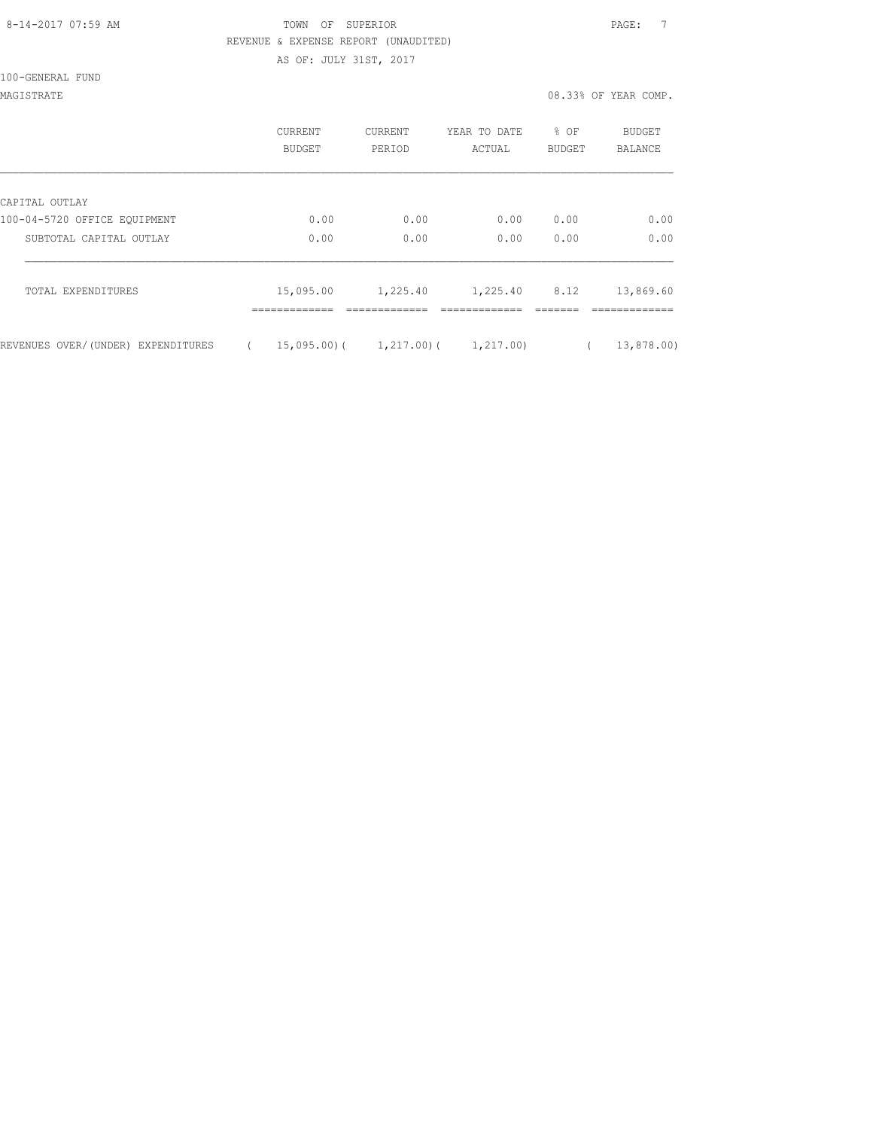#### 8-14-2017 07:59 AM TOWN OF SUPERIOR PAGE: 7 REVENUE & EXPENSE REPORT (UNAUDITED)

AS OF: JULY 31ST, 2017

100-GENERAL FUND

MAGISTRATE 08.33% OF YEAR COMP.

|                                    | <b>CURRENT</b><br><b>BUDGET</b> | CURRENT<br>PERIOD | YEAR TO DATE<br>ACTUAL | % OF<br><b>BUDGET</b> | <b>BUDGET</b><br><b>BALANCE</b> |
|------------------------------------|---------------------------------|-------------------|------------------------|-----------------------|---------------------------------|
| CAPITAL OUTLAY                     |                                 |                   |                        |                       |                                 |
| 100-04-5720 OFFICE EQUIPMENT       | 0.00                            | 0.00              | 0.00                   | 0.00                  | 0.00                            |
| SUBTOTAL CAPITAL OUTLAY            | 0.00                            | 0.00              | 0.00                   | 0.00                  | 0.00                            |
| TOTAL EXPENDITURES                 | 15,095.00                       | 1,225.40          | 1,225.40               | 8.12                  | 13,869.60                       |
| REVENUES OVER/(UNDER) EXPENDITURES | 15,095.00)(                     | 1,217.00)(        | 1,217.00)              |                       | 13,878.00)                      |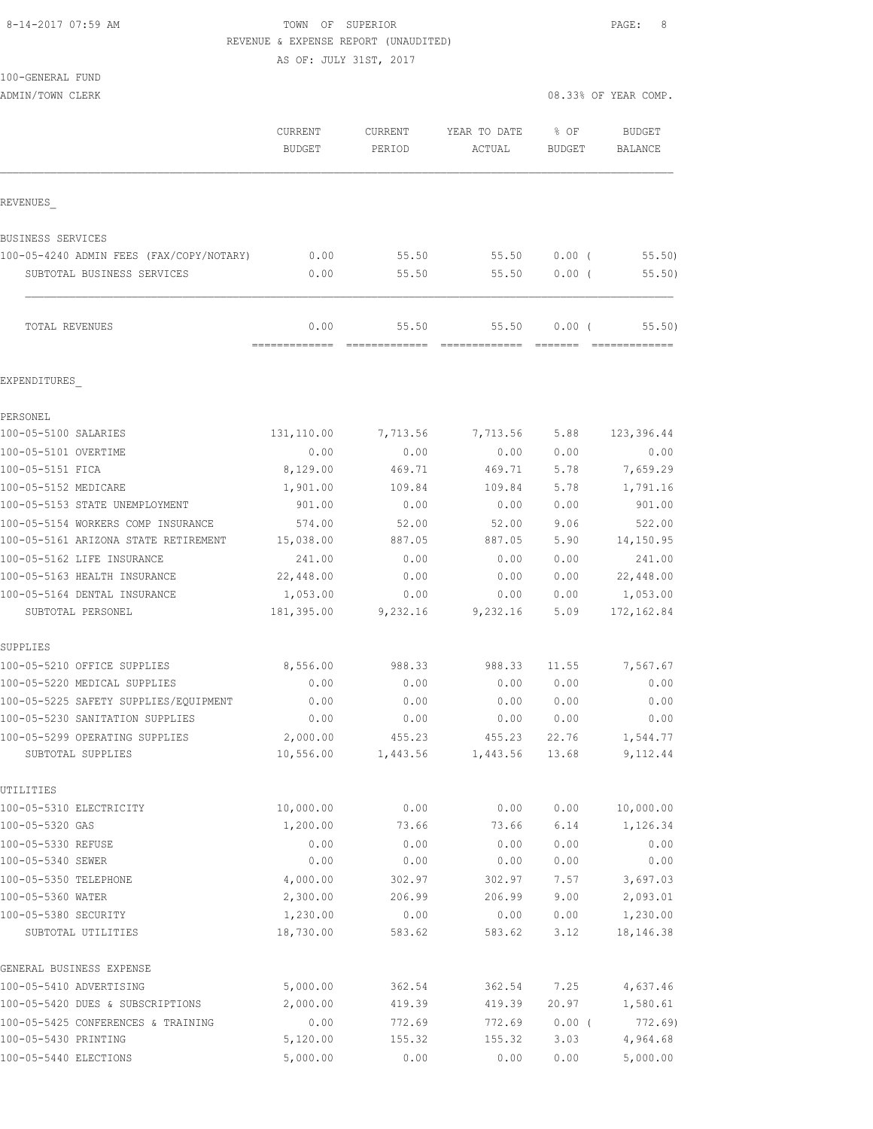#### 8-14-2017 07:59 AM TOWN OF SUPERIOR PAGE: 8 REVENUE & EXPENSE REPORT (UNAUDITED)

AS OF: JULY 31ST, 2017

100-GENERAL FUND

ADMIN/TOWN CLERK 2008 OF YEAR COMP.

|                                                   | CURRENT<br><b>BUDGET</b> | CURRENT<br>PERIOD | YEAR TO DATE<br>ACTUAL | % OF<br><b>BUDGET</b> | <b>BUDGET</b><br><b>BALANCE</b> |
|---------------------------------------------------|--------------------------|-------------------|------------------------|-----------------------|---------------------------------|
| REVENUES                                          |                          |                   |                        |                       |                                 |
| BUSINESS SERVICES                                 |                          |                   |                        |                       |                                 |
| 100-05-4240 ADMIN FEES (FAX/COPY/NOTARY)          | 0.00                     | 55.50             | 55.50                  | $0.00$ (              | 55.50                           |
| SUBTOTAL BUSINESS SERVICES                        | 0.00                     | 55.50             | 55.50                  | $0.00$ (              | 55.50)                          |
| TOTAL REVENUES                                    | 0.00                     | 55.50             | 55.50                  | 0.00(                 | 55.50)                          |
| EXPENDITURES                                      |                          |                   |                        |                       |                                 |
| PERSONEL                                          |                          |                   |                        |                       |                                 |
| 100-05-5100 SALARIES                              | 131,110.00               | 7,713.56          | 7,713.56               | 5.88                  | 123,396.44                      |
| 100-05-5101 OVERTIME                              | 0.00                     | 0.00              | 0.00                   | 0.00                  | 0.00                            |
| 100-05-5151 FICA                                  | 8,129.00                 | 469.71            | 469.71                 | 5.78                  | 7,659.29                        |
| 100-05-5152 MEDICARE                              | 1,901.00                 | 109.84            | 109.84                 | 5.78                  | 1,791.16                        |
| 100-05-5153 STATE UNEMPLOYMENT                    | 901.00                   | 0.00              | 0.00                   | 0.00                  | 901.00                          |
| 100-05-5154 WORKERS COMP INSURANCE                | 574.00                   | 52.00             | 52.00                  | 9.06                  | 522.00                          |
| 100-05-5161 ARIZONA STATE RETIREMENT              | 15,038.00                | 887.05            | 887.05                 | 5.90                  | 14,150.95                       |
| 100-05-5162 LIFE INSURANCE                        | 241.00                   | 0.00              | 0.00                   | 0.00                  | 241.00                          |
| 100-05-5163 HEALTH INSURANCE                      | 22,448.00                | 0.00              | 0.00                   | 0.00                  | 22,448.00                       |
| 100-05-5164 DENTAL INSURANCE<br>SUBTOTAL PERSONEL | 1,053.00<br>181,395.00   | 0.00<br>9,232.16  | 0.00<br>9,232.16       | 0.00<br>5.09          | 1,053.00<br>172, 162.84         |
| SUPPLIES                                          |                          |                   |                        |                       |                                 |
| 100-05-5210 OFFICE SUPPLIES                       | 8,556.00                 | 988.33            | 988.33                 | 11.55                 | 7,567.67                        |
| 100-05-5220 MEDICAL SUPPLIES                      | 0.00                     | 0.00              | 0.00                   | 0.00                  | 0.00                            |
| 100-05-5225 SAFETY SUPPLIES/EQUIPMENT             | 0.00                     | 0.00              | 0.00                   | 0.00                  | 0.00                            |
| 100-05-5230 SANITATION SUPPLIES                   | 0.00                     | 0.00              | 0.00                   | 0.00                  | 0.00                            |
| 100-05-5299 OPERATING SUPPLIES                    | 2,000.00                 | 455.23            | 455.23                 | 22.76                 | 1,544.77                        |
| SUBTOTAL SUPPLIES                                 | 10,556.00                | 1,443.56          | 1,443.56               | 13.68                 | 9,112.44                        |
| UTILITIES                                         |                          |                   |                        |                       |                                 |
| 100-05-5310 ELECTRICITY                           | 10,000.00                | 0.00              | 0.00                   | 0.00                  | 10,000.00                       |
| 100-05-5320 GAS                                   | 1,200.00                 | 73.66             | 73.66                  | 6.14                  | 1,126.34                        |
| 100-05-5330 REFUSE                                | 0.00                     | 0.00              | 0.00                   | 0.00                  | 0.00                            |
| 100-05-5340 SEWER<br>100-05-5350 TELEPHONE        | 0.00                     | 0.00              | 0.00                   | 0.00                  | 0.00                            |
| 100-05-5360 WATER                                 | 4,000.00<br>2,300.00     | 302.97<br>206.99  | 302.97<br>206.99       | 7.57<br>9.00          | 3,697.03<br>2,093.01            |
| 100-05-5380 SECURITY                              | 1,230.00                 | 0.00              | 0.00                   | 0.00                  | 1,230.00                        |
| SUBTOTAL UTILITIES                                | 18,730.00                | 583.62            | 583.62                 | 3.12                  | 18,146.38                       |
| GENERAL BUSINESS EXPENSE                          |                          |                   |                        |                       |                                 |
| 100-05-5410 ADVERTISING                           | 5,000.00                 | 362.54            | 362.54                 | 7.25                  | 4,637.46                        |
| 100-05-5420 DUES & SUBSCRIPTIONS                  | 2,000.00                 | 419.39            | 419.39                 | 20.97                 | 1,580.61                        |
| 100-05-5425 CONFERENCES & TRAINING                | 0.00                     | 772.69            | 772.69                 | $0.00$ (              | 772.69                          |
| 100-05-5430 PRINTING                              | 5,120.00                 | 155.32            | 155.32                 | 3.03                  | 4,964.68                        |
| 100-05-5440 ELECTIONS                             | 5,000.00                 | 0.00              | 0.00                   | 0.00                  | 5,000.00                        |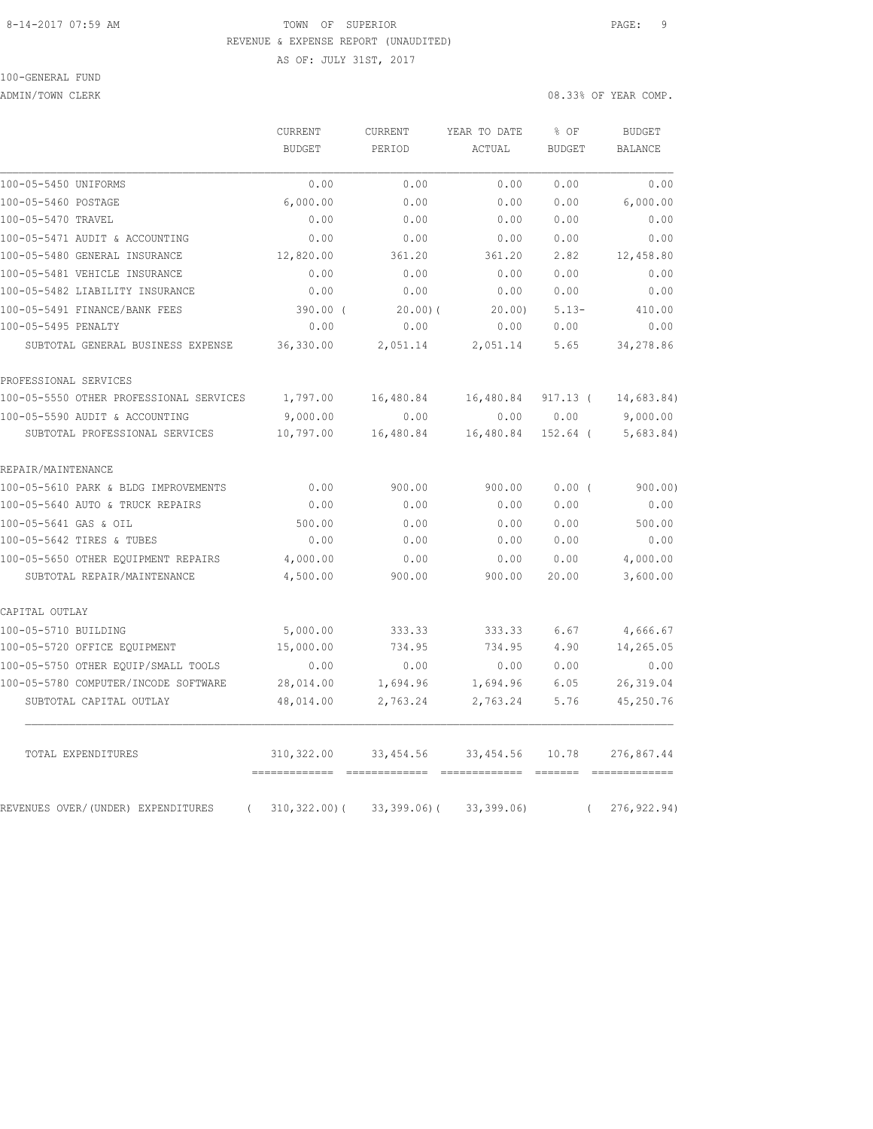#### 8-14-2017 07:59 AM TOWN OF SUPERIOR PAGE: 9 REVENUE & EXPENSE REPORT (UNAUDITED)

AS OF: JULY 31ST, 2017

100-GENERAL FUND

ADMIN/TOWN CLERK 2008 OF YEAR COMP.

|                                                | CURRENT<br><b>BUDGET</b>                | <b>CURRENT</b><br>PERIOD | YEAR TO DATE<br>ACTUAL | % OF<br><b>BUDGET</b> | <b>BUDGET</b><br><b>BALANCE</b> |
|------------------------------------------------|-----------------------------------------|--------------------------|------------------------|-----------------------|---------------------------------|
| 100-05-5450 UNIFORMS                           | 0.00                                    | 0.00                     | 0.00                   | 0.00                  | 0.00                            |
| 100-05-5460 POSTAGE                            | 6,000.00                                | 0.00                     | 0.00                   | 0.00                  | 6,000.00                        |
| 100-05-5470 TRAVEL                             | 0.00                                    | 0.00                     | 0.00                   | 0.00                  | 0.00                            |
| 100-05-5471 AUDIT & ACCOUNTING                 | 0.00                                    | 0.00                     | 0.00                   | 0.00                  | 0.00                            |
| 100-05-5480 GENERAL INSURANCE                  | 12,820.00                               | 361.20                   | 361.20                 | 2.82                  | 12,458.80                       |
| 100-05-5481 VEHICLE INSURANCE                  | 0.00                                    | 0.00                     | 0.00                   | 0.00                  | 0.00                            |
| 100-05-5482 LIABILITY INSURANCE                | 0.00                                    | 0.00                     | 0.00                   | 0.00                  | 0.00                            |
| 100-05-5491 FINANCE/BANK FEES                  | $390.00$ (                              | 20.00(                   | 20.00                  | $5.13-$               | 410.00                          |
| 100-05-5495 PENALTY                            | 0.00                                    | 0.00                     | 0.00                   | 0.00                  | 0.00                            |
| SUBTOTAL GENERAL BUSINESS EXPENSE              | 36,330.00                               | 2,051.14                 | 2,051.14               | 5.65                  | 34,278.86                       |
| PROFESSIONAL SERVICES                          |                                         |                          |                        |                       |                                 |
| 100-05-5550 OTHER PROFESSIONAL SERVICES        | 1,797.00                                | 16,480.84                | 16,480.84              | $917.13$ (            | 14,683.84)                      |
| 100-05-5590 AUDIT & ACCOUNTING                 | 9,000.00                                | 0.00                     | 0.00                   | 0.00                  | 9,000.00                        |
| SUBTOTAL PROFESSIONAL SERVICES                 | 10,797.00                               | 16,480.84                | 16,480.84              | 152.64 (              | 5,683.84                        |
| REPAIR/MAINTENANCE                             |                                         |                          |                        |                       |                                 |
| 100-05-5610 PARK & BLDG IMPROVEMENTS           | 0.00                                    | 900.00                   | 900.00                 | 0.00(                 | 900.00)                         |
| 100-05-5640 AUTO & TRUCK REPAIRS               | 0.00                                    | 0.00                     | 0.00                   | 0.00                  | 0.00                            |
| 100-05-5641 GAS & OIL                          | 500.00                                  | 0.00                     | 0.00                   | 0.00                  | 500.00                          |
| 100-05-5642 TIRES & TUBES                      | 0.00                                    | 0.00                     | 0.00                   | 0.00                  | 0.00                            |
| 100-05-5650 OTHER EQUIPMENT REPAIRS            | 4,000.00                                | 0.00                     | 0.00                   | 0.00                  | 4,000.00                        |
| SUBTOTAL REPAIR/MAINTENANCE                    | 4,500.00                                | 900.00                   | 900.00                 | 20.00                 | 3,600.00                        |
| CAPITAL OUTLAY                                 |                                         |                          |                        |                       |                                 |
| 100-05-5710 BUILDING                           | 5,000.00                                | 333.33                   | 333.33                 | 6.67                  | 4,666.67                        |
| 100-05-5720 OFFICE EQUIPMENT                   | 15,000.00                               | 734.95                   | 734.95                 | 4.90                  | 14,265.05                       |
| 100-05-5750 OTHER EQUIP/SMALL TOOLS            | 0.00                                    | 0.00                     | 0.00                   | 0.00                  | 0.00                            |
| 100-05-5780 COMPUTER/INCODE SOFTWARE           | 28,014.00                               | 1,694.96                 | 1,694.96               | 6.05                  | 26, 319.04                      |
| SUBTOTAL CAPITAL OUTLAY                        | 48,014.00                               | 2,763.24                 | 2,763.24               | 5.76                  | 45,250.76                       |
| TOTAL EXPENDITURES                             | 310,322.00<br>========================= | 33,454.56                | 33,454.56              | 10.78                 | 276,867.44                      |
| REVENUES OVER/(UNDER) EXPENDITURES<br>$\left($ | 310,322.00)(                            | $33,399.06$ ) (          | 33,399.06              | $\left($              | 276, 922.94)                    |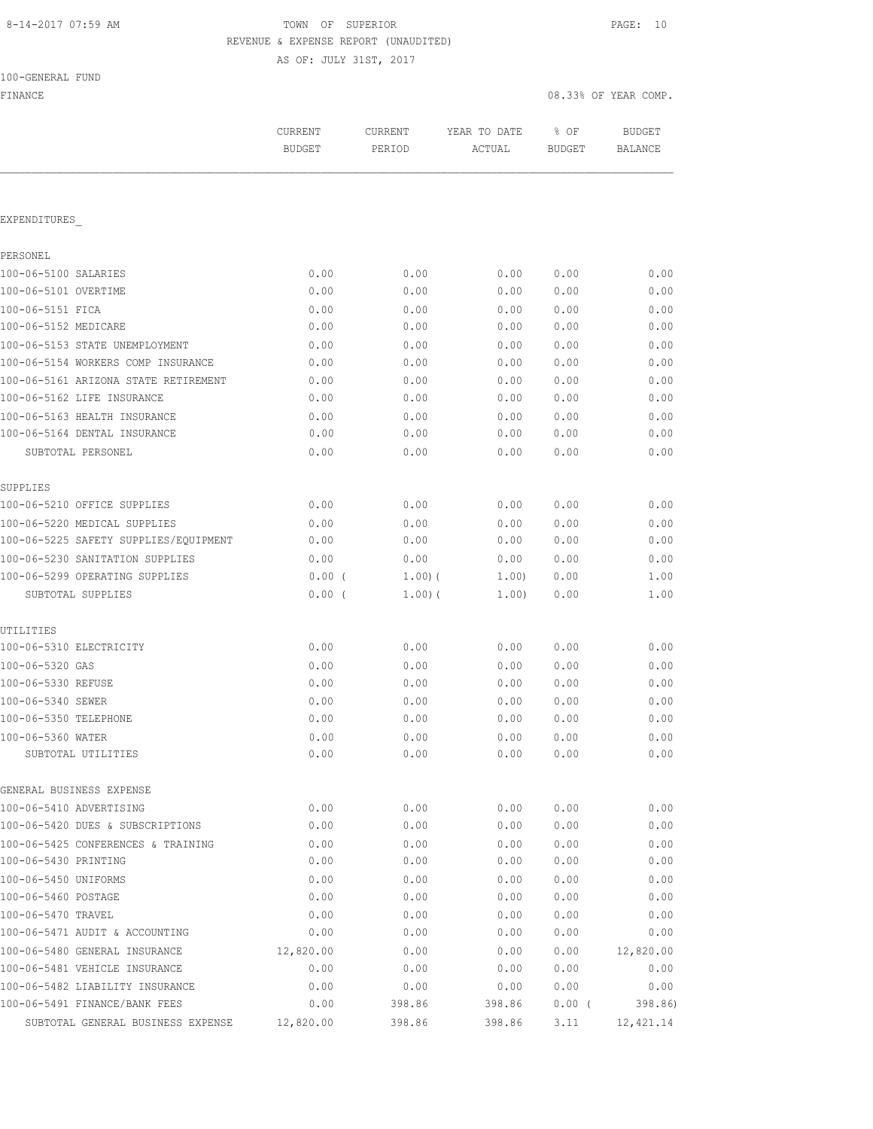## 8-14-2017 07:59 AM TOWN OF SUPERIOR PAGE: 10 REVENUE & EXPENSE REPORT (UNAUDITED)

AS OF: JULY 31ST, 2017

FINANCE 08.33% OF YEAR COMP.

|                                       | <b>CURRENT</b><br><b>BUDGET</b> | CURRENT<br>PERIOD | YEAR TO DATE<br>ACTUAL | % OF<br><b>BUDGET</b> | <b>BUDGET</b><br><b>BALANCE</b> |
|---------------------------------------|---------------------------------|-------------------|------------------------|-----------------------|---------------------------------|
|                                       |                                 |                   |                        |                       |                                 |
| EXPENDITURES                          |                                 |                   |                        |                       |                                 |
| PERSONEL                              |                                 |                   |                        |                       |                                 |
| 100-06-5100 SALARIES                  | 0.00                            | 0.00              | 0.00                   | 0.00                  | 0.00                            |
| 100-06-5101 OVERTIME                  | 0.00                            | 0.00              | 0.00                   | 0.00                  | 0.00                            |
| 100-06-5151 FICA                      | 0.00                            | 0.00              | 0.00                   | 0.00                  | 0.00                            |
| 100-06-5152 MEDICARE                  | 0.00                            | 0.00              | 0.00                   | 0.00                  | 0.00                            |
| 100-06-5153 STATE UNEMPLOYMENT        | 0.00                            | 0.00              | 0.00                   | 0.00                  | 0.00                            |
| 100-06-5154 WORKERS COMP INSURANCE    | 0.00                            | 0.00              | 0.00                   | 0.00                  | 0.00                            |
| 100-06-5161 ARIZONA STATE RETIREMENT  | 0.00                            | 0.00              | 0.00                   | 0.00                  | 0.00                            |
| 100-06-5162 LIFE INSURANCE            | 0.00                            | 0.00              | 0.00                   | 0.00                  | 0.00                            |
| 100-06-5163 HEALTH INSURANCE          | 0.00                            | 0.00              | 0.00                   | 0.00                  | 0.00                            |
| 100-06-5164 DENTAL INSURANCE          | 0.00                            | 0.00              | 0.00                   | 0.00                  | 0.00                            |
| SUBTOTAL PERSONEL                     | 0.00                            | 0.00              | 0.00                   | 0.00                  | 0.00                            |
| SUPPLIES                              |                                 |                   |                        |                       |                                 |
| 100-06-5210 OFFICE SUPPLIES           | 0.00                            | 0.00              | 0.00                   | 0.00                  | 0.00                            |
| 100-06-5220 MEDICAL SUPPLIES          | 0.00                            | 0.00              | 0.00                   | 0.00                  | 0.00                            |
| 100-06-5225 SAFETY SUPPLIES/EQUIPMENT | 0.00                            | 0.00              | 0.00                   | 0.00                  | 0.00                            |
| 100-06-5230 SANITATION SUPPLIES       | 0.00                            | 0.00              | 0.00                   | 0.00                  | 0.00                            |
| 100-06-5299 OPERATING SUPPLIES        | $0.00$ (                        | 1.00(             | 1.00)                  | 0.00                  | 1.00                            |
| SUBTOTAL SUPPLIES                     | 0.00(                           | 1.00(             | 1.00)                  | 0.00                  | 1.00                            |
| UTILITIES                             |                                 |                   |                        |                       |                                 |
| 100-06-5310 ELECTRICITY               | 0.00                            | 0.00              | 0.00                   | 0.00                  | 0.00                            |
| 100-06-5320 GAS                       | 0.00                            | 0.00              | 0.00                   | 0.00                  | 0.00                            |
| 100-06-5330 REFUSE                    | 0.00                            | 0.00              | 0.00                   | 0.00                  | 0.00                            |
| 100-06-5340 SEWER                     | 0.00                            | 0.00              | 0.00                   | 0.00                  | 0.00                            |
| 100-06-5350 TELEPHONE                 | 0.00                            | 0.00              | 0.00                   | 0.00                  | 0.00                            |
| 100-06-5360 WATER                     | 0.00                            | 0.00              | 0.00                   | 0.00                  | 0.00                            |
| SUBTOTAL UTILITIES                    | 0.00                            | 0.00              | 0.00                   | 0.00                  | 0.00                            |
| GENERAL BUSINESS EXPENSE              |                                 |                   |                        |                       |                                 |
| 100-06-5410 ADVERTISING               | 0.00                            | 0.00              | 0.00                   | 0.00                  | 0.00                            |
| 100-06-5420 DUES & SUBSCRIPTIONS      | 0.00                            | 0.00              | 0.00                   | 0.00                  | 0.00                            |
| 100-06-5425 CONFERENCES & TRAINING    | 0.00                            | 0.00              | 0.00                   | 0.00                  | 0.00                            |
| 100-06-5430 PRINTING                  | 0.00                            | 0.00              | 0.00                   | 0.00                  | 0.00                            |
| 100-06-5450 UNIFORMS                  | 0.00                            | 0.00              | 0.00                   | 0.00                  | 0.00                            |
| 100-06-5460 POSTAGE                   | 0.00                            | 0.00              | 0.00                   | 0.00                  | 0.00                            |
| 100-06-5470 TRAVEL                    | 0.00                            | 0.00              | 0.00                   | 0.00                  | 0.00                            |
| 100-06-5471 AUDIT & ACCOUNTING        | 0.00                            | 0.00              | 0.00                   | 0.00                  | 0.00                            |
| 100-06-5480 GENERAL INSURANCE         | 12,820.00                       | 0.00              | 0.00                   | 0.00                  | 12,820.00                       |
| 100-06-5481 VEHICLE INSURANCE         | 0.00                            | 0.00              | 0.00                   | 0.00                  | 0.00                            |
| 100-06-5482 LIABILITY INSURANCE       | 0.00                            | 0.00              | 0.00                   | 0.00                  | 0.00                            |
| 100-06-5491 FINANCE/BANK FEES         | 0.00                            | 398.86            | 398.86                 | 0.00(                 | 398.86)                         |

SUBTOTAL GENERAL BUSINESS EXPENSE 12,820.00 398.86 398.86 3.11 12,421.14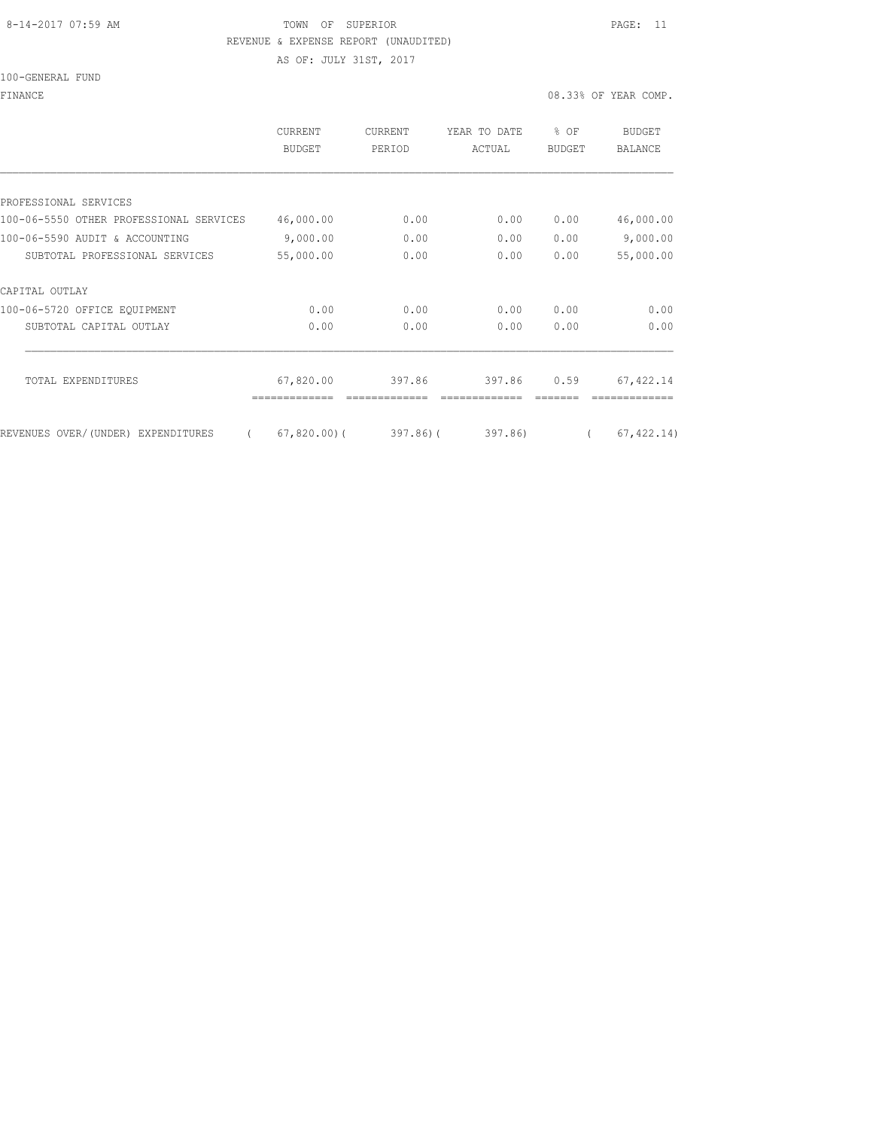#### 8-14-2017 07:59 AM TOWN OF SUPERIOR PAGE: 11 REVENUE & EXPENSE REPORT (UNAUDITED)

AS OF: JULY 31ST, 2017

100-GENERAL FUND

FINANCE 08.33% OF YEAR COMP.

|                                         | CURRENT<br><b>BUDGET</b> | CURRENT<br>PERIOD | YEAR TO DATE<br>ACTUAL | % OF<br><b>BUDGET</b> | <b>BUDGET</b><br><b>BALANCE</b> |
|-----------------------------------------|--------------------------|-------------------|------------------------|-----------------------|---------------------------------|
|                                         |                          |                   |                        |                       |                                 |
| PROFESSIONAL SERVICES                   |                          |                   |                        |                       |                                 |
| 100-06-5550 OTHER PROFESSIONAL SERVICES | 46,000.00                | 0.00              | 0.00                   | 0.00                  | 46,000.00                       |
| 100-06-5590 AUDIT & ACCOUNTING          | 9,000.00                 | 0.00              | 0.00                   | 0.00                  | 9,000.00                        |
| SUBTOTAL PROFESSIONAL SERVICES          | 55,000.00                | 0.00              | 0.00                   | 0.00                  | 55,000.00                       |
| CAPITAL OUTLAY                          |                          |                   |                        |                       |                                 |
| 100-06-5720 OFFICE EQUIPMENT            | 0.00                     | 0.00              | 0.00                   | 0.00                  | 0.00                            |
| SUBTOTAL CAPITAL OUTLAY                 | 0.00                     | 0.00              | 0.00                   | 0.00                  | 0.00                            |
| TOTAL EXPENDITURES                      | 67,820.00                | 397.86            | 397.86                 | 0.59                  | 67, 422.14                      |
| REVENUES OVER/(UNDER) EXPENDITURES      | $67,820.00$ (            | $397.86$ ) (      | 397.86)                |                       | 67, 422.14)                     |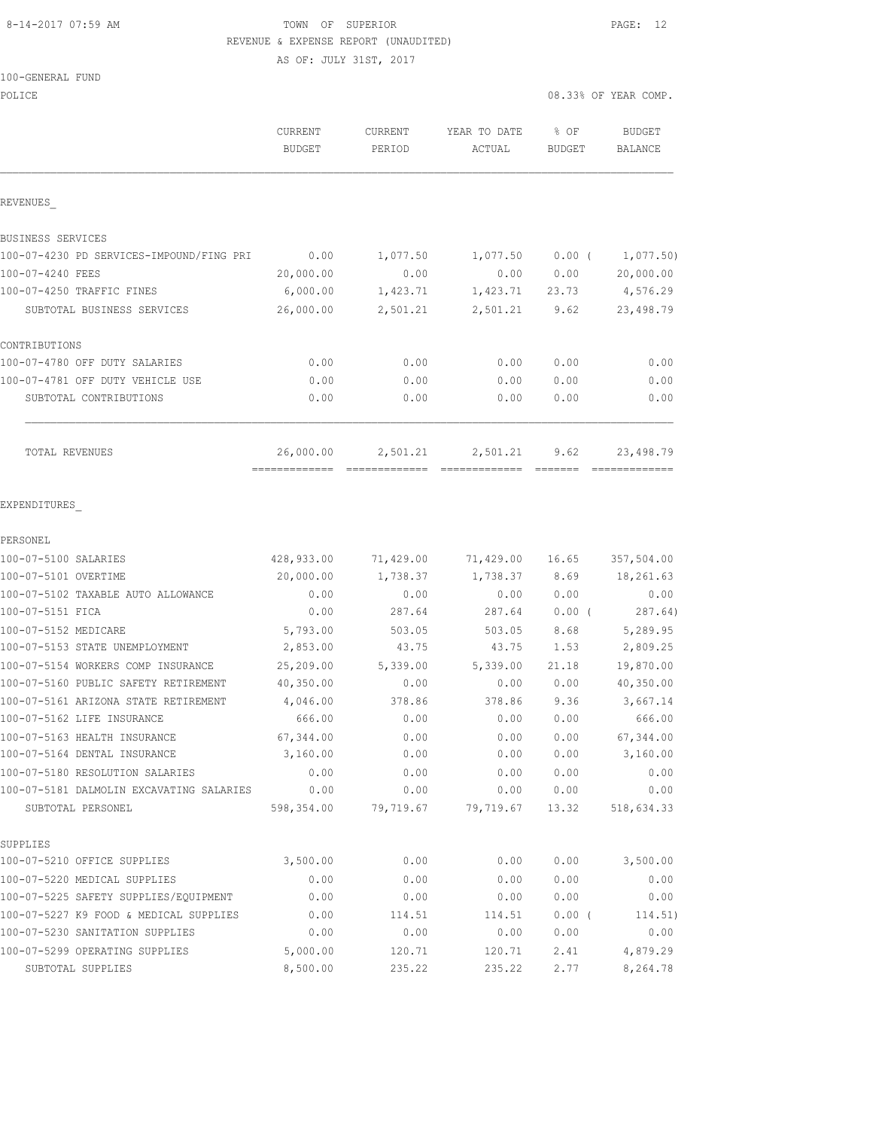## 8-14-2017 07:59 AM TOWN OF SUPERIOR PAGE: 12 REVENUE & EXPENSE REPORT (UNAUDITED)

AS OF: JULY 31ST, 2017

| 100-GENERAL FUND |  |  |
|------------------|--|--|
|                  |  |  |

| POLICE                                                          |                                          |                   |                        | 08.33% OF YEAR COMP.  |                          |
|-----------------------------------------------------------------|------------------------------------------|-------------------|------------------------|-----------------------|--------------------------|
|                                                                 | CURRENT<br><b>BUDGET</b>                 | CURRENT<br>PERIOD | YEAR TO DATE<br>ACTUAL | % OF<br><b>BUDGET</b> | <b>BUDGET</b><br>BALANCE |
| REVENUES                                                        |                                          |                   |                        |                       |                          |
| BUSINESS SERVICES                                               |                                          |                   |                        |                       |                          |
| 100-07-4230 PD SERVICES-IMPOUND/FING PRI                        | 0.00                                     | 1,077.50          | 1,077.50               | $0.00$ (              | 1,077.50)                |
| 100-07-4240 FEES                                                | 20,000.00                                | 0.00              | 0.00                   | 0.00                  | 20,000.00                |
| 100-07-4250 TRAFFIC FINES                                       | 6,000.00                                 | 1,423.71          | 1,423.71               | 23.73                 | 4,576.29                 |
| SUBTOTAL BUSINESS SERVICES                                      | 26,000.00                                | 2,501.21          | 2,501.21               | 9.62                  | 23,498.79                |
| CONTRIBUTIONS                                                   |                                          |                   |                        |                       |                          |
| 100-07-4780 OFF DUTY SALARIES                                   | 0.00                                     | 0.00              | 0.00                   | 0.00                  | 0.00                     |
| 100-07-4781 OFF DUTY VEHICLE USE                                | 0.00                                     | 0.00              | 0.00                   | 0.00                  | 0.00                     |
| SUBTOTAL CONTRIBUTIONS                                          | 0.00                                     | 0.00              | 0.00                   | 0.00                  | 0.00                     |
| TOTAL REVENUES                                                  | 26,000.00<br>------------- ------------- | 2,501.21          | 2,501.21               | 9.62                  | 23,498.79                |
| EXPENDITURES                                                    |                                          |                   |                        |                       |                          |
| PERSONEL                                                        |                                          |                   |                        |                       |                          |
| 100-07-5100 SALARIES                                            | 428,933.00                               | 71,429.00         | 71,429.00              | 16.65                 | 357,504.00               |
| 100-07-5101 OVERTIME                                            | 20,000.00                                | 1,738.37          | 1,738.37               | 8.69                  | 18,261.63                |
| 100-07-5102 TAXABLE AUTO ALLOWANCE                              | 0.00                                     | 0.00              | 0.00                   | 0.00                  | 0.00                     |
| 100-07-5151 FICA                                                | 0.00                                     | 287.64            | 287.64                 | $0.00$ (              | 287.64)                  |
| 100-07-5152 MEDICARE                                            | 5,793.00                                 | 503.05            | 503.05                 | 8.68                  | 5,289.95                 |
| 100-07-5153 STATE UNEMPLOYMENT                                  | 2,853.00                                 | 43.75             | 43.75                  | 1.53                  | 2,809.25                 |
| 100-07-5154 WORKERS COMP INSURANCE                              | 25,209.00                                | 5,339.00          | 5,339.00               | 21.18                 | 19,870.00                |
| 100-07-5160 PUBLIC SAFETY RETIREMENT                            | 40,350.00                                | 0.00              | 0.00                   | 0.00                  | 40,350.00                |
| 100-07-5161 ARIZONA STATE RETIREMENT                            | 4,046.00                                 | 378.86            | 378.86                 | 9.36                  | 3,667.14                 |
| 100-07-5162 LIFE INSURANCE                                      | 666.00                                   | 0.00              | 0.00                   | 0.00                  | 666.00                   |
| 100-07-5163 HEALTH INSURANCE                                    | 67,344.00                                | 0.00              | 0.00                   | 0.00                  | 67,344.00                |
| 100-07-5164 DENTAL INSURANCE<br>100-07-5180 RESOLUTION SALARIES | 3,160.00                                 | 0.00              | 0.00                   | 0.00                  | 3,160.00                 |
| 100-07-5181 DALMOLIN EXCAVATING SALARIES                        | 0.00<br>0.00                             | 0.00<br>0.00      | 0.00<br>0.00           | 0.00<br>0.00          | 0.00<br>0.00             |
| SUBTOTAL PERSONEL                                               | 598,354.00                               | 79,719.67         | 79,719.67              | 13.32                 | 518,634.33               |
| SUPPLIES                                                        |                                          |                   |                        |                       |                          |
| 100-07-5210 OFFICE SUPPLIES                                     | 3,500.00                                 | 0.00              | 0.00                   | 0.00                  | 3,500.00                 |
| 100-07-5220 MEDICAL SUPPLIES                                    | 0.00                                     | 0.00              | 0.00                   | 0.00                  | 0.00                     |
| 100-07-5225 SAFETY SUPPLIES/EQUIPMENT                           | 0.00                                     | 0.00              | 0.00                   | 0.00                  | 0.00                     |
| 100-07-5227 K9 FOOD & MEDICAL SUPPLIES                          | 0.00                                     | 114.51            | 114.51                 | $0.00$ (              | 114.51)                  |
| 100-07-5230 SANITATION SUPPLIES                                 | 0.00                                     | 0.00              | 0.00                   | 0.00                  | 0.00                     |
| 100-07-5299 OPERATING SUPPLIES                                  | 5,000.00                                 | 120.71            | 120.71                 | 2.41                  | 4,879.29                 |
| SUBTOTAL SUPPLIES                                               | 8,500.00                                 | 235.22            | 235.22                 | 2.77                  | 8,264.78                 |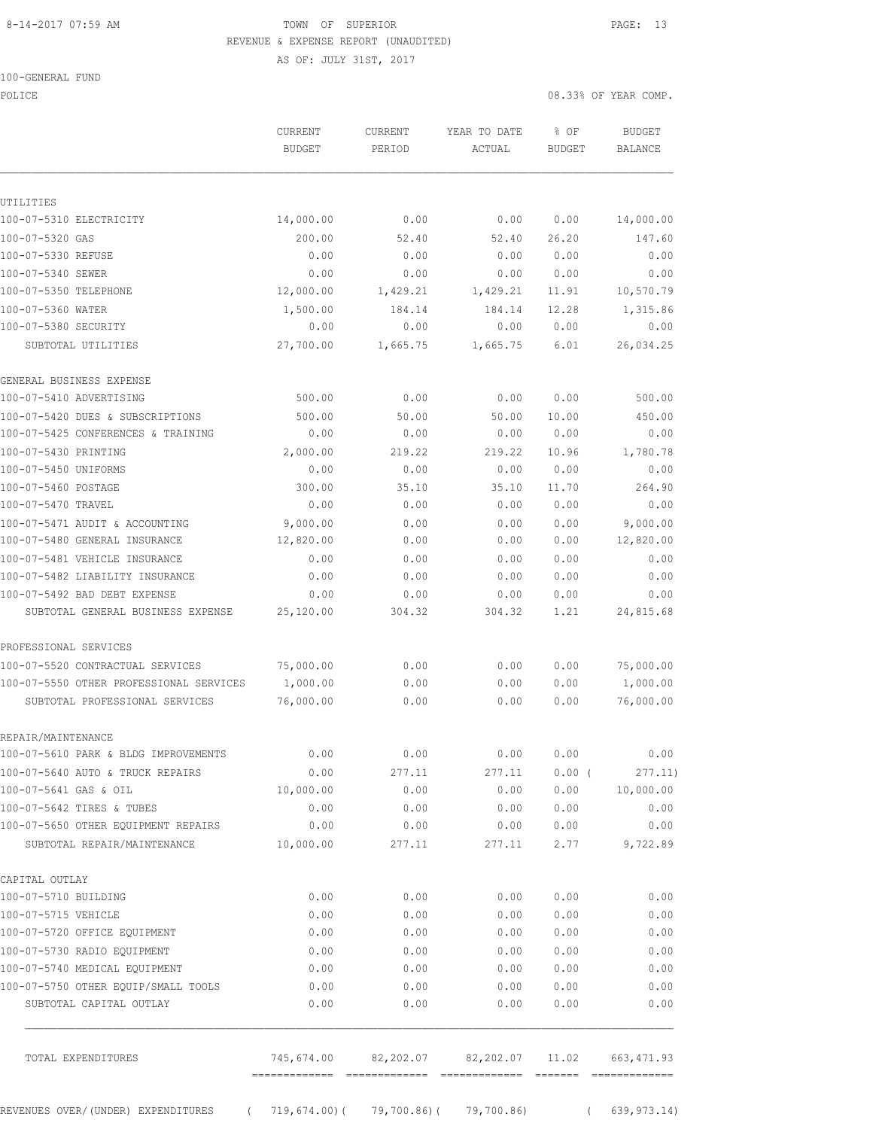100-GENERAL FUND

#### 8-14-2017 07:59 AM TOWN OF SUPERIOR PAGE: 13 REVENUE & EXPENSE REPORT (UNAUDITED)

AS OF: JULY 31ST, 2017

POLICE 08.33% OF YEAR COMP.

| UTILITIES<br>100-07-5310 ELECTRICITY<br>100-07-5320 GAS           | 14,000.00<br>200.00<br>0.00<br>0.00 | 0.00<br>52.40  | 0.00                                 |              |                   |
|-------------------------------------------------------------------|-------------------------------------|----------------|--------------------------------------|--------------|-------------------|
|                                                                   |                                     |                |                                      |              |                   |
|                                                                   |                                     |                |                                      |              |                   |
|                                                                   |                                     |                |                                      | 0.00         | 14,000.00         |
|                                                                   |                                     |                | 52.40                                | 26.20        | 147.60            |
| 100-07-5330 REFUSE                                                |                                     | 0.00           | 0.00                                 | 0.00         | 0.00              |
| 100-07-5340 SEWER                                                 |                                     | 0.00           | 0.00                                 | 0.00         | 0.00              |
| 100-07-5350 TELEPHONE                                             | 12,000.00                           | 1,429.21       | 1,429.21                             | 11.91        | 10,570.79         |
| 100-07-5360 WATER                                                 | 1,500.00                            | 184.14         | 184.14                               | 12.28        | 1,315.86          |
| 100-07-5380 SECURITY                                              | 0.00                                | 0.00           | 0.00                                 | 0.00         | 0.00              |
| SUBTOTAL UTILITIES                                                | 27,700.00                           | 1,665.75       | 1,665.75                             | 6.01         | 26,034.25         |
| GENERAL BUSINESS EXPENSE                                          |                                     |                |                                      |              |                   |
| 100-07-5410 ADVERTISING                                           | 500.00                              | 0.00           | 0.00                                 | 0.00         | 500.00            |
| 100-07-5420 DUES & SUBSCRIPTIONS                                  | 500.00                              | 50.00          | 50.00                                | 10.00        | 450.00            |
| 100-07-5425 CONFERENCES & TRAINING                                | 0.00                                | 0.00           | 0.00                                 | 0.00         | 0.00              |
| 100-07-5430 PRINTING                                              | 2,000.00                            | 219.22         | 219.22                               | 10.96        | 1,780.78          |
| 100-07-5450 UNIFORMS                                              | 0.00                                | 0.00           | 0.00                                 | 0.00         | 0.00              |
| 100-07-5460 POSTAGE                                               | 300.00                              | 35.10          | 35.10                                | 11.70        | 264.90            |
| 100-07-5470 TRAVEL                                                | 0.00                                | 0.00           | 0.00                                 | 0.00         | 0.00              |
| 100-07-5471 AUDIT & ACCOUNTING                                    | 9,000.00                            | 0.00           | 0.00                                 | 0.00         | 9,000.00          |
| 100-07-5480 GENERAL INSURANCE                                     | 12,820.00                           | 0.00           | 0.00                                 | 0.00         | 12,820.00         |
| 100-07-5481 VEHICLE INSURANCE                                     | 0.00                                | 0.00           | 0.00                                 | 0.00         | 0.00              |
| 100-07-5482 LIABILITY INSURANCE                                   | 0.00                                | 0.00           | 0.00                                 | 0.00         | 0.00              |
| 100-07-5492 BAD DEBT EXPENSE<br>SUBTOTAL GENERAL BUSINESS EXPENSE | 0.00<br>25,120.00                   | 0.00<br>304.32 | 0.00<br>304.32                       | 0.00<br>1.21 | 0.00<br>24,815.68 |
| PROFESSIONAL SERVICES                                             |                                     |                |                                      |              |                   |
| 100-07-5520 CONTRACTUAL SERVICES                                  | 75,000.00                           | 0.00           | 0.00                                 | 0.00         | 75,000.00         |
| 100-07-5550 OTHER PROFESSIONAL SERVICES                           | 1,000.00                            | 0.00           | 0.00                                 | 0.00         | 1,000.00          |
| SUBTOTAL PROFESSIONAL SERVICES                                    | 76,000.00                           | 0.00           | 0.00                                 | 0.00         | 76,000.00         |
| REPAIR/MAINTENANCE                                                |                                     |                |                                      |              |                   |
| 100-07-5610 PARK & BLDG IMPROVEMENTS                              | 0.00                                | 0.00           | 0.00                                 | 0.00         | 0.00              |
| 100-07-5640 AUTO & TRUCK REPAIRS                                  | 0.00                                | 277.11         | 277.11                               | $0.00$ (     | 277.11)           |
| 100-07-5641 GAS & OIL                                             | 10,000.00                           | 0.00           | 0.00                                 | 0.00         | 10,000.00         |
| 100-07-5642 TIRES & TUBES                                         | 0.00                                | 0.00           | 0.00                                 | 0.00         | 0.00              |
| 100-07-5650 OTHER EQUIPMENT REPAIRS                               | 0.00                                | 0.00           | 0.00                                 | 0.00         | 0.00              |
| SUBTOTAL REPAIR/MAINTENANCE                                       | 10,000.00                           | 277.11         | 277.11                               | 2.77         | 9,722.89          |
| CAPITAL OUTLAY                                                    |                                     |                |                                      |              |                   |
| 100-07-5710 BUILDING                                              | 0.00                                | 0.00           | 0.00                                 | 0.00         | 0.00              |
| 100-07-5715 VEHICLE                                               | 0.00                                | 0.00           | 0.00                                 | 0.00         | 0.00              |
| 100-07-5720 OFFICE EQUIPMENT                                      | 0.00                                | 0.00           | 0.00                                 | 0.00         | 0.00              |
| 100-07-5730 RADIO EQUIPMENT                                       | 0.00                                | 0.00           | 0.00                                 | 0.00         | 0.00              |
| 100-07-5740 MEDICAL EQUIPMENT                                     | 0.00                                | 0.00           | 0.00                                 | 0.00         | 0.00              |
| 100-07-5750 OTHER EQUIP/SMALL TOOLS                               | 0.00                                | 0.00           | 0.00                                 | 0.00         | 0.00              |
| SUBTOTAL CAPITAL OUTLAY                                           | 0.00                                | 0.00           | 0.00                                 | 0.00         | 0.00              |
| TOTAL EXPENDITURES                                                |                                     |                | 745,674.00 82,202.07 82,202.07 11.02 |              | 663, 471.93       |
|                                                                   | -------------- --------------       |                |                                      |              |                   |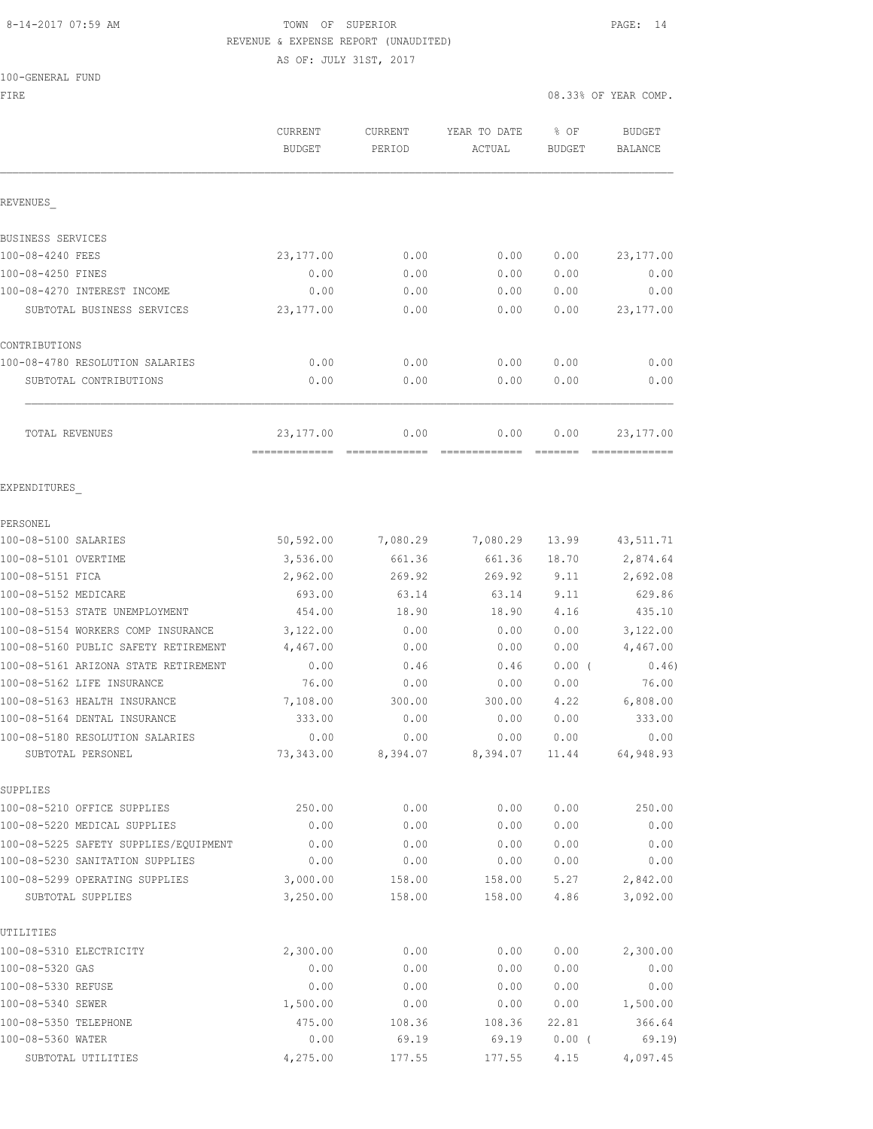## 8-14-2017 07:59 AM TOWN OF SUPERIOR PAGE: 14 REVENUE & EXPENSE REPORT (UNAUDITED) AS OF: JULY 31ST, 2017

100-GENERAL FUND

|                                                      | CURRENT<br><b>BUDGET</b> | CURRENT<br>PERIOD | YEAR TO DATE<br>ACTUAL | % OF<br><b>BUDGET</b> | <b>BUDGET</b><br><b>BALANCE</b> |
|------------------------------------------------------|--------------------------|-------------------|------------------------|-----------------------|---------------------------------|
| REVENUES                                             |                          |                   |                        |                       |                                 |
| BUSINESS SERVICES                                    |                          |                   |                        |                       |                                 |
| 100-08-4240 FEES                                     | 23, 177.00               | 0.00              | 0.00                   | 0.00                  | 23, 177.00                      |
| 100-08-4250 FINES                                    | 0.00                     | 0.00              | 0.00                   | 0.00                  | 0.00                            |
| 100-08-4270 INTEREST INCOME                          | 0.00                     | 0.00              | 0.00                   | 0.00                  | 0.00                            |
| SUBTOTAL BUSINESS SERVICES                           | 23,177.00                | 0.00              | 0.00                   | 0.00                  | 23, 177.00                      |
| CONTRIBUTIONS                                        |                          |                   |                        |                       |                                 |
| 100-08-4780 RESOLUTION SALARIES                      | 0.00                     | 0.00              | 0.00                   | 0.00                  | 0.00                            |
| SUBTOTAL CONTRIBUTIONS                               | 0.00                     | 0.00              | 0.00                   | 0.00                  | 0.00                            |
| TOTAL REVENUES                                       | 23, 177.00               | 0.00              | 0.00                   | 0.00                  | 23, 177.00                      |
| EXPENDITURES                                         |                          |                   |                        |                       |                                 |
| PERSONEL                                             |                          |                   |                        |                       |                                 |
| 100-08-5100 SALARIES                                 | 50,592.00                | 7,080.29          | 7,080.29               | 13.99                 | 43, 511.71                      |
| 100-08-5101 OVERTIME                                 | 3,536.00                 | 661.36            | 661.36                 | 18.70                 | 2,874.64                        |
| 100-08-5151 FICA                                     | 2,962.00                 | 269.92            | 269.92                 | 9.11                  | 2,692.08                        |
| 100-08-5152 MEDICARE                                 | 693.00                   | 63.14             | 63.14                  | 9.11                  | 629.86                          |
| 100-08-5153 STATE UNEMPLOYMENT                       | 454.00                   | 18.90             | 18.90                  | 4.16                  | 435.10                          |
| 100-08-5154 WORKERS COMP INSURANCE                   | 3,122.00                 | 0.00              | 0.00                   | 0.00                  | 3,122.00                        |
| 100-08-5160 PUBLIC SAFETY RETIREMENT                 | 4,467.00                 | 0.00              | 0.00                   | 0.00                  | 4,467.00                        |
| 100-08-5161 ARIZONA STATE RETIREMENT                 | 0.00                     | 0.46              | 0.46                   | 0.00(                 | 0.46)                           |
| 100-08-5162 LIFE INSURANCE                           | 76.00                    | 0.00              | 0.00                   | 0.00                  | 76.00                           |
| 100-08-5163 HEALTH INSURANCE                         | 7,108.00                 | 300.00            | 300.00                 | 4.22                  | 6,808.00                        |
| 100-08-5164 DENTAL INSURANCE                         | 333.00                   | 0.00              | 0.00                   | 0.00                  | 333.00                          |
| 100-08-5180 RESOLUTION SALARIES<br>SUBTOTAL PERSONEL | 0.00<br>73,343.00        | 0.00<br>8,394.07  | 0.00<br>8,394.07       | 0.00<br>11.44         | 0.00<br>64,948.93               |
| SUPPLIES                                             |                          |                   |                        |                       |                                 |
| 100-08-5210 OFFICE SUPPLIES                          | 250.00                   | 0.00              | 0.00                   | 0.00                  | 250.00                          |
| 100-08-5220 MEDICAL SUPPLIES                         | 0.00                     | 0.00              | 0.00                   | 0.00                  | 0.00                            |
| 100-08-5225 SAFETY SUPPLIES/EQUIPMENT                | 0.00                     | 0.00              | 0.00                   | 0.00                  | 0.00                            |
| 100-08-5230 SANITATION SUPPLIES                      | 0.00                     | 0.00              | 0.00                   | 0.00                  | 0.00                            |
| 100-08-5299 OPERATING SUPPLIES                       | 3,000.00                 | 158.00            | 158.00                 | 5.27                  | 2,842.00                        |
| SUBTOTAL SUPPLIES                                    | 3,250.00                 | 158.00            | 158.00                 | 4.86                  | 3,092.00                        |
| UTILITIES                                            |                          |                   |                        |                       |                                 |
| 100-08-5310 ELECTRICITY                              | 2,300.00                 | 0.00              | 0.00                   | 0.00                  | 2,300.00                        |
| 100-08-5320 GAS                                      | 0.00                     | 0.00              | 0.00                   | 0.00                  | 0.00                            |
| 100-08-5330 REFUSE                                   | 0.00                     | 0.00              | 0.00                   | 0.00                  | 0.00                            |
| 100-08-5340 SEWER                                    | 1,500.00                 | 0.00              | 0.00                   | 0.00                  | 1,500.00                        |
| 100-08-5350 TELEPHONE                                | 475.00                   | 108.36            | 108.36                 | 22.81                 | 366.64                          |
| 100-08-5360 WATER                                    | 0.00                     | 69.19             | 69.19                  | $0.00$ (              | 69.19                           |
| SUBTOTAL UTILITIES                                   | 4,275.00                 | 177.55            | 177.55                 | 4.15                  | 4,097.45                        |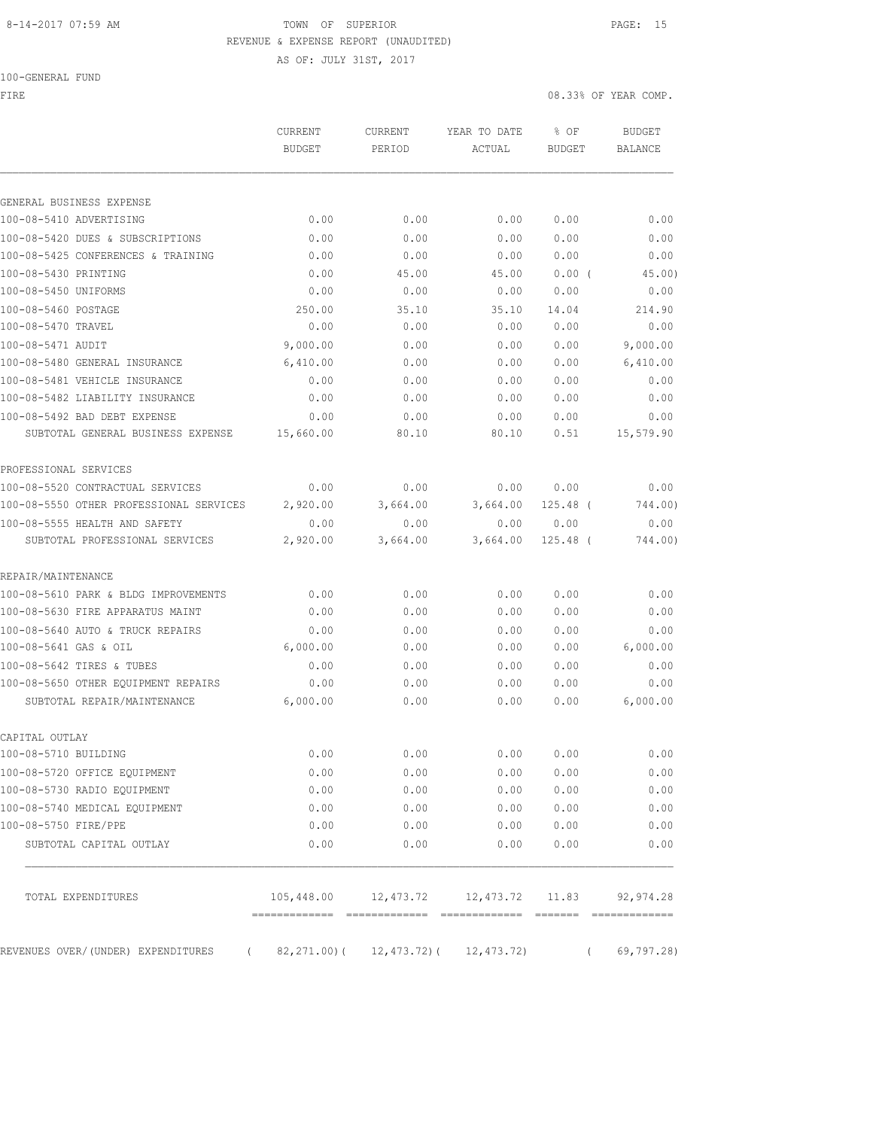## 8-14-2017 07:59 AM TOWN OF SUPERIOR PAGE: 15 REVENUE & EXPENSE REPORT (UNAUDITED)

AS OF: JULY 31ST, 2017

100-GENERAL FUND

FIRE  $0.33\%$  OF YEAR COMP.

|                                                       | CURRENT<br>BUDGET | <b>CURRENT</b><br>PERIOD | YEAR TO DATE<br>ACTUAL                       | % OF<br><b>BUDGET</b> | <b>BUDGET</b><br>BALANCE |
|-------------------------------------------------------|-------------------|--------------------------|----------------------------------------------|-----------------------|--------------------------|
| GENERAL BUSINESS EXPENSE                              |                   |                          |                                              |                       |                          |
| 100-08-5410 ADVERTISING                               | 0.00              | 0.00                     | 0.00                                         | 0.00                  | 0.00                     |
| 100-08-5420 DUES & SUBSCRIPTIONS                      | 0.00              | 0.00                     | 0.00                                         | 0.00                  | 0.00                     |
| 100-08-5425 CONFERENCES & TRAINING                    | 0.00              | 0.00                     | 0.00                                         | 0.00                  | 0.00                     |
| 100-08-5430 PRINTING                                  | 0.00              | 45.00                    | 45.00                                        | 0.00(                 | 45.00)                   |
| 100-08-5450 UNIFORMS                                  | 0.00              | 0.00                     | 0.00                                         | 0.00                  | 0.00                     |
| 100-08-5460 POSTAGE                                   | 250.00            | 35.10                    | 35.10                                        | 14.04                 | 214.90                   |
| 100-08-5470 TRAVEL                                    | 0.00              | 0.00                     | 0.00                                         | 0.00                  | 0.00                     |
| 100-08-5471 AUDIT                                     | 9,000.00          | 0.00                     | 0.00                                         | 0.00                  | 9,000.00                 |
| 100-08-5480 GENERAL INSURANCE                         | 6,410.00          | 0.00                     | 0.00                                         | 0.00                  | 6,410.00                 |
| 100-08-5481 VEHICLE INSURANCE                         | 0.00              | 0.00                     | 0.00                                         | 0.00                  | 0.00                     |
| 100-08-5482 LIABILITY INSURANCE                       | 0.00              | 0.00                     | 0.00                                         | 0.00                  | 0.00                     |
| 100-08-5492 BAD DEBT EXPENSE                          | 0.00              | 0.00                     | 0.00                                         | 0.00                  | 0.00                     |
| SUBTOTAL GENERAL BUSINESS EXPENSE                     | 15,660.00         | 80.10                    | 80.10                                        | 0.51                  | 15,579.90                |
| PROFESSIONAL SERVICES                                 |                   |                          |                                              |                       |                          |
| 100-08-5520 CONTRACTUAL SERVICES                      | 0.00              | 0.00                     | 0.00                                         | 0.00                  | 0.00                     |
| 100-08-5550 OTHER PROFESSIONAL SERVICES               | 2,920.00          | 3,664.00                 | 3,664.00                                     | $125.48$ (            | 744.00)                  |
| 100-08-5555 HEALTH AND SAFETY                         | 0.00              | 0.00                     | 0.00                                         | 0.00                  | 0.00                     |
| SUBTOTAL PROFESSIONAL SERVICES                        | 2,920.00          | 3,664.00                 | 3,664.00                                     | 125.48 (              | 744.00)                  |
| REPAIR/MAINTENANCE                                    |                   |                          |                                              |                       |                          |
| 100-08-5610 PARK & BLDG IMPROVEMENTS                  | 0.00              | 0.00                     | 0.00                                         | 0.00                  | 0.00                     |
| 100-08-5630 FIRE APPARATUS MAINT                      | 0.00              | 0.00                     | 0.00                                         | 0.00                  | 0.00                     |
| 100-08-5640 AUTO & TRUCK REPAIRS                      | 0.00              | 0.00                     | 0.00                                         | 0.00                  | 0.00                     |
| 100-08-5641 GAS & OIL                                 | 6,000.00          | 0.00                     | 0.00                                         | 0.00                  | 6,000.00                 |
| 100-08-5642 TIRES & TUBES                             | 0.00              | 0.00                     | 0.00                                         | 0.00                  | 0.00                     |
| 100-08-5650 OTHER EQUIPMENT REPAIRS                   | 0.00              | 0.00                     | 0.00                                         | 0.00                  | 0.00                     |
| SUBTOTAL REPAIR/MAINTENANCE                           | 6,000.00          | 0.00                     | 0.00                                         | 0.00                  | 6,000.00                 |
| CAPITAL OUTLAY                                        |                   |                          |                                              |                       |                          |
| 100-08-5710 BUILDING                                  | 0.00              | 0.00                     | 0.00                                         | 0.00                  | 0.00                     |
| 100-08-5720 OFFICE EQUIPMENT                          | 0.00              | 0.00                     | 0.00                                         | 0.00                  | 0.00                     |
| 100-08-5730 RADIO EQUIPMENT                           | 0.00              | 0.00                     | 0.00                                         | 0.00                  | 0.00                     |
| 100-08-5740 MEDICAL EQUIPMENT<br>100-08-5750 FIRE/PPE | 0.00<br>0.00      | 0.00                     | 0.00<br>0.00                                 | 0.00                  | 0.00<br>0.00             |
| SUBTOTAL CAPITAL OUTLAY                               | 0.00              | 0.00<br>0.00             | 0.00                                         | 0.00<br>0.00          | 0.00                     |
| TOTAL EXPENDITURES                                    |                   |                          | $105,448.00$ $12,473.72$ $12,473.72$ $11.83$ |                       | 92, 974.28               |
| REVENUES OVER/(UNDER) EXPENDITURES<br>$\overline{a}$  |                   |                          | $82, 271.00$ ( $12, 473.72$ ( $12, 473.72$ ) | $\left($              | 69, 797.28               |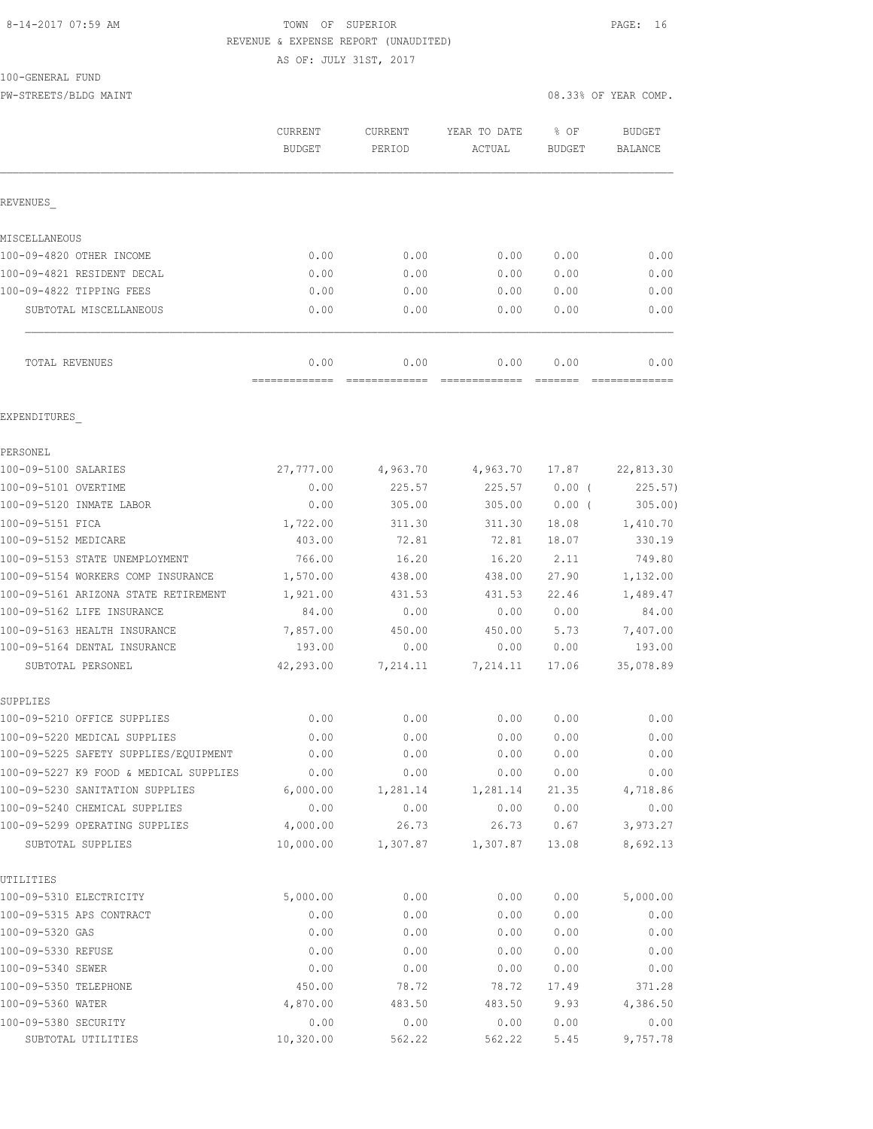#### 8-14-2017 07:59 AM TOWN OF SUPERIOR PAGE: 16 REVENUE & EXPENSE REPORT (UNAUDITED) AS OF: JULY 31ST, 2017

100-GENERAL FUND

PW-STREETS/BLDG MAINT 08.33% OF YEAR COMP.

|                                         | CURRENT<br><b>BUDGET</b> | <b>CURRENT</b><br>PERIOD | YEAR TO DATE<br>ACTUAL | % OF<br><b>BUDGET</b> | <b>BUDGET</b><br>BALANCE |
|-----------------------------------------|--------------------------|--------------------------|------------------------|-----------------------|--------------------------|
| REVENUES                                |                          |                          |                        |                       |                          |
| MISCELLANEOUS                           |                          |                          |                        |                       |                          |
| 100-09-4820 OTHER INCOME                | 0.00                     | 0.00                     | 0.00                   | 0.00                  | 0.00                     |
| 100-09-4821 RESIDENT DECAL              | 0.00                     | 0.00                     | 0.00                   | 0.00                  | 0.00                     |
| 100-09-4822 TIPPING FEES                | 0.00                     | 0.00                     | 0.00                   | 0.00                  | 0.00                     |
| SUBTOTAL MISCELLANEOUS                  | 0.00                     | 0.00                     | 0.00                   | 0.00                  | 0.00                     |
| TOTAL REVENUES                          | 0.00                     | 0.00                     | 0.00                   | 0.00                  | 0.00                     |
| EXPENDITURES                            |                          |                          |                        |                       |                          |
| PERSONEL                                |                          |                          |                        |                       |                          |
| 100-09-5100 SALARIES                    | 27,777.00                | 4,963.70                 | 4,963.70               | 17.87                 | 22,813.30                |
| 100-09-5101 OVERTIME                    | 0.00                     | 225.57                   | 225.57                 | 0.00(                 | 225.57                   |
| 100-09-5120 INMATE LABOR                | 0.00                     | 305.00                   | 305.00                 | $0.00$ (              | 305.00                   |
| 100-09-5151 FICA                        | 1,722.00                 | 311.30                   | 311.30                 | 18.08                 | 1,410.70                 |
| 100-09-5152 MEDICARE                    | 403.00                   | 72.81                    | 72.81                  | 18.07                 | 330.19                   |
| 100-09-5153 STATE UNEMPLOYMENT          | 766.00                   | 16.20                    | 16.20                  | 2.11                  | 749.80                   |
| 100-09-5154 WORKERS COMP INSURANCE      | 1,570.00                 | 438.00                   | 438.00                 | 27.90                 | 1,132.00                 |
| 100-09-5161 ARIZONA STATE RETIREMENT    | 1,921.00                 | 431.53                   | 431.53                 | 22.46                 | 1,489.47                 |
| 100-09-5162 LIFE INSURANCE              | 84.00                    | 0.00                     | 0.00                   | 0.00                  | 84.00                    |
| 100-09-5163 HEALTH INSURANCE            | 7,857.00                 | 450.00                   | 450.00                 | 5.73                  | 7,407.00                 |
| 100-09-5164 DENTAL INSURANCE            | 193.00                   | 0.00                     | 0.00                   | 0.00                  | 193.00                   |
| SUBTOTAL PERSONEL                       | 42,293.00                | 7,214.11                 | 7,214.11               | 17.06                 | 35,078.89                |
| SUPPLIES<br>100-09-5210 OFFICE SUPPLIES | 0.00                     | 0.00                     | 0.00                   | 0.00                  | 0.00                     |
| 100-09-5220 MEDICAL SUPPLIES            | 0.00                     | 0.00                     | 0.00                   | 0.00                  | 0.00                     |
| 100-09-5225 SAFETY SUPPLIES/EQUIPMENT   | 0.00                     | 0.00                     | 0.00                   | 0.00                  | 0.00                     |
| 100-09-5227 K9 FOOD & MEDICAL SUPPLIES  | 0.00                     | 0.00                     | 0.00                   | 0.00                  | 0.00                     |
| 100-09-5230 SANITATION SUPPLIES         | 6,000.00                 | 1,281.14                 | 1,281.14               | 21.35                 | 4,718.86                 |
| 100-09-5240 CHEMICAL SUPPLIES           | 0.00                     | 0.00                     | 0.00                   | 0.00                  | 0.00                     |
| 100-09-5299 OPERATING SUPPLIES          | 4,000.00                 | 26.73                    | 26.73                  | 0.67                  | 3,973.27                 |
| SUBTOTAL SUPPLIES                       | 10,000.00                | 1,307.87                 | 1,307.87               | 13.08                 | 8,692.13                 |
| UTILITIES                               |                          |                          |                        |                       |                          |
| 100-09-5310 ELECTRICITY                 | 5,000.00                 | 0.00                     | 0.00                   | 0.00                  | 5,000.00                 |
| 100-09-5315 APS CONTRACT                | 0.00                     | 0.00                     | 0.00                   | 0.00                  | 0.00                     |
| 100-09-5320 GAS                         | 0.00                     | 0.00                     | 0.00                   | 0.00                  | 0.00                     |
| 100-09-5330 REFUSE                      | 0.00                     | 0.00                     | 0.00                   | 0.00                  | 0.00                     |
| 100-09-5340 SEWER                       | 0.00                     | 0.00                     | 0.00                   | 0.00                  | 0.00                     |
| 100-09-5350 TELEPHONE                   | 450.00                   | 78.72                    | 78.72                  | 17.49                 | 371.28                   |
| 100-09-5360 WATER                       | 4,870.00                 | 483.50                   | 483.50                 | 9.93                  | 4,386.50                 |
| 100-09-5380 SECURITY                    | 0.00                     | 0.00                     | 0.00                   | 0.00                  | 0.00                     |
| SUBTOTAL UTILITIES                      | 10,320.00                | 562.22                   | 562.22                 | 5.45                  | 9,757.78                 |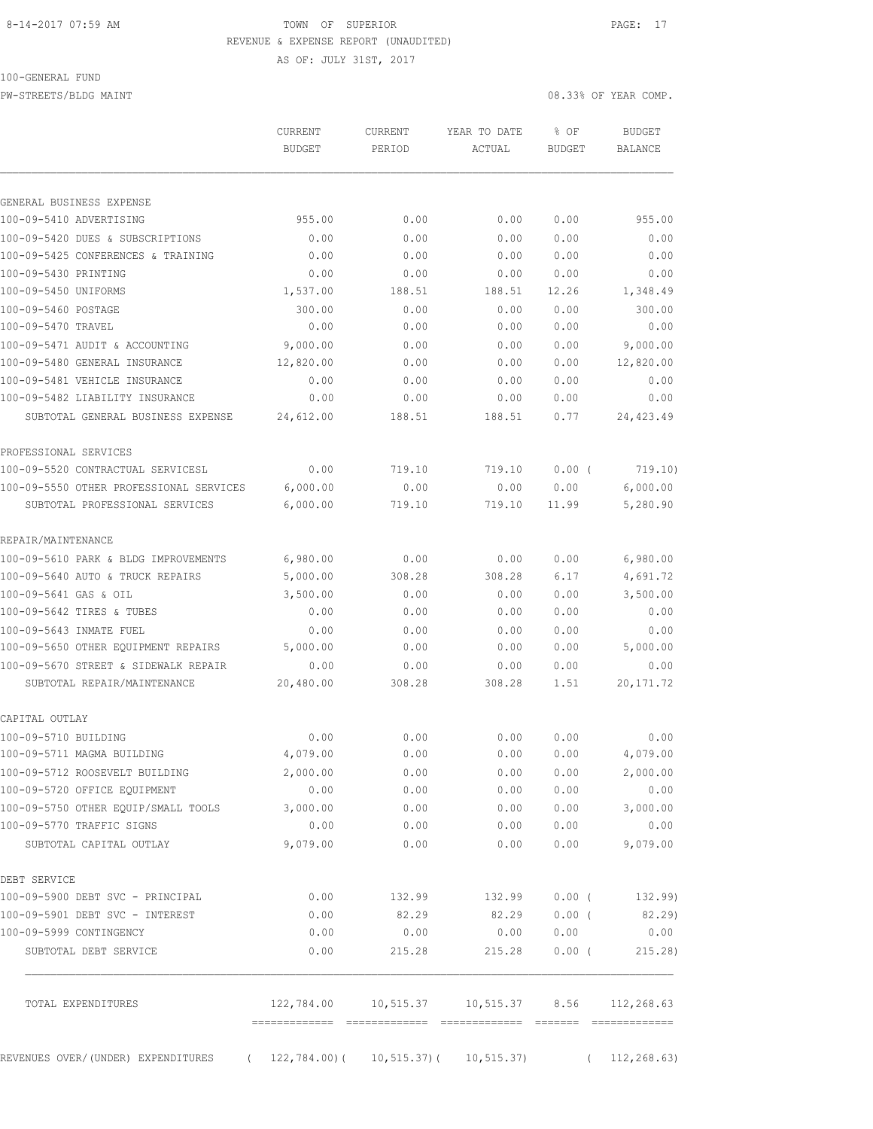## 8-14-2017 07:59 AM **TOWN** OF SUPERIOR **PAGE:** 17 REVENUE & EXPENSE REPORT (UNAUDITED)

AS OF: JULY 31ST, 2017

PW-STREETS/BLDG MAINT 08.33% OF YEAR COMP.

|                                                                                    | <b>CURRENT</b><br><b>BUDGET</b> | CURRENT<br>PERIOD | YEAR TO DATE<br>ACTUAL                             | % OF<br><b>BUDGET</b> | <b>BUDGET</b><br>BALANCE |
|------------------------------------------------------------------------------------|---------------------------------|-------------------|----------------------------------------------------|-----------------------|--------------------------|
|                                                                                    |                                 |                   |                                                    |                       |                          |
| GENERAL BUSINESS EXPENSE                                                           |                                 |                   |                                                    |                       |                          |
| 100-09-5410 ADVERTISING                                                            | 955.00                          | 0.00              | 0.00                                               | 0.00                  | 955.00                   |
| 100-09-5420 DUES & SUBSCRIPTIONS                                                   | 0.00                            | 0.00              | 0.00                                               | 0.00                  | 0.00                     |
| 100-09-5425 CONFERENCES & TRAINING                                                 | 0.00                            | 0.00              | 0.00                                               | 0.00                  | 0.00                     |
| 100-09-5430 PRINTING                                                               | 0.00                            | 0.00              | 0.00                                               | 0.00                  | 0.00                     |
| 100-09-5450 UNIFORMS                                                               | 1,537.00                        | 188.51            | 188.51                                             | 12.26                 | 1,348.49                 |
| 100-09-5460 POSTAGE                                                                | 300.00                          | 0.00              | 0.00                                               | 0.00                  | 300.00                   |
| 100-09-5470 TRAVEL                                                                 | 0.00                            | 0.00              | 0.00                                               | 0.00                  | 0.00                     |
| 100-09-5471 AUDIT & ACCOUNTING                                                     | 9,000.00                        | 0.00              | 0.00                                               | 0.00                  | 9,000.00                 |
| 100-09-5480 GENERAL INSURANCE                                                      | 12,820.00                       | 0.00              | 0.00                                               | 0.00                  | 12,820.00                |
| 100-09-5481 VEHICLE INSURANCE                                                      | 0.00                            | 0.00              | 0.00                                               | 0.00                  | 0.00                     |
| 100-09-5482 LIABILITY INSURANCE                                                    | 0.00                            | 0.00              | 0.00                                               | 0.00                  | 0.00                     |
| SUBTOTAL GENERAL BUSINESS EXPENSE                                                  | 24,612.00                       | 188.51            | 188.51                                             | 0.77                  | 24, 423.49               |
| PROFESSIONAL SERVICES                                                              |                                 |                   |                                                    |                       |                          |
| 100-09-5520 CONTRACTUAL SERVICESL                                                  | 0.00                            | 719.10            | 719.10                                             | $0.00$ (              | 719.10)                  |
| 100-09-5550 OTHER PROFESSIONAL SERVICES                                            | 6,000.00                        | 0.00              | 0.00                                               | 0.00                  | 6,000.00                 |
| SUBTOTAL PROFESSIONAL SERVICES                                                     | 6,000.00                        | 719.10            | 719.10                                             | 11.99                 | 5,280.90                 |
| REPAIR/MAINTENANCE                                                                 |                                 |                   |                                                    |                       |                          |
| 100-09-5610 PARK & BLDG IMPROVEMENTS                                               | 6,980.00                        | 0.00              | 0.00                                               | 0.00                  | 6,980.00                 |
| 100-09-5640 AUTO & TRUCK REPAIRS                                                   | 5,000.00                        | 308.28            | 308.28                                             | 6.17                  | 4,691.72                 |
| 100-09-5641 GAS & OIL                                                              | 3,500.00                        | 0.00              | 0.00                                               | 0.00                  | 3,500.00                 |
| 100-09-5642 TIRES & TUBES                                                          | 0.00                            | 0.00              | 0.00                                               | 0.00                  | 0.00                     |
| 100-09-5643 INMATE FUEL                                                            | 0.00                            | 0.00              | 0.00                                               | 0.00                  | 0.00                     |
| 100-09-5650 OTHER EQUIPMENT REPAIRS                                                | 5,000.00                        | 0.00              | 0.00                                               | 0.00                  | 5,000.00                 |
| 100-09-5670 STREET & SIDEWALK REPAIR                                               | 0.00                            | 0.00              | 0.00                                               | 0.00                  | 0.00                     |
| SUBTOTAL REPAIR/MAINTENANCE                                                        | 20,480.00                       | 308.28            | 308.28                                             | 1.51                  | 20, 171.72               |
| CAPITAL OUTLAY                                                                     |                                 |                   |                                                    |                       |                          |
| 100-09-5710 BUILDING                                                               | 0.00                            | 0.00              | 0.00                                               | 0.00                  | 0.00                     |
| 100-09-5711 MAGMA BUILDING                                                         | 4,079.00                        | 0.00              | 0.00                                               | 0.00                  | 4,079.00                 |
| 100-09-5712 ROOSEVELT BUILDING                                                     | 2,000.00                        | 0.00              |                                                    | 0.00 0.00             | 2,000.00                 |
| 100-09-5720 OFFICE EQUIPMENT                                                       | 0.00                            | 0.00              |                                                    | 0.00 0.00             | 0.00                     |
| 100-09-5750 OTHER EQUIP/SMALL TOOLS                                                | 3,000.00                        | 0.00              |                                                    |                       | $0.00$ $0.00$ $3,000.00$ |
| 100-09-5770 TRAFFIC SIGNS                                                          | 0.00                            | 0.00              | 0.00                                               | 0.00                  | 0.00                     |
| SUBTOTAL CAPITAL OUTLAY                                                            | 9,079.00                        | 0.00              | 0.00                                               |                       | $0.00$ 9,079.00          |
| DEBT SERVICE                                                                       |                                 |                   |                                                    |                       |                          |
| 100-09-5900 DEBT SVC - PRINCIPAL                                                   |                                 |                   | $0.00$ 132.99 132.99 0.00 ( 132.99)                |                       |                          |
| 100-09-5901 DEBT SVC - INTEREST                                                    |                                 |                   | $0.00$ 82.29 82.29                                 |                       | $0.00$ ( 82.29)          |
| 100-09-5999 CONTINGENCY                                                            | 0.00                            | 0.00              | 0.00                                               | 0.00                  | 0.00                     |
| SUBTOTAL DEBT SERVICE                                                              | 0.00                            | 215.28            |                                                    |                       | 215.28 0.00 (215.28)     |
| TOTAL EXPENDITURES                                                                 |                                 |                   | 122,784.00  10,515.37  10,515.37  8.56  112,268.63 |                       |                          |
| REVENUES OVER/(UNDER) EXPENDITURES (22,784.00) (10,515.37) (10,515.37) (12,268.63) |                                 |                   |                                                    |                       |                          |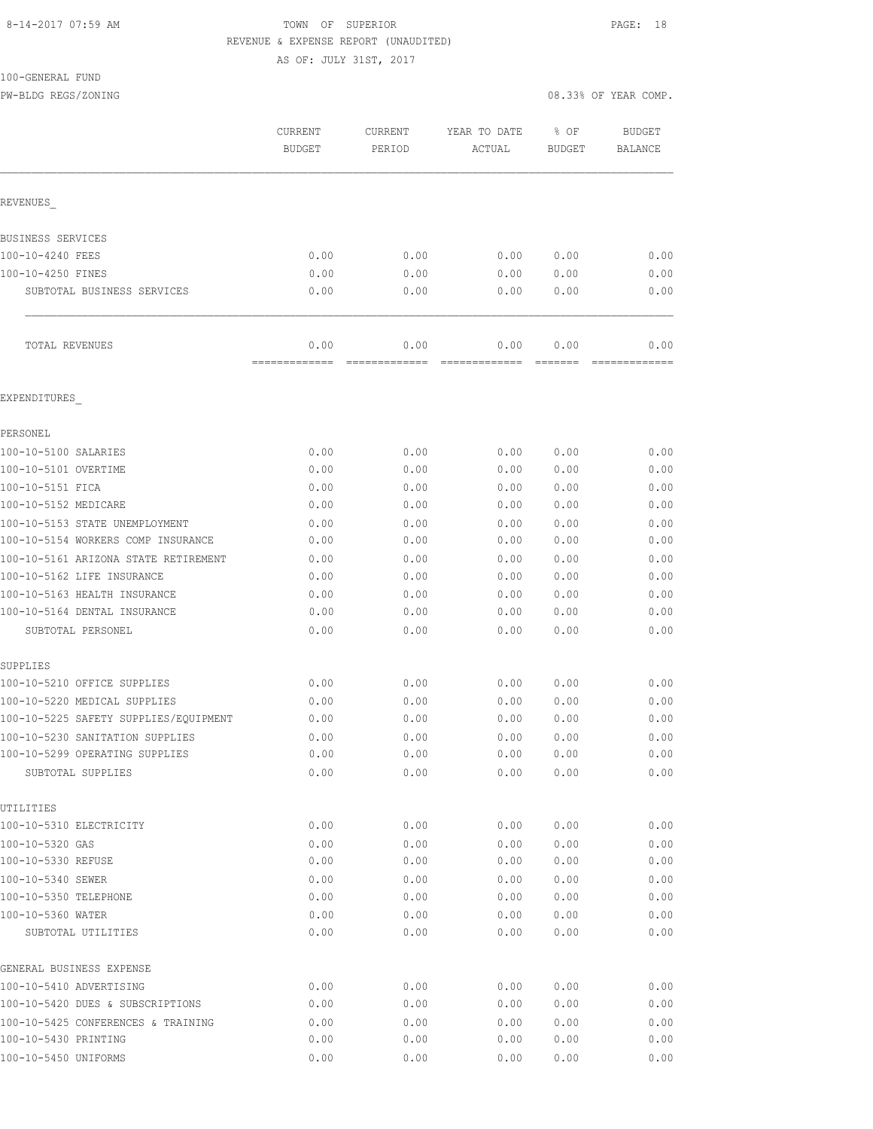#### 8-14-2017 07:59 AM TOWN OF SUPERIOR PAGE: 18 REVENUE & EXPENSE REPORT (UNAUDITED)

AS OF: JULY 31ST, 2017

#### 100-GENERAL FUND

PW-BLDG REGS/ZONING 08.33% OF YEAR COMP.

|                                                     | <b>CURRENT</b><br><b>BUDGET</b> | <b>CURRENT</b><br>PERIOD | YEAR TO DATE<br>ACTUAL | % OF<br><b>BUDGET</b> | <b>BUDGET</b><br><b>BALANCE</b> |
|-----------------------------------------------------|---------------------------------|--------------------------|------------------------|-----------------------|---------------------------------|
| REVENUES                                            |                                 |                          |                        |                       |                                 |
| BUSINESS SERVICES                                   |                                 |                          |                        |                       |                                 |
| 100-10-4240 FEES                                    | 0.00                            | 0.00                     | 0.00                   | 0.00                  | 0.00                            |
| 100-10-4250 FINES                                   | 0.00                            | 0.00                     | 0.00                   | 0.00                  | 0.00                            |
| SUBTOTAL BUSINESS SERVICES                          | 0.00                            | 0.00                     | 0.00                   | 0.00                  | 0.00                            |
| TOTAL REVENUES                                      | 0.00                            | 0.00                     | 0.00                   | 0.00                  | 0.00                            |
| EXPENDITURES                                        |                                 |                          |                        |                       |                                 |
| PERSONEL                                            |                                 |                          |                        |                       |                                 |
| 100-10-5100 SALARIES                                | 0.00                            | 0.00                     | 0.00                   | 0.00                  | 0.00                            |
| 100-10-5101 OVERTIME                                | 0.00                            | 0.00                     | 0.00                   | 0.00                  | 0.00                            |
| 100-10-5151 FICA                                    | 0.00                            | 0.00                     | 0.00                   | 0.00                  | 0.00                            |
| 100-10-5152 MEDICARE                                | 0.00                            | 0.00                     | 0.00                   | 0.00                  | 0.00                            |
| 100-10-5153 STATE UNEMPLOYMENT                      | 0.00                            | 0.00                     | 0.00                   | 0.00                  | 0.00                            |
| 100-10-5154 WORKERS COMP INSURANCE                  | 0.00                            | 0.00                     | 0.00                   | 0.00                  | 0.00                            |
| 100-10-5161 ARIZONA STATE RETIREMENT                | 0.00                            | 0.00                     | 0.00                   | 0.00                  | 0.00                            |
| 100-10-5162 LIFE INSURANCE                          | 0.00                            | 0.00                     | 0.00                   | 0.00                  | 0.00                            |
| 100-10-5163 HEALTH INSURANCE                        | 0.00                            | 0.00                     | 0.00                   | 0.00                  | 0.00                            |
| 100-10-5164 DENTAL INSURANCE                        | 0.00                            | 0.00                     | 0.00                   | 0.00                  | 0.00                            |
| SUBTOTAL PERSONEL                                   | 0.00                            | 0.00                     | 0.00                   | 0.00                  | 0.00                            |
| SUPPLIES                                            |                                 |                          |                        |                       |                                 |
| 100-10-5210 OFFICE SUPPLIES                         | 0.00                            | 0.00                     | 0.00                   | 0.00                  | 0.00                            |
| 100-10-5220 MEDICAL SUPPLIES                        | 0.00                            | 0.00                     | 0.00                   | 0.00                  | 0.00                            |
| 100-10-5225 SAFETY SUPPLIES/EQUIPMENT               | 0.00                            | 0.00                     | 0.00                   | 0.00                  | 0.00                            |
| 100-10-5230 SANITATION SUPPLIES                     | 0.00                            | 0.00                     | 0.00                   | 0.00                  | 0.00                            |
| 100-10-5299 OPERATING SUPPLIES<br>SUBTOTAL SUPPLIES | 0.00<br>0.00                    | 0.00<br>0.00             | 0.00<br>0.00           | 0.00<br>0.00          | 0.00<br>0.00                    |
| UTILITIES                                           |                                 |                          |                        |                       |                                 |
| 100-10-5310 ELECTRICITY                             | 0.00                            | 0.00                     | 0.00                   | 0.00                  | 0.00                            |
| 100-10-5320 GAS                                     | 0.00                            | 0.00                     | 0.00                   | 0.00                  | 0.00                            |
| 100-10-5330 REFUSE                                  | 0.00                            | 0.00                     | 0.00                   | 0.00                  | 0.00                            |
| 100-10-5340 SEWER                                   | 0.00                            | 0.00                     | 0.00                   | 0.00                  | 0.00                            |
| 100-10-5350 TELEPHONE                               | 0.00                            | 0.00                     | 0.00                   | 0.00                  | 0.00                            |
| 100-10-5360 WATER                                   | 0.00                            | 0.00                     | 0.00                   | 0.00                  | 0.00                            |
| SUBTOTAL UTILITIES                                  | 0.00                            | 0.00                     | 0.00                   | 0.00                  | 0.00                            |
| GENERAL BUSINESS EXPENSE                            |                                 |                          |                        |                       |                                 |
| 100-10-5410 ADVERTISING                             | 0.00                            | 0.00                     | 0.00                   | 0.00                  | 0.00                            |
| 100-10-5420 DUES & SUBSCRIPTIONS                    | 0.00                            | 0.00                     | 0.00                   | 0.00                  | 0.00                            |
| 100-10-5425 CONFERENCES & TRAINING                  | 0.00                            | 0.00                     | 0.00                   | 0.00                  | 0.00                            |
| 100-10-5430 PRINTING                                | 0.00                            | 0.00                     | 0.00                   | 0.00                  | 0.00                            |

100-10-5450 UNIFORMS 0.00 0.00 0.00 0.00 0.00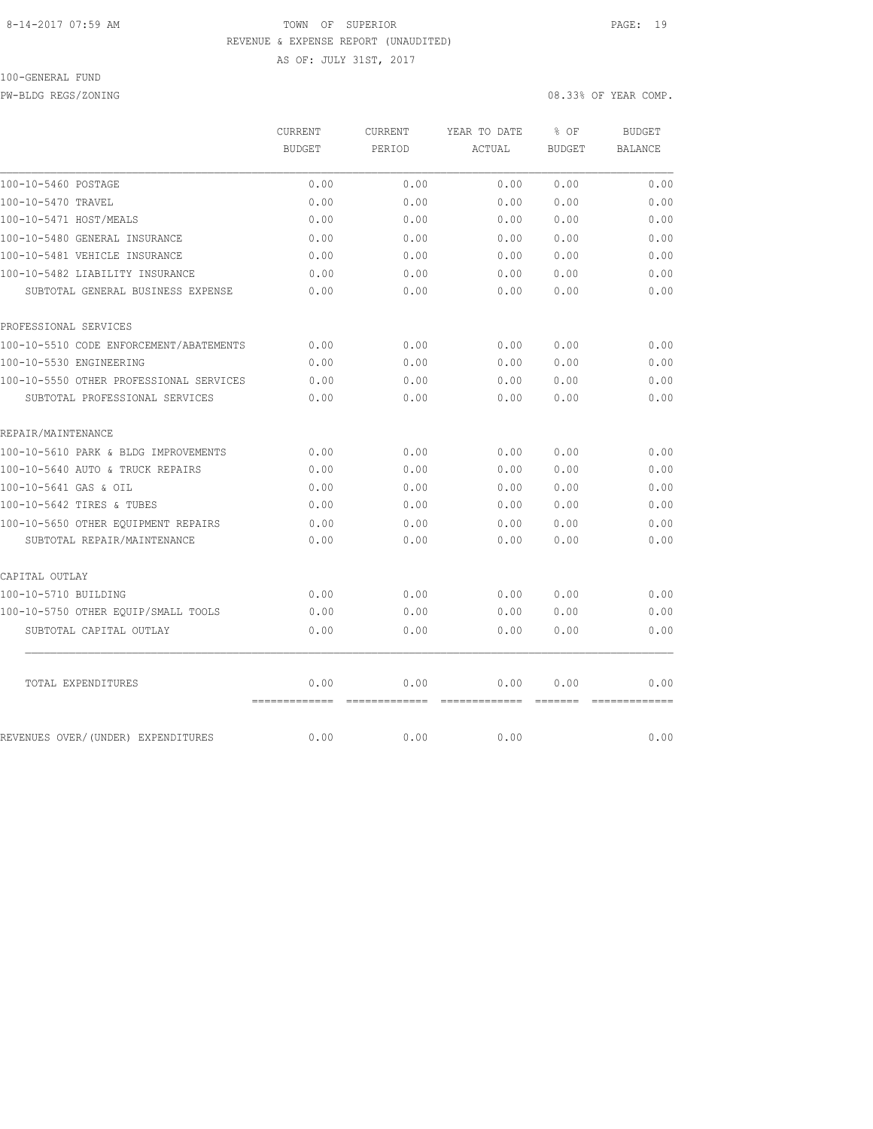#### 8-14-2017 07:59 AM TOWN OF SUPERIOR PAGE: 19 REVENUE & EXPENSE REPORT (UNAUDITED)

AS OF: JULY 31ST, 2017

# 100-GENERAL FUND

PW-BLDG REGS/ZONING 08.33% OF YEAR COMP.

|                                         | CURRENT<br><b>BUDGET</b> | CURRENT<br>PERIOD     | YEAR TO DATE<br>ACTUAL | % OF<br><b>BUDGET</b>                                                                                                                                                                                                                                                                                                                                                                                                                                                                          | <b>BUDGET</b><br>BALANCE |
|-----------------------------------------|--------------------------|-----------------------|------------------------|------------------------------------------------------------------------------------------------------------------------------------------------------------------------------------------------------------------------------------------------------------------------------------------------------------------------------------------------------------------------------------------------------------------------------------------------------------------------------------------------|--------------------------|
| 100-10-5460 POSTAGE                     | 0.00                     | 0.00                  | 0.00                   | 0.00                                                                                                                                                                                                                                                                                                                                                                                                                                                                                           | 0.00                     |
| 100-10-5470 TRAVEL                      | 0.00                     | 0.00                  | 0.00                   | 0.00                                                                                                                                                                                                                                                                                                                                                                                                                                                                                           | 0.00                     |
| 100-10-5471 HOST/MEALS                  | 0.00                     | 0.00                  | 0.00                   | 0.00                                                                                                                                                                                                                                                                                                                                                                                                                                                                                           | 0.00                     |
| 100-10-5480 GENERAL INSURANCE           | 0.00                     | 0.00                  | 0.00                   | 0.00                                                                                                                                                                                                                                                                                                                                                                                                                                                                                           | 0.00                     |
| 100-10-5481 VEHICLE INSURANCE           | 0.00                     | 0.00                  | 0.00                   | 0.00                                                                                                                                                                                                                                                                                                                                                                                                                                                                                           | 0.00                     |
| 100-10-5482 LIABILITY INSURANCE         | 0.00                     | 0.00                  | 0.00                   | 0.00                                                                                                                                                                                                                                                                                                                                                                                                                                                                                           | 0.00                     |
| SUBTOTAL GENERAL BUSINESS EXPENSE       | 0.00                     | 0.00                  | 0.00                   | 0.00                                                                                                                                                                                                                                                                                                                                                                                                                                                                                           | 0.00                     |
| PROFESSIONAL SERVICES                   |                          |                       |                        |                                                                                                                                                                                                                                                                                                                                                                                                                                                                                                |                          |
| 100-10-5510 CODE ENFORCEMENT/ABATEMENTS | 0.00                     | 0.00                  | 0.00                   | 0.00                                                                                                                                                                                                                                                                                                                                                                                                                                                                                           | 0.00                     |
| 100-10-5530 ENGINEERING                 | 0.00                     | 0.00                  | 0.00                   | 0.00                                                                                                                                                                                                                                                                                                                                                                                                                                                                                           | 0.00                     |
| 100-10-5550 OTHER PROFESSIONAL SERVICES | 0.00                     | 0.00                  | 0.00                   | 0.00                                                                                                                                                                                                                                                                                                                                                                                                                                                                                           | 0.00                     |
| SUBTOTAL PROFESSIONAL SERVICES          | 0.00                     | 0.00                  | 0.00                   | 0.00                                                                                                                                                                                                                                                                                                                                                                                                                                                                                           | 0.00                     |
| REPAIR/MAINTENANCE                      |                          |                       |                        |                                                                                                                                                                                                                                                                                                                                                                                                                                                                                                |                          |
| 100-10-5610 PARK & BLDG IMPROVEMENTS    | 0.00                     | 0.00                  | 0.00                   | 0.00                                                                                                                                                                                                                                                                                                                                                                                                                                                                                           | 0.00                     |
| 100-10-5640 AUTO & TRUCK REPAIRS        | 0.00                     | 0.00                  | 0.00                   | 0.00                                                                                                                                                                                                                                                                                                                                                                                                                                                                                           | 0.00                     |
| 100-10-5641 GAS & OIL                   | 0.00                     | 0.00                  | 0.00                   | 0.00                                                                                                                                                                                                                                                                                                                                                                                                                                                                                           | 0.00                     |
| 100-10-5642 TIRES & TUBES               | 0.00                     | 0.00                  | 0.00                   | 0.00                                                                                                                                                                                                                                                                                                                                                                                                                                                                                           | 0.00                     |
| 100-10-5650 OTHER EOUIPMENT REPAIRS     | 0.00                     | 0.00                  | 0.00                   | 0.00                                                                                                                                                                                                                                                                                                                                                                                                                                                                                           | 0.00                     |
| SUBTOTAL REPAIR/MAINTENANCE             | 0.00                     | 0.00                  | 0.00                   | 0.00                                                                                                                                                                                                                                                                                                                                                                                                                                                                                           | 0.00                     |
| CAPITAL OUTLAY                          |                          |                       |                        |                                                                                                                                                                                                                                                                                                                                                                                                                                                                                                |                          |
| 100-10-5710 BUILDING                    | 0.00                     | 0.00                  | 0.00                   | 0.00                                                                                                                                                                                                                                                                                                                                                                                                                                                                                           | 0.00                     |
| 100-10-5750 OTHER EQUIP/SMALL TOOLS     | 0.00                     | 0.00                  | 0.00                   | 0.00                                                                                                                                                                                                                                                                                                                                                                                                                                                                                           | 0.00                     |
| SUBTOTAL CAPITAL OUTLAY                 | 0.00                     | 0.00                  | 0.00                   | 0.00                                                                                                                                                                                                                                                                                                                                                                                                                                                                                           | 0.00                     |
| TOTAL EXPENDITURES                      | 0.00<br>=============    | 0.00<br>============= | 0.00<br>=============  | 0.00<br>$\begin{array}{cccccccccc} \multicolumn{2}{c}{} & \multicolumn{2}{c}{} & \multicolumn{2}{c}{} & \multicolumn{2}{c}{} & \multicolumn{2}{c}{} & \multicolumn{2}{c}{} & \multicolumn{2}{c}{} & \multicolumn{2}{c}{} & \multicolumn{2}{c}{} & \multicolumn{2}{c}{} & \multicolumn{2}{c}{} & \multicolumn{2}{c}{} & \multicolumn{2}{c}{} & \multicolumn{2}{c}{} & \multicolumn{2}{c}{} & \multicolumn{2}{c}{} & \multicolumn{2}{c}{} & \multicolumn{2}{c}{} & \multicolumn{2}{c}{} & \mult$ | 0.00                     |
| REVENUES OVER/(UNDER) EXPENDITURES      | 0.00                     | 0.00                  | 0.00                   |                                                                                                                                                                                                                                                                                                                                                                                                                                                                                                | 0.00                     |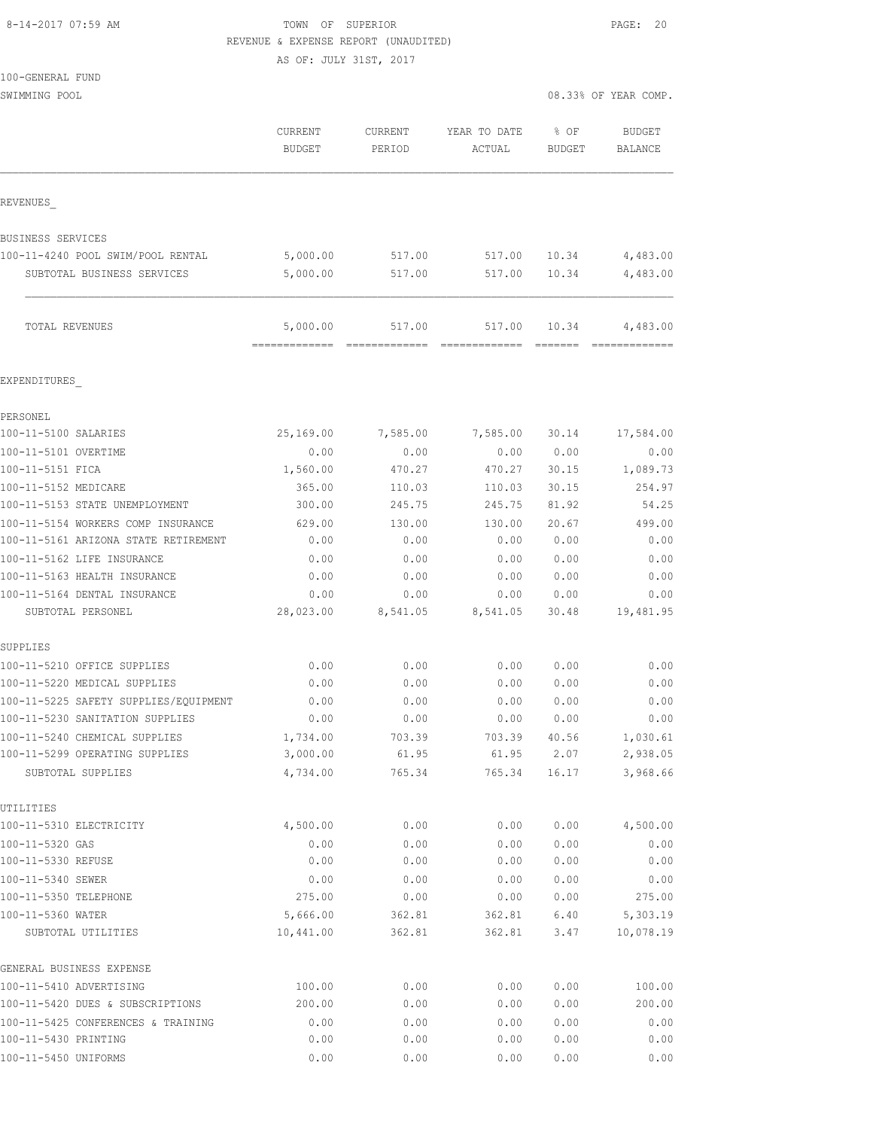## 8-14-2017 07:59 AM **TOWN** OF SUPERIOR **PAGE: 20** REVENUE & EXPENSE REPORT (UNAUDITED)

|                                                                  | AS OF: JULY 31ST, 2017   |                    |                        |                  |                          |
|------------------------------------------------------------------|--------------------------|--------------------|------------------------|------------------|--------------------------|
| 100-GENERAL FUND                                                 |                          |                    |                        |                  |                          |
| SWIMMING POOL                                                    |                          |                    |                        |                  | 08.33% OF YEAR COMP.     |
|                                                                  | CURRENT<br><b>BUDGET</b> | CURRENT<br>PERIOD  | YEAR TO DATE<br>ACTUAL | $8$ OF<br>BUDGET | <b>BUDGET</b><br>BALANCE |
| REVENUES                                                         |                          |                    |                        |                  |                          |
| <b>BUSINESS SERVICES</b>                                         |                          |                    |                        |                  |                          |
| 100-11-4240 POOL SWIM/POOL RENTAL                                | 5,000.00                 | 517.00             | 517.00                 | 10.34            | 4,483.00                 |
| SUBTOTAL BUSINESS SERVICES                                       | 5,000.00                 | 517.00             | 517.00                 | 10.34            | 4,483.00                 |
| TOTAL REVENUES                                                   | 5,000.00                 | 517.00             | 517.00                 | 10.34            | 4,483.00                 |
| EXPENDITURES                                                     |                          |                    |                        |                  |                          |
| PERSONEL                                                         |                          |                    |                        |                  |                          |
| 100-11-5100 SALARIES                                             | 25,169.00                | 7,585.00           | 7,585.00               | 30.14            | 17,584.00                |
| 100-11-5101 OVERTIME                                             | 0.00                     | 0.00               | 0.00                   | 0.00             | 0.00                     |
| 100-11-5151 FICA                                                 | 1,560.00                 | 470.27             | 470.27                 | 30.15            | 1,089.73                 |
| 100-11-5152 MEDICARE                                             | 365.00                   | 110.03             | 110.03                 | 30.15            | 254.97                   |
| 100-11-5153 STATE UNEMPLOYMENT                                   | 300.00                   | 245.75             | 245.75                 | 81.92            | 54.25                    |
| 100-11-5154 WORKERS COMP INSURANCE                               | 629.00                   | 130.00             | 130.00                 | 20.67            | 499.00                   |
| 100-11-5161 ARIZONA STATE RETIREMENT                             | 0.00                     | 0.00               | 0.00                   | 0.00             | 0.00                     |
| 100-11-5162 LIFE INSURANCE                                       | 0.00                     | 0.00               | 0.00                   | 0.00             | 0.00                     |
| 100-11-5163 HEALTH INSURANCE                                     | 0.00                     | 0.00               | 0.00                   | 0.00             | 0.00                     |
| 100-11-5164 DENTAL INSURANCE                                     | 0.00                     | 0.00               | 0.00                   | 0.00             | 0.00                     |
| SUBTOTAL PERSONEL                                                |                          | 28,023.00 8,541.05 | 8,541.05               | 30.48            | 19,481.95                |
| SUPPLIES                                                         |                          |                    |                        |                  |                          |
| 100-11-5210 OFFICE SUPPLIES                                      | 0.00                     | 0.00               | 0.00                   | 0.00             | 0.00                     |
| 100-11-5220 MEDICAL SUPPLIES                                     | 0.00                     | 0.00               | 0.00                   | 0.00             | 0.00                     |
| 100-11-5225 SAFETY SUPPLIES/EQUIPMENT                            | 0.00                     | 0.00               | 0.00                   | 0.00<br>0.00     | 0.00                     |
| 100-11-5230 SANITATION SUPPLIES<br>100-11-5240 CHEMICAL SUPPLIES | 0.00<br>1,734.00         | 0.00<br>703.39     | 0.00<br>703.39         | 40.56            | 0.00<br>1,030.61         |
| 100-11-5299 OPERATING SUPPLIES                                   | 3,000.00                 | 61.95              | 61.95                  | 2.07             | 2,938.05                 |
| SUBTOTAL SUPPLIES                                                | 4,734.00                 | 765.34             | 765.34                 | 16.17            | 3,968.66                 |
| UTILITIES                                                        |                          |                    |                        |                  |                          |
| 100-11-5310 ELECTRICITY                                          | 4,500.00                 | 0.00               | 0.00                   | 0.00             | 4,500.00                 |
| 100-11-5320 GAS                                                  | 0.00                     | 0.00               | 0.00                   | 0.00             | 0.00                     |
| 100-11-5330 REFUSE                                               | 0.00                     | 0.00               | 0.00                   | 0.00             | 0.00                     |
| 100-11-5340 SEWER                                                | 0.00                     | 0.00               | 0.00                   | 0.00             | 0.00                     |
| 100-11-5350 TELEPHONE                                            | 275.00                   | 0.00               | 0.00                   | 0.00             | 275.00                   |
| 100-11-5360 WATER                                                | 5,666.00                 | 362.81             | 362.81                 | 6.40             | 5,303.19                 |
| SUBTOTAL UTILITIES                                               | 10,441.00                | 362.81             | 362.81                 | 3.47             | 10,078.19                |
| GENERAL BUSINESS EXPENSE<br>100-11-5410 ADVERTISING              |                          | 0.00               |                        |                  | 100.00                   |
|                                                                  | 100.00                   |                    | 0.00                   | 0.00             |                          |

100-11-5420 DUES & SUBSCRIPTIONS 200.00 0.00 0.00 0.00 200.00

100-11-5425 CONFERENCES & TRAINING 0.00 0.00 0.00 0.00 0.00 100-11-5430 PRINTING 0.00 0.00 0.00 0.00 0.00 100-11-5450 UNIFORMS 0.00 0.00 0.00 0.00 0.00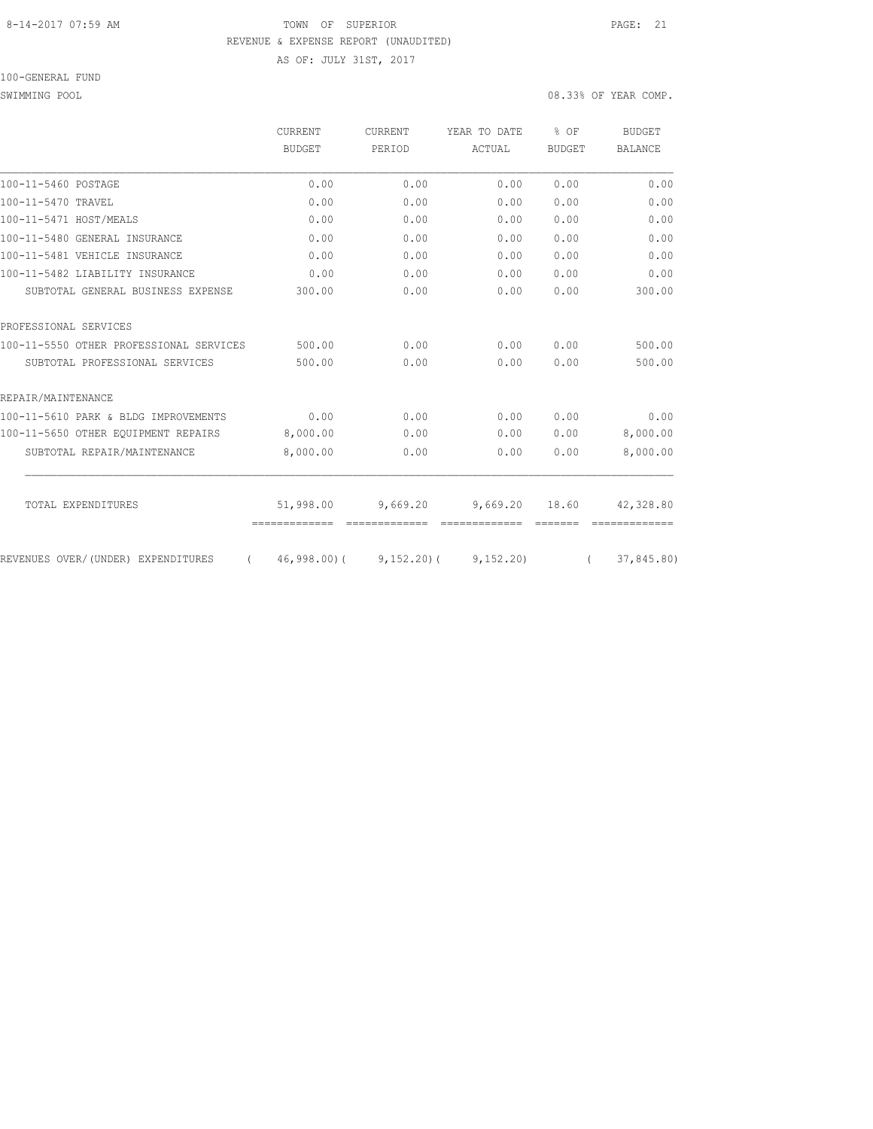## 8-14-2017 07:59 AM TOWN OF SUPERIOR PAGE: 21 REVENUE & EXPENSE REPORT (UNAUDITED)

AS OF: JULY 31ST, 2017

SWIMMING POOL 08.33% OF YEAR COMP.

|                                                | CURRENT       | <b>CURRENT</b> | YEAR TO DATE  | $8$ OF        | <b>BUDGET</b>  |
|------------------------------------------------|---------------|----------------|---------------|---------------|----------------|
|                                                | BUDGET        | PERIOD         | ACTUAL        | <b>BUDGET</b> | <b>BALANCE</b> |
| 100-11-5460 POSTAGE                            | 0.00          | 0.00           | 0.00          | 0.00          | 0.00           |
| 100-11-5470 TRAVEL                             | 0.00          | 0.00           | 0.00          | 0.00          | 0.00           |
| 100-11-5471 HOST/MEALS                         | 0.00          | 0.00           | 0.00          | 0.00          | 0.00           |
| 100-11-5480 GENERAL INSURANCE                  | 0.00          | 0.00           | 0.00          | 0.00          | 0.00           |
| 100-11-5481 VEHICLE INSURANCE                  | 0.00          | 0.00           | 0.00          | 0.00          | 0.00           |
| 100-11-5482 LIABILITY INSURANCE                | 0.00          | 0.00           | 0.00          | 0.00          | 0.00           |
| SUBTOTAL GENERAL BUSINESS EXPENSE              | 300.00        | 0.00           | 0.00          | 0.00          | 300.00         |
| PROFESSIONAL SERVICES                          |               |                |               |               |                |
| 100-11-5550 OTHER PROFESSIONAL SERVICES        | 500.00        | 0.00           | 0.00          | 0.00          | 500.00         |
| SUBTOTAL PROFESSIONAL SERVICES                 | 500.00        | 0.00           | 0.00          | 0.00          | 500.00         |
| REPAIR/MAINTENANCE                             |               |                |               |               |                |
| 100-11-5610 PARK & BLDG IMPROVEMENTS           | 0.00          | 0.00           | 0.00          | 0.00          | 0.00           |
| 100-11-5650 OTHER EQUIPMENT REPAIRS            | 8,000.00      | 0.00           | 0.00          | 0.00          | 8,000.00       |
| SUBTOTAL REPAIR/MAINTENANCE                    | 8,000.00      | 0.00           | 0.00          | 0.00          | 8,000.00       |
| TOTAL EXPENDITURES                             | 51,998.00     | 9,669.20       | 9,669.20      | 18.60         | 42,328.80      |
|                                                | ============= |                | ------------- |               |                |
| REVENUES OVER/(UNDER) EXPENDITURES<br>$\left($ | $46,998,00$ ( | $9,152,20$ (   | 9,152,20)     | $\left($      | 37,845.80)     |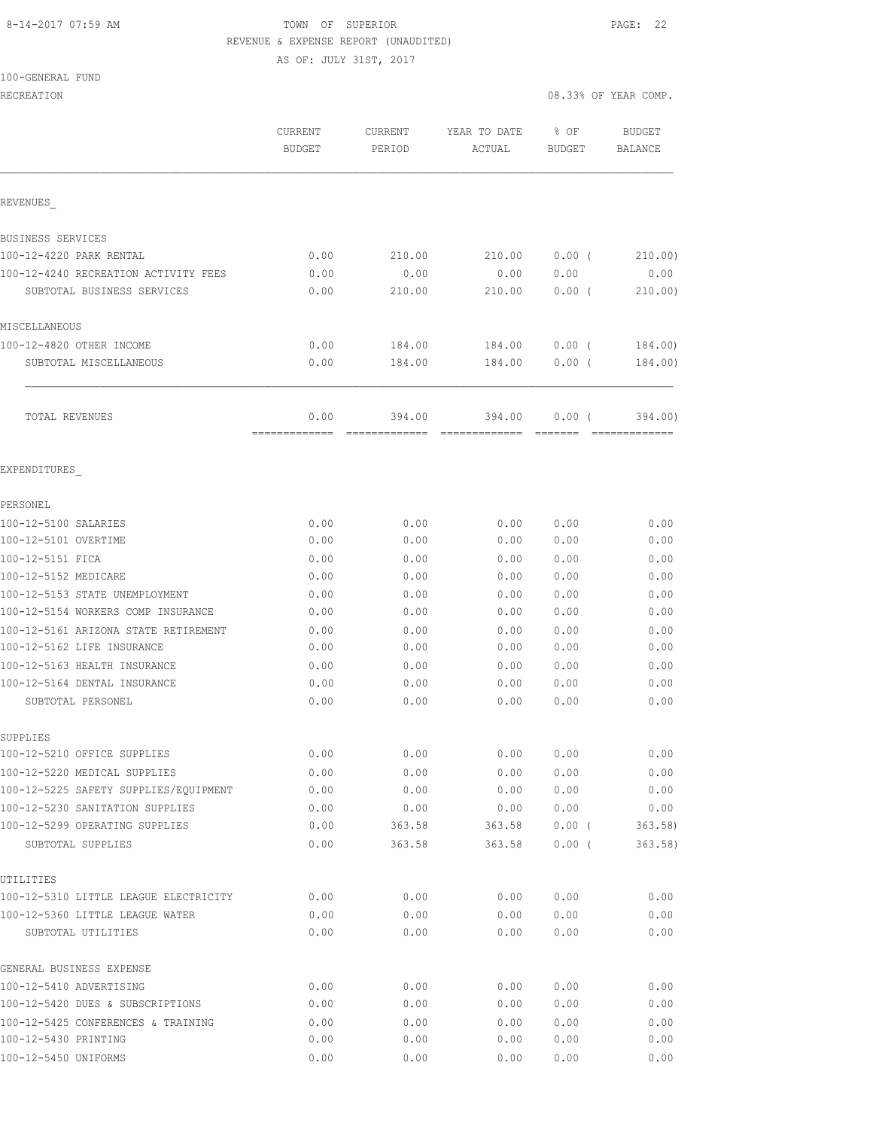## 8-14-2017 07:59 AM TOWN OF SUPERIOR PAGE: 22 REVENUE & EXPENSE REPORT (UNAUDITED) AS OF: JULY 31ST, 2017

#### 100-GENERAL FUND

|                                                   | CURRENT<br><b>BUDGET</b> | <b>CURRENT</b><br>PERIOD | YEAR TO DATE<br>ACTUAL | % OF<br>BUDGET | <b>BUDGET</b><br>BALANCE |
|---------------------------------------------------|--------------------------|--------------------------|------------------------|----------------|--------------------------|
| REVENUES                                          |                          |                          |                        |                |                          |
| BUSINESS SERVICES                                 |                          |                          |                        |                |                          |
| 100-12-4220 PARK RENTAL                           | 0.00                     | 210.00                   | 210.00                 | $0.00$ (       | 210.00)                  |
| 100-12-4240 RECREATION ACTIVITY FEES              | 0.00                     | 0.00                     | 0.00                   | 0.00           | 0.00                     |
| SUBTOTAL BUSINESS SERVICES                        | 0.00                     | 210.00                   | 210.00                 | 0.00(          | 210.00)                  |
| MISCELLANEOUS                                     |                          |                          |                        |                |                          |
| 100-12-4820 OTHER INCOME                          | 0.00                     | 184.00                   | 184.00                 | 0.00(          | 184.00)                  |
| SUBTOTAL MISCELLANEOUS                            | 0.00                     | 184.00                   | 184.00                 | $0.00$ (       | 184.00)                  |
| TOTAL REVENUES                                    | 0.00                     | 394.00                   | 394.00                 | 0.00(          | 394,00)                  |
| EXPENDITURES                                      |                          |                          |                        |                |                          |
| PERSONEL                                          |                          |                          |                        |                |                          |
| 100-12-5100 SALARIES                              | 0.00                     | 0.00                     | 0.00                   | 0.00           | 0.00                     |
| 100-12-5101 OVERTIME                              | 0.00                     | 0.00                     | 0.00                   | 0.00           | 0.00                     |
| 100-12-5151 FICA                                  | 0.00                     | 0.00                     | 0.00                   | 0.00           | 0.00                     |
| 100-12-5152 MEDICARE                              | 0.00                     | 0.00                     | 0.00                   | 0.00           | 0.00                     |
| 100-12-5153 STATE UNEMPLOYMENT                    | 0.00                     | 0.00                     | 0.00                   | 0.00           | 0.00                     |
| 100-12-5154 WORKERS COMP INSURANCE                | 0.00                     | 0.00                     | 0.00                   | 0.00           | 0.00                     |
| 100-12-5161 ARIZONA STATE RETIREMENT              | 0.00                     | 0.00                     | 0.00                   | 0.00           | 0.00                     |
| 100-12-5162 LIFE INSURANCE                        | 0.00                     | 0.00                     | 0.00                   | 0.00           | 0.00                     |
| 100-12-5163 HEALTH INSURANCE                      | 0.00                     | 0.00                     | 0.00                   | 0.00           | 0.00                     |
| 100-12-5164 DENTAL INSURANCE<br>SUBTOTAL PERSONEL | 0.00<br>0.00             | 0.00<br>0.00             | 0.00<br>0.00           | 0.00<br>0.00   | 0.00<br>0.00             |
| SUPPLIES                                          |                          |                          |                        |                |                          |
| 100-12-5210 OFFICE SUPPLIES                       | 0.00                     | 0.00                     | 0.00                   | 0.00           | 0.00                     |
| 100-12-5220 MEDICAL SUPPLIES                      | 0.00                     | 0.00                     | 0.00                   | 0.00           | 0.00                     |
| 100-12-5225 SAFETY SUPPLIES/EQUIPMENT             | 0.00                     | 0.00                     | 0.00                   | 0.00           | 0.00                     |
| 100-12-5230 SANITATION SUPPLIES                   | 0.00                     | 0.00                     | 0.00                   | 0.00           | 0.00                     |
| 100-12-5299 OPERATING SUPPLIES                    | 0.00                     | 363.58                   | 363.58                 | $0.00$ (       | 363.58                   |
| SUBTOTAL SUPPLIES                                 | 0.00                     | 363.58                   | 363.58                 | $0.00$ (       | 363.58                   |
| UTILITIES                                         |                          |                          |                        |                |                          |
| 100-12-5310 LITTLE LEAGUE ELECTRICITY             | 0.00                     | 0.00                     | 0.00                   | 0.00           | 0.00                     |
| 100-12-5360 LITTLE LEAGUE WATER                   | 0.00                     | 0.00                     | 0.00                   | 0.00           | 0.00                     |
| SUBTOTAL UTILITIES                                | 0.00                     | 0.00                     | 0.00                   | 0.00           | 0.00                     |
| GENERAL BUSINESS EXPENSE                          |                          |                          |                        |                |                          |
| 100-12-5410 ADVERTISING                           | 0.00                     | 0.00                     | 0.00                   | 0.00           | 0.00                     |
| 100-12-5420 DUES & SUBSCRIPTIONS                  | 0.00                     | 0.00                     | 0.00                   | 0.00           | 0.00                     |
| 100-12-5425 CONFERENCES & TRAINING                | 0.00                     | 0.00                     | 0.00                   | 0.00           | 0.00                     |
| 100-12-5430 PRINTING                              | 0.00                     | 0.00                     | 0.00                   | 0.00           | 0.00                     |
| 100-12-5450 UNIFORMS                              | 0.00                     | 0.00                     | 0.00                   | 0.00           | 0.00                     |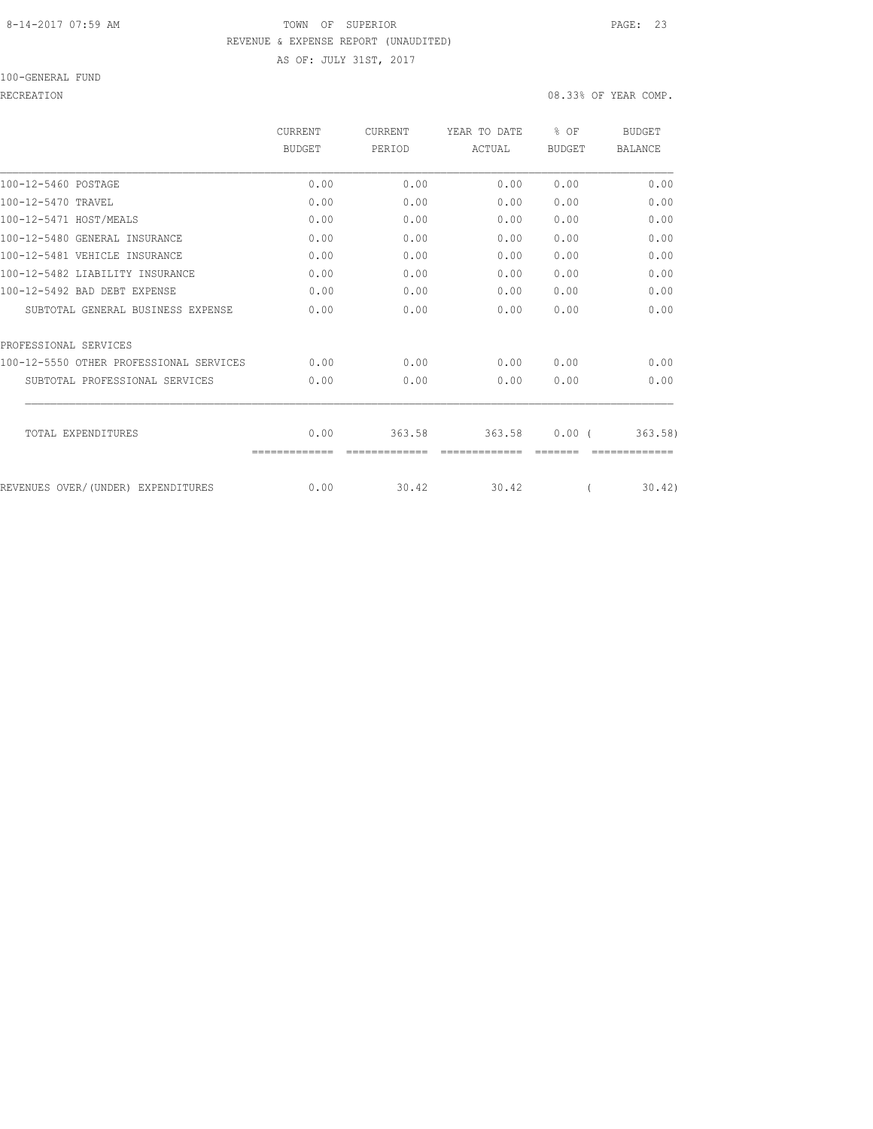## 8-14-2017 07:59 AM TOWN OF SUPERIOR PAGE: 23 REVENUE & EXPENSE REPORT (UNAUDITED) AS OF: JULY 31ST, 2017

100-GENERAL FUND

|                                         | CURRENT       | <b>CURRENT</b> | YEAR TO DATE | % OF          | <b>BUDGET</b>  |
|-----------------------------------------|---------------|----------------|--------------|---------------|----------------|
|                                         | <b>BUDGET</b> | PERIOD         | ACTUAL       | <b>BUDGET</b> | <b>BALANCE</b> |
| 100-12-5460 POSTAGE                     | 0.00          | 0.00           | 0.00         | 0.00          | 0.00           |
| 100-12-5470 TRAVEL                      | 0.00          | 0.00           | 0.00         | 0.00          | 0.00           |
| 100-12-5471 HOST/MEALS                  | 0.00          | 0.00           | 0.00         | 0.00          | 0.00           |
| 100-12-5480 GENERAL INSURANCE           | 0.00          | 0.00           | 0.00         | 0.00          | 0.00           |
| 100-12-5481 VEHICLE INSURANCE           | 0.00          | 0.00           | 0.00         | 0.00          | 0.00           |
| 100-12-5482 LIABILITY INSURANCE         | 0.00          | 0.00           | 0.00         | 0.00          | 0.00           |
| 100-12-5492 BAD DEBT EXPENSE            | 0.00          | 0.00           | 0.00         | 0.00          | 0.00           |
| SUBTOTAL GENERAL BUSINESS EXPENSE       | 0.00          | 0.00           | 0.00         | 0.00          | 0.00           |
| PROFESSIONAL SERVICES                   |               |                |              |               |                |
| 100-12-5550 OTHER PROFESSIONAL SERVICES | 0.00          | 0.00           | 0.00         | 0.00          | 0.00           |
| SUBTOTAL PROFESSIONAL SERVICES          | 0.00          | 0.00           | 0.00         | 0.00          | 0.00           |
| TOTAL EXPENDITURES                      | 0.00          | 363.58         | 363.58       | 0.00(         | 363.58         |
|                                         |               |                |              |               |                |
| REVENUES OVER/(UNDER) EXPENDITURES      | 0.00          | 30.42          | 30.42        |               | 30.42          |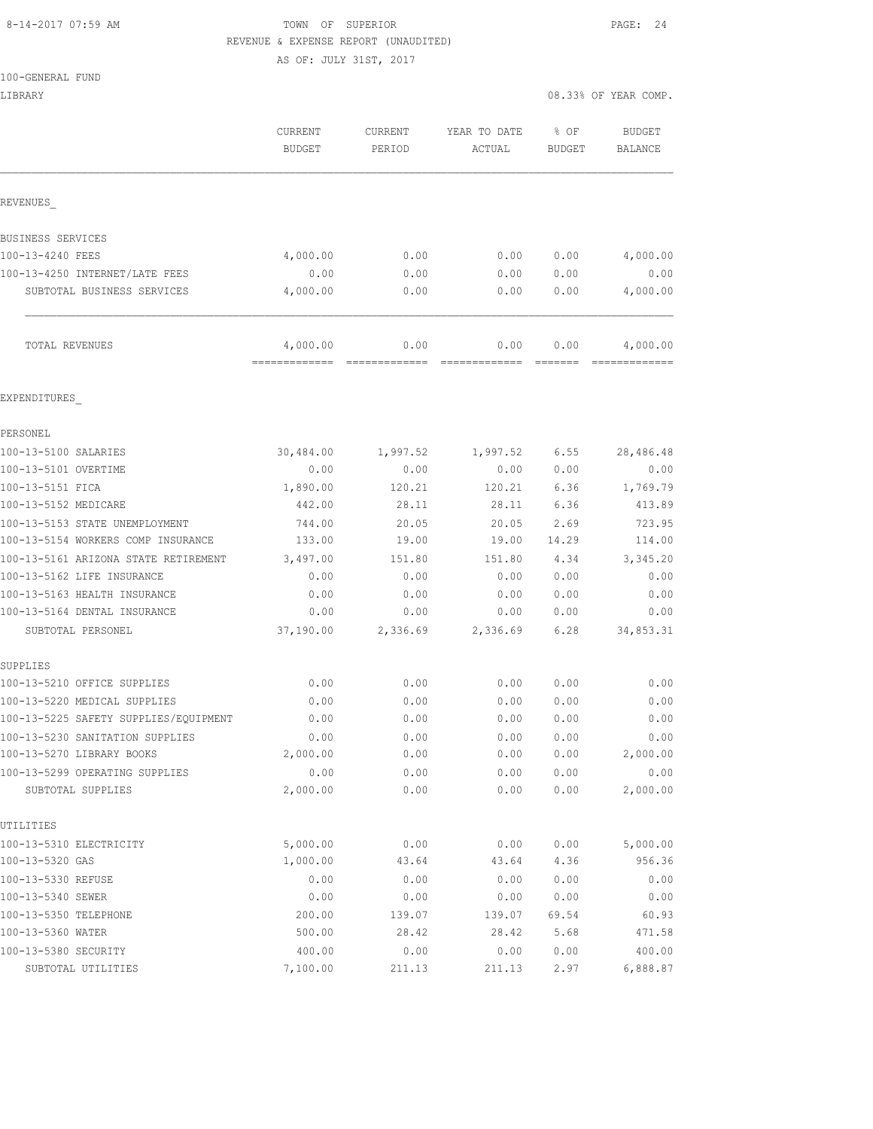#### 8-14-2017 07:59 AM TOWN OF SUPERIOR PAGE: 24 REVENUE & EXPENSE REPORT (UNAUDITED)

AS OF: JULY 31ST, 2017

100-GENERAL FUND

|                                       | CURRENT<br><b>BUDGET</b> | CURRENT<br>PERIOD | YEAR TO DATE<br>ACTUAL | % OF<br>BUDGET | <b>BUDGET</b><br><b>BALANCE</b> |
|---------------------------------------|--------------------------|-------------------|------------------------|----------------|---------------------------------|
| REVENUES                              |                          |                   |                        |                |                                 |
| BUSINESS SERVICES                     |                          |                   |                        |                |                                 |
| 100-13-4240 FEES                      | 4,000.00                 | 0.00              | 0.00                   | 0.00           | 4,000.00                        |
| 100-13-4250 INTERNET/LATE FEES        | 0.00                     | 0.00              | 0.00                   | 0.00           | 0.00                            |
| SUBTOTAL BUSINESS SERVICES            | 4,000.00                 | 0.00              | 0.00                   | 0.00           | 4,000.00                        |
| TOTAL REVENUES                        | 4,000.00                 | 0.00              | 0.00                   | 0.00           | 4,000.00                        |
| EXPENDITURES                          |                          |                   |                        |                |                                 |
| PERSONEL                              |                          |                   |                        |                |                                 |
| 100-13-5100 SALARIES                  | 30,484.00                | 1,997.52          | 1,997.52               | 6.55           | 28,486.48                       |
| 100-13-5101 OVERTIME                  | 0.00                     | 0.00              | 0.00                   | 0.00           | 0.00                            |
| 100-13-5151 FICA                      | 1,890.00                 | 120.21            | 120.21                 | 6.36           | 1,769.79                        |
| 100-13-5152 MEDICARE                  | 442.00                   | 28.11             | 28.11                  | 6.36           | 413.89                          |
| 100-13-5153 STATE UNEMPLOYMENT        | 744.00                   | 20.05             | 20.05                  | 2.69           | 723.95                          |
| 100-13-5154 WORKERS COMP INSURANCE    | 133.00                   | 19.00             | 19.00                  | 14.29          | 114.00                          |
| 100-13-5161 ARIZONA STATE RETIREMENT  | 3,497.00                 | 151.80            | 151.80                 | 4.34           | 3,345.20                        |
| 100-13-5162 LIFE INSURANCE            | 0.00                     | 0.00              | 0.00                   | 0.00           | 0.00                            |
| 100-13-5163 HEALTH INSURANCE          | 0.00                     | 0.00              | 0.00                   | 0.00           | 0.00                            |
| 100-13-5164 DENTAL INSURANCE          | 0.00                     | 0.00              | 0.00                   | 0.00           | 0.00                            |
| SUBTOTAL PERSONEL                     | 37,190.00                | 2,336.69          | 2,336.69               | 6.28           | 34,853.31                       |
| SUPPLIES                              |                          |                   |                        |                |                                 |
| 100-13-5210 OFFICE SUPPLIES           | 0.00                     | 0.00              | 0.00                   | 0.00           | 0.00                            |
| 100-13-5220 MEDICAL SUPPLIES          | 0.00                     | 0.00              | 0.00                   | 0.00           | 0.00                            |
| 100-13-5225 SAFETY SUPPLIES/EQUIPMENT | 0.00                     | 0.00              | 0.00                   | 0.00           | 0.00                            |
| 100-13-5230 SANITATION SUPPLIES       | 0.00                     | 0.00              | 0.00                   | 0.00           | 0.00                            |
| 100-13-5270 LIBRARY BOOKS             | 2,000.00                 | 0.00              | 0.00                   | 0.00           | 2,000.00                        |
| 100-13-5299 OPERATING SUPPLIES        | 0.00                     | 0.00              | 0.00                   | 0.00           | 0.00                            |
| SUBTOTAL SUPPLIES                     | 2,000.00                 | 0.00              | 0.00                   | 0.00           | 2,000.00                        |
| UTILITIES                             |                          |                   |                        |                |                                 |
| 100-13-5310 ELECTRICITY               | 5,000.00                 | 0.00              | 0.00                   | 0.00           | 5,000.00                        |
| 100-13-5320 GAS                       | 1,000.00                 | 43.64             | 43.64                  | 4.36           | 956.36                          |
| 100-13-5330 REFUSE                    | 0.00                     | 0.00              | 0.00                   | 0.00           | 0.00                            |
| 100-13-5340 SEWER                     | 0.00                     | 0.00              | 0.00                   | 0.00           | 0.00                            |
| 100-13-5350 TELEPHONE                 | 200.00                   | 139.07            | 139.07                 | 69.54          | 60.93                           |

100-13-5360 WATER 500.00 28.42 28.42 5.68 471.58 100-13-5380 SECURITY 400.00 0.00 0.00 0.00 400.00 SUBTOTAL UTILITIES 7,100.00 211.13 211.13 2.97 6,888.87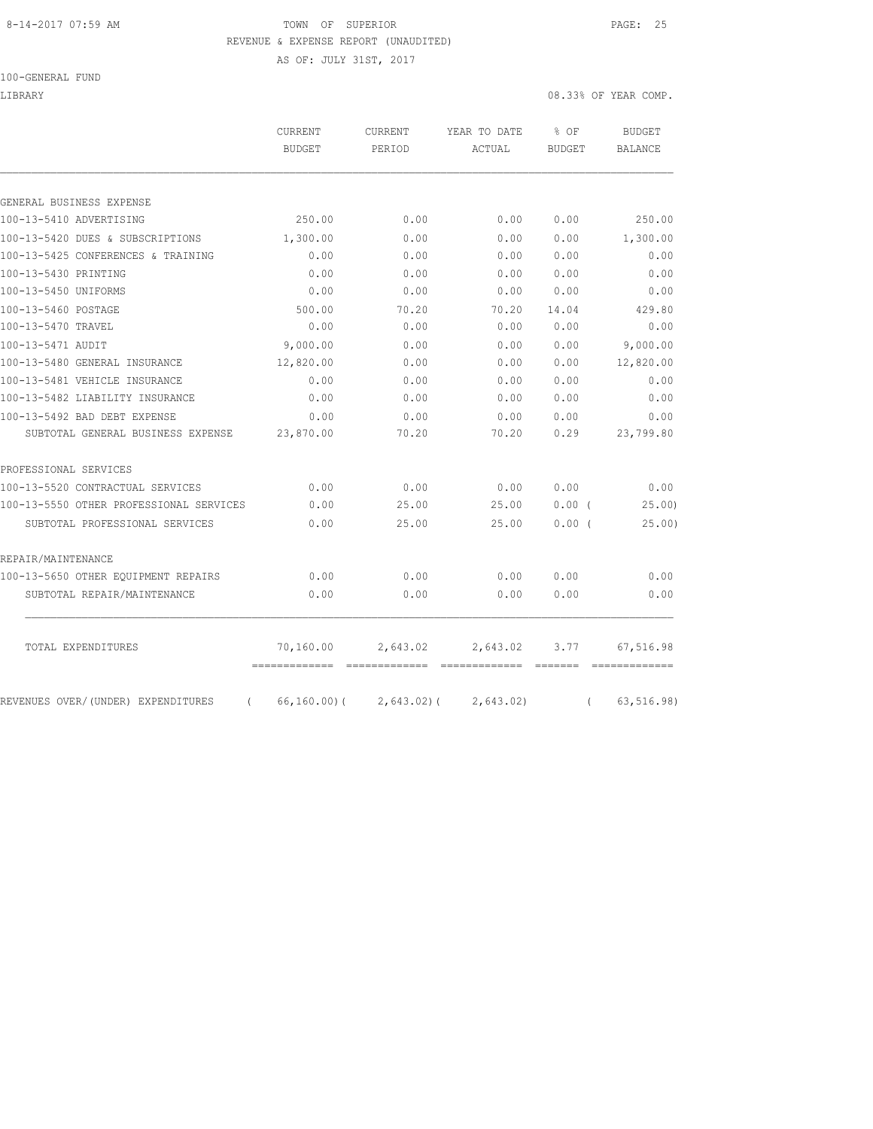## 8-14-2017 07:59 AM **TOWN** OF SUPERIOR **PAGE: 25** REVENUE & EXPENSE REPORT (UNAUDITED)

AS OF: JULY 31ST, 2017

100-GENERAL FUND

LIBRARY 08.33% OF YEAR COMP.

| PERIOD<br>250.00<br>1,300.00<br>0.00<br>0.00<br>0.00<br>500.00<br>0.00<br>9,000.00<br>12,820.00<br>0.00 | 0.00<br>0.00<br>0.00<br>0.00<br>0.00<br>70.20<br>0.00<br>0.00<br>0.00<br>0.00 | ACTUAL<br>0.00<br>0.00<br>0.00<br>0.00<br>0.00<br>70.20<br>0.00<br>0.00<br>0.00 | BUDGET<br>0.00<br>0.00<br>0.00<br>0.00<br>0.00<br>14.04<br>0.00<br>0.00<br>0.00 | BALANCE<br>250.00<br>1,300.00<br>0.00<br>0.00<br>0.00<br>429.80<br>0.00<br>9,000.00<br>12,820.00 |
|---------------------------------------------------------------------------------------------------------|-------------------------------------------------------------------------------|---------------------------------------------------------------------------------|---------------------------------------------------------------------------------|--------------------------------------------------------------------------------------------------|
|                                                                                                         |                                                                               |                                                                                 |                                                                                 |                                                                                                  |
|                                                                                                         |                                                                               |                                                                                 |                                                                                 |                                                                                                  |
|                                                                                                         |                                                                               |                                                                                 |                                                                                 |                                                                                                  |
|                                                                                                         |                                                                               |                                                                                 |                                                                                 |                                                                                                  |
|                                                                                                         |                                                                               |                                                                                 |                                                                                 |                                                                                                  |
|                                                                                                         |                                                                               |                                                                                 |                                                                                 |                                                                                                  |
|                                                                                                         |                                                                               |                                                                                 |                                                                                 |                                                                                                  |
|                                                                                                         |                                                                               |                                                                                 |                                                                                 |                                                                                                  |
|                                                                                                         |                                                                               |                                                                                 |                                                                                 |                                                                                                  |
|                                                                                                         |                                                                               |                                                                                 |                                                                                 |                                                                                                  |
|                                                                                                         |                                                                               |                                                                                 |                                                                                 |                                                                                                  |
|                                                                                                         |                                                                               |                                                                                 |                                                                                 |                                                                                                  |
|                                                                                                         |                                                                               | 0.00                                                                            | 0.00                                                                            | 0.00                                                                                             |
| 0.00                                                                                                    | 0.00                                                                          | 0.00                                                                            | 0.00                                                                            | 0.00                                                                                             |
|                                                                                                         | 0.00                                                                          | 0.00                                                                            | 0.00                                                                            | 0.00                                                                                             |
|                                                                                                         | 70.20                                                                         | 70.20                                                                           | 0.29                                                                            | 23,799.80                                                                                        |
|                                                                                                         |                                                                               |                                                                                 |                                                                                 |                                                                                                  |
|                                                                                                         | 0.00                                                                          | 0.00                                                                            | 0.00                                                                            | 0.00                                                                                             |
|                                                                                                         | 25.00                                                                         | 25.00                                                                           | 0.00(                                                                           | 25.00                                                                                            |
|                                                                                                         | 25.00                                                                         | 25.00                                                                           | 0.00(                                                                           | 25.00                                                                                            |
|                                                                                                         |                                                                               |                                                                                 |                                                                                 |                                                                                                  |
|                                                                                                         | 0.00                                                                          | 0.00                                                                            | 0.00                                                                            | 0.00                                                                                             |
|                                                                                                         | 0.00                                                                          | 0.00                                                                            | 0.00                                                                            | 0.00                                                                                             |
|                                                                                                         |                                                                               | 2,643.02                                                                        | 3.77                                                                            | 67,516.98                                                                                        |
|                                                                                                         | 0.00<br>23,870.00<br>0.00<br>0.00<br>0.00<br>0.00<br>0.00<br>70,160.00        | 2,643.02                                                                        | $66, 160.00$ (<br>$2,643.02$ ) (<br>2,643.02)                                   |                                                                                                  |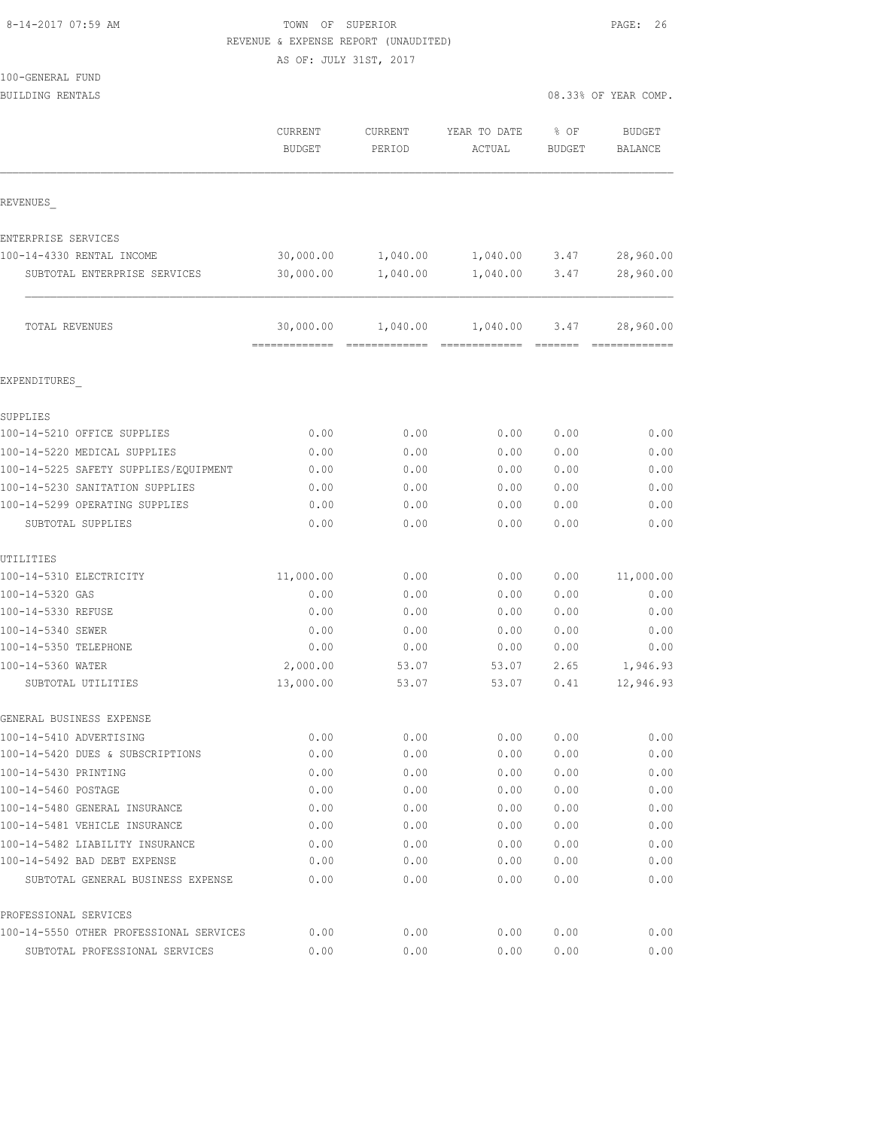|  | 8-14-2017 07:59 AM |  |
|--|--------------------|--|
|  |                    |  |

## TOWN OF SUPERIOR **Example 26** PAGE: 26 REVENUE & EXPENSE REPORT (UNAUDITED)

|                                       | AS OF: JULY 31ST, 2017   |                   |                        |                       |                          |
|---------------------------------------|--------------------------|-------------------|------------------------|-----------------------|--------------------------|
| 100-GENERAL FUND                      |                          |                   |                        |                       |                          |
| BUILDING RENTALS                      |                          |                   |                        |                       | 08.33% OF YEAR COMP.     |
|                                       | CURRENT<br><b>BUDGET</b> | CURRENT<br>PERIOD | YEAR TO DATE<br>ACTUAL | % OF<br><b>BUDGET</b> | <b>BUDGET</b><br>BALANCE |
| REVENUES                              |                          |                   |                        |                       |                          |
| ENTERPRISE SERVICES                   |                          |                   |                        |                       |                          |
| 100-14-4330 RENTAL INCOME             | 30,000.00                | 1,040.00          | 1,040.00               | 3.47                  | 28,960.00                |
| SUBTOTAL ENTERPRISE SERVICES          | 30,000.00                | 1,040.00          | 1,040.00               | 3.47                  | 28,960.00                |
| TOTAL REVENUES                        | 30,000.00                | 1,040.00          | 1,040.00               | 3.47                  | 28,960.00                |
| EXPENDITURES                          |                          |                   |                        |                       |                          |
| SUPPLIES                              |                          |                   |                        |                       |                          |
| 100-14-5210 OFFICE SUPPLIES           | 0.00                     | 0.00              | 0.00                   | 0.00                  | 0.00                     |
| 100-14-5220 MEDICAL SUPPLIES          | 0.00                     | 0.00              | 0.00                   | 0.00                  | 0.00                     |
| 100-14-5225 SAFETY SUPPLIES/EQUIPMENT | 0.00                     | 0.00              | 0.00                   | 0.00                  | 0.00                     |
| 100-14-5230 SANITATION SUPPLIES       | 0.00                     | 0.00              | 0.00                   | 0.00                  | 0.00                     |
| 100-14-5299 OPERATING SUPPLIES        | 0.00                     | 0.00              | 0.00                   | 0.00                  | 0.00                     |
| SUBTOTAL SUPPLIES                     | 0.00                     | 0.00              | 0.00                   | 0.00                  | 0.00                     |
| UTILITIES                             |                          |                   |                        |                       |                          |
| 100-14-5310 ELECTRICITY               | 11,000.00                | 0.00              | 0.00                   | 0.00                  | 11,000.00                |
| 100-14-5320 GAS                       | 0.00                     | 0.00              | 0.00                   | 0.00                  | 0.00                     |
| 100-14-5330 REFUSE                    | 0.00                     | 0.00              | 0.00                   | 0.00                  | 0.00                     |
| 100-14-5340 SEWER                     | 0.00                     | 0.00              | 0.00                   | 0.00                  | 0.00                     |
| 100-14-5350 TELEPHONE                 | 0.00                     | 0.00              | 0.00                   | 0.00                  | 0.00                     |
| 100-14-5360 WATER                     | 2,000.00                 | 53.07             | 53.07                  | 2.65                  | 1,946.93                 |
| SUBTOTAL UTILITIES                    | 13,000.00                | 53.07             | 53.07                  | 0.41                  | 12,946.93                |
| GENERAL BUSINESS EXPENSE              |                          |                   |                        |                       |                          |
| 100-14-5410 ADVERTISING               | 0.00                     | 0.00              | 0.00                   | 0.00                  | 0.00                     |
| 100-14-5420 DUES & SUBSCRIPTIONS      | 0.00                     | 0.00              | 0.00                   | 0.00                  | 0.00                     |

| GENERAL BUSINESS EXPENSE                |      |      |      |      |      |
|-----------------------------------------|------|------|------|------|------|
| 100-14-5410 ADVERTISING                 | 0.00 | 0.00 | 0.00 | 0.00 | 0.00 |
| 100-14-5420 DUES & SUBSCRIPTIONS        | 0.00 | 0.00 | 0.00 | 0.00 | 0.00 |
| 100-14-5430 PRINTING                    | 0.00 | 0.00 | 0.00 | 0.00 | 0.00 |
| 100-14-5460 POSTAGE                     | 0.00 | 0.00 | 0.00 | 0.00 | 0.00 |
| 100-14-5480 GENERAL INSURANCE           | 0.00 | 0.00 | 0.00 | 0.00 | 0.00 |
| 100-14-5481 VEHICLE INSURANCE           | 0.00 | 0.00 | 0.00 | 0.00 | 0.00 |
| 100-14-5482 LIABILITY INSURANCE         | 0.00 | 0.00 | 0.00 | 0.00 | 0.00 |
| 100-14-5492 BAD DEBT EXPENSE            | 0.00 | 0.00 | 0.00 | 0.00 | 0.00 |
| SUBTOTAL GENERAL BUSINESS EXPENSE       | 0.00 | 0.00 | 0.00 | 0.00 | 0.00 |
| PROFESSIONAL SERVICES                   |      |      |      |      |      |
| 100-14-5550 OTHER PROFESSIONAL SERVICES | 0.00 | 0.00 | 0.00 | 0.00 | 0.00 |

SUBTOTAL PROFESSIONAL SERVICES 0.00 0.00 0.00 0.00 0.00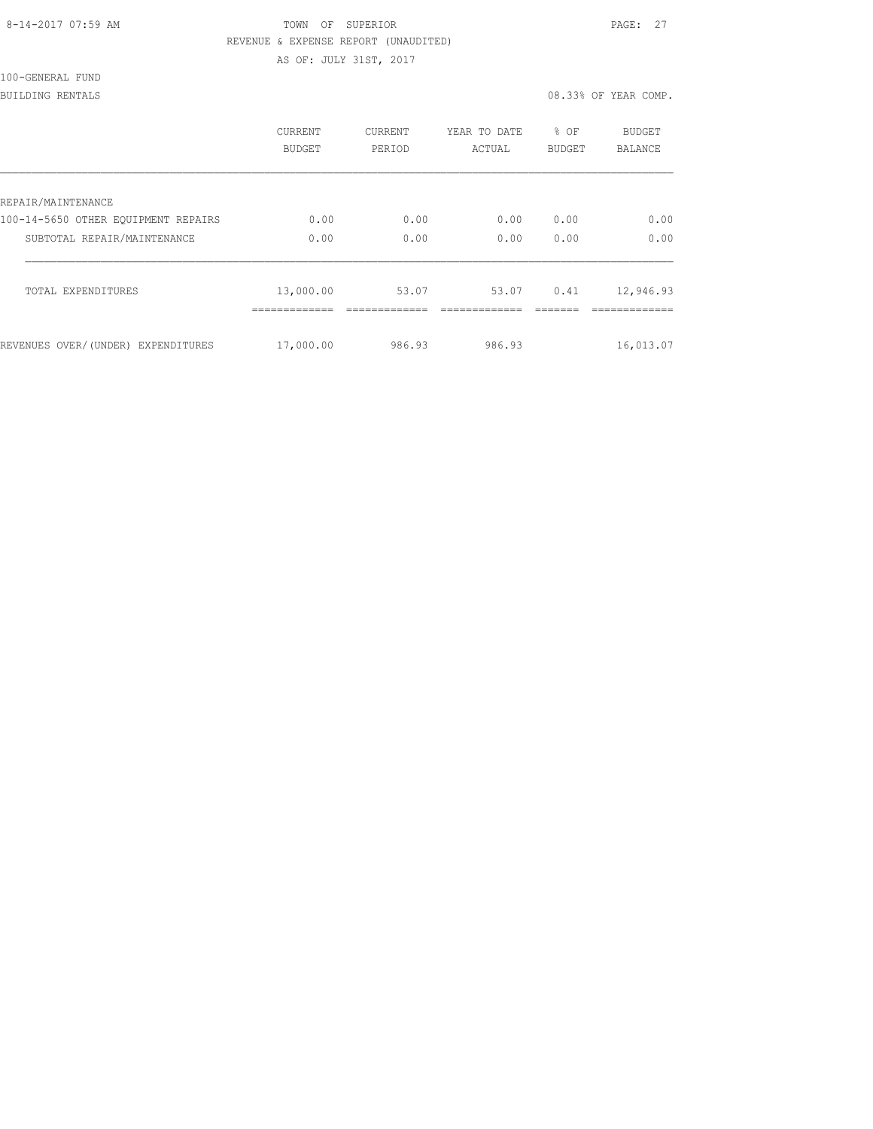#### 8-14-2017 07:59 AM TOWN OF SUPERIOR PAGE: 27 REVENUE & EXPENSE REPORT (UNAUDITED)

AS OF: JULY 31ST, 2017

# 100-GENERAL FUND

#### BUILDING RENTALS 08.33% OF YEAR COMP.

|                                     | CURRENT<br>BUDGET        | <b>CURRENT</b><br>PERIOD | YEAR TO DATE<br>ACTUAL | % OF<br><b>BUDGET</b> | <b>BUDGET</b><br><b>BALANCE</b> |
|-------------------------------------|--------------------------|--------------------------|------------------------|-----------------------|---------------------------------|
| REPAIR/MAINTENANCE                  |                          |                          |                        |                       |                                 |
| 100-14-5650 OTHER EQUIPMENT REPAIRS | 0.00                     | 0.00                     | 0.00                   | 0.00                  | 0.00                            |
| SUBTOTAL REPAIR/MAINTENANCE         | 0.00                     | 0.00                     | 0.00                   | 0.00                  | 0.00                            |
| TOTAL EXPENDITURES                  | 13,000.00<br>----------- | 53.07                    | 53.07                  | 0.41                  | 12,946.93<br>------------       |
| REVENUES OVER/(UNDER) EXPENDITURES  | 17,000.00                | 986.93                   | 986.93                 |                       | 16,013.07                       |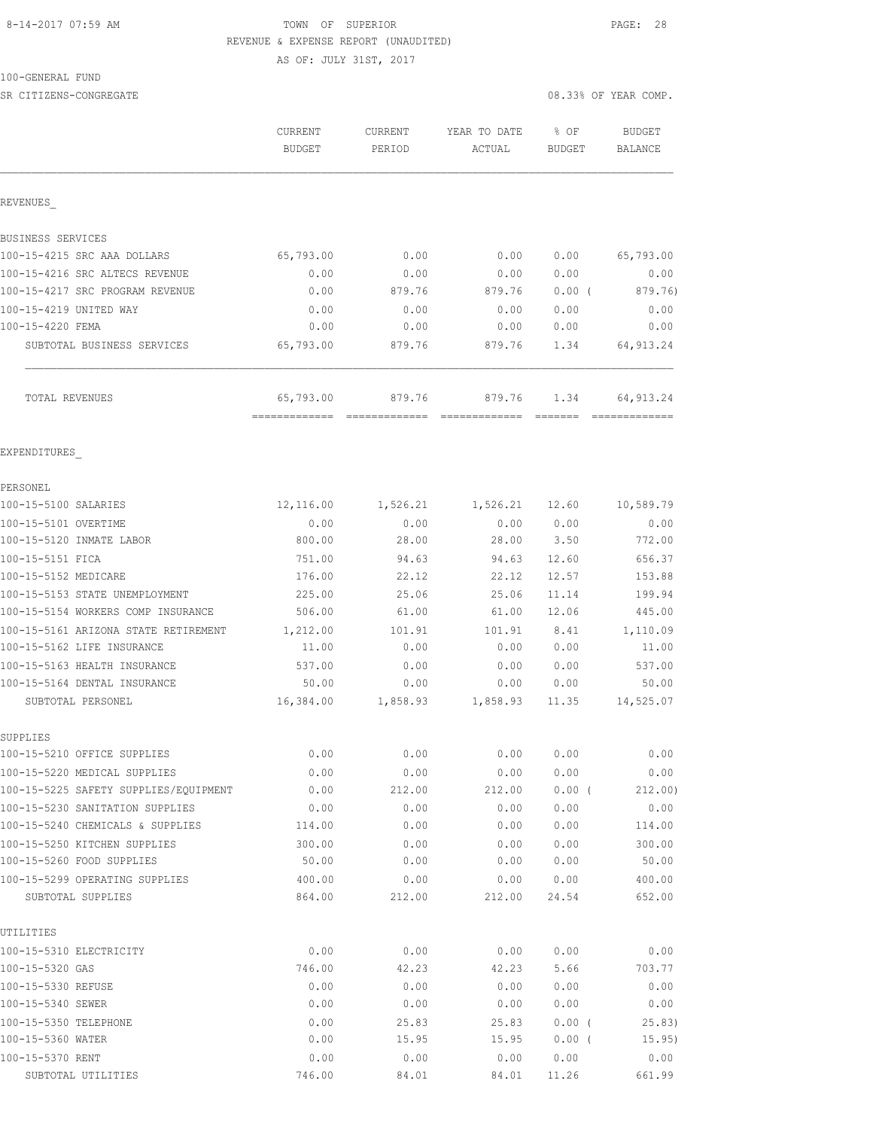## 8-14-2017 07:59 AM TOWN OF SUPERIOR PAGE: 28 REVENUE & EXPENSE REPORT (UNAUDITED)

AS OF: JULY 31ST, 2017

100-GENERAL FUND

| SR CITIZENS-CONGREGATE                  |                   |                          |                        | 08.33% OF YEAR COMP.  |                          |  |
|-----------------------------------------|-------------------|--------------------------|------------------------|-----------------------|--------------------------|--|
|                                         | CURRENT<br>BUDGET | <b>CURRENT</b><br>PERIOD | YEAR TO DATE<br>ACTUAL | % OF<br><b>BUDGET</b> | <b>BUDGET</b><br>BALANCE |  |
| REVENUES                                |                   |                          |                        |                       |                          |  |
| BUSINESS SERVICES                       |                   |                          |                        |                       |                          |  |
| 100-15-4215 SRC AAA DOLLARS             | 65,793.00         | 0.00                     | 0.00                   | 0.00                  | 65,793.00                |  |
| 100-15-4216 SRC ALTECS REVENUE          | 0.00              | 0.00                     | 0.00                   | 0.00                  | 0.00                     |  |
| 100-15-4217 SRC PROGRAM REVENUE         | 0.00              | 879.76                   | 879.76                 | $0.00$ (              | 879.76)                  |  |
| 100-15-4219 UNITED WAY                  | 0.00              | 0.00                     | 0.00                   | 0.00                  | 0.00                     |  |
| 100-15-4220 FEMA                        | 0.00              | 0.00                     | 0.00                   | 0.00                  | 0.00                     |  |
| SUBTOTAL BUSINESS SERVICES              | 65,793.00         | 879.76                   | 879.76                 | 1.34                  | 64, 913.24               |  |
| TOTAL REVENUES                          | 65,793.00         | 879.76                   | 879.76                 | 1.34                  | 64, 913.24               |  |
| EXPENDITURES                            |                   |                          |                        |                       |                          |  |
| PERSONEL                                |                   |                          |                        |                       |                          |  |
| 100-15-5100 SALARIES                    | 12,116.00         | 1,526.21                 | $1,526.21$ 12.60       |                       | 10,589.79                |  |
| 100-15-5101 OVERTIME                    | 0.00              | 0.00                     | 0.00                   | 0.00                  | 0.00                     |  |
| 100-15-5120 INMATE LABOR                | 800.00            | 28.00                    | 28.00                  | 3.50                  | 772.00                   |  |
| 100-15-5151 FICA                        | 751.00            | 94.63                    | 94.63                  | 12.60                 | 656.37                   |  |
| 100-15-5152 MEDICARE                    | 176.00            | 22.12                    | 22.12                  | 12.57                 | 153.88                   |  |
| 100-15-5153 STATE UNEMPLOYMENT          | 225.00            | 25.06                    | 25.06                  | 11.14                 | 199.94                   |  |
| 100-15-5154 WORKERS COMP INSURANCE      | 506.00            | 61.00                    | 61.00                  | 12.06                 | 445.00                   |  |
| 100-15-5161 ARIZONA STATE RETIREMENT    | 1,212.00          | 101.91                   | 101.91                 | 8.41                  | 1,110.09                 |  |
| 100-15-5162 LIFE INSURANCE              | 11.00             | 0.00                     | 0.00                   | 0.00                  | 11.00                    |  |
| 100-15-5163 HEALTH INSURANCE            | 537.00            | 0.00                     | 0.00                   | 0.00                  | 537.00                   |  |
| 100-15-5164 DENTAL INSURANCE            | 50.00             | 0.00                     | 0.00                   | 0.00                  | 50.00                    |  |
| SUBTOTAL PERSONEL                       | 16,384.00         | 1,858.93                 | 1,858.93               | 11.35                 | 14,525.07                |  |
| SUPPLIES<br>100-15-5210 OFFICE SUPPLIES | 0.00              | 0.00                     | 0.00                   | 0.00                  | 0.00                     |  |
| 100-15-5220 MEDICAL SUPPLIES            | 0.00              | 0.00                     | 0.00                   | 0.00                  | 0.00                     |  |
| 100-15-5225 SAFETY SUPPLIES/EQUIPMENT   | 0.00              | 212.00                   | 212.00                 | 0.00(                 | 212.00)                  |  |
| 100-15-5230 SANITATION SUPPLIES         | 0.00              | 0.00                     | 0.00                   | 0.00                  | 0.00                     |  |
| 100-15-5240 CHEMICALS & SUPPLIES        | 114.00            | 0.00                     | 0.00                   | 0.00                  | 114.00                   |  |
| 100-15-5250 KITCHEN SUPPLIES            | 300.00            | 0.00                     | 0.00                   | 0.00                  | 300.00                   |  |
| 100-15-5260 FOOD SUPPLIES               | 50.00             | 0.00                     | 0.00                   | 0.00                  | 50.00                    |  |
| 100-15-5299 OPERATING SUPPLIES          | 400.00            | 0.00                     | 0.00                   | 0.00                  | 400.00                   |  |
| SUBTOTAL SUPPLIES                       | 864.00            | 212.00                   | 212.00                 | 24.54                 | 652.00                   |  |
| UTILITIES                               |                   |                          |                        |                       |                          |  |
| 100-15-5310 ELECTRICITY                 | 0.00              | 0.00                     | 0.00                   | 0.00                  | 0.00                     |  |
| 100-15-5320 GAS                         | 746.00            | 42.23                    | 42.23                  | 5.66                  | 703.77                   |  |
| 100-15-5330 REFUSE                      | 0.00              | 0.00                     | 0.00                   | 0.00                  | 0.00                     |  |
| 100-15-5340 SEWER                       | 0.00              | 0.00                     | 0.00                   | 0.00                  | 0.00                     |  |
| 100-15-5350 TELEPHONE                   | 0.00              | 25.83                    | 25.83                  | 0.00(                 | 25.83)                   |  |
| 100-15-5360 WATER                       | 0.00              | 15.95                    | 15.95                  | $0.00$ (              | 15.95)                   |  |
| 100-15-5370 RENT                        | 0.00              | 0.00                     | 0.00                   | 0.00                  | 0.00                     |  |

SUBTOTAL UTILITIES 746.00 84.01 84.01 11.26 661.99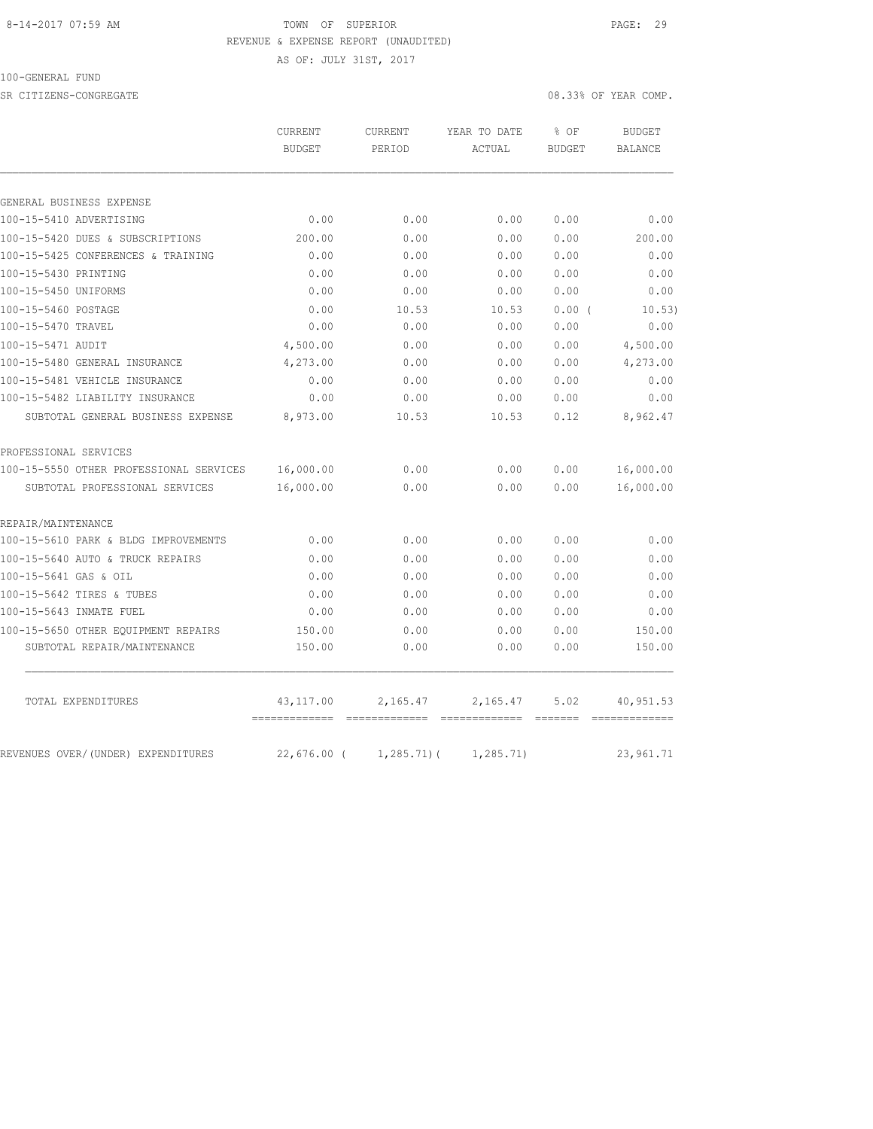#### 8-14-2017 07:59 AM TOWN OF SUPERIOR PAGE: 29 REVENUE & EXPENSE REPORT (UNAUDITED)

AS OF: JULY 31ST, 2017

100-GENERAL FUND

SR CITIZENS-CONGREGATE **2008** OF YEAR COMP.

|                                         | CURRENT<br><b>BUDGET</b> | <b>CURRENT</b><br>PERIOD | YEAR TO DATE<br>ACTUAL | % OF<br>BUDGET | <b>BUDGET</b><br>BALANCE |
|-----------------------------------------|--------------------------|--------------------------|------------------------|----------------|--------------------------|
|                                         |                          |                          |                        |                |                          |
| GENERAL BUSINESS EXPENSE                |                          |                          |                        |                |                          |
| 100-15-5410 ADVERTISING                 | 0.00                     | 0.00                     | 0.00                   | 0.00           | 0.00                     |
| 100-15-5420 DUES & SUBSCRIPTIONS        | 200.00                   | 0.00                     | 0.00                   | 0.00           | 200.00                   |
| 100-15-5425 CONFERENCES & TRAINING      | 0.00                     | 0.00                     | 0.00                   | 0.00           | 0.00                     |
| 100-15-5430 PRINTING                    | 0.00                     | 0.00                     | 0.00                   | 0.00           | 0.00                     |
| 100-15-5450 UNIFORMS                    | 0.00                     | 0.00                     | 0.00                   | 0.00           | 0.00                     |
| 100-15-5460 POSTAGE                     | 0.00                     | 10.53                    | 10.53                  | 0.00(          | 10.53)                   |
| 100-15-5470 TRAVEL                      | 0.00                     | 0.00                     | 0.00                   | 0.00           | 0.00                     |
| 100-15-5471 AUDIT                       | 4,500.00                 | 0.00                     | 0.00                   | 0.00           | 4,500.00                 |
| 100-15-5480 GENERAL INSURANCE           | 4,273.00                 | 0.00                     | 0.00                   | 0.00           | 4,273.00                 |
| 100-15-5481 VEHICLE INSURANCE           | 0.00                     | 0.00                     | 0.00                   | 0.00           | 0.00                     |
| 100-15-5482 LIABILITY INSURANCE         | 0.00                     | 0.00                     | 0.00                   | 0.00           | 0.00                     |
| SUBTOTAL GENERAL BUSINESS EXPENSE       | 8,973.00                 | 10.53                    | 10.53                  | 0.12           | 8,962.47                 |
| PROFESSIONAL SERVICES                   |                          |                          |                        |                |                          |
| 100-15-5550 OTHER PROFESSIONAL SERVICES | 16,000.00                | 0.00                     | 0.00                   | 0.00           | 16,000.00                |
| SUBTOTAL PROFESSIONAL SERVICES          | 16,000.00                | 0.00                     | 0.00                   | 0.00           | 16,000.00                |
| REPAIR/MAINTENANCE                      |                          |                          |                        |                |                          |
| 100-15-5610 PARK & BLDG IMPROVEMENTS    | 0.00                     | 0.00                     | 0.00                   | 0.00           | 0.00                     |
| 100-15-5640 AUTO & TRUCK REPAIRS        | 0.00                     | 0.00                     | 0.00                   | 0.00           | 0.00                     |
| 100-15-5641 GAS & OIL                   | 0.00                     | 0.00                     | 0.00                   | 0.00           | 0.00                     |
| 100-15-5642 TIRES & TUBES               | 0.00                     | 0.00                     | 0.00                   | 0.00           | 0.00                     |
| 100-15-5643 INMATE FUEL                 | 0.00                     | 0.00                     | 0.00                   | 0.00           | 0.00                     |
| 100-15-5650 OTHER EQUIPMENT REPAIRS     | 150.00                   | 0.00                     | 0.00                   | 0.00           | 150.00                   |
| SUBTOTAL REPAIR/MAINTENANCE             | 150.00                   | 0.00                     | 0.00                   | 0.00           | 150.00                   |
| TOTAL EXPENDITURES                      | 43,117.00                | 2,165.47                 | 2,165.47               | 5.02           | 40,951.53                |
| REVENUES OVER/(UNDER) EXPENDITURES      | 22,676.00 (              | $1, 285.71$ (            | 1, 285.71)             |                | 23,961.71                |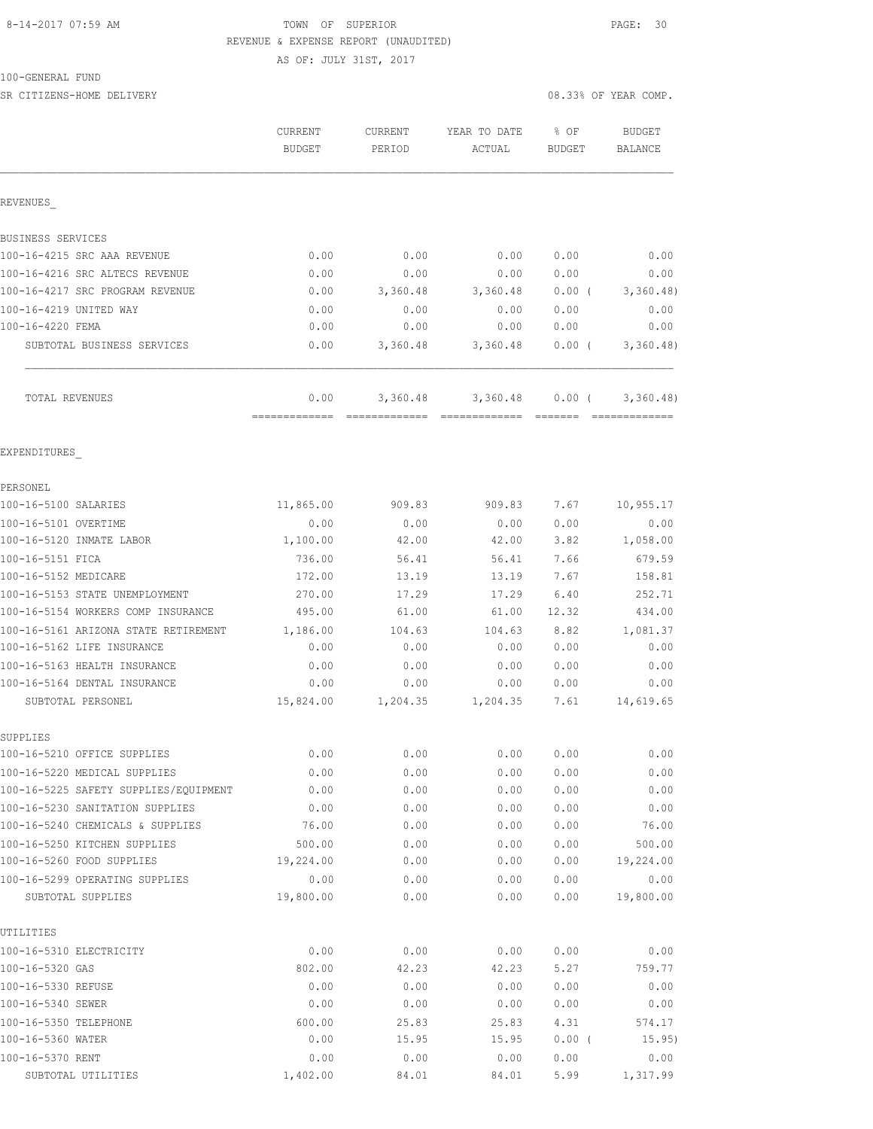## 8-14-2017 07:59 AM TOWN OF SUPERIOR PAGE: 30 REVENUE & EXPENSE REPORT (UNAUDITED)

AS OF: JULY 31ST, 2017

100-GENERAL FUND

| SR CITIZENS-HOME DELIVERY             |                          |                   |                        |                       | 08.33% OF YEAR COMP.            |
|---------------------------------------|--------------------------|-------------------|------------------------|-----------------------|---------------------------------|
|                                       | CURRENT<br><b>BUDGET</b> | CURRENT<br>PERIOD | YEAR TO DATE<br>ACTUAL | % OF<br><b>BUDGET</b> | <b>BUDGET</b><br><b>BALANCE</b> |
| REVENUES                              |                          |                   |                        |                       |                                 |
| BUSINESS SERVICES                     |                          |                   |                        |                       |                                 |
| 100-16-4215 SRC AAA REVENUE           | 0.00                     | 0.00              | 0.00                   | 0.00                  | 0.00                            |
| 100-16-4216 SRC ALTECS REVENUE        | 0.00                     | 0.00              | 0.00                   | 0.00                  | 0.00                            |
| 100-16-4217 SRC PROGRAM REVENUE       | 0.00                     | 3,360.48          | 3,360.48               | 0.00(                 | 3,360.48                        |
| 100-16-4219 UNITED WAY                | 0.00                     | 0.00              | 0.00                   | 0.00                  | 0.00                            |
| 100-16-4220 FEMA                      | 0.00                     | 0.00              | 0.00                   | 0.00                  | 0.00                            |
| SUBTOTAL BUSINESS SERVICES            | 0.00                     | 3,360.48          | 3,360.48               | $0.00$ (              | 3,360.48)                       |
| TOTAL REVENUES                        | 0.00<br>=============    | 3,360.48          | 3,360.48               | 0.00(                 | 3,360.48                        |
| EXPENDITURES                          |                          |                   |                        |                       |                                 |
| PERSONEL                              |                          |                   |                        |                       |                                 |
| 100-16-5100 SALARIES                  | 11,865.00                | 909.83            | 909.83                 | 7.67                  | 10,955.17                       |
| 100-16-5101 OVERTIME                  | 0.00                     | 0.00              | 0.00                   | 0.00                  | 0.00                            |
| 100-16-5120 INMATE LABOR              | 1,100.00                 | 42.00             | 42.00                  | 3.82                  | 1,058.00                        |
| 100-16-5151 FICA                      | 736.00                   | 56.41             | 56.41                  | 7.66                  | 679.59                          |
| 100-16-5152 MEDICARE                  | 172.00                   | 13.19             | 13.19                  | 7.67                  | 158.81                          |
| 100-16-5153 STATE UNEMPLOYMENT        | 270.00                   | 17.29             | 17.29                  | 6.40                  | 252.71                          |
| 100-16-5154 WORKERS COMP INSURANCE    | 495.00                   | 61.00             | 61.00                  | 12.32                 | 434.00                          |
| 100-16-5161 ARIZONA STATE RETIREMENT  | 1,186.00                 | 104.63            | 104.63                 | 8.82                  | 1,081.37                        |
| 100-16-5162 LIFE INSURANCE            | 0.00                     | 0.00              | 0.00                   | 0.00                  | 0.00                            |
| 100-16-5163 HEALTH INSURANCE          | 0.00                     | 0.00              | 0.00                   | 0.00                  | 0.00                            |
| 100-16-5164 DENTAL INSURANCE          | 0.00                     | 0.00              | 0.00                   | 0.00                  | 0.00                            |
| SUBTOTAL PERSONEL                     | 15,824.00                | 1,204.35          | 1,204.35               | 7.61                  | 14,619.65                       |
| SUPPLIES                              |                          |                   |                        |                       |                                 |
| 100-16-5210 OFFICE SUPPLIES           | 0.00                     | 0.00              | 0.00                   | 0.00                  | 0.00                            |
| 100-16-5220 MEDICAL SUPPLIES          | 0.00                     | 0.00              | 0.00                   | 0.00                  | 0.00                            |
| 100-16-5225 SAFETY SUPPLIES/EQUIPMENT | 0.00                     | 0.00              | 0.00                   | 0.00                  | 0.00                            |
| 100-16-5230 SANITATION SUPPLIES       | 0.00                     | 0.00              | 0.00                   | 0.00                  | 0.00                            |
| 100-16-5240 CHEMICALS & SUPPLIES      | 76.00                    | 0.00              | 0.00                   | 0.00                  | 76.00                           |
| 100-16-5250 KITCHEN SUPPLIES          | 500.00                   | 0.00              | 0.00                   | 0.00                  | 500.00                          |
| 100-16-5260 FOOD SUPPLIES             | 19,224.00                | 0.00              | 0.00                   | 0.00                  | 19,224.00                       |
| 100-16-5299 OPERATING SUPPLIES        | 0.00                     | 0.00              | 0.00                   | 0.00                  | 0.00                            |
| SUBTOTAL SUPPLIES                     | 19,800.00                | 0.00              | 0.00                   | 0.00                  | 19,800.00                       |
| UTILITIES                             |                          |                   |                        |                       |                                 |
| 100-16-5310 ELECTRICITY               | 0.00                     | 0.00              | 0.00                   | 0.00                  | 0.00                            |
| 100-16-5320 GAS                       | 802.00                   | 42.23             | 42.23                  | 5.27                  | 759.77                          |
| 100-16-5330 REFUSE                    | 0.00                     | 0.00              | 0.00                   | 0.00                  | 0.00                            |
| 100-16-5340 SEWER                     | 0.00                     | 0.00              | 0.00                   | 0.00                  | 0.00                            |
| 100-16-5350 TELEPHONE                 | 600.00                   | 25.83             | 25.83                  | 4.31                  | 574.17                          |

100-16-5360 WATER 0.00 15.95 15.95 0.00 ( 15.95) 100-16-5370 RENT 0.00 0.00 0.00 0.00 0.00 SUBTOTAL UTILITIES 1,402.00 84.01 84.01 5.99 1,317.99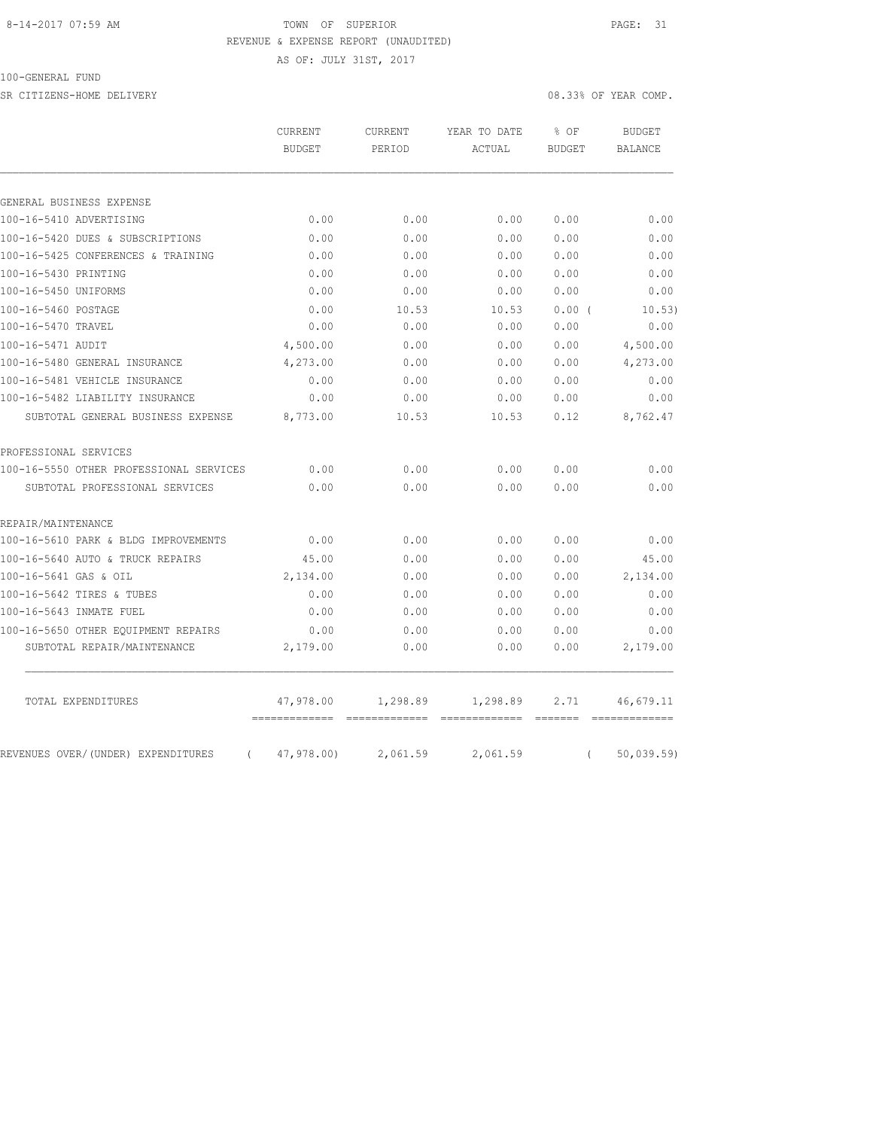#### 8-14-2017 07:59 AM TOWN OF SUPERIOR PAGE: 31 REVENUE & EXPENSE REPORT (UNAUDITED)

AS OF: JULY 31ST, 2017

100-GENERAL FUND

SR CITIZENS-HOME DELIVERY 08.33% OF YEAR COMP.

|                                                | CURRENT<br><b>BUDGET</b>     | <b>CURRENT</b><br>PERIOD                                                                                                                                                                                                                                                                                                                                                                                                                                                                           | YEAR TO DATE<br>ACTUAL    | % OF<br><b>BUDGET</b>                                                                                                                                                                                                                                                                                                                                                                                                                                                                                              | <b>BUDGET</b><br><b>BALANCE</b> |
|------------------------------------------------|------------------------------|----------------------------------------------------------------------------------------------------------------------------------------------------------------------------------------------------------------------------------------------------------------------------------------------------------------------------------------------------------------------------------------------------------------------------------------------------------------------------------------------------|---------------------------|--------------------------------------------------------------------------------------------------------------------------------------------------------------------------------------------------------------------------------------------------------------------------------------------------------------------------------------------------------------------------------------------------------------------------------------------------------------------------------------------------------------------|---------------------------------|
|                                                |                              |                                                                                                                                                                                                                                                                                                                                                                                                                                                                                                    |                           |                                                                                                                                                                                                                                                                                                                                                                                                                                                                                                                    |                                 |
| GENERAL BUSINESS EXPENSE                       |                              |                                                                                                                                                                                                                                                                                                                                                                                                                                                                                                    |                           |                                                                                                                                                                                                                                                                                                                                                                                                                                                                                                                    |                                 |
| 100-16-5410 ADVERTISING                        | 0.00                         | 0.00                                                                                                                                                                                                                                                                                                                                                                                                                                                                                               | 0.00                      | 0.00                                                                                                                                                                                                                                                                                                                                                                                                                                                                                                               | 0.00                            |
| 100-16-5420 DUES & SUBSCRIPTIONS               | 0.00                         | 0.00                                                                                                                                                                                                                                                                                                                                                                                                                                                                                               | 0.00                      | 0.00                                                                                                                                                                                                                                                                                                                                                                                                                                                                                                               | 0.00                            |
| 100-16-5425 CONFERENCES & TRAINING             | 0.00                         | 0.00                                                                                                                                                                                                                                                                                                                                                                                                                                                                                               | 0.00                      | 0.00                                                                                                                                                                                                                                                                                                                                                                                                                                                                                                               | 0.00                            |
| 100-16-5430 PRINTING                           | 0.00                         | 0.00                                                                                                                                                                                                                                                                                                                                                                                                                                                                                               | 0.00                      | 0.00                                                                                                                                                                                                                                                                                                                                                                                                                                                                                                               | 0.00                            |
| 100-16-5450 UNIFORMS                           | 0.00                         | 0.00                                                                                                                                                                                                                                                                                                                                                                                                                                                                                               | 0.00                      | 0.00                                                                                                                                                                                                                                                                                                                                                                                                                                                                                                               | 0.00                            |
| 100-16-5460 POSTAGE                            | 0.00                         | 10.53                                                                                                                                                                                                                                                                                                                                                                                                                                                                                              | 10.53                     | 0.00(                                                                                                                                                                                                                                                                                                                                                                                                                                                                                                              | 10.53)                          |
| 100-16-5470 TRAVEL                             | 0.00                         | 0.00                                                                                                                                                                                                                                                                                                                                                                                                                                                                                               | 0.00                      | 0.00                                                                                                                                                                                                                                                                                                                                                                                                                                                                                                               | 0.00                            |
| 100-16-5471 AUDIT                              | 4,500.00                     | 0.00                                                                                                                                                                                                                                                                                                                                                                                                                                                                                               | 0.00                      | 0.00                                                                                                                                                                                                                                                                                                                                                                                                                                                                                                               | 4,500.00                        |
| 100-16-5480 GENERAL INSURANCE                  | 4,273.00                     | 0.00                                                                                                                                                                                                                                                                                                                                                                                                                                                                                               | 0.00                      | 0.00                                                                                                                                                                                                                                                                                                                                                                                                                                                                                                               | 4,273.00                        |
| 100-16-5481 VEHICLE INSURANCE                  | 0.00                         | 0.00                                                                                                                                                                                                                                                                                                                                                                                                                                                                                               | 0.00                      | 0.00                                                                                                                                                                                                                                                                                                                                                                                                                                                                                                               | 0.00                            |
| 100-16-5482 LIABILITY INSURANCE                | 0.00                         | 0.00                                                                                                                                                                                                                                                                                                                                                                                                                                                                                               | 0.00                      | 0.00                                                                                                                                                                                                                                                                                                                                                                                                                                                                                                               | 0.00                            |
| SUBTOTAL GENERAL BUSINESS EXPENSE              | 8,773.00                     | 10.53                                                                                                                                                                                                                                                                                                                                                                                                                                                                                              | 10.53                     | 0.12                                                                                                                                                                                                                                                                                                                                                                                                                                                                                                               | 8,762.47                        |
| PROFESSIONAL SERVICES                          |                              |                                                                                                                                                                                                                                                                                                                                                                                                                                                                                                    |                           |                                                                                                                                                                                                                                                                                                                                                                                                                                                                                                                    |                                 |
| 100-16-5550 OTHER PROFESSIONAL SERVICES        | 0.00                         | 0.00                                                                                                                                                                                                                                                                                                                                                                                                                                                                                               | 0.00                      | 0.00                                                                                                                                                                                                                                                                                                                                                                                                                                                                                                               | 0.00                            |
| SUBTOTAL PROFESSIONAL SERVICES                 | 0.00                         | 0.00                                                                                                                                                                                                                                                                                                                                                                                                                                                                                               | 0.00                      | 0.00                                                                                                                                                                                                                                                                                                                                                                                                                                                                                                               | 0.00                            |
| REPAIR/MAINTENANCE                             |                              |                                                                                                                                                                                                                                                                                                                                                                                                                                                                                                    |                           |                                                                                                                                                                                                                                                                                                                                                                                                                                                                                                                    |                                 |
| 100-16-5610 PARK & BLDG IMPROVEMENTS           | 0.00                         | 0.00                                                                                                                                                                                                                                                                                                                                                                                                                                                                                               | 0.00                      | 0.00                                                                                                                                                                                                                                                                                                                                                                                                                                                                                                               | 0.00                            |
| 100-16-5640 AUTO & TRUCK REPAIRS               | 45.00                        | 0.00                                                                                                                                                                                                                                                                                                                                                                                                                                                                                               | 0.00                      | 0.00                                                                                                                                                                                                                                                                                                                                                                                                                                                                                                               | 45.00                           |
| 100-16-5641 GAS & OIL                          | 2,134.00                     | 0.00                                                                                                                                                                                                                                                                                                                                                                                                                                                                                               | 0.00                      | 0.00                                                                                                                                                                                                                                                                                                                                                                                                                                                                                                               | 2,134.00                        |
| 100-16-5642 TIRES & TUBES                      | 0.00                         | 0.00                                                                                                                                                                                                                                                                                                                                                                                                                                                                                               | 0.00                      | 0.00                                                                                                                                                                                                                                                                                                                                                                                                                                                                                                               | 0.00                            |
| 100-16-5643 INMATE FUEL                        | 0.00                         | 0.00                                                                                                                                                                                                                                                                                                                                                                                                                                                                                               | 0.00                      | 0.00                                                                                                                                                                                                                                                                                                                                                                                                                                                                                                               | 0.00                            |
| 100-16-5650 OTHER EQUIPMENT REPAIRS            | 0.00                         | 0.00                                                                                                                                                                                                                                                                                                                                                                                                                                                                                               | 0.00                      | 0.00                                                                                                                                                                                                                                                                                                                                                                                                                                                                                                               | 0.00                            |
| SUBTOTAL REPAIR/MAINTENANCE                    | 2,179.00                     | 0.00                                                                                                                                                                                                                                                                                                                                                                                                                                                                                               | 0.00                      | 0.00                                                                                                                                                                                                                                                                                                                                                                                                                                                                                                               | 2,179.00                        |
| TOTAL EXPENDITURES                             | 47,978.00                    | 1,298.89                                                                                                                                                                                                                                                                                                                                                                                                                                                                                           | 1,298.89                  | 2.71                                                                                                                                                                                                                                                                                                                                                                                                                                                                                                               | 46,679.11                       |
| REVENUES OVER/(UNDER) EXPENDITURES<br>$\left($ | --------------<br>47,978.00) | $\begin{array}{cccccccccc} \multicolumn{2}{c}{} & \multicolumn{2}{c}{} & \multicolumn{2}{c}{} & \multicolumn{2}{c}{} & \multicolumn{2}{c}{} & \multicolumn{2}{c}{} & \multicolumn{2}{c}{} & \multicolumn{2}{c}{} & \multicolumn{2}{c}{} & \multicolumn{2}{c}{} & \multicolumn{2}{c}{} & \multicolumn{2}{c}{} & \multicolumn{2}{c}{} & \multicolumn{2}{c}{} & \multicolumn{2}{c}{} & \multicolumn{2}{c}{} & \multicolumn{2}{c}{} & \multicolumn{2}{c}{} & \multicolumn{2}{c}{} & \mult$<br>2,061.59 | =============<br>2,061.59 | $\begin{array}{c} \multicolumn{3}{c} {\color{blue} \textbf{1} } \multicolumn{3}{c} {\color{blue} \textbf{2} } \multicolumn{3}{c} {\color{blue} \textbf{2} } \multicolumn{3}{c} {\color{blue} \textbf{3} } \multicolumn{3}{c} {\color{blue} \textbf{4} } \multicolumn{3}{c} {\color{blue} \textbf{5} } \multicolumn{3}{c} {\color{blue} \textbf{6} } \multicolumn{3}{c} {\color{blue} \textbf{7} } \multicolumn{3}{c} {\color{blue} \textbf{8} } \multicolumn{3}{c} {\color{blue} \textbf{9} } \multic$<br>$\left($ | -------------<br>50,039.59)     |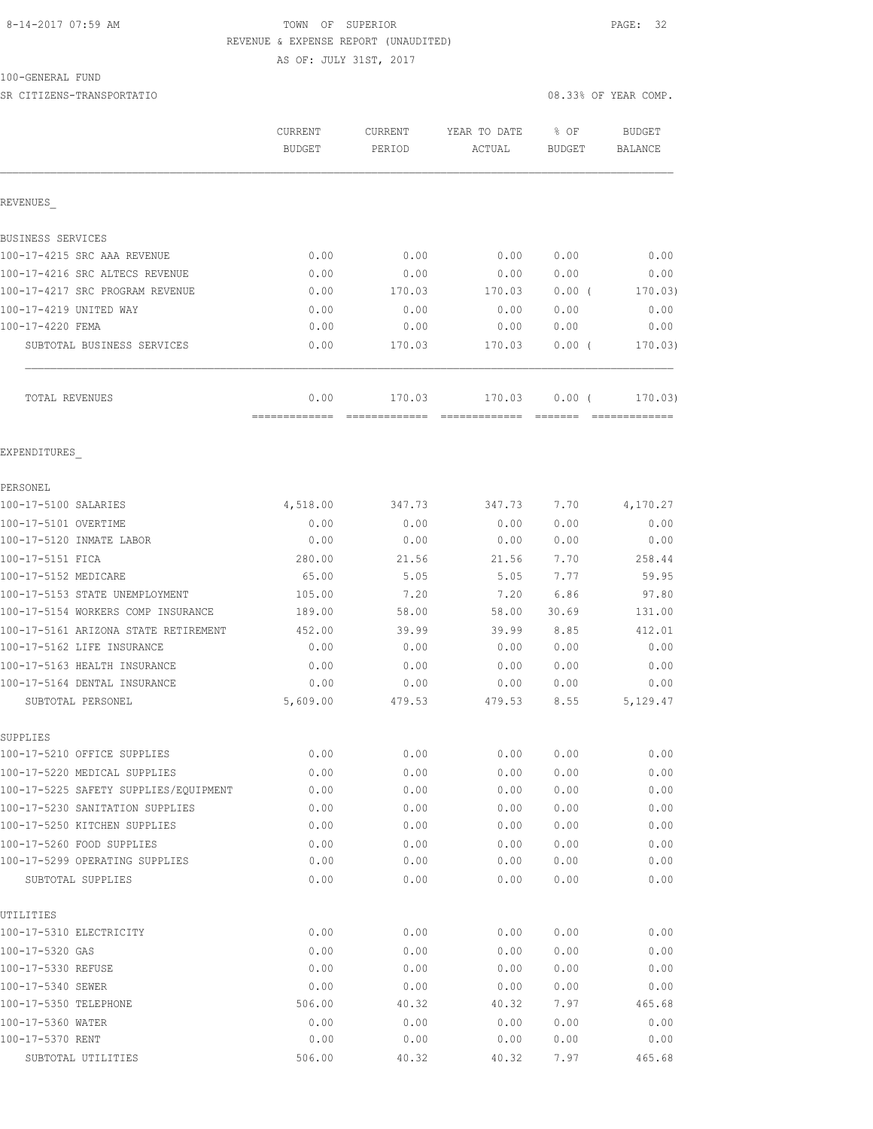# 8-14-2017 07:59 AM TOWN OF SUPERIOR PAGE: 32 REVENUE & EXPENSE REPORT (UNAUDITED)

AS OF: JULY 31ST, 2017

100-GENERAL FUND

SR CITIZENS-TRANSPORTATIO 08.33% OF YEAR COMP.

|                                                   | CURRENT<br><b>BUDGET</b> | CURRENT<br>PERIOD | YEAR TO DATE<br>ACTUAL | % OF<br><b>BUDGET</b> | <b>BUDGET</b><br><b>BALANCE</b> |
|---------------------------------------------------|--------------------------|-------------------|------------------------|-----------------------|---------------------------------|
| REVENUES                                          |                          |                   |                        |                       |                                 |
| BUSINESS SERVICES                                 |                          |                   |                        |                       |                                 |
| 100-17-4215 SRC AAA REVENUE                       | 0.00                     | 0.00              | 0.00                   | 0.00                  | 0.00                            |
| 100-17-4216 SRC ALTECS REVENUE                    | 0.00                     | 0.00              | 0.00                   | 0.00                  | 0.00                            |
| 100-17-4217 SRC PROGRAM REVENUE                   | 0.00                     | 170.03            | 170.03                 | 0.00(                 | 170.03)                         |
| 100-17-4219 UNITED WAY                            | 0.00                     | 0.00              | 0.00                   | 0.00                  | 0.00                            |
| 100-17-4220 FEMA                                  | 0.00                     | 0.00              | 0.00                   | 0.00                  | 0.00                            |
| SUBTOTAL BUSINESS SERVICES                        | 0.00                     | 170.03            | 170.03                 | 0.00(                 | 170.03)                         |
| TOTAL REVENUES                                    | 0.00                     | 170.03            | 170.03                 | 0.00(                 | 170.03)                         |
|                                                   | =============            |                   |                        |                       |                                 |
| EXPENDITURES                                      |                          |                   |                        |                       |                                 |
| PERSONEL                                          |                          |                   |                        |                       |                                 |
| 100-17-5100 SALARIES                              | 4,518.00                 | 347.73            | 347.73                 | 7.70                  | 4,170.27                        |
| 100-17-5101 OVERTIME                              | 0.00                     | 0.00              | 0.00                   | 0.00                  | 0.00                            |
| 100-17-5120 INMATE LABOR                          | 0.00                     | 0.00              | 0.00                   | 0.00                  | 0.00                            |
| 100-17-5151 FICA                                  | 280.00                   | 21.56             | 21.56                  | 7.70                  | 258.44                          |
| 100-17-5152 MEDICARE                              | 65.00                    | 5.05              | 5.05                   | 7.77                  | 59.95                           |
| 100-17-5153 STATE UNEMPLOYMENT                    | 105.00                   | 7.20              | 7.20                   | 6.86                  | 97.80                           |
| 100-17-5154 WORKERS COMP INSURANCE                | 189.00                   | 58.00             | 58.00                  | 30.69                 | 131.00                          |
| 100-17-5161 ARIZONA STATE RETIREMENT              | 452.00                   | 39.99             | 39.99                  | 8.85                  | 412.01                          |
| 100-17-5162 LIFE INSURANCE                        | 0.00                     | 0.00              | 0.00                   | 0.00                  | 0.00                            |
| 100-17-5163 HEALTH INSURANCE                      | 0.00                     | 0.00              | 0.00                   | 0.00                  | 0.00                            |
| 100-17-5164 DENTAL INSURANCE<br>SUBTOTAL PERSONEL | 0.00<br>5,609.00         | 0.00<br>479.53    | 0.00<br>479.53         | 0.00<br>8.55          | 0.00<br>5,129.47                |
| SUPPLIES                                          |                          |                   |                        |                       |                                 |
| 100-17-5210 OFFICE SUPPLIES                       | 0.00                     | 0.00              | 0.00                   | 0.00                  | 0.00                            |
| 100-17-5220 MEDICAL SUPPLIES                      | 0.00                     | 0.00              | 0.00                   | 0.00                  | 0.00                            |
| 100-17-5225 SAFETY SUPPLIES/EQUIPMENT             | 0.00                     | 0.00              | 0.00                   | 0.00                  | 0.00                            |
| 100-17-5230 SANITATION SUPPLIES                   | 0.00                     | 0.00              | 0.00                   | 0.00                  | 0.00                            |
| 100-17-5250 KITCHEN SUPPLIES                      | 0.00                     | 0.00              | 0.00                   | 0.00                  | 0.00                            |
| 100-17-5260 FOOD SUPPLIES                         | 0.00                     | 0.00              | 0.00                   | 0.00                  | 0.00                            |
| 100-17-5299 OPERATING SUPPLIES                    | 0.00                     | 0.00              | 0.00                   | 0.00                  | 0.00                            |
| SUBTOTAL SUPPLIES                                 | 0.00                     | 0.00              | 0.00                   | 0.00                  | 0.00                            |
| UTILITIES                                         |                          |                   |                        |                       |                                 |
| 100-17-5310 ELECTRICITY                           | 0.00                     | 0.00              | 0.00                   | 0.00                  | 0.00                            |
| 100-17-5320 GAS                                   | 0.00                     | 0.00              | 0.00                   | 0.00                  | 0.00                            |
| 100-17-5330 REFUSE                                | 0.00                     | 0.00              | 0.00                   | 0.00                  | 0.00                            |
| 100-17-5340 SEWER                                 | 0.00                     | 0.00              | 0.00                   | 0.00                  | 0.00                            |
| 100-17-5350 TELEPHONE                             | 506.00                   | 40.32             | 40.32                  | 7.97                  | 465.68                          |
| 100-17-5360 WATER                                 | 0.00                     | 0.00              | 0.00                   | 0.00                  | 0.00                            |
| 100-17-5370 RENT                                  | 0.00                     | 0.00              | 0.00                   | 0.00                  | 0.00                            |
| SUBTOTAL UTILITIES                                | 506.00                   | 40.32             | 40.32                  | 7.97                  | 465.68                          |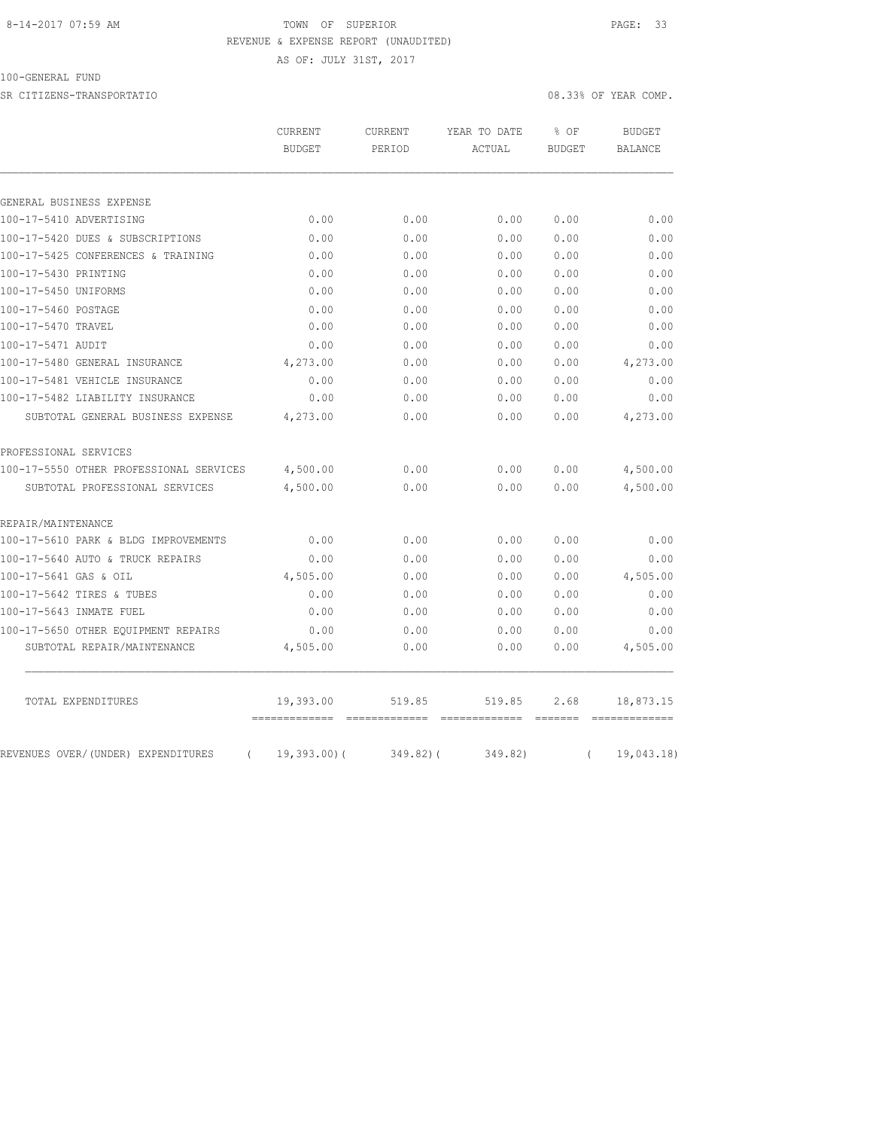#### 8-14-2017 07:59 AM TOWN OF SUPERIOR PAGE: 33 REVENUE & EXPENSE REPORT (UNAUDITED)

AS OF: JULY 31ST, 2017

100-GENERAL FUND

SR CITIZENS-TRANSPORTATIO 08.33% OF YEAR COMP.

|                                                | <b>CURRENT</b><br><b>BUDGET</b> | CURRENT<br>PERIOD | YEAR TO DATE<br>ACTUAL | % OF<br><b>BUDGET</b> | <b>BUDGET</b><br><b>BALANCE</b> |
|------------------------------------------------|---------------------------------|-------------------|------------------------|-----------------------|---------------------------------|
|                                                |                                 |                   |                        |                       |                                 |
|                                                |                                 |                   |                        |                       |                                 |
| GENERAL BUSINESS EXPENSE                       |                                 |                   |                        |                       |                                 |
| 100-17-5410 ADVERTISING                        | 0.00                            | 0.00              | 0.00                   | 0.00                  | 0.00                            |
| 100-17-5420 DUES & SUBSCRIPTIONS               | 0.00                            | 0.00              | 0.00                   | 0.00                  | 0.00                            |
| 100-17-5425 CONFERENCES & TRAINING             | 0.00                            | 0.00              | 0.00                   | 0.00                  | 0.00                            |
| 100-17-5430 PRINTING                           | 0.00                            | 0.00              | 0.00                   | 0.00                  | 0.00                            |
| 100-17-5450 UNIFORMS                           | 0.00                            | 0.00              | 0.00                   | 0.00                  | 0.00                            |
| 100-17-5460 POSTAGE                            | 0.00                            | 0.00              | 0.00                   | 0.00                  | 0.00                            |
| 100-17-5470 TRAVEL                             | 0.00                            | 0.00              | 0.00                   | 0.00                  | 0.00                            |
| 100-17-5471 AUDIT                              | 0.00                            | 0.00              | 0.00                   | 0.00                  | 0.00                            |
| 100-17-5480 GENERAL INSURANCE                  | 4,273.00                        | 0.00              | 0.00                   | 0.00                  | 4,273.00                        |
| 100-17-5481 VEHICLE INSURANCE                  | 0.00                            | 0.00              | 0.00                   | 0.00                  | 0.00                            |
| 100-17-5482 LIABILITY INSURANCE                | 0.00                            | 0.00              | 0.00                   | 0.00                  | 0.00                            |
| SUBTOTAL GENERAL BUSINESS EXPENSE              | 4,273.00                        | 0.00              | 0.00                   | 0.00                  | 4,273.00                        |
| PROFESSIONAL SERVICES                          |                                 |                   |                        |                       |                                 |
| 100-17-5550 OTHER PROFESSIONAL SERVICES        | 4,500.00                        | 0.00              | 0.00                   | 0.00                  | 4,500.00                        |
| SUBTOTAL PROFESSIONAL SERVICES                 | 4,500.00                        | 0.00              | 0.00                   | 0.00                  | 4,500.00                        |
| REPAIR/MAINTENANCE                             |                                 |                   |                        |                       |                                 |
| 100-17-5610 PARK & BLDG IMPROVEMENTS           | 0.00                            | 0.00              | 0.00                   | 0.00                  | 0.00                            |
| 100-17-5640 AUTO & TRUCK REPAIRS               | 0.00                            | 0.00              | 0.00                   | 0.00                  | 0.00                            |
| 100-17-5641 GAS & OIL                          | 4,505.00                        | 0.00              | 0.00                   | 0.00                  | 4,505.00                        |
| 100-17-5642 TIRES & TUBES                      | 0.00                            | 0.00              | 0.00                   | 0.00                  | 0.00                            |
| 100-17-5643 INMATE FUEL                        | 0.00                            | 0.00              | 0.00                   | 0.00                  | 0.00                            |
| 100-17-5650 OTHER EQUIPMENT REPAIRS            | 0.00                            | 0.00              | 0.00                   | 0.00                  | 0.00                            |
| SUBTOTAL REPAIR/MAINTENANCE                    | 4,505.00                        | 0.00              | 0.00                   | 0.00                  | 4,505.00                        |
| TOTAL EXPENDITURES                             | 19,393.00                       | 519.85            | 519.85                 | 2.68                  | 18,873.15                       |
| REVENUES OVER/(UNDER) EXPENDITURES<br>$\left($ | $19,393.00$ (                   | $349.82$ ) (      | 349.82)                | $\left($              | 19,043.18)                      |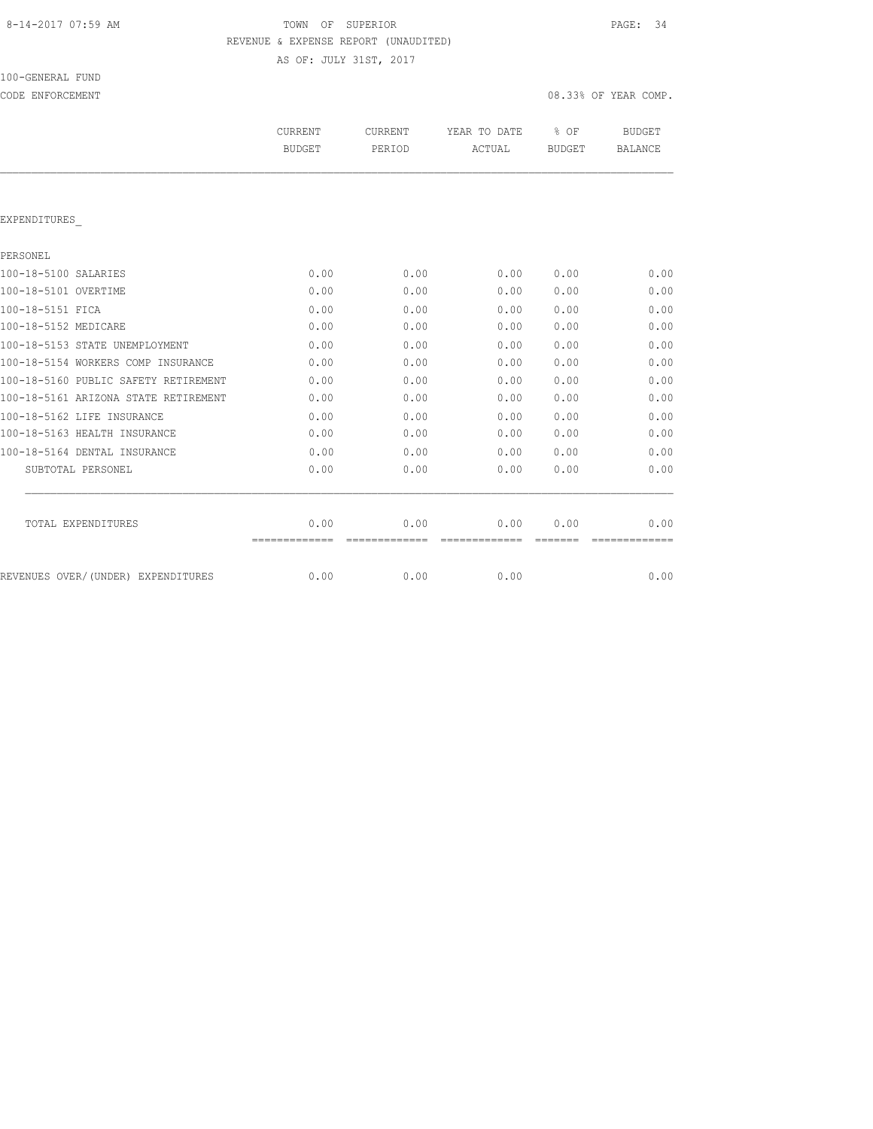# 8-14-2017 07:59 AM TOWN OF SUPERIOR PAGE: 34 REVENUE & EXPENSE REPORT (UNAUDITED)

AS OF: JULY 31ST, 2017

100-GENERAL FUND

| CODE ENFORCEMENT                     |                          |                          |                        |                | 08.33% OF YEAR COMP.            |
|--------------------------------------|--------------------------|--------------------------|------------------------|----------------|---------------------------------|
|                                      | CURRENT<br><b>BUDGET</b> | <b>CURRENT</b><br>PERIOD | YEAR TO DATE<br>ACTUAL | % OF<br>BUDGET | <b>BUDGET</b><br><b>BALANCE</b> |
|                                      |                          |                          |                        |                |                                 |
| EXPENDITURES                         |                          |                          |                        |                |                                 |
| PERSONEL                             |                          |                          |                        |                |                                 |
| 100-18-5100 SALARIES                 | 0.00                     | 0.00                     | 0.00                   | 0.00           | 0.00                            |
| 100-18-5101 OVERTIME                 | 0.00                     | 0.00                     | 0.00                   | 0.00           | 0.00                            |
| 100-18-5151 FICA                     | 0.00                     | 0.00                     | 0.00                   | 0.00           | 0.00                            |
| 100-18-5152 MEDICARE                 | 0.00                     | 0.00                     | 0.00                   | 0.00           | 0.00                            |
| 100-18-5153 STATE UNEMPLOYMENT       | 0.00                     | 0.00                     | 0.00                   | 0.00           | 0.00                            |
| 100-18-5154 WORKERS COMP INSURANCE   | 0.00                     | 0.00                     | 0.00                   | 0.00           | 0.00                            |
| 100-18-5160 PUBLIC SAFETY RETIREMENT | 0.00                     | 0.00                     | 0.00                   | 0.00           | 0.00                            |
| 100-18-5161 ARIZONA STATE RETIREMENT | 0.00                     | 0.00                     | 0.00                   | 0.00           | 0.00                            |
| 100-18-5162 LIFE INSURANCE           | 0.00                     | 0.00                     | 0.00                   | 0.00           | 0.00                            |
| 100-18-5163 HEALTH INSURANCE         | 0.00                     | 0.00                     | 0.00                   | 0.00           | 0.00                            |
| 100-18-5164 DENTAL INSURANCE         | 0.00                     | 0.00                     | 0.00                   | 0.00           | 0.00                            |
| SUBTOTAL PERSONEL                    | 0.00                     | 0.00                     | 0.00                   | 0.00           | 0.00                            |
| TOTAL EXPENDITURES                   | 0.00                     | 0.00                     | 0.00                   | 0.00           | 0.00                            |

REVENUES OVER/(UNDER) EXPENDITURES 0.00 0.00 0.00 0.00 0.00 0.00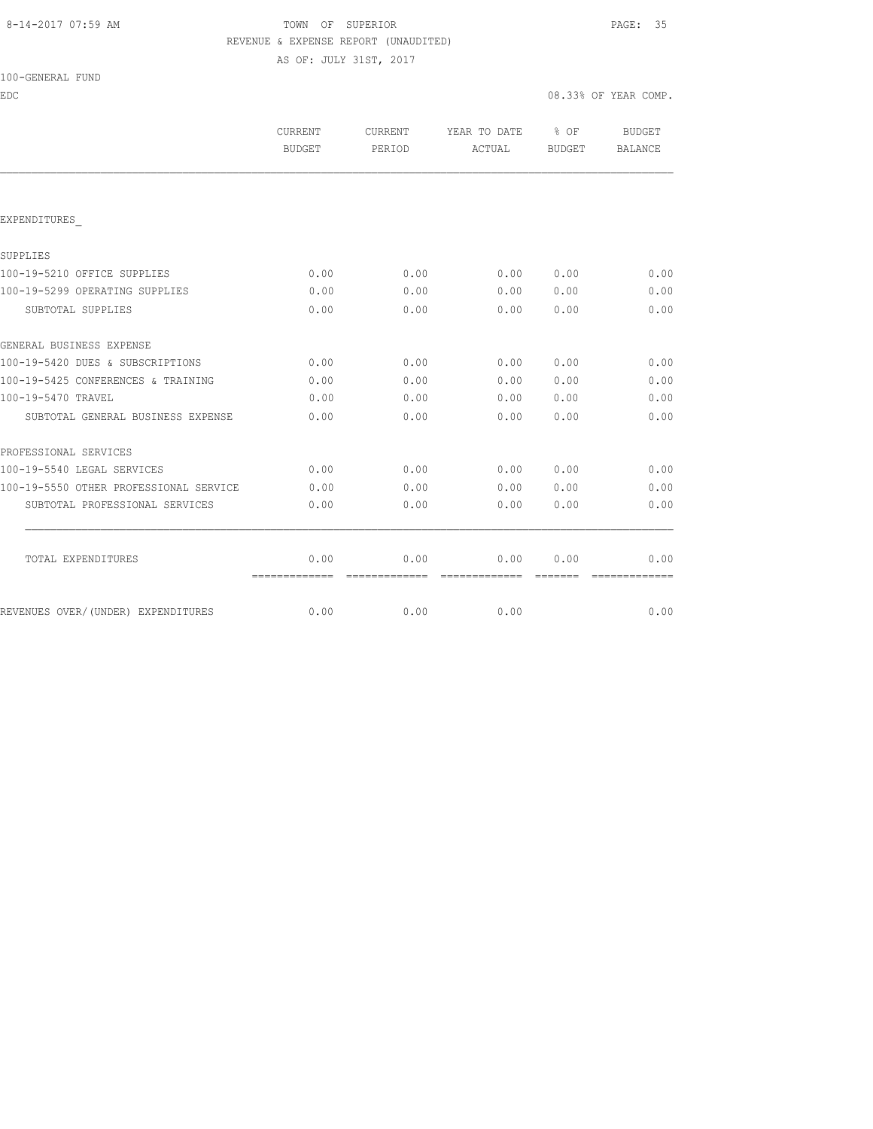# 8-14-2017 07:59 AM TOWN OF SUPERIOR PAGE: 35 REVENUE & EXPENSE REPORT (UNAUDITED)

AS OF: JULY 31ST, 2017

| 100-GENERAL FUND |
|------------------|
|------------------|

| EDC                                    |                          |                   |                        |                            | 08.33% OF YEAR COMP.     |
|----------------------------------------|--------------------------|-------------------|------------------------|----------------------------|--------------------------|
|                                        | CURRENT<br><b>BUDGET</b> | CURRENT<br>PERIOD | YEAR TO DATE<br>ACTUAL | $\frac{1}{2}$ OF<br>BUDGET | <b>BUDGET</b><br>BALANCE |
|                                        |                          |                   |                        |                            |                          |
| EXPENDITURES                           |                          |                   |                        |                            |                          |
| SUPPLIES                               |                          |                   |                        |                            |                          |
| 100-19-5210 OFFICE SUPPLIES            | 0.00                     | 0.00              | 0.00                   | 0.00                       | 0.00                     |
| 100-19-5299 OPERATING SUPPLIES         | 0.00                     | 0.00              | 0.00                   | 0.00                       | 0.00                     |
| SUBTOTAL SUPPLIES                      | 0.00                     | 0.00              | 0.00                   | 0.00                       | 0.00                     |
| GENERAL BUSINESS EXPENSE               |                          |                   |                        |                            |                          |
| 100-19-5420 DUES & SUBSCRIPTIONS       | 0.00                     | 0.00              | 0.00                   | 0.00                       | 0.00                     |
| 100-19-5425 CONFERENCES & TRAINING     | 0.00                     | 0.00              | 0.00                   | 0.00                       | 0.00                     |
| 100-19-5470 TRAVEL                     | 0.00                     | 0.00              | 0.00                   | 0.00                       | 0.00                     |
| SUBTOTAL GENERAL BUSINESS EXPENSE      | 0.00                     | 0.00              | 0.00                   | 0.00                       | 0.00                     |
| PROFESSIONAL SERVICES                  |                          |                   |                        |                            |                          |
| 100-19-5540 LEGAL SERVICES             | 0.00                     | 0.00              | 0.00                   | 0.00                       | 0.00                     |
| 100-19-5550 OTHER PROFESSIONAL SERVICE | 0.00                     | 0.00              | 0.00                   | 0.00                       | 0.00                     |
| SUBTOTAL PROFESSIONAL SERVICES         | 0.00                     | 0.00              | 0.00                   | 0.00                       | 0.00                     |
| TOTAL EXPENDITURES                     | 0.00                     | 0.00              | 0.00                   | 0.00                       | 0.00                     |
| REVENUES OVER/(UNDER) EXPENDITURES     | 0.00                     | 0.00              | 0.00                   |                            | 0.00                     |
|                                        |                          |                   |                        |                            |                          |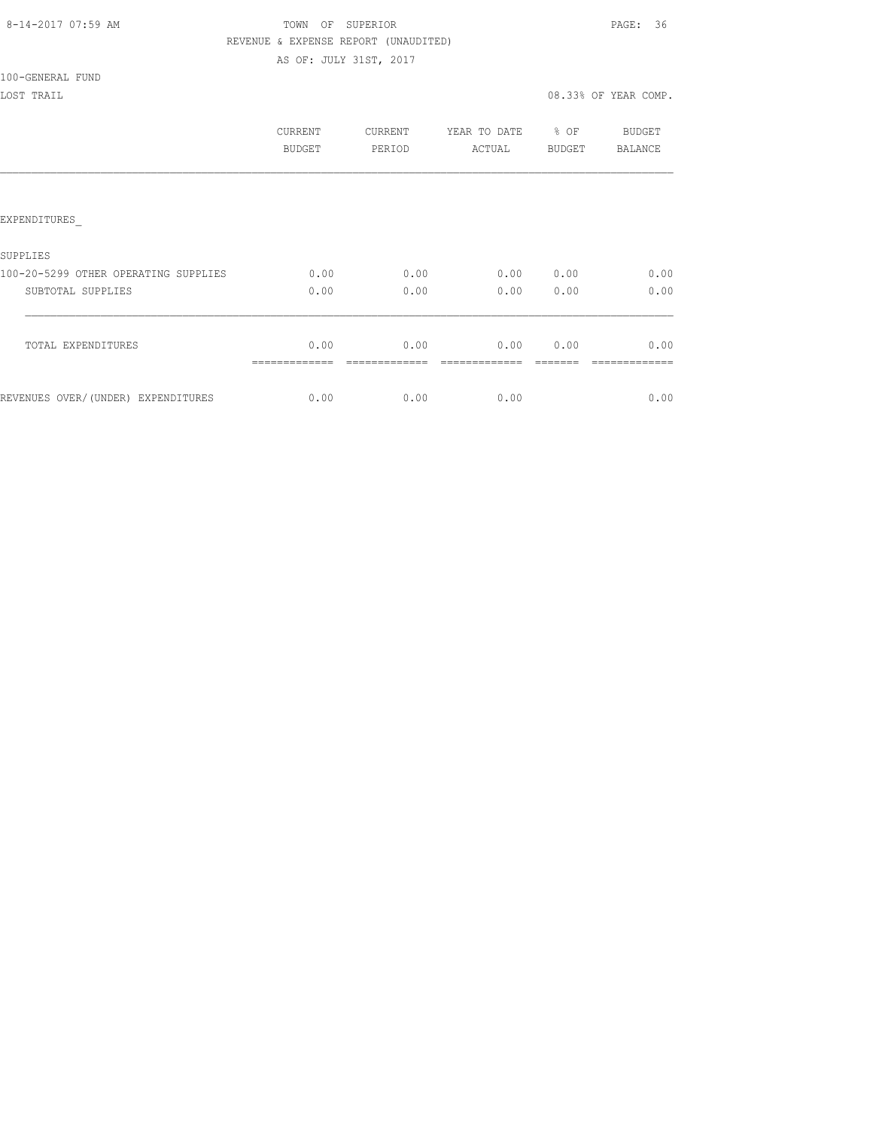## 8-14-2017 07:59 AM TOWN OF SUPERIOR PAGE: 36 REVENUE & EXPENSE REPORT (UNAUDITED) AS OF: JULY 31ST, 2017

100-GENERAL FUND

|                                      | CURRENT<br><b>BUDGET</b> | <b>CURRENT</b><br>PERIOD | YEAR TO DATE<br>ACTUAL | % OF<br><b>BUDGET</b> | BUDGET<br>BALANCE |
|--------------------------------------|--------------------------|--------------------------|------------------------|-----------------------|-------------------|
|                                      |                          |                          |                        |                       |                   |
| EXPENDITURES                         |                          |                          |                        |                       |                   |
| SUPPLIES                             |                          |                          |                        |                       |                   |
| 100-20-5299 OTHER OPERATING SUPPLIES | 0.00                     | 0.00                     | 0.00                   | 0.00                  | 0.00              |
| SUBTOTAL SUPPLIES                    | 0.00                     | 0.00                     | 0.00                   | 0.00                  | 0.00              |
| TOTAL EXPENDITURES                   | 0.00                     | 0.00                     | 0.00                   | 0.00                  | 0.00              |
| REVENUES OVER/(UNDER) EXPENDITURES   | 0.00                     | 0.00                     | 0.00                   |                       | 0.00              |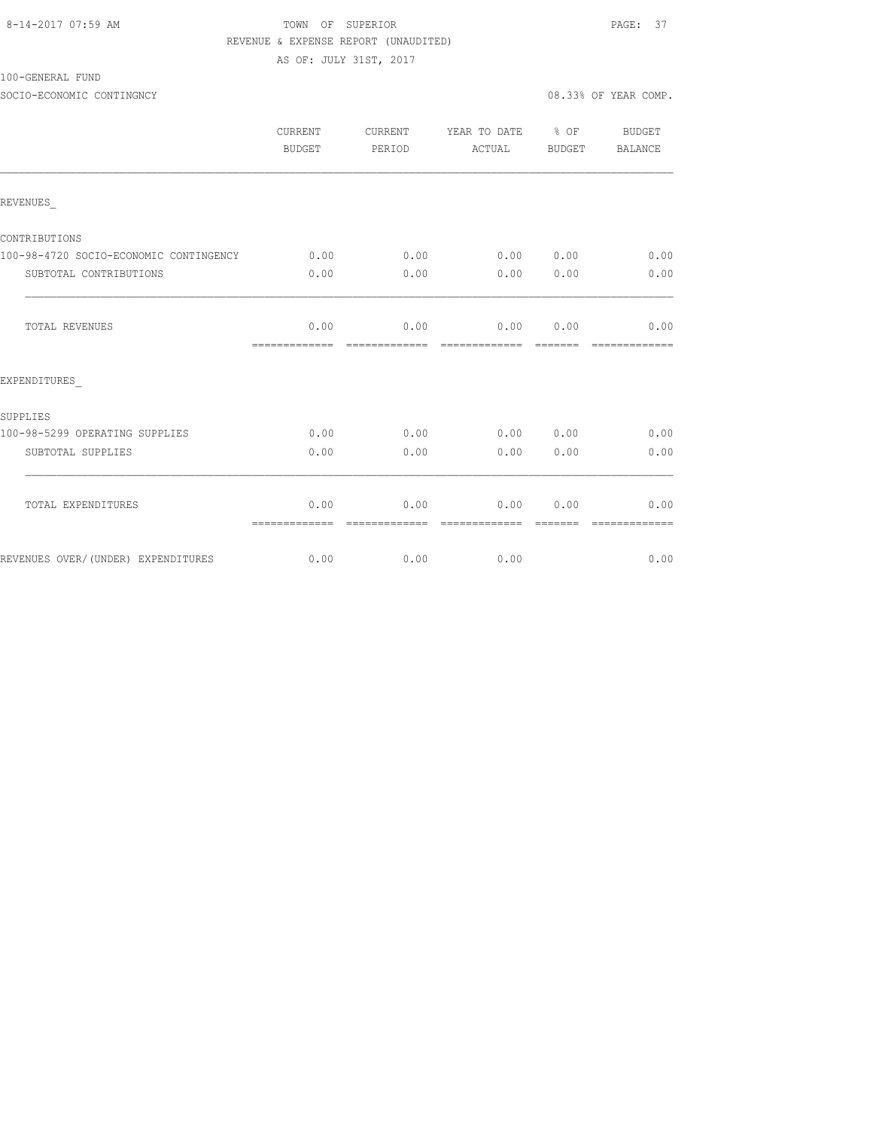### 8-14-2017 07:59 AM TOWN OF SUPERIOR PAGE: 37 REVENUE & EXPENSE REPORT (UNAUDITED) AS OF: JULY 31ST, 2017

100-GENERAL FUND

|                                        | <b>CURRENT</b><br>BUDGET | CURRENT<br>PERIOD     | YEAR TO DATE % OF<br>ACTUAL | BUDGET          | BUDGET<br>BALANCE     |
|----------------------------------------|--------------------------|-----------------------|-----------------------------|-----------------|-----------------------|
| REVENUES                               |                          |                       |                             |                 |                       |
| CONTRIBUTIONS                          |                          |                       |                             |                 |                       |
| 100-98-4720 SOCIO-ECONOMIC CONTINGENCY | 0.00                     | 0.00                  | 0.00 0.00                   |                 | 0.00                  |
| SUBTOTAL CONTRIBUTIONS                 | 0.00                     | 0.00                  | 0.00                        | 0.00            | 0.00                  |
| TOTAL REVENUES                         | 0.00<br>=============    | 0.00<br>============= | 0.00<br>=============       | 0.00<br>------- | 0.00<br>============= |
| EXPENDITURES                           |                          |                       |                             |                 |                       |
| SUPPLIES                               |                          |                       |                             |                 |                       |
| 100-98-5299 OPERATING SUPPLIES         | 0.00                     | 0.00                  | $0.00$ $0.00$               |                 | 0.00                  |
| SUBTOTAL SUPPLIES                      | 0.00                     | 0.00                  | 0.00                        | 0.00            | 0.00                  |
| TOTAL EXPENDITURES                     | 0.00<br>=============    | 0.00<br>============= | 0.00<br>--------------      | 0.00            | 0.00                  |
| REVENUES OVER/(UNDER) EXPENDITURES     | 0.00                     | 0.00                  | 0.00                        |                 | 0.00                  |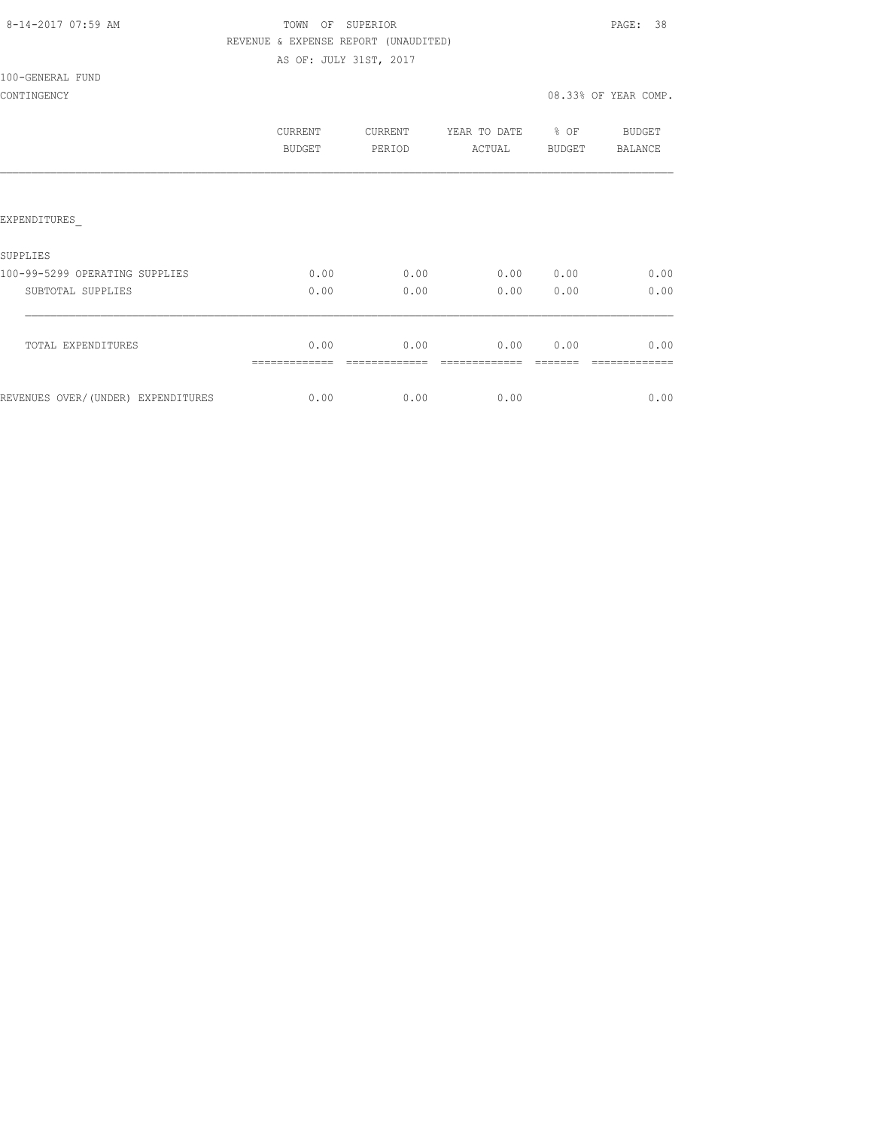AS OF: JULY 31ST, 2017

### 100-GENERAL FUND

|                                    | CURRENT<br><b>BUDGET</b> | <b>CURRENT</b><br>PERIOD | YEAR TO DATE<br>ACTUAL | % OF<br><b>BUDGET</b> | BUDGET<br>BALANCE |
|------------------------------------|--------------------------|--------------------------|------------------------|-----------------------|-------------------|
|                                    |                          |                          |                        |                       |                   |
| EXPENDITURES                       |                          |                          |                        |                       |                   |
| <b>SUPPLIES</b>                    |                          |                          |                        |                       |                   |
| 100-99-5299 OPERATING SUPPLIES     | 0.00                     | 0.00                     | 0.00                   | 0.00                  | 0.00              |
| SUBTOTAL SUPPLIES                  | 0.00                     | 0.00                     | 0.00                   | 0.00                  | 0.00              |
| TOTAL EXPENDITURES                 | 0.00                     | 0.00                     | 0.00                   | 0.00                  | 0.00              |
| REVENUES OVER/(UNDER) EXPENDITURES | 0.00                     | 0.00                     | 0.00                   |                       | 0.00              |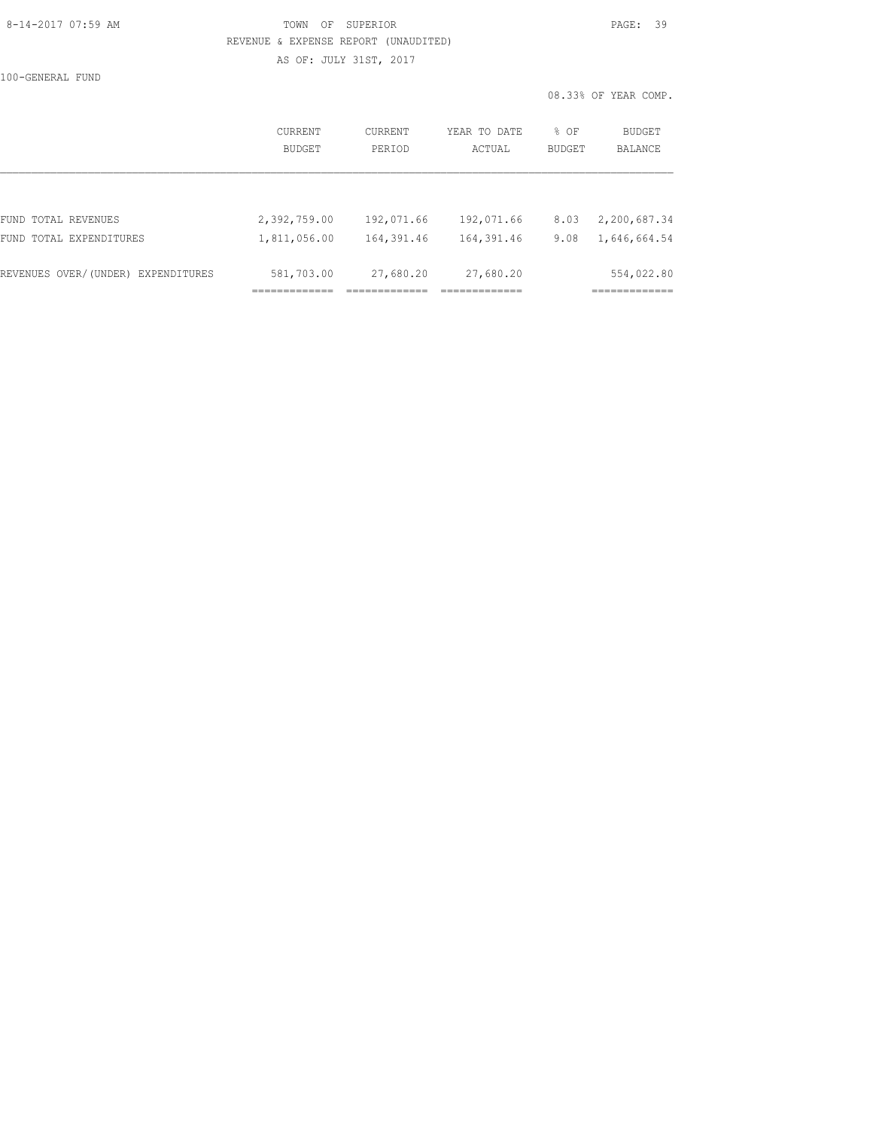## 8-14-2017 07:59 AM TOWN OF SUPERIOR PAGE: 39 REVENUE & EXPENSE REPORT (UNAUDITED) AS OF: JULY 31ST, 2017

100-GENERAL FUND

|                                    | <b>CURRENT</b> | CURRENT    | YEAR TO DATE | % OF          | <b>BUDGET</b> |
|------------------------------------|----------------|------------|--------------|---------------|---------------|
|                                    | <b>BUDGET</b>  | PERIOD     | ACTUAL       | <b>BUDGET</b> | BALANCE       |
| FUND TOTAL REVENUES                | 2,392,759.00   | 192,071.66 | 192,071.66   | 8.03          | 2,200,687.34  |
| FUND TOTAL EXPENDITURES            | 1,811,056.00   | 164,391.46 | 164,391.46   | 9.08          | 1,646,664.54  |
| REVENUES OVER/(UNDER) EXPENDITURES | 581,703.00     | 27,680.20  | 27,680.20    |               | 554,022.80    |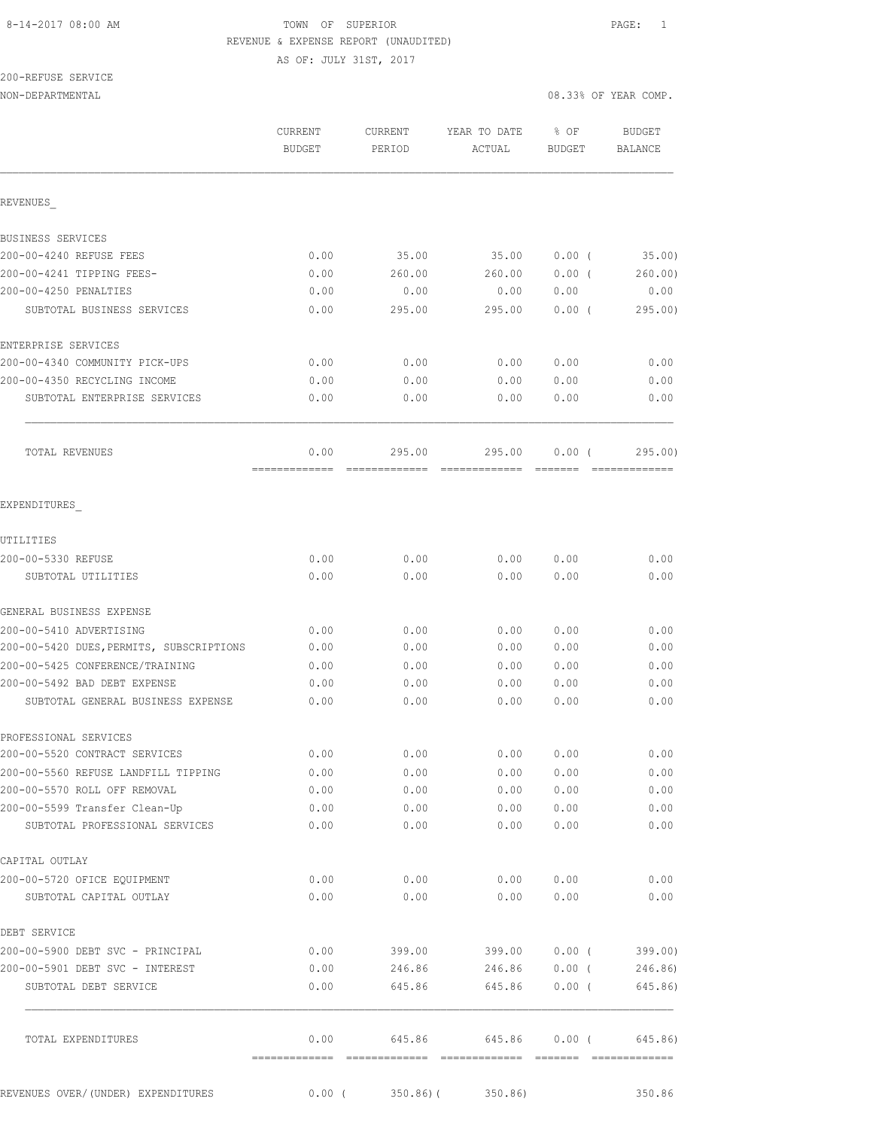AS OF: JULY 31ST, 2017

# 200-REFUSE SERVICE

NON-DEPARTMENTAL 08.33% OF YEAR COMP.

|                                                                 | CURRENT<br>BUDGET | <b>CURRENT</b><br>PERIOD | YEAR TO DATE<br>ACTUAL | % OF<br>BUDGET | BUDGET<br>BALANCE |
|-----------------------------------------------------------------|-------------------|--------------------------|------------------------|----------------|-------------------|
| REVENUES                                                        |                   |                          |                        |                |                   |
| BUSINESS SERVICES                                               |                   |                          |                        |                |                   |
| 200-00-4240 REFUSE FEES                                         | 0.00              | 35.00                    | 35.00                  | $0.00$ (       | 35.00)            |
| 200-00-4241 TIPPING FEES-                                       | 0.00              | 260.00                   | 260.00                 | 0.00(          | 260.00            |
| 200-00-4250 PENALTIES                                           | 0.00              | 0.00                     | 0.00                   | 0.00           | 0.00              |
| SUBTOTAL BUSINESS SERVICES                                      | 0.00              | 295.00                   | 295.00                 | $0.00$ (       | 295.00            |
| ENTERPRISE SERVICES                                             |                   |                          |                        |                |                   |
| 200-00-4340 COMMUNITY PICK-UPS                                  | 0.00              | 0.00                     | 0.00                   | 0.00           | 0.00              |
| 200-00-4350 RECYCLING INCOME                                    | 0.00              | 0.00                     | 0.00                   | 0.00           | 0.00              |
| SUBTOTAL ENTERPRISE SERVICES                                    | 0.00              | 0.00                     | 0.00                   | 0.00           | 0.00              |
| <b>TOTAL REVENUES</b>                                           | 0.00              | 295.00                   | 295.00                 | 0.00(          | 295.00            |
| EXPENDITURES                                                    |                   |                          |                        |                |                   |
|                                                                 |                   |                          |                        |                |                   |
| UTILITIES<br>200-00-5330 REFUSE                                 | 0.00              | 0.00                     | 0.00                   | 0.00           | 0.00              |
| SUBTOTAL UTILITIES                                              | 0.00              | 0.00                     | 0.00                   | 0.00           | 0.00              |
| GENERAL BUSINESS EXPENSE                                        |                   |                          |                        |                |                   |
| 200-00-5410 ADVERTISING                                         | 0.00              | 0.00                     | 0.00                   | 0.00           | 0.00              |
| 200-00-5420 DUES, PERMITS, SUBSCRIPTIONS                        | 0.00              | 0.00                     | 0.00                   | 0.00           | 0.00              |
| 200-00-5425 CONFERENCE/TRAINING                                 | 0.00              | 0.00                     | 0.00                   | 0.00           | 0.00              |
| 200-00-5492 BAD DEBT EXPENSE                                    | 0.00              | 0.00                     | 0.00                   | 0.00           | 0.00              |
| SUBTOTAL GENERAL BUSINESS EXPENSE                               | 0.00              | 0.00                     | 0.00                   | 0.00           | 0.00              |
| PROFESSIONAL SERVICES                                           |                   |                          |                        |                |                   |
| 200-00-5520 CONTRACT SERVICES                                   | 0.00              | 0.00                     | 0.00                   | 0.00           | 0.00              |
| 200-00-5560 REFUSE LANDFILL TIPPING                             | 0.00              | 0.00                     | 0.00                   | 0.00           | 0.00              |
| 200-00-5570 ROLL OFF REMOVAL                                    | 0.00              | 0.00                     | 0.00                   | 0.00           | 0.00              |
| 200-00-5599 Transfer Clean-Up<br>SUBTOTAL PROFESSIONAL SERVICES | 0.00<br>0.00      | 0.00<br>0.00             | 0.00<br>0.00           | 0.00<br>0.00   | 0.00<br>0.00      |
| CAPITAL OUTLAY                                                  |                   |                          |                        |                |                   |
| 200-00-5720 OFICE EQUIPMENT                                     | 0.00              | 0.00                     | 0.00                   | 0.00           | 0.00              |
| SUBTOTAL CAPITAL OUTLAY                                         | 0.00              | 0.00                     | 0.00                   | 0.00           | 0.00              |
| DEBT SERVICE                                                    |                   |                          |                        |                |                   |
| 200-00-5900 DEBT SVC - PRINCIPAL                                | 0.00              | 399.00                   | 399.00                 | $0.00$ (       | 399.00)           |
| 200-00-5901 DEBT SVC - INTEREST                                 | 0.00              | 246.86                   | 246.86                 | $0.00$ (       | 246.86)           |
| SUBTOTAL DEBT SERVICE                                           | 0.00              | 645.86                   | 645.86                 | $0.00$ (       | 645.86)           |
| TOTAL EXPENDITURES                                              | 0.00              | 645.86                   | 645.86                 | $0.00$ (       | 645.86)           |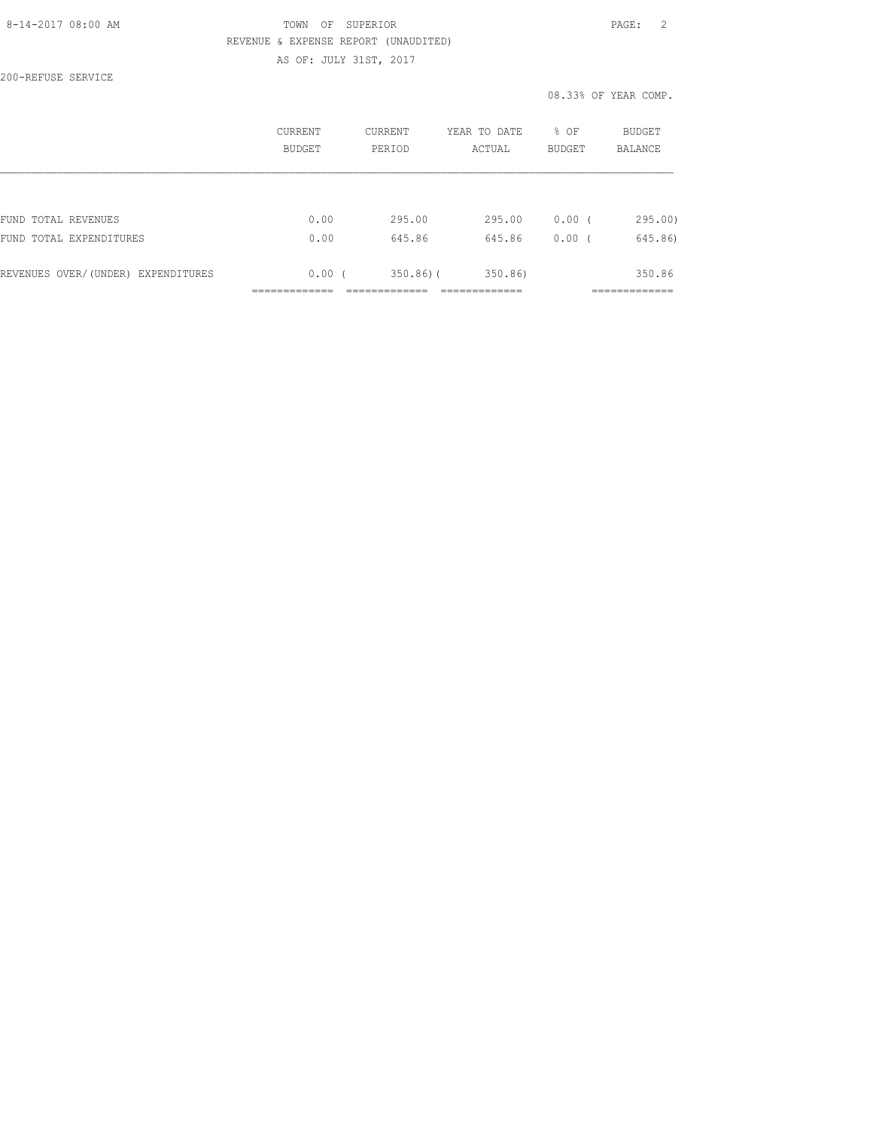### 8-14-2017 08:00 AM TOWN OF SUPERIOR PAGE: 2 REVENUE & EXPENSE REPORT (UNAUDITED) AS OF: JULY 31ST, 2017

200-REFUSE SERVICE

|                                    | CURRENT<br>BUDGET | CURRENT<br>PERTOD | YEAR TO DATE<br>ACTUAL | % OF<br><b>BUDGET</b> | <b>BUDGET</b><br>BALANCE |
|------------------------------------|-------------------|-------------------|------------------------|-----------------------|--------------------------|
|                                    |                   |                   |                        |                       |                          |
| FUND TOTAL REVENUES                | 0.00              | 295.00            | 295.00                 | $0.00$ (              | 295.00                   |
| FUND TOTAL EXPENDITURES            | 0.00              | 645.86            | 645.86                 | 0.00(                 | 645.86)                  |
| REVENUES OVER/(UNDER) EXPENDITURES | 0.00(             | $350.86$ ) (      | 350.86)                |                       | 350.86                   |
|                                    |                   |                   |                        |                       |                          |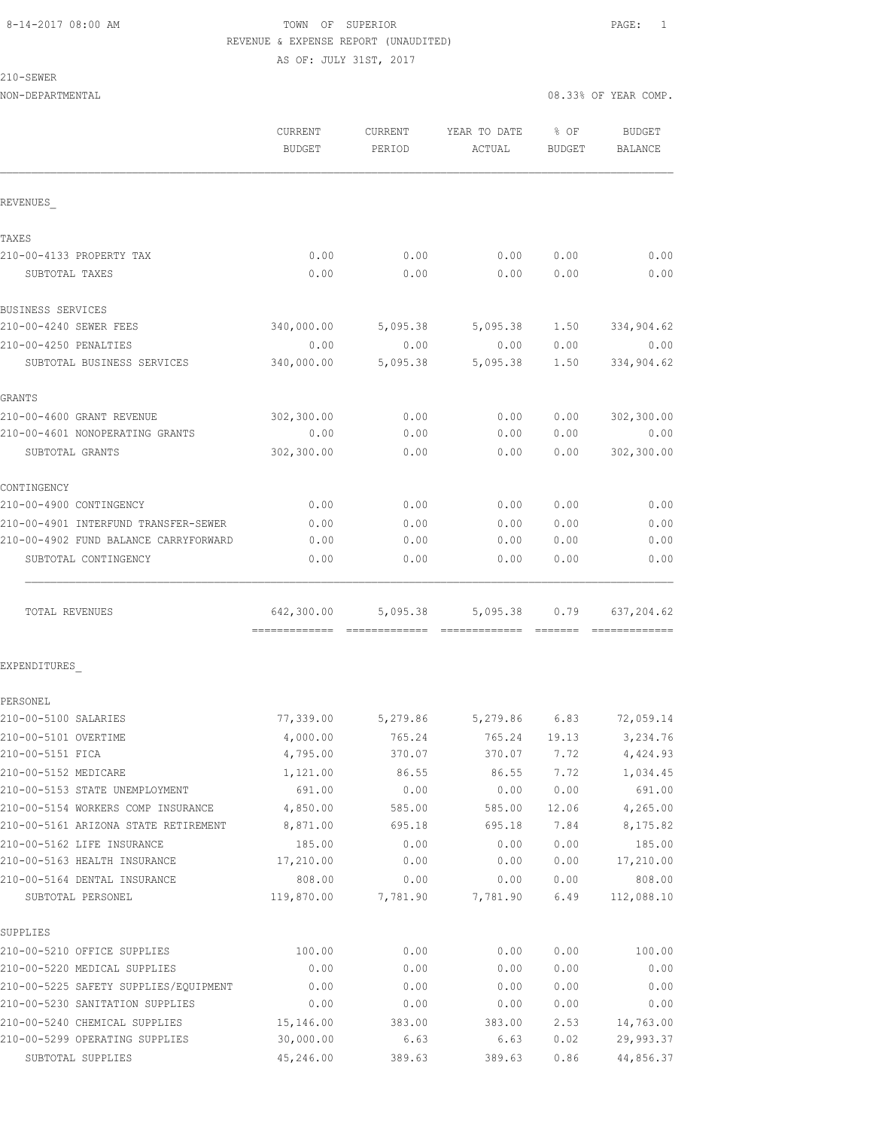AS OF: JULY 31ST, 2017

### 210-SEWER

| NON-DEPARTMENTAL                                             |                          |                   |                        |                       | 08.33% OF YEAR COMP. |
|--------------------------------------------------------------|--------------------------|-------------------|------------------------|-----------------------|----------------------|
|                                                              | CURRENT<br><b>BUDGET</b> | CURRENT<br>PERIOD | YEAR TO DATE<br>ACTUAL | % OF<br><b>BUDGET</b> | BUDGET<br>BALANCE    |
| REVENUES                                                     |                          |                   |                        |                       |                      |
| TAXES                                                        |                          |                   |                        |                       |                      |
| 210-00-4133 PROPERTY TAX                                     | 0.00                     | 0.00              | 0.00                   | 0.00                  | 0.00                 |
| SUBTOTAL TAXES                                               | 0.00                     | 0.00              | 0.00                   | 0.00                  | 0.00                 |
| BUSINESS SERVICES                                            |                          |                   |                        |                       |                      |
| 210-00-4240 SEWER FEES                                       | 340,000.00               | 5,095.38          | 5,095.38               | 1.50                  | 334,904.62           |
| 210-00-4250 PENALTIES                                        | 0.00                     | 0.00              | 0.00                   | 0.00                  | 0.00                 |
| SUBTOTAL BUSINESS SERVICES                                   | 340,000.00               | 5,095.38          | 5,095.38               | 1.50                  | 334,904.62           |
| GRANTS                                                       |                          |                   |                        |                       |                      |
| 210-00-4600 GRANT REVENUE                                    | 302,300.00               | 0.00              | 0.00                   | 0.00                  | 302,300.00           |
| 210-00-4601 NONOPERATING GRANTS                              | 0.00                     | 0.00              | 0.00                   | 0.00                  | 0.00                 |
| SUBTOTAL GRANTS                                              | 302,300.00               | 0.00              | 0.00                   | 0.00                  | 302,300.00           |
| CONTINGENCY                                                  |                          |                   |                        |                       |                      |
| 210-00-4900 CONTINGENCY                                      | 0.00                     | 0.00              | 0.00                   | 0.00                  | 0.00                 |
| 210-00-4901 INTERFUND TRANSFER-SEWER                         | 0.00                     | 0.00              | 0.00                   | 0.00                  | 0.00                 |
| 210-00-4902 FUND BALANCE CARRYFORWARD                        | 0.00                     | 0.00              | 0.00                   | 0.00                  | 0.00                 |
| SUBTOTAL CONTINGENCY                                         | 0.00                     | 0.00              | 0.00                   | 0.00                  | 0.00                 |
| TOTAL REVENUES                                               | 642,300.00               | 5,095.38          | 5,095.38               | 0.79                  | 637,204.62           |
|                                                              |                          |                   |                        |                       |                      |
| EXPENDITURES                                                 |                          |                   |                        |                       |                      |
| PERSONEL                                                     |                          |                   |                        |                       |                      |
| 210-00-5100 SALARIES                                         | 77,339.00                |                   | 5,279.86 5,279.86 6.83 |                       | 72,059.14            |
| 210-00-5101 OVERTIME                                         | 4,000.00                 | 765.24            | 765.24                 | 19.13                 | 3,234.76             |
| 210-00-5151 FICA                                             | 4,795.00                 | 370.07            | 370.07                 | 7.72                  | 4,424.93             |
| 210-00-5152 MEDICARE                                         | 1,121.00                 | 86.55             | 86.55                  | 7.72                  | 1,034.45             |
| 210-00-5153 STATE UNEMPLOYMENT                               | 691.00                   | 0.00              | 0.00                   | 0.00                  | 691.00               |
| 210-00-5154 WORKERS COMP INSURANCE                           | 4,850.00                 | 585.00            | 585.00                 | 12.06                 | 4,265.00             |
| 210-00-5161 ARIZONA STATE RETIREMENT                         | 8,871.00                 | 695.18            | 695.18                 | 7.84                  | 8,175.82             |
| 210-00-5162 LIFE INSURANCE                                   | 185.00                   | 0.00              | 0.00                   | 0.00                  | 185.00               |
| 210-00-5163 HEALTH INSURANCE<br>210-00-5164 DENTAL INSURANCE | 17,210.00<br>808.00      | 0.00<br>0.00      | 0.00<br>0.00           | 0.00<br>0.00          | 17,210.00<br>808.00  |
| SUBTOTAL PERSONEL                                            | 119,870.00               | 7,781.90          | 7,781.90               | 6.49                  | 112,088.10           |
| SUPPLIES                                                     |                          |                   |                        |                       |                      |
| 210-00-5210 OFFICE SUPPLIES                                  | 100.00                   | 0.00              | 0.00                   | 0.00                  | 100.00               |
| 210-00-5220 MEDICAL SUPPLIES                                 | 0.00                     | 0.00              | 0.00                   | 0.00                  | 0.00                 |
| 210-00-5225 SAFETY SUPPLIES/EQUIPMENT                        | 0.00                     | 0.00              | 0.00                   | 0.00                  | 0.00                 |
| 210-00-5230 SANITATION SUPPLIES                              | 0.00                     | 0.00              | 0.00                   | 0.00                  | 0.00                 |
| 210-00-5240 CHEMICAL SUPPLIES                                | 15,146.00                | 383.00            | 383.00                 | 2.53                  | 14,763.00            |
| 210-00-5299 OPERATING SUPPLIES                               | 30,000.00                | 6.63              | 6.63                   | 0.02                  | 29,993.37            |

SUBTOTAL SUPPLIES 45,246.00 389.63 389.63 0.86 44,856.37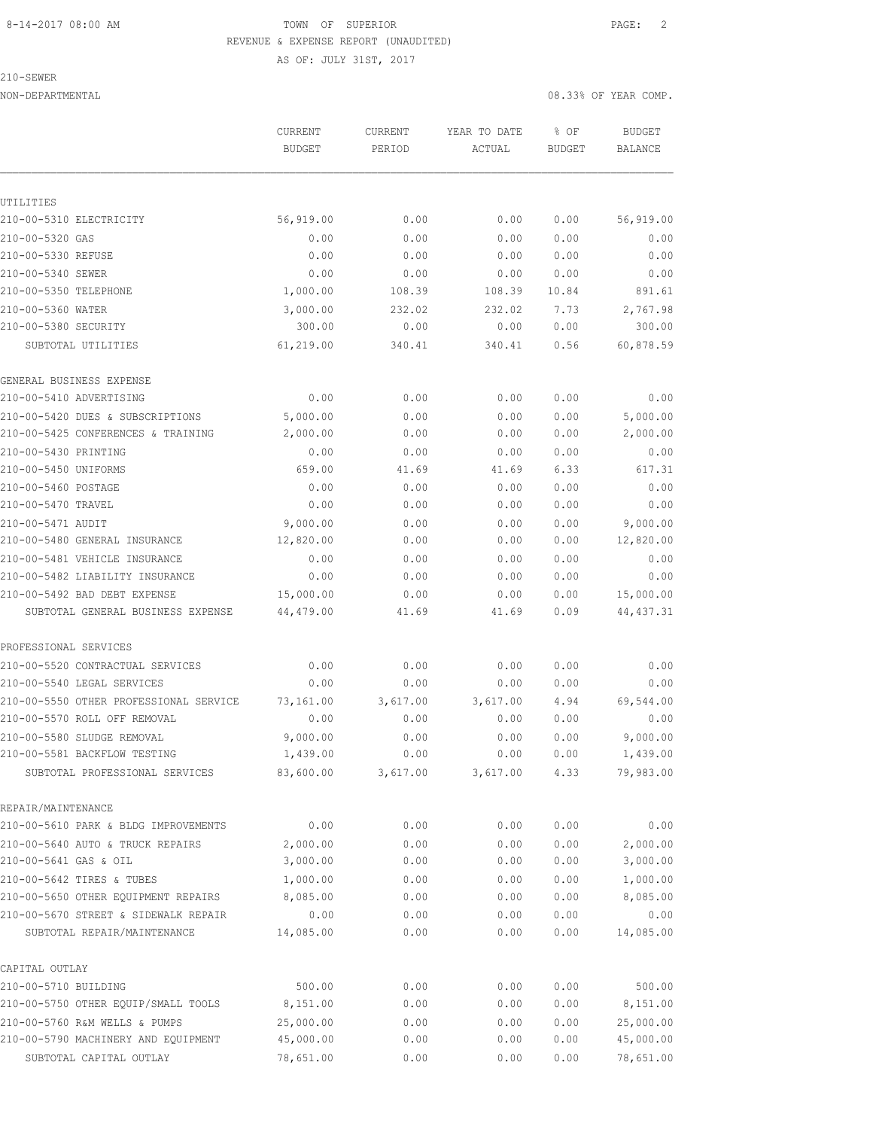AS OF: JULY 31ST, 2017

210-SEWER

NON-DEPARTMENTAL 08.33% OF YEAR COMP.

|                                        | CURRENT<br><b>BUDGET</b> | CURRENT<br>PERIOD | YEAR TO DATE<br>ACTUAL | % OF<br><b>BUDGET</b> | <b>BUDGET</b><br><b>BALANCE</b> |
|----------------------------------------|--------------------------|-------------------|------------------------|-----------------------|---------------------------------|
|                                        |                          |                   |                        |                       |                                 |
| UTILITIES                              |                          |                   |                        |                       |                                 |
| 210-00-5310 ELECTRICITY                | 56,919.00                | 0.00              | 0.00                   | 0.00                  | 56,919.00                       |
| 210-00-5320 GAS                        | 0.00                     | 0.00              | 0.00                   | 0.00                  | 0.00                            |
| 210-00-5330 REFUSE                     | 0.00                     | 0.00              | 0.00                   | 0.00                  | 0.00                            |
| 210-00-5340 SEWER                      | 0.00                     | 0.00              | 0.00                   | 0.00                  | 0.00                            |
| 210-00-5350 TELEPHONE                  | 1,000.00                 | 108.39            | 108.39                 | 10.84                 | 891.61                          |
| 210-00-5360 WATER                      | 3,000.00                 | 232.02            | 232.02                 | 7.73                  | 2,767.98                        |
| 210-00-5380 SECURITY                   | 300.00                   | 0.00              | 0.00                   | 0.00                  | 300.00                          |
| SUBTOTAL UTILITIES                     | 61,219.00                | 340.41            | 340.41                 | 0.56                  | 60,878.59                       |
| GENERAL BUSINESS EXPENSE               |                          |                   |                        |                       |                                 |
| 210-00-5410 ADVERTISING                | 0.00                     | 0.00              | 0.00                   | 0.00                  | 0.00                            |
| 210-00-5420 DUES & SUBSCRIPTIONS       | 5,000.00                 | 0.00              | 0.00                   | 0.00                  | 5,000.00                        |
| 210-00-5425 CONFERENCES & TRAINING     | 2,000.00                 | 0.00              | 0.00                   | 0.00                  | 2,000.00                        |
| 210-00-5430 PRINTING                   | 0.00                     | 0.00              | 0.00                   | 0.00                  | 0.00                            |
| 210-00-5450 UNIFORMS                   | 659.00                   | 41.69             | 41.69                  | 6.33                  | 617.31                          |
| 210-00-5460 POSTAGE                    | 0.00                     | 0.00              | 0.00                   | 0.00                  | 0.00                            |
| 210-00-5470 TRAVEL                     | 0.00                     | 0.00              | 0.00                   | 0.00                  | 0.00                            |
| 210-00-5471 AUDIT                      | 9,000.00                 | 0.00              | 0.00                   | 0.00                  | 9,000.00                        |
| 210-00-5480 GENERAL INSURANCE          | 12,820.00                | 0.00              | 0.00                   | 0.00                  | 12,820.00                       |
| 210-00-5481 VEHICLE INSURANCE          | 0.00                     | 0.00              | 0.00                   | 0.00                  | 0.00                            |
| 210-00-5482 LIABILITY INSURANCE        | 0.00                     | 0.00              | 0.00                   | 0.00                  | 0.00                            |
| 210-00-5492 BAD DEBT EXPENSE           | 15,000.00                | 0.00              | 0.00                   | 0.00                  | 15,000.00                       |
| SUBTOTAL GENERAL BUSINESS EXPENSE      | 44,479.00                | 41.69             | 41.69                  | 0.09                  | 44, 437.31                      |
| PROFESSIONAL SERVICES                  |                          |                   |                        |                       |                                 |
| 210-00-5520 CONTRACTUAL SERVICES       | 0.00                     | 0.00              | 0.00                   | 0.00                  | 0.00                            |
| 210-00-5540 LEGAL SERVICES             | 0.00                     | 0.00              | 0.00                   | 0.00                  | 0.00                            |
| 210-00-5550 OTHER PROFESSIONAL SERVICE | 73,161.00                | 3,617.00          | 3,617.00               | 4.94                  | 69,544.00                       |
| 210-00-5570 ROLL OFF REMOVAL           | 0.00                     | 0.00              | 0.00                   | 0.00                  | 0.00                            |
| 210-00-5580 SLUDGE REMOVAL             | 9,000.00                 | 0.00              | 0.00                   | 0.00                  | 9,000.00                        |
| 210-00-5581 BACKFLOW TESTING           | 1,439.00                 | 0.00              | 0.00                   | 0.00                  | 1,439.00                        |
| SUBTOTAL PROFESSIONAL SERVICES         | 83,600.00                | 3,617.00          | 3,617.00               | 4.33                  | 79,983.00                       |
| REPAIR/MAINTENANCE                     |                          |                   |                        |                       |                                 |
| 210-00-5610 PARK & BLDG IMPROVEMENTS   | 0.00                     | 0.00              | 0.00                   | 0.00                  | 0.00                            |
| 210-00-5640 AUTO & TRUCK REPAIRS       | 2,000.00                 | 0.00              | 0.00                   | 0.00                  | 2,000.00                        |
| 210-00-5641 GAS & OIL                  | 3,000.00                 | 0.00              | 0.00                   | 0.00                  | 3,000.00                        |
| 210-00-5642 TIRES & TUBES              | 1,000.00                 | 0.00              | 0.00                   | 0.00                  | 1,000.00                        |
| 210-00-5650 OTHER EQUIPMENT REPAIRS    | 8,085.00                 | 0.00              | 0.00                   | 0.00                  | 8,085.00                        |
| 210-00-5670 STREET & SIDEWALK REPAIR   | 0.00                     | 0.00              | 0.00                   | 0.00                  | 0.00                            |
| SUBTOTAL REPAIR/MAINTENANCE            | 14,085.00                | 0.00              | 0.00                   | 0.00                  | 14,085.00                       |
| CAPITAL OUTLAY                         |                          |                   |                        |                       |                                 |
| 210-00-5710 BUILDING                   | 500.00                   | 0.00              | 0.00                   | 0.00                  | 500.00                          |
| 210-00-5750 OTHER EQUIP/SMALL TOOLS    | 8,151.00                 | 0.00              | 0.00                   | 0.00                  | 8,151.00                        |
| 210-00-5760 R&M WELLS & PUMPS          | 25,000.00                | 0.00              | 0.00                   | 0.00                  | 25,000.00                       |
| 210-00-5790 MACHINERY AND EQUIPMENT    | 45,000.00                | 0.00              | 0.00                   | 0.00                  | 45,000.00                       |
| SUBTOTAL CAPITAL OUTLAY                | 78,651.00                | 0.00              | 0.00                   | 0.00                  | 78,651.00                       |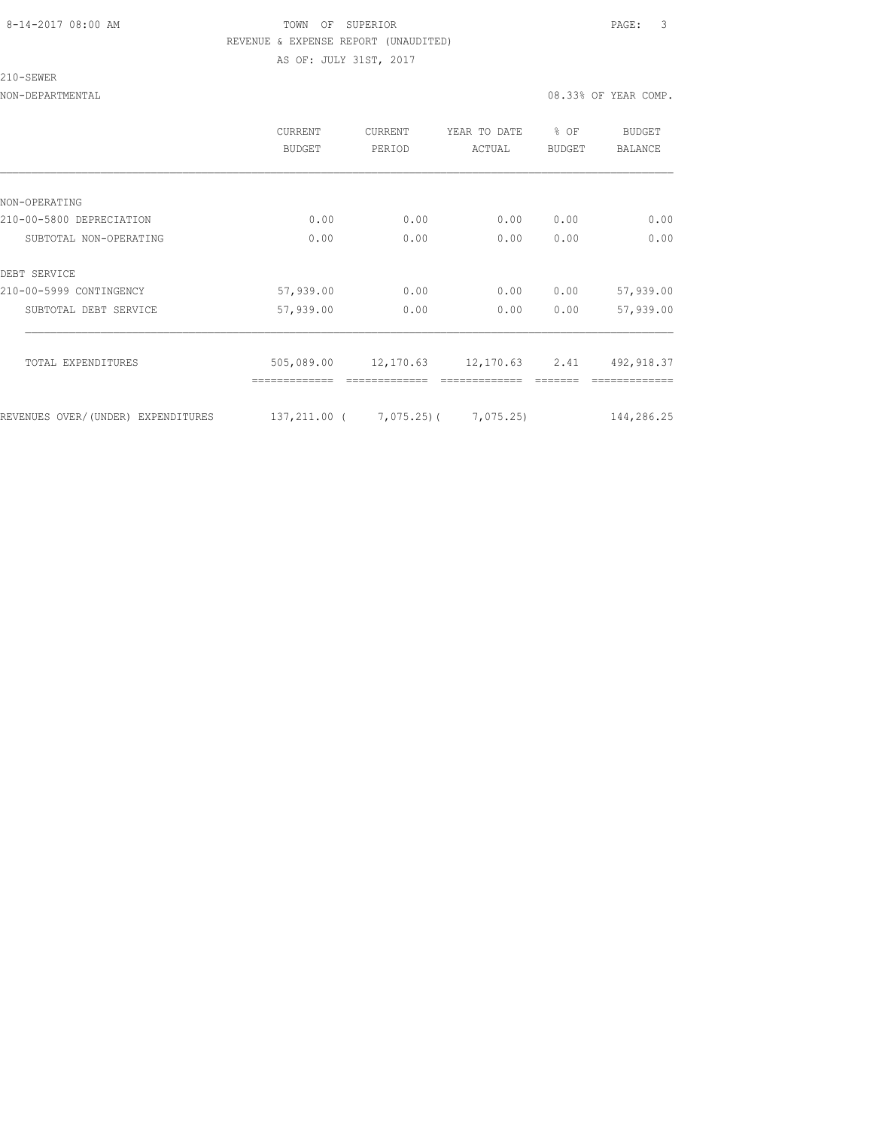AS OF: JULY 31ST, 2017

210-SEWER

NON-DEPARTMENTAL 08.33% OF YEAR COMP.

|                                    | <b>CURRENT</b><br>BUDGET | CURRENT<br>PERIOD | YEAR TO DATE<br>ACTUAL | $8$ OF<br><b>BUDGET</b> | BUDGET<br><b>BALANCE</b> |
|------------------------------------|--------------------------|-------------------|------------------------|-------------------------|--------------------------|
|                                    |                          |                   |                        |                         |                          |
| NON-OPERATING                      |                          |                   |                        |                         |                          |
| 210-00-5800 DEPRECIATION           | 0.00                     | 0.00              | 0.00                   | 0.00                    | 0.00                     |
| SUBTOTAL NON-OPERATING             | 0.00                     | 0.00              | 0.00                   | 0.00                    | 0.00                     |
| DEBT SERVICE                       |                          |                   |                        |                         |                          |
| 210-00-5999 CONTINGENCY            | 57,939.00                | 0.00              | 0.00                   | 0.00                    | 57,939.00                |
| SUBTOTAL DEBT SERVICE              | 57,939.00                | 0.00              | 0.00                   | 0.00                    | 57,939.00                |
| TOTAL EXPENDITURES                 | 505,089.00               | 12,170.63         | 12,170.63              | 2.41                    | 492, 918.37              |
| REVENUES OVER/(UNDER) EXPENDITURES | 137,211.00 (             | 7,075.25)(        | 7,075.25)              |                         | 144,286.25               |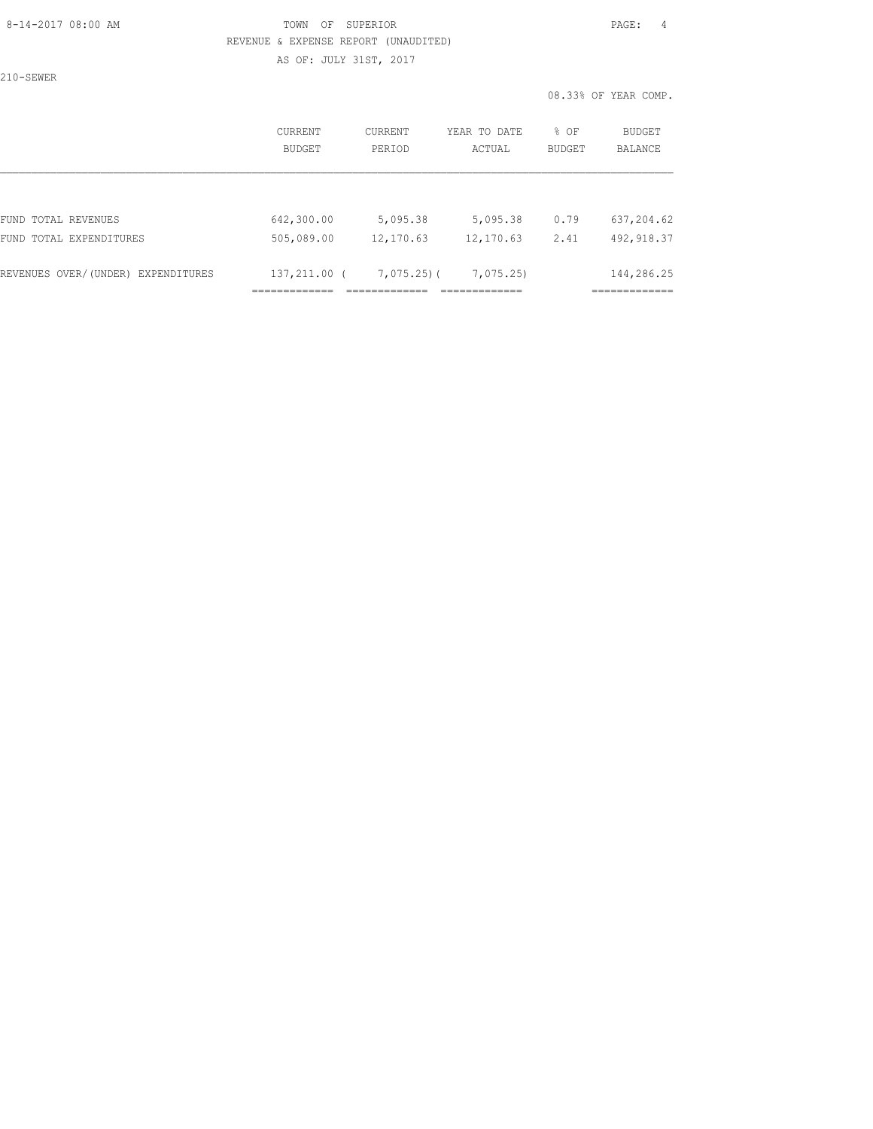## 8-14-2017 08:00 AM TOWN OF SUPERIOR PAGE: 4 REVENUE & EXPENSE REPORT (UNAUDITED) AS OF: JULY 31ST, 2017

210-SEWER

|                                    | CURRENT<br><b>BUDGET</b> | <b>CURRENT</b><br>PERIOD | YEAR TO DATE<br>ACTUAL | % OF<br><b>BUDGET</b> | <b>BUDGET</b><br><b>BALANCE</b> |
|------------------------------------|--------------------------|--------------------------|------------------------|-----------------------|---------------------------------|
|                                    |                          |                          |                        |                       |                                 |
| FUND TOTAL REVENUES                | 642,300.00               | 5,095.38                 | 5,095.38               | 0.79                  | 637,204.62                      |
| FUND TOTAL EXPENDITURES            | 505,089.00               | 12,170.63                | 12,170.63              | 2.41                  | 492, 918.37                     |
| REVENUES OVER/(UNDER) EXPENDITURES | 137,211.00 (             | $7,075,25$ )(            | 7,075.25               |                       | 144,286.25                      |
|                                    |                          |                          |                        |                       |                                 |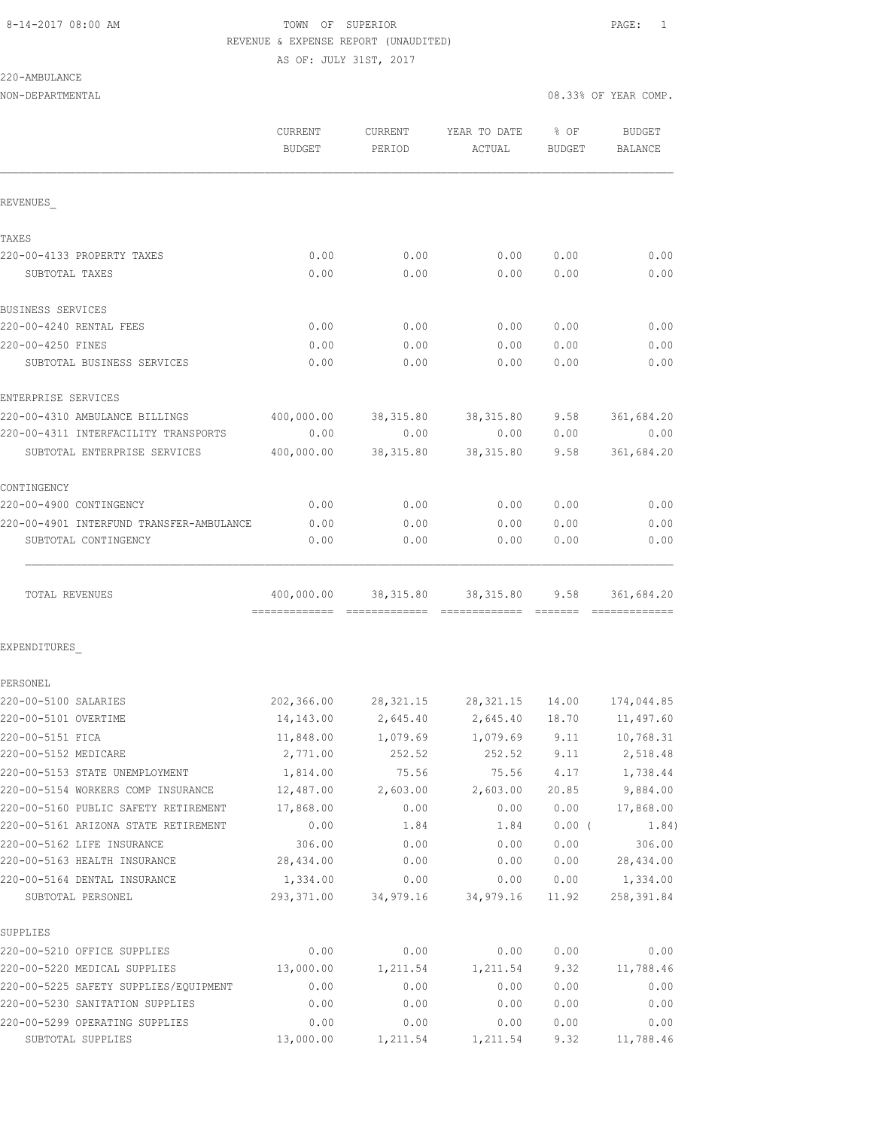AS OF: JULY 31ST, 2017

### 220-AMBULANCE

| NON-DEPARTMENTAL                         |                          |                   |                                         | 08.33% OF YEAR COMP. |                          |
|------------------------------------------|--------------------------|-------------------|-----------------------------------------|----------------------|--------------------------|
|                                          | CURRENT<br><b>BUDGET</b> | CURRENT<br>PERIOD | YEAR TO DATE<br>ACTUAL                  | $8$ OF<br>BUDGET     | <b>BUDGET</b><br>BALANCE |
| REVENUES                                 |                          |                   |                                         |                      |                          |
| TAXES                                    |                          |                   |                                         |                      |                          |
| 220-00-4133 PROPERTY TAXES               | 0.00                     | 0.00              | 0.00                                    | 0.00                 | 0.00                     |
| SUBTOTAL TAXES                           | 0.00                     | 0.00              | 0.00                                    | 0.00                 | 0.00                     |
| BUSINESS SERVICES                        |                          |                   |                                         |                      |                          |
| 220-00-4240 RENTAL FEES                  | 0.00                     | 0.00              | 0.00                                    | 0.00                 | 0.00                     |
| 220-00-4250 FINES                        | 0.00                     | 0.00              | 0.00                                    | 0.00                 | 0.00                     |
| SUBTOTAL BUSINESS SERVICES               | 0.00                     | 0.00              | 0.00                                    | 0.00                 | 0.00                     |
| ENTERPRISE SERVICES                      |                          |                   |                                         |                      |                          |
| 220-00-4310 AMBULANCE BILLINGS           | 400,000.00               | 38,315.80         | 38,315.80                               | 9.58                 | 361,684.20               |
| 220-00-4311 INTERFACILITY TRANSPORTS     | 0.00                     | 0.00              | 0.00                                    | 0.00                 | 0.00                     |
| SUBTOTAL ENTERPRISE SERVICES             | 400,000.00               | 38,315.80         | 38,315.80                               | 9.58                 | 361,684.20               |
| CONTINGENCY                              |                          |                   |                                         |                      |                          |
| 220-00-4900 CONTINGENCY                  | 0.00                     | 0.00              | 0.00                                    | 0.00                 | 0.00                     |
| 220-00-4901 INTERFUND TRANSFER-AMBULANCE | 0.00                     | 0.00              | 0.00                                    | 0.00                 | 0.00                     |
| SUBTOTAL CONTINGENCY                     | 0.00                     | 0.00              | 0.00                                    | 0.00                 | 0.00                     |
| TOTAL REVENUES                           |                          |                   | 400,000.00 38,315.80 38,315.80          | 9.58                 | 361,684.20               |
| EXPENDITURES                             |                          |                   |                                         |                      |                          |
| PERSONEL                                 |                          |                   |                                         |                      |                          |
| 220-00-5100 SALARIES                     | 202,366.00               |                   | 28,321.15  28,321.15  14.00  174,044.85 |                      |                          |
| 220-00-5101 OVERTIME                     | 14,143.00                | 2,645.40          | 2,645.40                                | 18.70                | 11,497.60                |
| 220-00-5151 FICA                         | 11,848.00                | 1,079.69          | 1,079.69                                | 9.11                 | 10,768.31                |
| 220-00-5152 MEDICARE                     | 2,771.00                 | 252.52            | 252.52                                  | 9.11                 | 2,518.48                 |
| 220-00-5153 STATE UNEMPLOYMENT           | 1,814.00                 | 75.56             | 75.56                                   | 4.17                 | 1,738.44                 |
| 220-00-5154 WORKERS COMP INSURANCE       | 12,487.00                | 2,603.00          | 2,603.00                                | 20.85                | 9,884.00                 |
| 220-00-5160 PUBLIC SAFETY RETIREMENT     | 17,868.00                | 0.00              | 0.00                                    | 0.00                 | 17,868.00                |
| 220-00-5161 ARIZONA STATE RETIREMENT     | 0.00                     | 1.84              | 1.84                                    | $0.00$ (             | 1.84)                    |
| 220-00-5162 LIFE INSURANCE               | 306.00                   | 0.00              | 0.00                                    | 0.00                 | 306.00                   |
| 220-00-5163 HEALTH INSURANCE             | 28,434.00                | 0.00              | 0.00                                    | 0.00                 | 28,434.00                |
| 220-00-5164 DENTAL INSURANCE             | 1,334.00                 | 0.00              | 0.00                                    | 0.00                 | 1,334.00                 |
| SUBTOTAL PERSONEL                        | 293,371.00               | 34,979.16         | 34,979.16                               | 11.92                | 258, 391.84              |
| SUPPLIES                                 |                          |                   |                                         |                      |                          |
| 220-00-5210 OFFICE SUPPLIES              | 0.00                     | 0.00              | 0.00                                    | 0.00                 | 0.00                     |
| 220-00-5220 MEDICAL SUPPLIES             | 13,000.00                | 1,211.54          | 1,211.54                                | 9.32                 | 11,788.46                |
| 220-00-5225 SAFETY SUPPLIES/EQUIPMENT    | 0.00                     | 0.00              | 0.00                                    | 0.00                 | 0.00                     |
| 220-00-5230 SANITATION SUPPLIES          | 0.00                     | 0.00              | 0.00                                    | 0.00                 | 0.00                     |
| 220-00-5299 OPERATING SUPPLIES           | 0.00                     | 0.00              | 0.00                                    | 0.00                 | 0.00                     |

SUBTOTAL SUPPLIES 13,000.00 1,211.54 1,211.54 9.32 11,788.46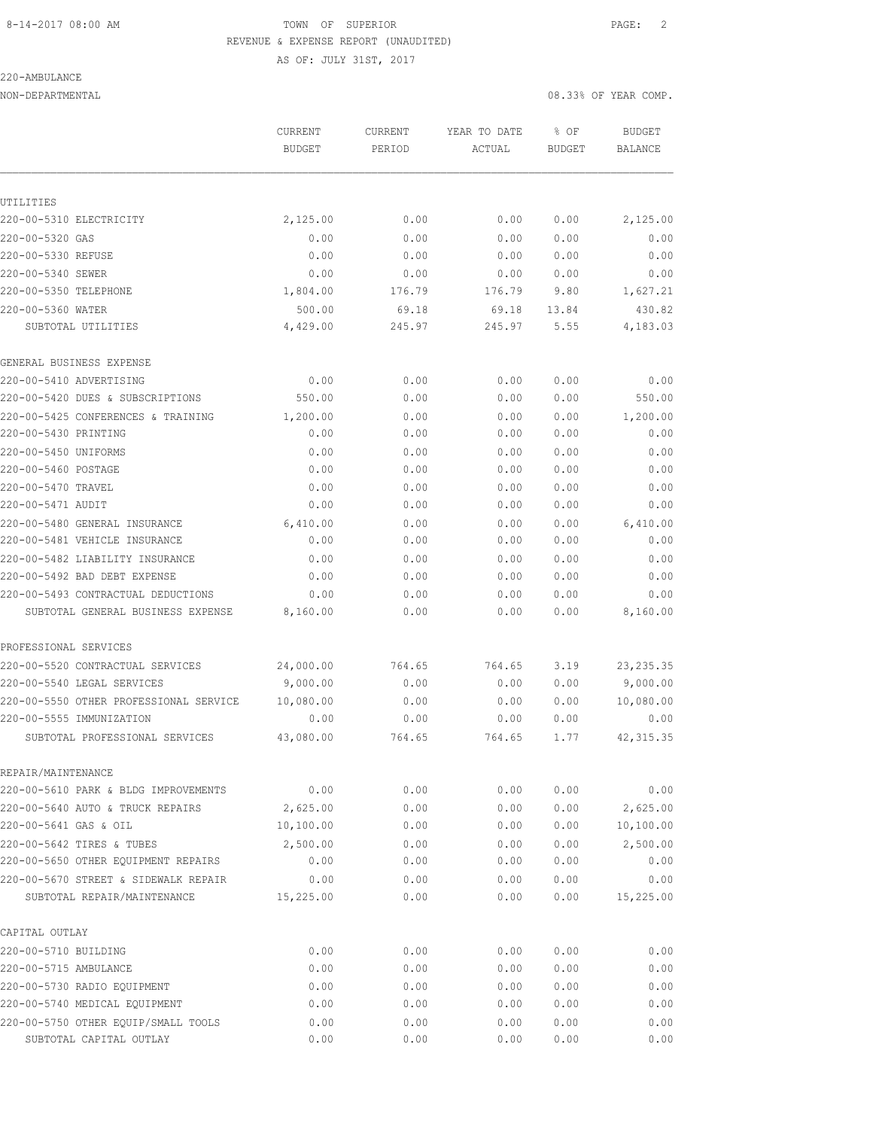AS OF: JULY 31ST, 2017

# 220-AMBULANCE

NON-DEPARTMENTAL 2008.33% OF YEAR COMP.

|                                                                     | CURRENT<br><b>BUDGET</b> | <b>CURRENT</b><br>PERIOD | YEAR TO DATE<br>ACTUAL | % OF<br><b>BUDGET</b> | <b>BUDGET</b><br>BALANCE |
|---------------------------------------------------------------------|--------------------------|--------------------------|------------------------|-----------------------|--------------------------|
| UTILITIES                                                           |                          |                          |                        |                       |                          |
| 220-00-5310 ELECTRICITY                                             | 2,125.00                 | 0.00                     | 0.00                   | 0.00                  | 2,125.00                 |
| 220-00-5320 GAS                                                     | 0.00                     | 0.00                     | 0.00                   | 0.00                  | 0.00                     |
| 220-00-5330 REFUSE                                                  | 0.00                     | 0.00                     | 0.00                   | 0.00                  | 0.00                     |
| 220-00-5340 SEWER                                                   | 0.00                     | 0.00                     | 0.00                   | 0.00                  | 0.00                     |
| 220-00-5350 TELEPHONE                                               | 1,804.00                 | 176.79                   | 176.79                 | 9.80                  | 1,627.21                 |
| 220-00-5360 WATER                                                   | 500.00                   | 69.18                    | 69.18                  | 13.84                 | 430.82                   |
| SUBTOTAL UTILITIES                                                  | 4,429.00                 | 245.97                   | 245.97                 | 5.55                  | 4,183.03                 |
| GENERAL BUSINESS EXPENSE                                            |                          |                          |                        |                       |                          |
| 220-00-5410 ADVERTISING                                             | 0.00                     | 0.00                     | 0.00                   | 0.00                  | 0.00                     |
| 220-00-5420 DUES & SUBSCRIPTIONS                                    | 550.00                   | 0.00                     | 0.00                   | 0.00                  | 550.00                   |
| 220-00-5425 CONFERENCES & TRAINING                                  | 1,200.00                 | 0.00                     | 0.00                   | 0.00                  | 1,200.00                 |
| 220-00-5430 PRINTING                                                | 0.00                     | 0.00                     | 0.00                   | 0.00                  | 0.00                     |
| 220-00-5450 UNIFORMS                                                | 0.00                     | 0.00                     | 0.00                   | 0.00                  | 0.00                     |
| 220-00-5460 POSTAGE                                                 | 0.00                     | 0.00                     | 0.00                   | 0.00                  | 0.00                     |
| 220-00-5470 TRAVEL                                                  | 0.00                     | 0.00                     | 0.00                   | 0.00                  | 0.00                     |
| 220-00-5471 AUDIT                                                   | 0.00                     | 0.00                     | 0.00                   | 0.00                  | 0.00                     |
| 220-00-5480 GENERAL INSURANCE                                       | 6,410.00                 | 0.00                     | 0.00                   | 0.00                  | 6,410.00                 |
| 220-00-5481 VEHICLE INSURANCE                                       | 0.00                     | 0.00                     | 0.00                   | 0.00                  | 0.00                     |
| 220-00-5482 LIABILITY INSURANCE                                     | 0.00                     | 0.00                     | 0.00                   | 0.00                  | 0.00                     |
| 220-00-5492 BAD DEBT EXPENSE                                        | 0.00                     | 0.00                     | 0.00                   | 0.00                  | 0.00                     |
| 220-00-5493 CONTRACTUAL DEDUCTIONS                                  | 0.00                     | 0.00                     | 0.00                   | 0.00                  | 0.00                     |
| SUBTOTAL GENERAL BUSINESS EXPENSE                                   | 8,160.00                 | 0.00                     | 0.00                   | 0.00                  | 8,160.00                 |
| PROFESSIONAL SERVICES                                               |                          |                          |                        |                       |                          |
| 220-00-5520 CONTRACTUAL SERVICES                                    | 24,000.00                | 764.65                   | 764.65                 | 3.19                  | 23, 235.35               |
| 220-00-5540 LEGAL SERVICES                                          | 9,000.00                 | 0.00                     | 0.00                   | 0.00                  | 9,000.00                 |
| 220-00-5550 OTHER PROFESSIONAL SERVICE                              | 10,080.00                | 0.00                     | 0.00                   | 0.00                  | 10,080.00                |
| 220-00-5555 IMMUNIZATION                                            | 0.00                     | 0.00                     | 0.00                   | 0.00                  | 0.00                     |
| SUBTOTAL PROFESSIONAL SERVICES                                      | 43,080.00                | 764.65                   | 764.65                 | 1.77                  | 42, 315.35               |
| REPAIR/MAINTENANCE                                                  |                          |                          |                        |                       |                          |
| 220-00-5610 PARK & BLDG IMPROVEMENTS                                | 0.00                     | 0.00                     | 0.00                   | 0.00                  | 0.00                     |
| 220-00-5640 AUTO & TRUCK REPAIRS                                    | 2,625.00                 | 0.00                     | 0.00                   | 0.00                  | 2,625.00                 |
| 220-00-5641 GAS & OIL                                               | 10,100.00                | 0.00                     | 0.00                   | 0.00                  | 10,100.00                |
| 220-00-5642 TIRES & TUBES                                           | 2,500.00                 | 0.00                     | 0.00                   | 0.00                  | 2,500.00                 |
| 220-00-5650 OTHER EQUIPMENT REPAIRS                                 | 0.00                     | 0.00                     | 0.00                   | 0.00                  | 0.00                     |
| 220-00-5670 STREET & SIDEWALK REPAIR<br>SUBTOTAL REPAIR/MAINTENANCE | 0.00<br>15,225.00        | 0.00<br>0.00             | 0.00<br>0.00           | 0.00<br>0.00          | 0.00<br>15,225.00        |
| CAPITAL OUTLAY                                                      |                          |                          |                        |                       |                          |
| 220-00-5710 BUILDING                                                | 0.00                     | 0.00                     | 0.00                   | 0.00                  | 0.00                     |
| 220-00-5715 AMBULANCE                                               | 0.00                     | 0.00                     | 0.00                   | 0.00                  | 0.00                     |
| 220-00-5730 RADIO EQUIPMENT                                         | 0.00                     | 0.00                     | 0.00                   | 0.00                  | 0.00                     |
| 220-00-5740 MEDICAL EQUIPMENT                                       | 0.00                     | 0.00                     | 0.00                   | 0.00                  | 0.00                     |
| 220-00-5750 OTHER EQUIP/SMALL TOOLS                                 | 0.00                     | 0.00                     | 0.00                   | 0.00                  | 0.00                     |
| SUBTOTAL CAPITAL OUTLAY                                             | 0.00                     | 0.00                     | 0.00                   | 0.00                  | 0.00                     |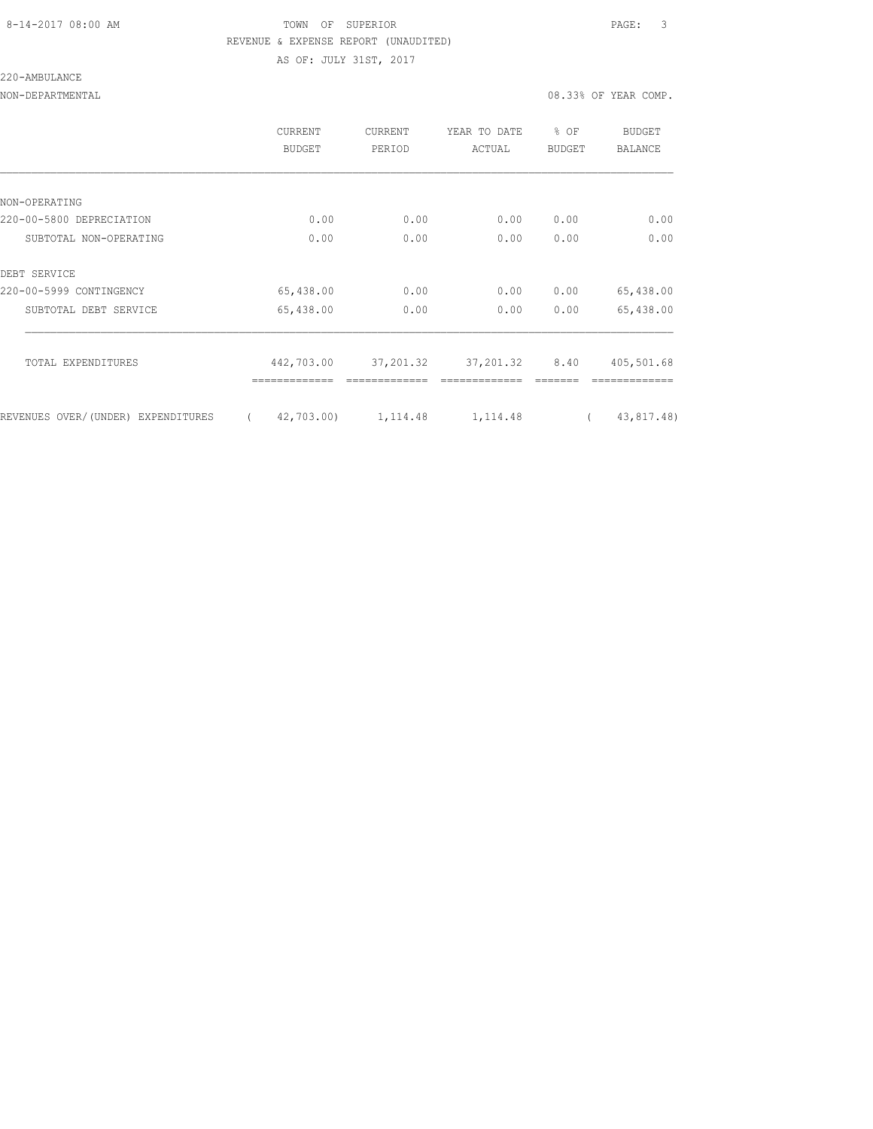AS OF: JULY 31ST, 2017

220-AMBULANCE

NON-DEPARTMENTAL 08.33% OF YEAR COMP.

|                                    | CURRENT<br>BUDGET      | <b>CURRENT</b><br>PERIOD | YEAR TO DATE<br>ACTUAL | % OF<br><b>BUDGET</b> | BUDGET<br><b>BALANCE</b> |
|------------------------------------|------------------------|--------------------------|------------------------|-----------------------|--------------------------|
|                                    |                        |                          |                        |                       |                          |
| NON-OPERATING                      |                        |                          |                        |                       |                          |
| 220-00-5800 DEPRECIATION           | 0.00                   | 0.00                     | 0.00                   | 0.00                  | 0.00                     |
| SUBTOTAL NON-OPERATING             | 0.00                   | 0.00                     | 0.00                   | 0.00                  | 0.00                     |
| DEBT SERVICE                       |                        |                          |                        |                       |                          |
| 220-00-5999 CONTINGENCY            | 65,438.00              | 0.00                     | 0.00                   | 0.00                  | 65,438.00                |
| SUBTOTAL DEBT SERVICE              | 65,438.00              | 0.00                     | 0.00                   | 0.00                  | 65,438.00                |
|                                    |                        |                          |                        |                       |                          |
| TOTAL EXPENDITURES                 | 442,703.00             | 37,201.32                | 37,201.32 8.40         |                       | 405,501.68               |
|                                    |                        |                          |                        |                       |                          |
| REVENUES OVER/(UNDER) EXPENDITURES | 42,703.00)<br>$\left($ | 1, 114.48                | 1, 114.48              |                       | 43,817.48)               |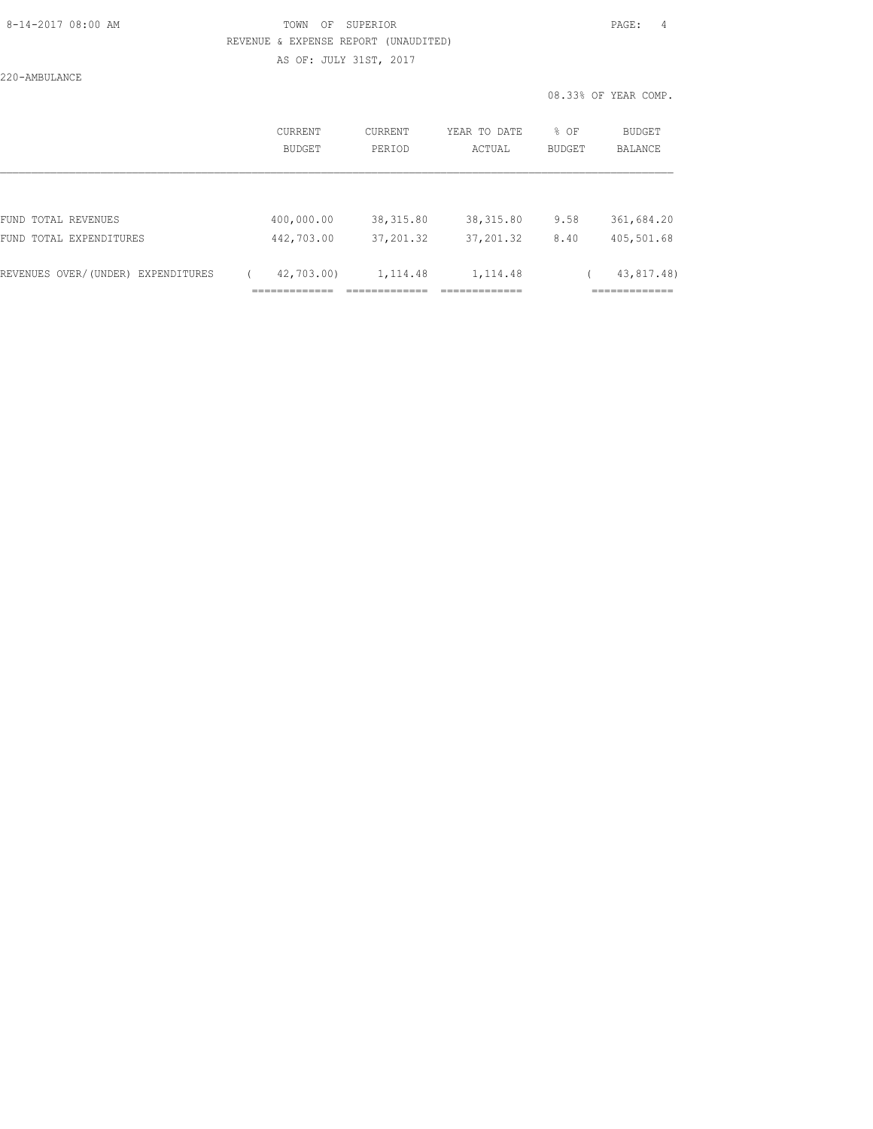### 8-14-2017 08:00 AM TOWN OF SUPERIOR PAGE: 4 REVENUE & EXPENSE REPORT (UNAUDITED) AS OF: JULY 31ST, 2017

220-AMBULANCE

| CURRENT<br>BUDGET | <b>CURRENT</b><br>PERIOD                   | YEAR TO DATE<br>ACTUAL                  | % OF<br><b>BUDGET</b> | BUDGET<br>BALANCE                           |
|-------------------|--------------------------------------------|-----------------------------------------|-----------------------|---------------------------------------------|
|                   |                                            |                                         |                       |                                             |
| 400,000.00        | 38, 315.80                                 | 38, 315.80                              | 9.58                  | 361,684.20                                  |
| 442,703.00        | 37, 201.32                                 | 37, 201.32                              | 8.40                  | 405,501.68                                  |
| 42,703.00)        | 1,114.48<br>--------------<br>------------ | 1,114.48<br>____________<br>----------- |                       | 43,817.48)<br>_____________<br>------------ |
|                   | _____________<br>------------              |                                         |                       |                                             |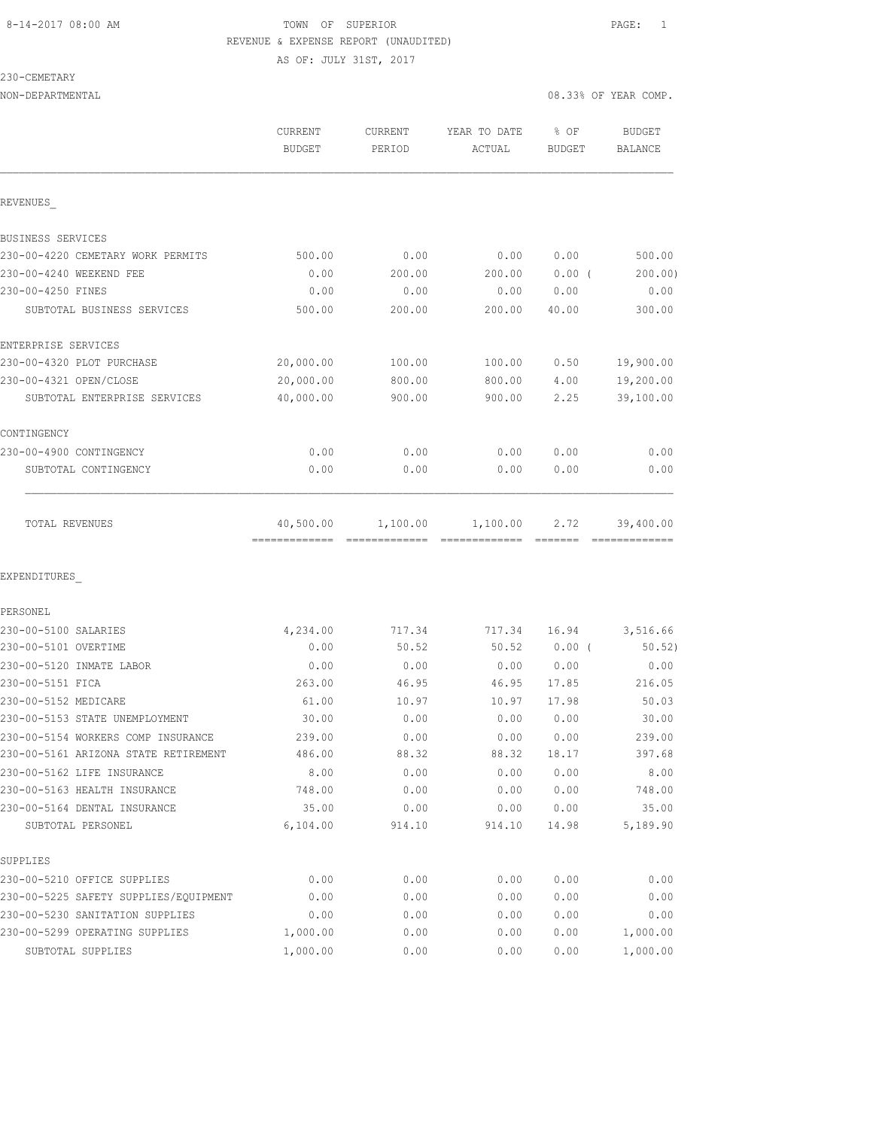# 8-14-2017 08:00 AM **TOWN** OF SUPERIOR **PAGE:** 1 REVENUE & EXPENSE REPORT (UNAUDITED) AS OF: JULY 31ST, 2017

230-CEMETARY

| NON-DEPARTMENTAL                                                  |                          |                          |                        | 08.33% OF YEAR COMP. |                          |  |
|-------------------------------------------------------------------|--------------------------|--------------------------|------------------------|----------------------|--------------------------|--|
|                                                                   | CURRENT<br><b>BUDGET</b> | <b>CURRENT</b><br>PERIOD | YEAR TO DATE<br>ACTUAL | % OF<br>BUDGET       | <b>BUDGET</b><br>BALANCE |  |
| REVENUES                                                          |                          |                          |                        |                      |                          |  |
| BUSINESS SERVICES                                                 |                          |                          |                        |                      |                          |  |
| 230-00-4220 CEMETARY WORK PERMITS                                 | 500.00                   | 0.00                     | 0.00                   | 0.00                 | 500.00                   |  |
| 230-00-4240 WEEKEND FEE                                           | 0.00                     | 200.00                   | 200.00                 | $0.00$ (             | 200.00)                  |  |
| 230-00-4250 FINES                                                 | 0.00                     | 0.00                     | 0.00                   | 0.00                 | 0.00                     |  |
| SUBTOTAL BUSINESS SERVICES                                        | 500.00                   | 200.00                   | 200.00                 | 40.00                | 300.00                   |  |
| ENTERPRISE SERVICES                                               |                          |                          |                        |                      |                          |  |
| 230-00-4320 PLOT PURCHASE                                         | 20,000.00                | 100.00                   | 100.00                 | 0.50                 | 19,900.00                |  |
| 230-00-4321 OPEN/CLOSE                                            | 20,000.00                | 800.00                   | 800.00                 | 4.00                 | 19,200.00                |  |
| SUBTOTAL ENTERPRISE SERVICES                                      | 40,000.00                | 900.00                   | 900.00                 | 2.25                 | 39,100.00                |  |
| CONTINGENCY                                                       |                          |                          |                        |                      |                          |  |
| 230-00-4900 CONTINGENCY                                           | 0.00                     | 0.00                     | 0.00                   | 0.00                 | 0.00                     |  |
| SUBTOTAL CONTINGENCY                                              | 0.00                     | 0.00                     | 0.00                   | 0.00                 | 0.00                     |  |
| TOTAL REVENUES                                                    | 40,500.00                | 1,100.00                 | 1,100.00               | 2.72                 | 39,400.00                |  |
| EXPENDITURES                                                      |                          |                          |                        |                      |                          |  |
| PERSONEL                                                          |                          |                          |                        |                      |                          |  |
| 230-00-5100 SALARIES                                              | 4,234.00                 | 717.34                   | 717.34                 | 16.94                | 3,516.66                 |  |
| 230-00-5101 OVERTIME                                              | 0.00                     | 50.52                    | 50.52                  | $0.00$ (             | 50.52)                   |  |
| 230-00-5120 INMATE LABOR                                          | 0.00                     | 0.00                     | 0.00                   | 0.00                 | 0.00                     |  |
| 230-00-5151 FICA                                                  | 263.00                   | 46.95                    | 46.95                  | 17.85                | 216.05                   |  |
| 230-00-5152 MEDICARE                                              | 61.00                    | 10.97                    | 10.97                  | 17.98                | 50.03                    |  |
| 230-00-5153 STATE UNEMPLOYMENT                                    | 30.00                    | 0.00                     | 0.00                   | 0.00                 | 30.00                    |  |
| 230-00-5154 WORKERS COMP INSURANCE                                | 239.00                   | 0.00                     | 0.00                   | 0.00                 | 239.00                   |  |
| 230-00-5161 ARIZONA STATE RETIREMENT                              | 486.00                   | 88.32                    | 88.32                  | 18.17                | 397.68                   |  |
| 230-00-5162 LIFE INSURANCE                                        | 8.00                     | 0.00                     | 0.00                   | 0.00                 | 8.00                     |  |
| 230-00-5163 HEALTH INSURANCE                                      | 748.00                   | 0.00                     | 0.00                   | 0.00                 | 748.00                   |  |
| 230-00-5164 DENTAL INSURANCE                                      | 35.00                    | 0.00                     | 0.00                   | 0.00                 | 35.00                    |  |
| SUBTOTAL PERSONEL                                                 | 6,104.00                 | 914.10                   | 914.10                 | 14.98                | 5,189.90                 |  |
| SUPPLIES                                                          |                          |                          |                        |                      |                          |  |
| 230-00-5210 OFFICE SUPPLIES                                       | 0.00                     | 0.00                     | 0.00                   | 0.00                 | 0.00                     |  |
| 230-00-5225 SAFETY SUPPLIES/EQUIPMENT                             | 0.00                     | 0.00                     | 0.00                   | 0.00                 | 0.00                     |  |
| 230-00-5230 SANITATION SUPPLIES<br>230-00-5299 OPERATING SUPPLIES | 0.00<br>1,000.00         | 0.00<br>0.00             | 0.00<br>0.00           | 0.00<br>0.00         | 0.00<br>1,000.00         |  |
|                                                                   |                          |                          |                        |                      |                          |  |
| SUBTOTAL SUPPLIES                                                 | 1,000.00                 | 0.00                     | 0.00                   | 0.00                 | 1,000.00                 |  |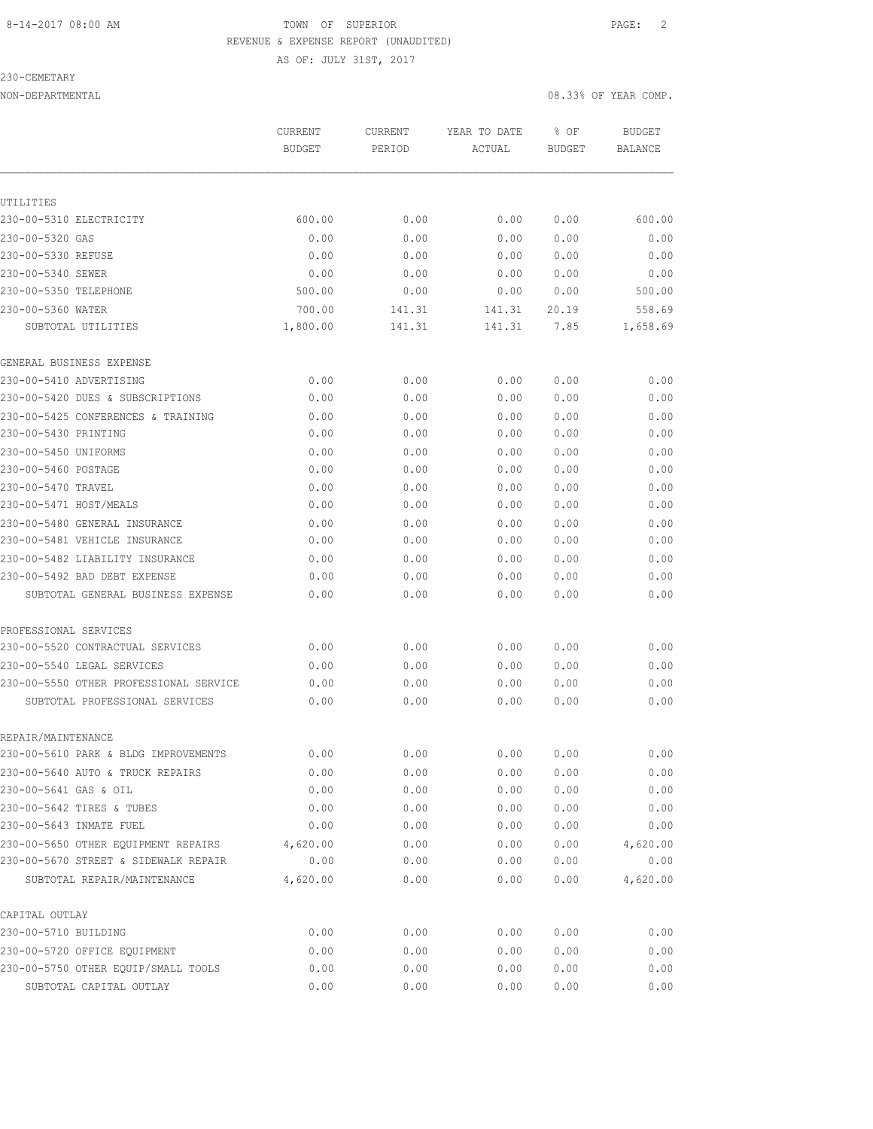AS OF: JULY 31ST, 2017

230-CEMETARY

NON-DEPARTMENTAL 08.33% OF YEAR COMP.

|                                        | <b>CURRENT</b><br><b>BUDGET</b> | <b>CURRENT</b><br>PERIOD | YEAR TO DATE<br>ACTUAL | % OF<br><b>BUDGET</b> | <b>BUDGET</b><br><b>BALANCE</b> |
|----------------------------------------|---------------------------------|--------------------------|------------------------|-----------------------|---------------------------------|
|                                        |                                 |                          |                        |                       |                                 |
| UTILITIES                              |                                 |                          |                        |                       |                                 |
| 230-00-5310 ELECTRICITY                | 600.00                          | 0.00                     | 0.00                   | 0.00                  | 600.00                          |
| 230-00-5320 GAS                        | 0.00                            | 0.00                     | 0.00                   | 0.00                  | 0.00                            |
| 230-00-5330 REFUSE                     | 0.00                            | 0.00                     | 0.00                   | 0.00                  | 0.00                            |
| 230-00-5340 SEWER                      | 0.00                            | 0.00                     | 0.00                   | 0.00                  | 0.00                            |
| 230-00-5350 TELEPHONE                  | 500.00                          | 0.00                     | 0.00                   | 0.00                  | 500.00                          |
| 230-00-5360 WATER                      | 700.00                          | 141.31                   | 141.31                 | 20.19                 | 558.69                          |
| SUBTOTAL UTILITIES                     | 1,800.00                        | 141.31                   | 141.31                 | 7.85                  | 1,658.69                        |
| GENERAL BUSINESS EXPENSE               |                                 |                          |                        |                       |                                 |
| 230-00-5410 ADVERTISING                | 0.00                            | 0.00                     | 0.00                   | 0.00                  | 0.00                            |
| 230-00-5420 DUES & SUBSCRIPTIONS       | 0.00                            | 0.00                     | 0.00                   | 0.00                  | 0.00                            |
| 230-00-5425 CONFERENCES & TRAINING     | 0.00                            | 0.00                     | 0.00                   | 0.00                  | 0.00                            |
| 230-00-5430 PRINTING                   | 0.00                            | 0.00                     | 0.00                   | 0.00                  | 0.00                            |
| 230-00-5450 UNIFORMS                   | 0.00                            | 0.00                     | 0.00                   | 0.00                  | 0.00                            |
| 230-00-5460 POSTAGE                    | 0.00                            | 0.00                     | 0.00                   | 0.00                  | 0.00                            |
| 230-00-5470 TRAVEL                     | 0.00                            | 0.00                     | 0.00                   | 0.00                  | 0.00                            |
| 230-00-5471 HOST/MEALS                 | 0.00                            | 0.00                     | 0.00                   | 0.00                  | 0.00                            |
| 230-00-5480 GENERAL INSURANCE          | 0.00                            | 0.00                     | 0.00                   | 0.00                  | 0.00                            |
| 230-00-5481 VEHICLE INSURANCE          | 0.00                            | 0.00                     | 0.00                   | 0.00                  | 0.00                            |
| 230-00-5482 LIABILITY INSURANCE        | 0.00                            | 0.00                     | 0.00                   | 0.00                  | 0.00                            |
| 230-00-5492 BAD DEBT EXPENSE           | 0.00                            | 0.00                     | 0.00                   | 0.00                  | 0.00                            |
| SUBTOTAL GENERAL BUSINESS EXPENSE      | 0.00                            | 0.00                     | 0.00                   | 0.00                  | 0.00                            |
| PROFESSIONAL SERVICES                  |                                 |                          |                        |                       |                                 |
| 230-00-5520 CONTRACTUAL SERVICES       | 0.00                            | 0.00                     | 0.00                   | 0.00                  | 0.00                            |
| 230-00-5540 LEGAL SERVICES             | 0.00                            | 0.00                     | 0.00                   | 0.00                  | 0.00                            |
| 230-00-5550 OTHER PROFESSIONAL SERVICE | 0.00                            | 0.00                     | 0.00                   | 0.00                  | 0.00                            |
| SUBTOTAL PROFESSIONAL SERVICES         | 0.00                            | 0.00                     | 0.00                   | 0.00                  | 0.00                            |
| REPAIR/MAINTENANCE                     |                                 |                          |                        |                       |                                 |
| 230-00-5610 PARK & BLDG IMPROVEMENTS   | 0.00                            | 0.00                     | 0.00                   | 0.00                  | 0.00                            |
| 230-00-5640 AUTO & TRUCK REPAIRS       | 0.00                            | 0.00                     | 0.00                   | 0.00                  | 0.00                            |
| 230-00-5641 GAS & OIL                  | 0.00                            | 0.00                     | 0.00                   | 0.00                  | 0.00                            |
| 230-00-5642 TIRES & TUBES              | 0.00                            | 0.00                     | 0.00                   | 0.00                  | 0.00                            |
| 230-00-5643 INMATE FUEL                | 0.00                            | 0.00                     | 0.00                   | 0.00                  | 0.00                            |
| 230-00-5650 OTHER EQUIPMENT REPAIRS    | 4,620.00                        | 0.00                     | 0.00                   | 0.00                  | 4,620.00                        |
| 230-00-5670 STREET & SIDEWALK REPAIR   | 0.00                            | 0.00                     | 0.00                   | 0.00                  | 0.00                            |
| SUBTOTAL REPAIR/MAINTENANCE            | 4,620.00                        | 0.00                     | 0.00                   | 0.00                  | 4,620.00                        |
| CAPITAL OUTLAY                         |                                 |                          |                        |                       |                                 |
| 230-00-5710 BUILDING                   | 0.00                            | 0.00                     | 0.00                   | 0.00                  | 0.00                            |
| 230-00-5720 OFFICE EQUIPMENT           | 0.00                            | 0.00                     | 0.00                   | 0.00                  | 0.00                            |
| 230-00-5750 OTHER EQUIP/SMALL TOOLS    | 0.00                            | 0.00                     | 0.00                   | 0.00                  | 0.00                            |
| SUBTOTAL CAPITAL OUTLAY                | 0.00                            | 0.00                     | 0.00                   | 0.00                  | 0.00                            |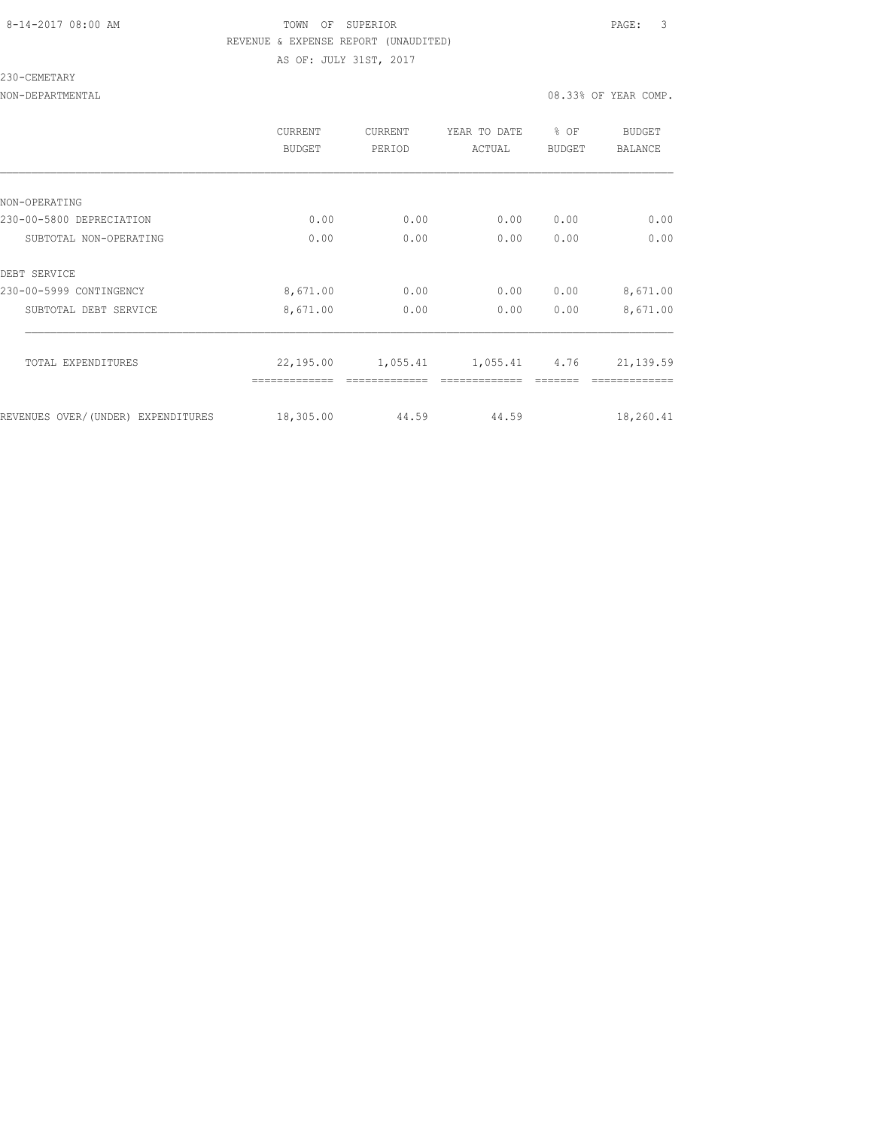### 8-14-2017 08:00 AM TOWN OF SUPERIOR PAGE: 3 REVENUE & EXPENSE REPORT (UNAUDITED) AS OF: JULY 31ST, 2017

### 230-CEMETARY

### NON-DEPARTMENTAL 2008.33% OF YEAR COMP.

|                                    | CURRENT<br><b>BUDGET</b> | CURRENT<br>PERIOD | YEAR TO DATE<br>ACTUAL | % OF<br><b>BUDGET</b> | <b>BUDGET</b><br><b>BALANCE</b> |
|------------------------------------|--------------------------|-------------------|------------------------|-----------------------|---------------------------------|
|                                    |                          |                   |                        |                       |                                 |
| NON-OPERATING                      |                          |                   |                        |                       |                                 |
| 230-00-5800 DEPRECIATION           | 0.00                     | 0.00              | 0.00                   | 0.00                  | 0.00                            |
| SUBTOTAL NON-OPERATING             | 0.00                     | 0.00              | 0.00                   | 0.00                  | 0.00                            |
| DEBT SERVICE                       |                          |                   |                        |                       |                                 |
| 230-00-5999 CONTINGENCY            | 8,671.00                 | 0.00              | 0.00                   | 0.00                  | 8,671.00                        |
| SUBTOTAL DEBT SERVICE              | 8,671.00                 | 0.00              | 0.00                   | 0.00                  | 8,671.00                        |
| TOTAL EXPENDITURES                 | 22,195.00                | 1,055.41          | 1,055.41 4.76          |                       | 21, 139.59                      |
|                                    |                          |                   |                        |                       |                                 |
| REVENUES OVER/(UNDER) EXPENDITURES | 18,305.00                | 44.59             | 44.59                  |                       | 18,260.41                       |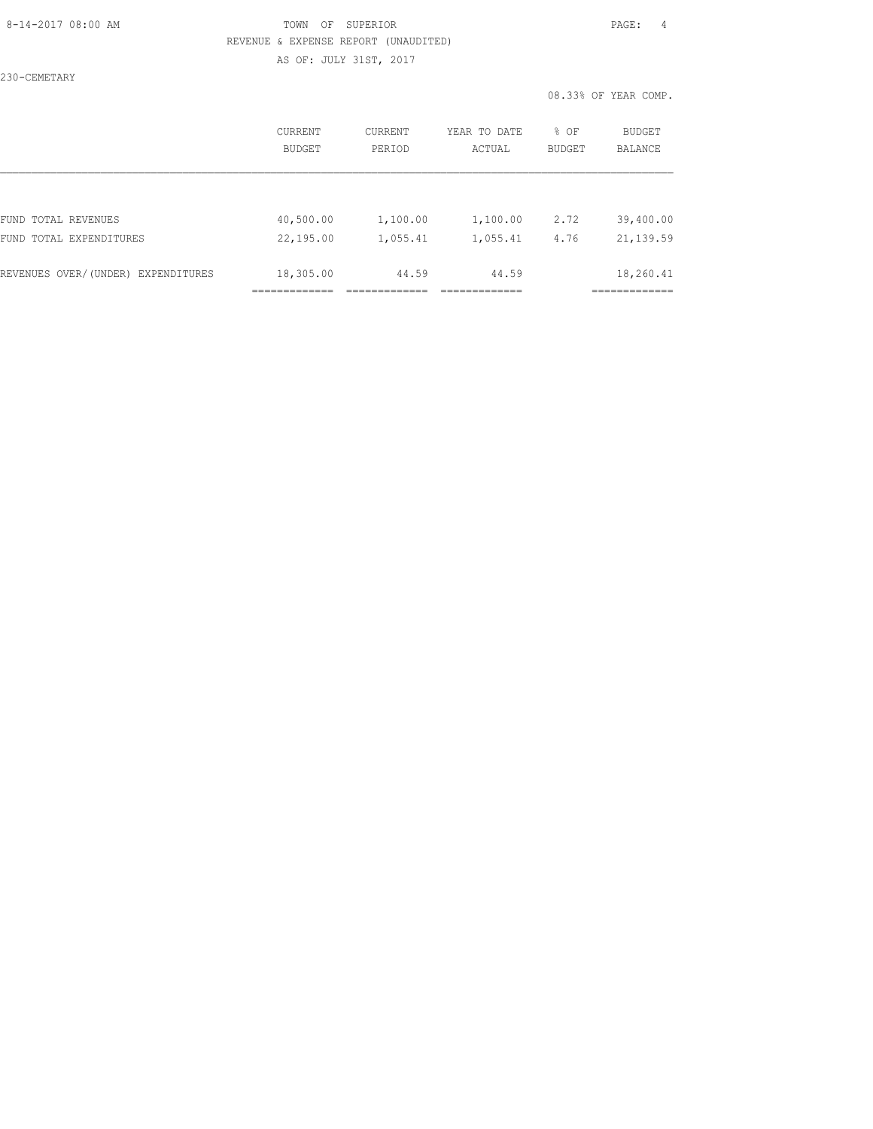### 8-14-2017 08:00 AM TOWN OF SUPERIOR PAGE: 4 REVENUE & EXPENSE REPORT (UNAUDITED) AS OF: JULY 31ST, 2017

230-CEMETARY

|                                    | CURRENT       | <b>CURRENT</b> | YEAR TO DATE | % OF          | <b>BUDGET</b>                       |
|------------------------------------|---------------|----------------|--------------|---------------|-------------------------------------|
|                                    | <b>BUDGET</b> | PERIOD         | ACTUAL       | <b>BUDGET</b> | <b>BALANCE</b>                      |
| FUND TOTAL REVENUES                | 40,500.00     | 1,100.00       | 1,100.00     | 2.72          | 39,400.00                           |
| FUND TOTAL EXPENDITURES            | 22,195.00     | 1,055.41       | 1,055.41     | 4.76          | 21, 139.59                          |
| REVENUES OVER/(UNDER) EXPENDITURES | 18,305.00     | 44.59          | 44.59        |               | 18,260.41<br>---------<br>--------- |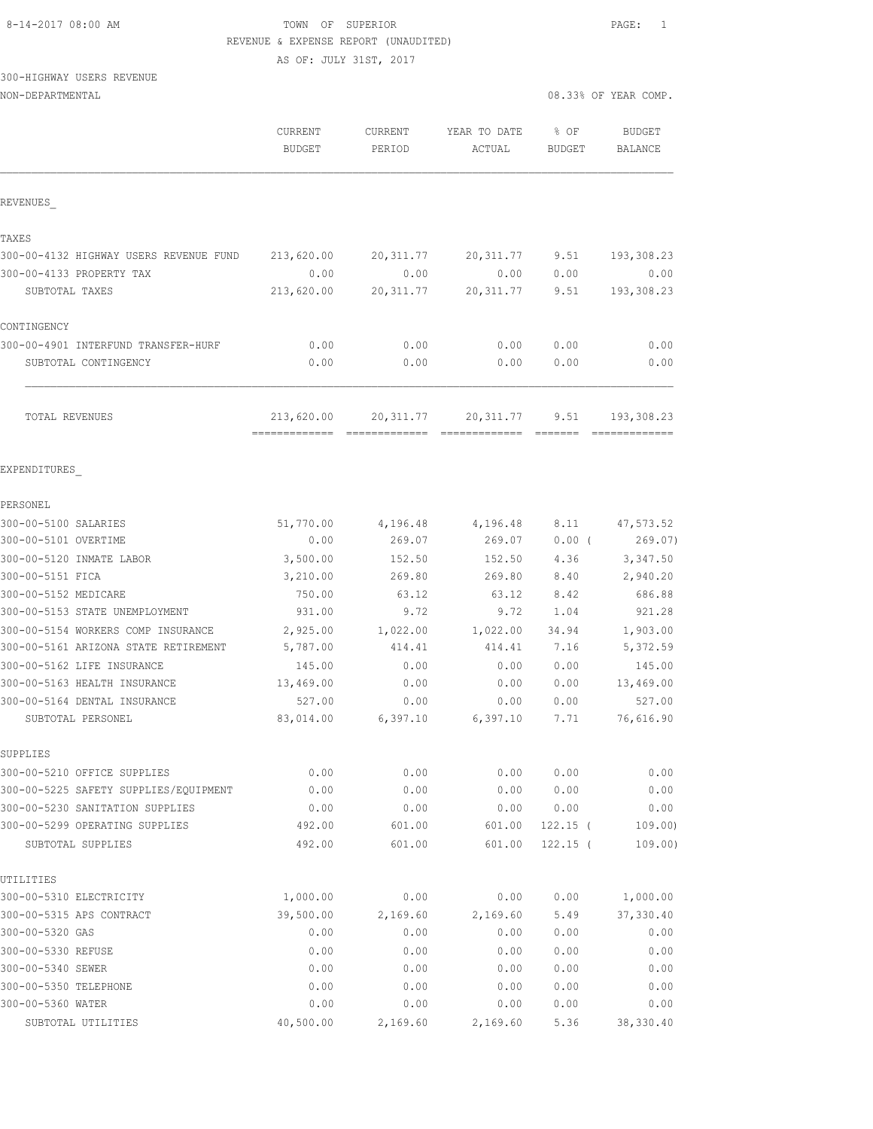AS OF: JULY 31ST, 2017

# 300-HIGHWAY USERS REVENUE

NON-DEPARTMENTAL 2008.33% OF YEAR COMP.

|                                            | CURRENT<br><b>BUDGET</b> | CURRENT<br>PERIOD | YEAR TO DATE<br>ACTUAL | \$OF<br><b>BUDGET</b> | <b>BUDGET</b><br>BALANCE |
|--------------------------------------------|--------------------------|-------------------|------------------------|-----------------------|--------------------------|
| REVENUES                                   |                          |                   |                        |                       |                          |
| TAXES                                      |                          |                   |                        |                       |                          |
| 300-00-4132 HIGHWAY USERS REVENUE FUND     | 213,620.00               | 20, 311.77        | 20, 311.77             | 9.51                  | 193,308.23               |
| 300-00-4133 PROPERTY TAX                   | 0.00                     | 0.00              | 0.00                   | 0.00                  | 0.00                     |
| SUBTOTAL TAXES                             | 213,620.00               | 20, 311.77        | 20, 311.77             | 9.51                  | 193,308.23               |
| CONTINGENCY                                |                          |                   |                        |                       |                          |
| 300-00-4901 INTERFUND TRANSFER-HURF        | 0.00                     | 0.00              | 0.00                   | 0.00                  | 0.00                     |
| SUBTOTAL CONTINGENCY                       | 0.00                     | 0.00              | 0.00                   | 0.00                  | 0.00                     |
| TOTAL REVENUES                             | 213,620.00               | 20, 311.77        | 20,311.77              | 9.51                  | 193,308.23               |
| EXPENDITURES                               |                          |                   |                        |                       |                          |
| PERSONEL                                   |                          |                   |                        |                       |                          |
| 300-00-5100 SALARIES                       | 51,770.00                | 4,196.48          | 4,196.48               | 8.11                  | 47, 573.52               |
| 300-00-5101 OVERTIME                       | 0.00                     | 269.07            | 269.07                 | $0.00$ (              | 269.07)                  |
| 300-00-5120 INMATE LABOR                   | 3,500.00                 | 152.50            | 152.50                 | 4.36                  | 3,347.50                 |
| 300-00-5151 FICA                           | 3,210.00                 | 269.80            | 269.80                 | 8.40                  | 2,940.20                 |
| 300-00-5152 MEDICARE                       | 750.00                   | 63.12             | 63.12                  | 8.42                  | 686.88                   |
| 300-00-5153 STATE UNEMPLOYMENT             | 931.00                   | 9.72              | 9.72                   | 1.04                  | 921.28                   |
| 300-00-5154 WORKERS COMP INSURANCE         | 2,925.00                 | 1,022.00          | 1,022.00               | 34.94                 | 1,903.00                 |
| 300-00-5161 ARIZONA STATE RETIREMENT       | 5,787.00                 | 414.41            | 414.41                 | 7.16                  | 5,372.59                 |
| 300-00-5162 LIFE INSURANCE                 | 145.00                   | 0.00              | 0.00                   | 0.00                  | 145.00                   |
| 300-00-5163 HEALTH INSURANCE               | 13,469.00                | 0.00              | 0.00                   | 0.00                  | 13,469.00                |
| 300-00-5164 DENTAL INSURANCE               | 527.00                   | 0.00              | 0.00                   | 0.00                  | 527.00                   |
| SUBTOTAL PERSONEL                          | 83,014.00                | 6,397.10          | 6,397.10               | 7.71                  | 76,616.90                |
| SUPPLIES                                   |                          |                   |                        |                       |                          |
| 300-00-5210 OFFICE SUPPLIES                | 0.00                     | 0.00              | 0.00                   | 0.00                  | 0.00                     |
| 300-00-5225 SAFETY SUPPLIES/EQUIPMENT      | 0.00                     | 0.00              | 0.00                   | 0.00                  | 0.00                     |
| 300-00-5230 SANITATION SUPPLIES            | 0.00                     | 0.00              | 0.00                   | 0.00                  | 0.00                     |
| 300-00-5299 OPERATING SUPPLIES             | 492.00                   | 601.00            | 601.00                 | $122.15$ (            | 109.00                   |
| SUBTOTAL SUPPLIES                          | 492.00                   | 601.00            | 601.00                 | $122.15$ (            | 109.00)                  |
| UTILITIES                                  |                          |                   |                        |                       |                          |
| 300-00-5310 ELECTRICITY                    | 1,000.00                 | 0.00              | 0.00                   | 0.00                  | 1,000.00                 |
| 300-00-5315 APS CONTRACT                   | 39,500.00                | 2,169.60          | 2,169.60               | 5.49                  | 37,330.40                |
| 300-00-5320 GAS                            | 0.00                     | 0.00              | 0.00                   | 0.00                  | 0.00                     |
| 300-00-5330 REFUSE                         | 0.00                     | 0.00              | 0.00                   | 0.00                  | 0.00                     |
| 300-00-5340 SEWER                          | 0.00                     | 0.00              | 0.00                   | 0.00                  | 0.00                     |
| 300-00-5350 TELEPHONE<br>300-00-5360 WATER | 0.00<br>0.00             | 0.00<br>0.00      | 0.00<br>0.00           | 0.00<br>0.00          | 0.00<br>0.00             |
| SUBTOTAL UTILITIES                         | 40,500.00                | 2,169.60          | 2,169.60               | 5.36                  | 38, 330.40               |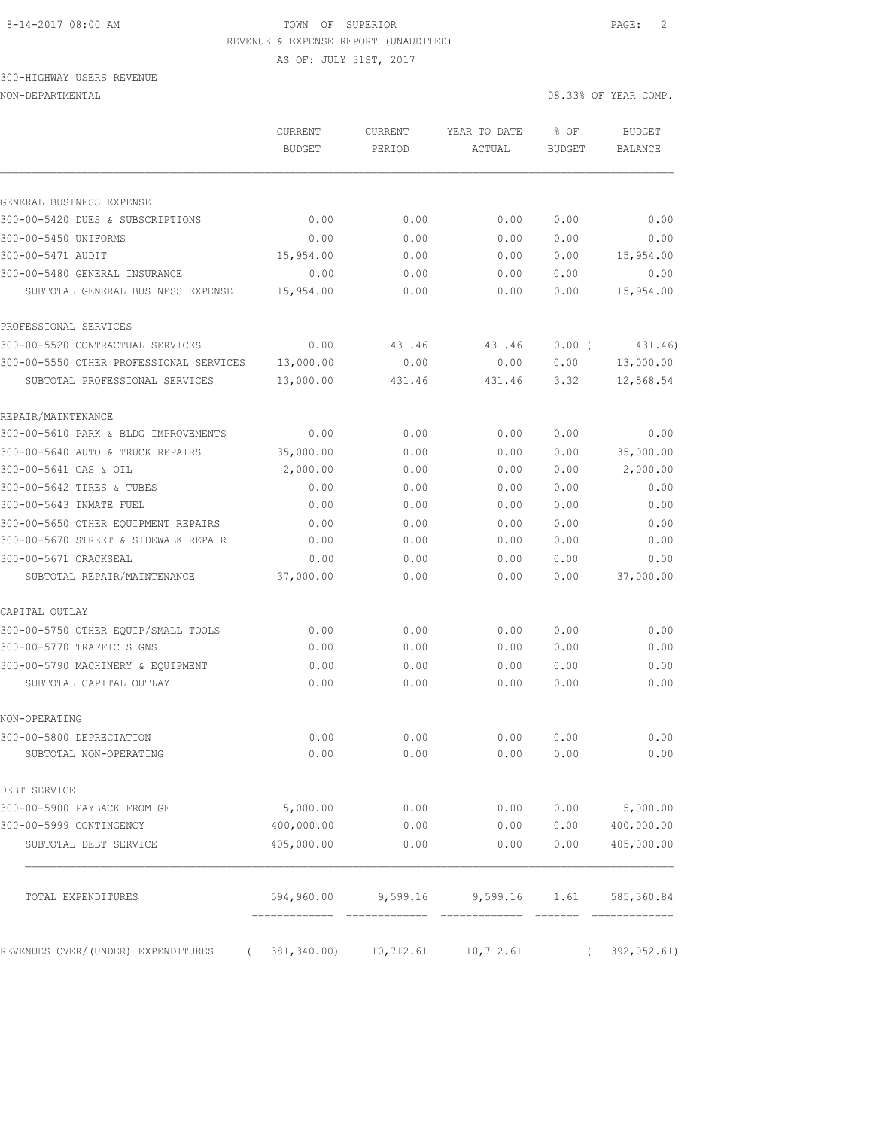AS OF: JULY 31ST, 2017

# 300-HIGHWAY USERS REVENUE

NON-DEPARTMENTAL 08.33% OF YEAR COMP.

|                                                 | <b>CURRENT</b><br><b>BUDGET</b> | CURRENT<br>PERIOD   | YEAR TO DATE<br>ACTUAL | % OF<br>BUDGET | BUDGET<br><b>BALANCE</b> |
|-------------------------------------------------|---------------------------------|---------------------|------------------------|----------------|--------------------------|
| GENERAL BUSINESS EXPENSE                        |                                 |                     |                        |                |                          |
| 300-00-5420 DUES & SUBSCRIPTIONS                | 0.00                            | 0.00                | 0.00                   | 0.00           | 0.00                     |
| 300-00-5450 UNIFORMS                            | 0.00                            | 0.00                | 0.00                   | 0.00           | 0.00                     |
| 300-00-5471 AUDIT                               | 15,954.00                       | 0.00                | 0.00                   | 0.00           | 15,954.00                |
| 300-00-5480 GENERAL INSURANCE                   | 0.00                            | 0.00                | 0.00                   | 0.00           | 0.00                     |
| SUBTOTAL GENERAL BUSINESS EXPENSE               | 15,954.00                       | 0.00                | 0.00                   | 0.00           | 15,954.00                |
| PROFESSIONAL SERVICES                           |                                 |                     |                        |                |                          |
| 300-00-5520 CONTRACTUAL SERVICES                | 0.00                            | 431.46              | 431.46                 | $0.00$ (       | 431.46)                  |
| 300-00-5550 OTHER PROFESSIONAL SERVICES         | 13,000.00                       | 0.00                | 0.00                   | 0.00           | 13,000.00                |
| SUBTOTAL PROFESSIONAL SERVICES                  | 13,000.00                       | 431.46              | 431.46                 | 3.32           | 12,568.54                |
| REPAIR/MAINTENANCE                              |                                 |                     |                        |                |                          |
| 300-00-5610 PARK & BLDG IMPROVEMENTS            | 0.00                            | 0.00                | 0.00                   | 0.00           | 0.00                     |
| 300-00-5640 AUTO & TRUCK REPAIRS                | 35,000.00                       | 0.00                | 0.00                   | 0.00           | 35,000.00                |
| 300-00-5641 GAS & OIL                           | 2,000.00                        | 0.00                | 0.00                   | 0.00           | 2,000.00                 |
| 300-00-5642 TIRES & TUBES                       | 0.00                            | 0.00                | 0.00                   | 0.00           | 0.00                     |
| 300-00-5643 INMATE FUEL                         | 0.00                            | 0.00                | 0.00                   | 0.00           | 0.00                     |
| 300-00-5650 OTHER EQUIPMENT REPAIRS             | 0.00                            | 0.00                | 0.00                   | 0.00           | 0.00                     |
| 300-00-5670 STREET & SIDEWALK REPAIR            | 0.00                            | 0.00                | 0.00                   | 0.00           | 0.00                     |
| 300-00-5671 CRACKSEAL                           | 0.00                            | 0.00                | 0.00                   | 0.00           | 0.00                     |
| SUBTOTAL REPAIR/MAINTENANCE                     | 37,000.00                       | 0.00                | 0.00                   | 0.00           | 37,000.00                |
| CAPITAL OUTLAY                                  |                                 |                     |                        |                |                          |
| 300-00-5750 OTHER EQUIP/SMALL TOOLS             | 0.00                            | 0.00                | 0.00                   | 0.00           | 0.00                     |
| 300-00-5770 TRAFFIC SIGNS                       | 0.00                            | 0.00                | 0.00                   | 0.00           | 0.00                     |
| 300-00-5790 MACHINERY & EQUIPMENT               | 0.00                            | 0.00                | 0.00                   | 0.00           | 0.00                     |
| SUBTOTAL CAPITAL OUTLAY                         | 0.00                            | 0.00                | 0.00                   | 0.00           | 0.00                     |
| NON-OPERATING                                   |                                 |                     |                        |                |                          |
| 300-00-5800 DEPRECIATION                        | 0.00                            | 0.00                | 0.00                   | 0.00           | 0.00                     |
| SUBTOTAL NON-OPERATING                          | 0.00                            | 0.00                | 0.00                   | 0.00           | 0.00                     |
| DEBT SERVICE                                    |                                 |                     |                        |                |                          |
| 300-00-5900 PAYBACK FROM GF                     | 5,000.00                        | 0.00                | 0.00                   |                | $0.00$ 5,000.00          |
| 300-00-5999 CONTINGENCY                         | 400,000.00                      | 0.00                | 0.00                   | 0.00           | 400,000.00               |
| SUBTOTAL DEBT SERVICE                           | 405,000.00                      | 0.00                | 0.00                   | 0.00           | 405,000.00               |
| TOTAL EXPENDITURES                              |                                 | 594,960.00 9,599.16 |                        | 9,599.16 1.61  | 585,360.84               |
|                                                 |                                 |                     |                        |                |                          |
| REVENUES OVER/ (UNDER) EXPENDITURES<br>$\left($ | 381,340.00)                     | 10,712.61           | 10,712.61              |                | 392,052.61)              |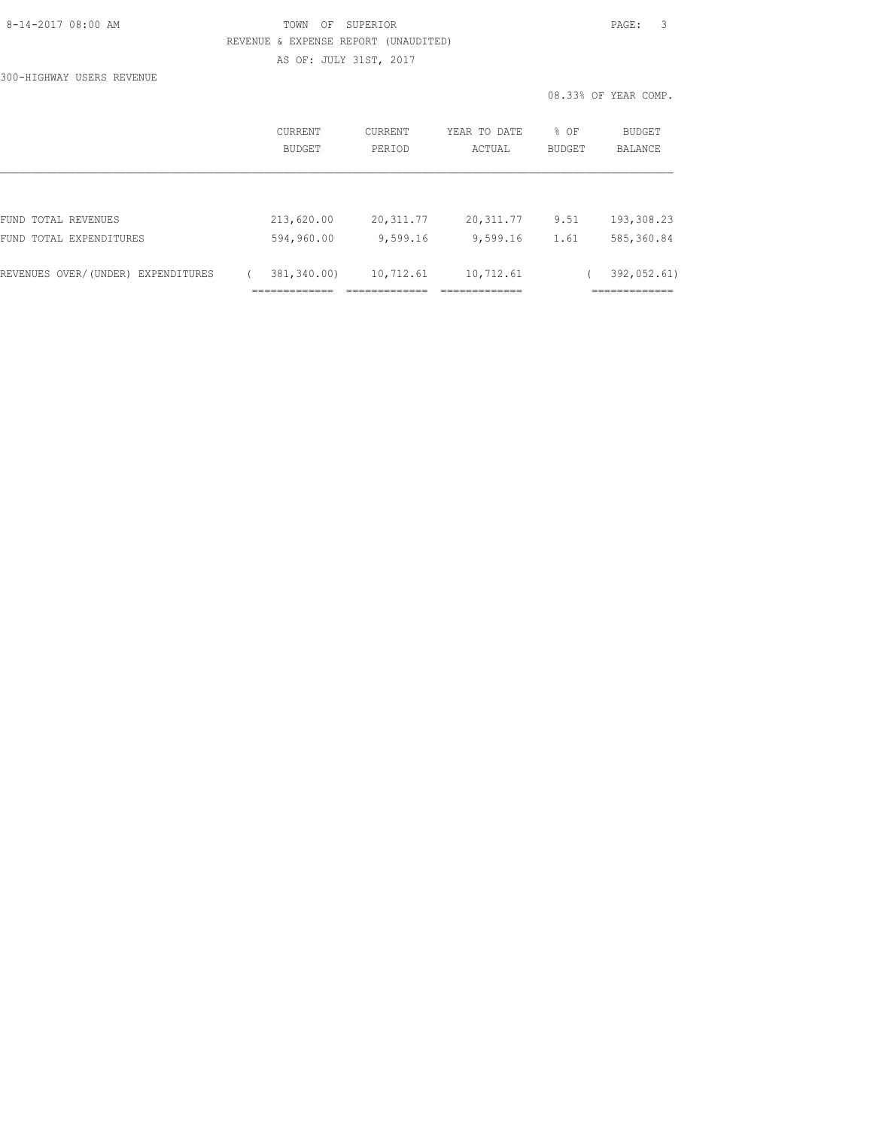### 8-14-2017 08:00 AM TOWN OF SUPERIOR PAGE: 3 REVENUE & EXPENSE REPORT (UNAUDITED) AS OF: JULY 31ST, 2017

300-HIGHWAY USERS REVENUE

|                                    | CURRENT<br>BUDGET | <b>CURRENT</b><br>PERIOD | YEAR TO DATE<br>ACTUAL | % OF<br>BUDGET | BUDGET<br><b>BALANCE</b> |
|------------------------------------|-------------------|--------------------------|------------------------|----------------|--------------------------|
|                                    |                   |                          |                        |                |                          |
| FUND TOTAL REVENUES                | 213,620.00        | 20, 311.77               | 20,311.77              | 9.51           | 193,308.23               |
| FUND TOTAL EXPENDITURES            | 594,960.00        | 9,599.16                 | 9,599.16               | 1.61           | 585,360.84               |
| REVENUES OVER/(UNDER) EXPENDITURES | 381,340.00)       | 10,712.61                | 10,712.61              |                | 392,052.61)              |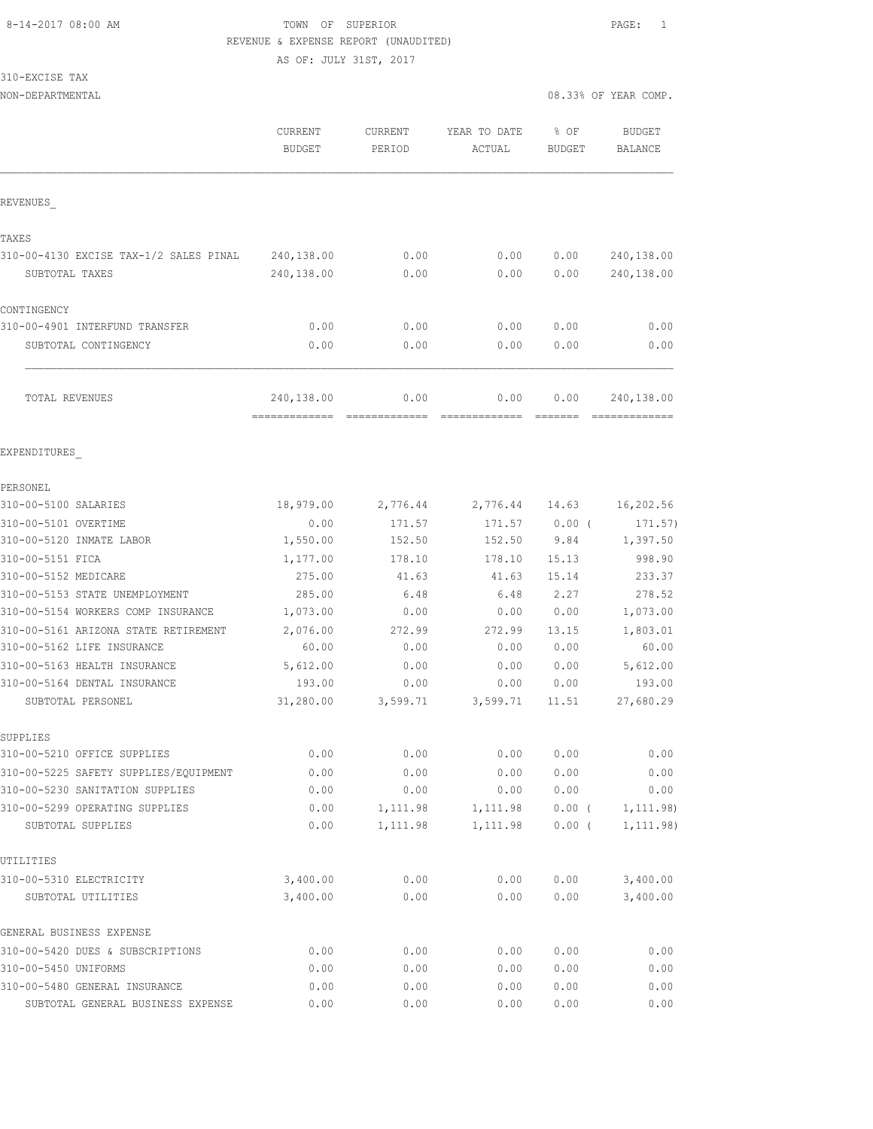AS OF: JULY 31ST, 2017

310-EXCISE TAX

|                                                     | CURRENT<br><b>BUDGET</b>                   | CURRENT<br>PERIOD    | YEAR TO DATE<br>ACTUAL | % OF<br>BUDGET       | <b>BUDGET</b><br>BALANCE    |
|-----------------------------------------------------|--------------------------------------------|----------------------|------------------------|----------------------|-----------------------------|
| REVENUES                                            |                                            |                      |                        |                      |                             |
| TAXES                                               |                                            |                      |                        |                      |                             |
| 310-00-4130 EXCISE TAX-1/2 SALES PINAL              | 240,138.00                                 | 0.00                 | 0.00                   | 0.00                 | 240,138.00                  |
| SUBTOTAL TAXES                                      | 240,138.00                                 | 0.00                 | 0.00                   | 0.00                 | 240,138.00                  |
| CONTINGENCY                                         |                                            |                      |                        |                      |                             |
| 310-00-4901 INTERFUND TRANSFER                      | 0.00                                       | 0.00                 | 0.00                   | 0.00                 | 0.00                        |
| SUBTOTAL CONTINGENCY                                | 0.00                                       | 0.00                 | 0.00                   | 0.00                 | 0.00                        |
| TOTAL REVENUES                                      | 240,138.00<br>------------- -------------- | 0.00                 | 0.00<br>=============  | 0.00                 | 240,138.00<br>============= |
| EXPENDITURES                                        |                                            |                      |                        |                      |                             |
| PERSONEL                                            |                                            |                      |                        |                      |                             |
| 310-00-5100 SALARIES                                | 18,979.00                                  | 2,776.44             | 2,776.44               | 14.63                | 16,202.56                   |
| 310-00-5101 OVERTIME                                | 0.00                                       | 171.57               | 171.57                 | $0.00$ (             | 171.57)                     |
| 310-00-5120 INMATE LABOR                            | 1,550.00                                   | 152.50               | 152.50                 | 9.84                 | 1,397.50                    |
| 310-00-5151 FICA                                    | 1,177.00                                   | 178.10               | 178.10                 | 15.13                | 998.90                      |
| 310-00-5152 MEDICARE                                | 275.00                                     | 41.63                | 41.63                  | 15.14                | 233.37                      |
| 310-00-5153 STATE UNEMPLOYMENT                      | 285.00                                     | 6.48                 | 6.48                   | 2.27                 | 278.52                      |
| 310-00-5154 WORKERS COMP INSURANCE                  | 1,073.00                                   | 0.00                 | 0.00                   | 0.00                 | 1,073.00                    |
| 310-00-5161 ARIZONA STATE RETIREMENT                | 2,076.00                                   | 272.99               | 272.99                 | 13.15                | 1,803.01                    |
| 310-00-5162 LIFE INSURANCE                          | 60.00                                      | 0.00                 | 0.00                   | 0.00                 | 60.00                       |
| 310-00-5163 HEALTH INSURANCE                        | 5,612.00                                   | 0.00                 | 0.00                   | 0.00                 | 5,612.00                    |
| 310-00-5164 DENTAL INSURANCE                        | 193.00                                     | 0.00                 | 0.00                   | 0.00                 | 193.00                      |
| SUBTOTAL PERSONEL                                   | 31,280.00                                  | 3,599.71             | 3,599.71               | 11.51                | 27,680.29                   |
| SUPPLIES                                            |                                            |                      |                        |                      |                             |
| 310-00-5210 OFFICE SUPPLIES                         | 0.00                                       | 0.00                 | 0.00                   | 0.00                 | ${\bf 0}$ . ${\bf 00}$      |
| 310-00-5225 SAFETY SUPPLIES/EQUIPMENT               | 0.00                                       | 0.00                 | 0.00                   | 0.00                 | 0.00                        |
| 310-00-5230 SANITATION SUPPLIES                     | 0.00                                       | 0.00                 | 0.00                   | 0.00                 | 0.00                        |
| 310-00-5299 OPERATING SUPPLIES<br>SUBTOTAL SUPPLIES | 0.00<br>0.00                               | 1,111.98<br>1,111.98 | 1,111.98<br>1,111.98   | $0.00$ (<br>$0.00$ ( | 1, 111.98)<br>1, 111.98)    |
| UTILITIES                                           |                                            |                      |                        |                      |                             |
| 310-00-5310 ELECTRICITY                             | 3,400.00                                   | 0.00                 | 0.00                   | 0.00                 | 3,400.00                    |
| SUBTOTAL UTILITIES                                  | 3,400.00                                   | 0.00                 | 0.00                   | 0.00                 | 3,400.00                    |
| GENERAL BUSINESS EXPENSE                            |                                            |                      |                        |                      |                             |
| 310-00-5420 DUES & SUBSCRIPTIONS                    | 0.00                                       | 0.00                 | 0.00                   | 0.00                 | 0.00                        |
| 310-00-5450 UNIFORMS                                | 0.00                                       | 0.00                 | 0.00                   | 0.00                 | 0.00                        |
| 310-00-5480 GENERAL INSURANCE                       | 0.00                                       | 0.00                 | 0.00                   | 0.00                 | 0.00                        |
| SUBTOTAL GENERAL BUSINESS EXPENSE                   | 0.00                                       | 0.00                 | 0.00                   | 0.00                 | 0.00                        |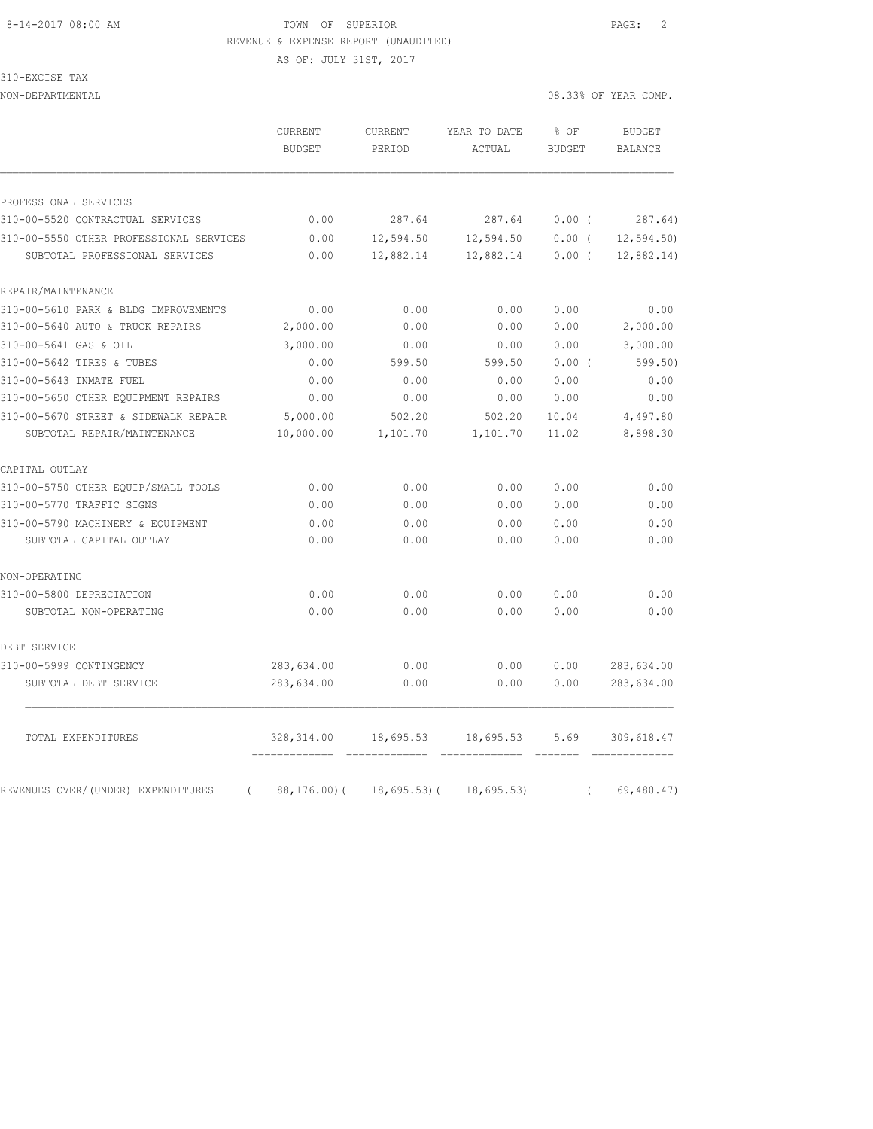AS OF: JULY 31ST, 2017

310-EXCISE TAX

| NON-DEPARTMENTAL                               |                          |                   |                        |                       | 08.33% OF YEAR COMP.     |
|------------------------------------------------|--------------------------|-------------------|------------------------|-----------------------|--------------------------|
|                                                | CURRENT<br><b>BUDGET</b> | CURRENT<br>PERIOD | YEAR TO DATE<br>ACTUAL | % OF<br><b>BUDGET</b> | <b>BUDGET</b><br>BALANCE |
| PROFESSIONAL SERVICES                          |                          |                   |                        |                       |                          |
| 310-00-5520 CONTRACTUAL SERVICES               | 0.00                     | 287.64            | 287.64                 | 0.00(                 | 287.64)                  |
| 310-00-5550 OTHER PROFESSIONAL SERVICES        | 0.00                     | 12,594.50         | 12,594.50              | $0.00$ (              | 12, 594.50               |
| SUBTOTAL PROFESSIONAL SERVICES                 | 0.00                     | 12,882.14         | 12,882.14              | $0.00$ (              | 12,882.14)               |
| REPAIR/MAINTENANCE                             |                          |                   |                        |                       |                          |
| 310-00-5610 PARK & BLDG IMPROVEMENTS           | 0.00                     | 0.00              | 0.00                   | 0.00                  | 0.00                     |
| 310-00-5640 AUTO & TRUCK REPAIRS               | 2,000.00                 | 0.00              | 0.00                   | 0.00                  | 2,000.00                 |
| 310-00-5641 GAS & OIL                          | 3,000.00                 | 0.00              | 0.00                   | 0.00                  | 3,000.00                 |
| 310-00-5642 TIRES & TUBES                      | 0.00                     | 599.50            | 599.50                 | $0.00$ (              | 599.50)                  |
| 310-00-5643 INMATE FUEL                        | 0.00                     | 0.00              | 0.00                   | 0.00                  | 0.00                     |
| 310-00-5650 OTHER EQUIPMENT REPAIRS            | 0.00                     | 0.00              | 0.00                   | 0.00                  | 0.00                     |
| 310-00-5670 STREET & SIDEWALK REPAIR           | 5,000.00                 | 502.20            | 502.20                 | 10.04                 | 4,497.80                 |
| SUBTOTAL REPAIR/MAINTENANCE                    | 10,000.00                | 1,101.70          | 1,101.70               | 11.02                 | 8,898.30                 |
| CAPITAL OUTLAY                                 |                          |                   |                        |                       |                          |
| 310-00-5750 OTHER EQUIP/SMALL TOOLS            | 0.00                     | 0.00              | 0.00                   | 0.00                  | 0.00                     |
| 310-00-5770 TRAFFIC SIGNS                      | 0.00                     | 0.00              | 0.00                   | 0.00                  | 0.00                     |
| 310-00-5790 MACHINERY & EQUIPMENT              | 0.00                     | 0.00              | 0.00                   | 0.00                  | 0.00                     |
| SUBTOTAL CAPITAL OUTLAY                        | 0.00                     | 0.00              | 0.00                   | 0.00                  | 0.00                     |
| NON-OPERATING                                  |                          |                   |                        |                       |                          |
| 310-00-5800 DEPRECIATION                       | 0.00                     | 0.00              | 0.00                   | 0.00                  | 0.00                     |
| SUBTOTAL NON-OPERATING                         | 0.00                     | 0.00              | 0.00                   | 0.00                  | 0.00                     |
| DEBT SERVICE                                   |                          |                   |                        |                       |                          |
| 310-00-5999 CONTINGENCY                        | 283,634.00               | 0.00              | 0.00                   | 0.00                  | 283,634.00               |
| SUBTOTAL DEBT SERVICE                          | 283,634.00               | 0.00              | 0.00                   | 0.00                  | 283,634.00               |
| TOTAL EXPENDITURES                             | 328, 314.00              | 18,695.53         | 18,695.53              | 5.69                  | 309,618.47               |
| REVENUES OVER/(UNDER) EXPENDITURES<br>$\left($ | 88,176.00(               | $18,695.53$ ) (   | 18,695.53)             | $\left($              | 69,480.47)               |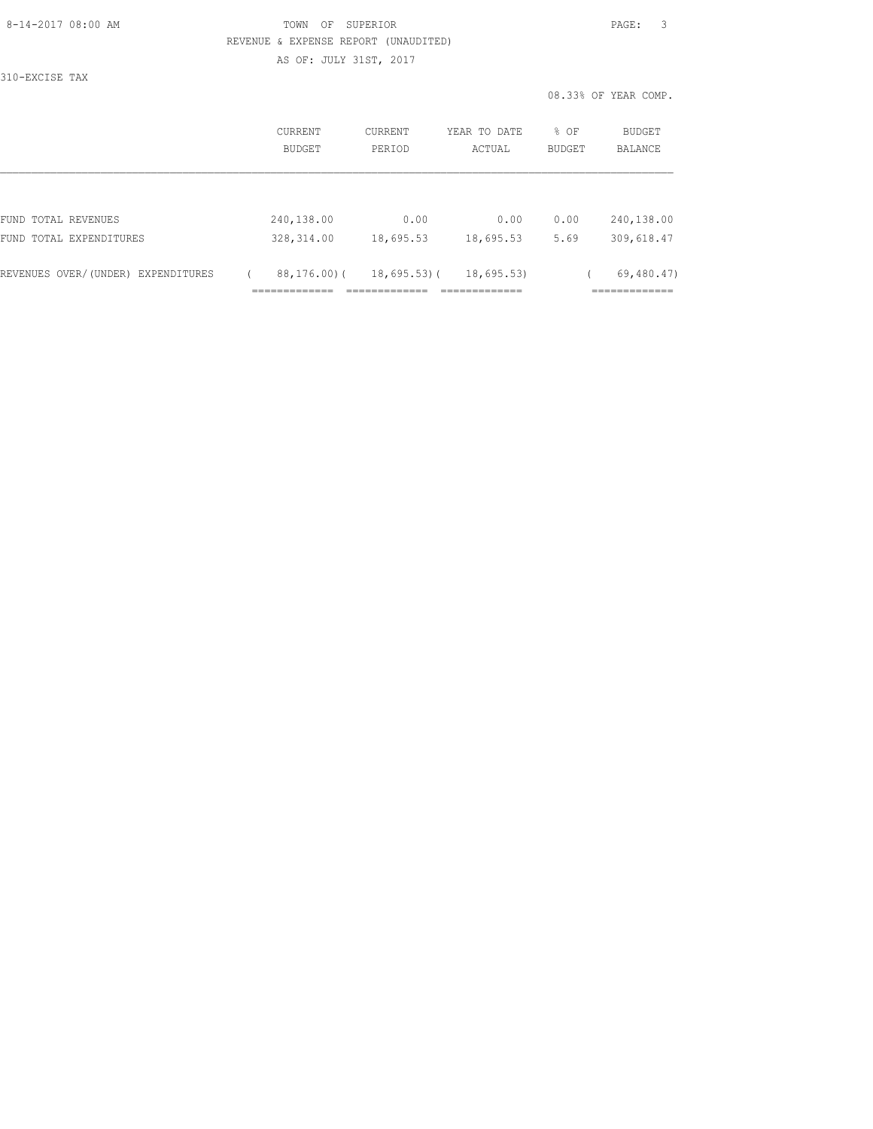AS OF: JULY 31ST, 2017

310-EXCISE TAX

|                                    | <b>CURRENT</b><br>BUDGET |             | CURRENT<br>PERIOD                            | YEAR TO DATE<br>ACTUAL                    | % OF<br>BUDGET | BUDGET<br>BALANCE                          |
|------------------------------------|--------------------------|-------------|----------------------------------------------|-------------------------------------------|----------------|--------------------------------------------|
|                                    |                          |             |                                              |                                           |                |                                            |
| FUND TOTAL REVENUES                | 240,138.00               |             | 0.00                                         | 0.00                                      | 0.00           | 240,138.00                                 |
| FUND TOTAL EXPENDITURES            | 328, 314.00              |             | 18,695.53                                    | 18,695.53                                 | 5.69           | 309,618.47                                 |
| REVENUES OVER/(UNDER) EXPENDITURES | _____________<br>.       | 88,176.00)( | $18,695.53$ ) (<br>_____________<br>________ | 18,695.53<br>____________<br>------------ |                | 69,480.47)<br>____________<br>------------ |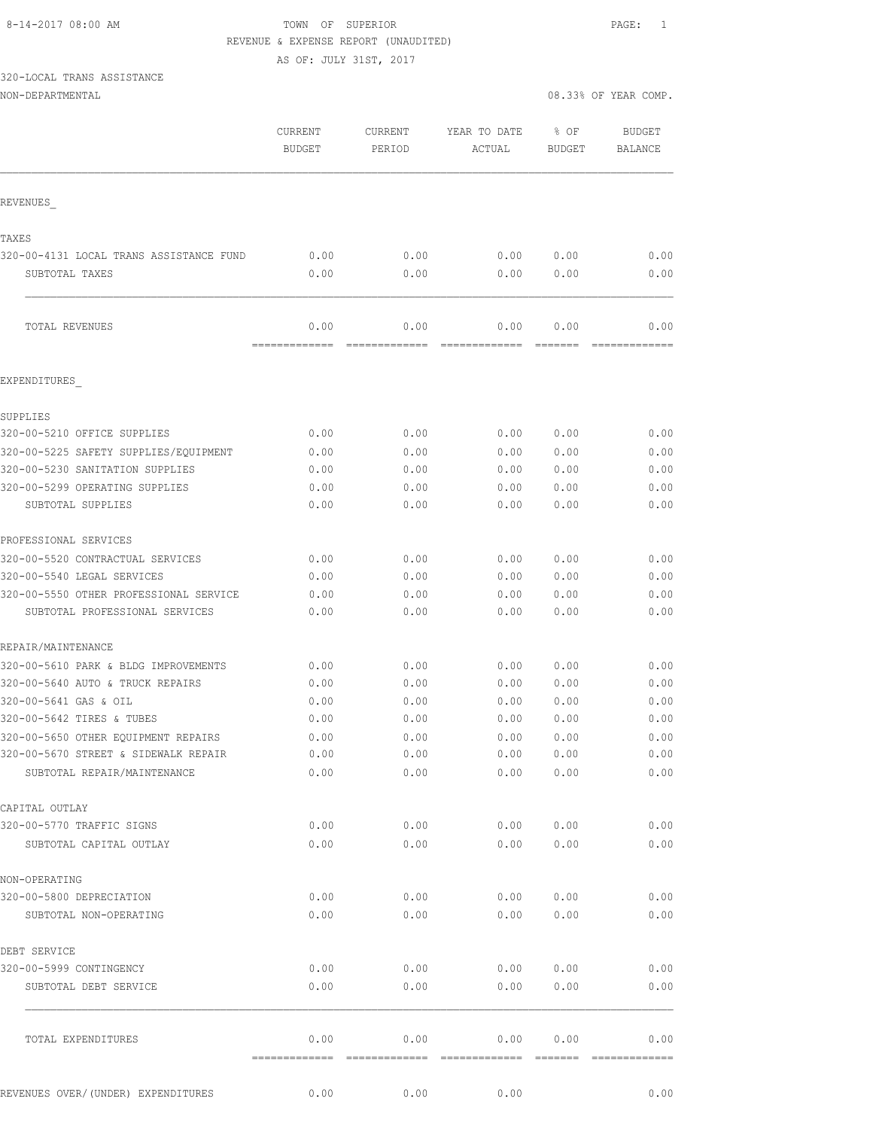AS OF: JULY 31ST, 2017

# 320-LOCAL TRANS ASSISTANCE

NON-DEPARTMENTAL 08.33% OF YEAR COMP.

|                                                     | CURRENT<br><b>BUDGET</b> | <b>CURRENT</b><br>PERIOD | YEAR TO DATE<br>ACTUAL | % OF<br><b>BUDGET</b> | <b>BUDGET</b><br><b>BALANCE</b> |
|-----------------------------------------------------|--------------------------|--------------------------|------------------------|-----------------------|---------------------------------|
| REVENUES                                            |                          |                          |                        |                       |                                 |
| TAXES                                               |                          |                          |                        |                       |                                 |
| 320-00-4131 LOCAL TRANS ASSISTANCE FUND             | 0.00                     | 0.00                     | 0.00                   | 0.00                  | 0.00                            |
| SUBTOTAL TAXES                                      | 0.00                     | 0.00                     | 0.00                   | 0.00                  | 0.00                            |
| TOTAL REVENUES                                      | 0.00                     | 0.00                     | 0.00                   | 0.00                  | 0.00                            |
| EXPENDITURES                                        | -------------            | -------------            | =============          | =======               | =============                   |
|                                                     |                          |                          |                        |                       |                                 |
| SUPPLIES<br>320-00-5210 OFFICE SUPPLIES             | 0.00                     |                          |                        |                       | 0.00                            |
| 320-00-5225 SAFETY SUPPLIES/EQUIPMENT               | 0.00                     | 0.00<br>0.00             | 0.00<br>0.00           | 0.00<br>0.00          | 0.00                            |
| 320-00-5230 SANITATION SUPPLIES                     | 0.00                     | 0.00                     | 0.00                   | 0.00                  | 0.00                            |
|                                                     |                          |                          |                        |                       |                                 |
| 320-00-5299 OPERATING SUPPLIES<br>SUBTOTAL SUPPLIES | 0.00                     | 0.00                     | 0.00                   | 0.00                  | 0.00<br>0.00                    |
|                                                     | 0.00                     | 0.00                     | 0.00                   | 0.00                  |                                 |
| PROFESSIONAL SERVICES                               |                          |                          |                        |                       |                                 |
| 320-00-5520 CONTRACTUAL SERVICES                    | 0.00                     | 0.00                     | 0.00                   | 0.00                  | 0.00                            |
| 320-00-5540 LEGAL SERVICES                          | 0.00                     | 0.00                     | 0.00                   | 0.00                  | 0.00                            |
| 320-00-5550 OTHER PROFESSIONAL SERVICE              | 0.00                     | 0.00                     | 0.00                   | 0.00                  | 0.00                            |
| SUBTOTAL PROFESSIONAL SERVICES                      | 0.00                     | 0.00                     | 0.00                   | 0.00                  | 0.00                            |
| REPAIR/MAINTENANCE                                  |                          |                          |                        |                       |                                 |
| 320-00-5610 PARK & BLDG IMPROVEMENTS                | 0.00                     | 0.00                     | 0.00                   | 0.00                  | 0.00                            |
| 320-00-5640 AUTO & TRUCK REPAIRS                    | 0.00                     | 0.00                     | 0.00                   | 0.00                  | 0.00                            |
| 320-00-5641 GAS & OIL                               | 0.00                     | 0.00                     | 0.00                   | 0.00                  | 0.00                            |
| 320-00-5642 TIRES & TUBES                           | 0.00                     | 0.00                     | 0.00                   | 0.00                  | 0.00                            |
| 320-00-5650 OTHER EQUIPMENT REPAIRS                 | 0.00                     | 0.00                     | 0.00                   | 0.00                  | 0.00                            |
| 320-00-5670 STREET & SIDEWALK REPAIR                | 0.00                     | 0.00                     | 0.00                   | 0.00                  | 0.00                            |
| SUBTOTAL REPAIR/MAINTENANCE                         | 0.00                     | 0.00                     | 0.00                   | 0.00                  | 0.00                            |
| CAPITAL OUTLAY                                      |                          |                          |                        |                       |                                 |
| 320-00-5770 TRAFFIC SIGNS                           | 0.00                     | 0.00                     | 0.00                   | 0.00                  | 0.00                            |
| SUBTOTAL CAPITAL OUTLAY                             | 0.00                     | 0.00                     | 0.00                   | 0.00                  | 0.00                            |
| NON-OPERATING                                       |                          |                          |                        |                       |                                 |
| 320-00-5800 DEPRECIATION                            | 0.00                     | 0.00                     | 0.00                   | 0.00                  | 0.00                            |
| SUBTOTAL NON-OPERATING                              | 0.00                     | 0.00                     | 0.00                   | 0.00                  | 0.00                            |
| DEBT SERVICE                                        |                          |                          |                        |                       |                                 |
| 320-00-5999 CONTINGENCY                             | 0.00                     | 0.00                     | 0.00                   | 0.00                  | 0.00                            |
| SUBTOTAL DEBT SERVICE                               | 0.00                     | 0.00                     | 0.00                   | 0.00                  | 0.00                            |
|                                                     |                          |                          |                        |                       |                                 |
| TOTAL EXPENDITURES                                  | 0.00                     | 0.00                     | 0.00                   | 0.00                  | 0.00                            |
|                                                     |                          |                          |                        |                       |                                 |
| REVENUES OVER/ (UNDER) EXPENDITURES                 | 0.00                     | 0.00                     | 0.00                   |                       | 0.00                            |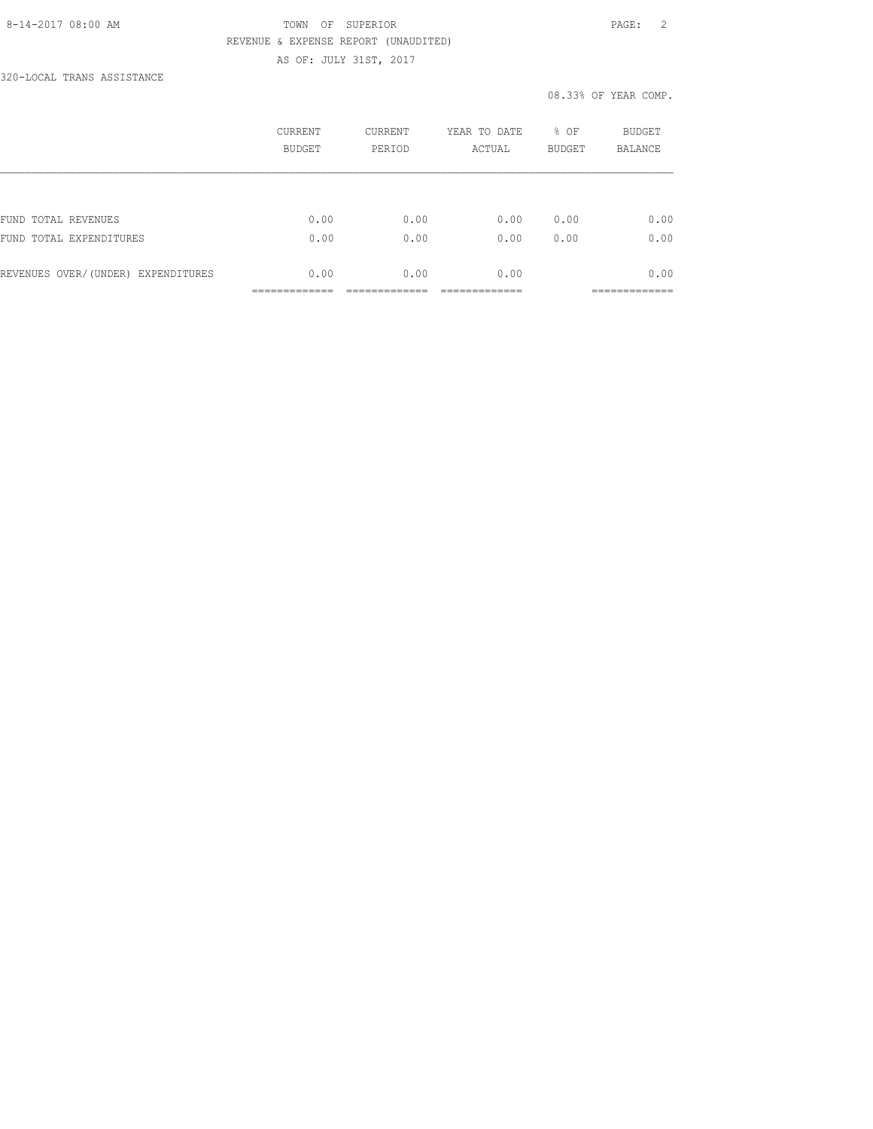## 8-14-2017 08:00 AM TOWN OF SUPERIOR PAGE: 2 REVENUE & EXPENSE REPORT (UNAUDITED) AS OF: JULY 31ST, 2017

320-LOCAL TRANS ASSISTANCE

|                                    | CURRENT<br>BUDGET | CURRENT<br>PERIOD | YEAR TO DATE<br>ACTUAL | % OF<br><b>BUDGET</b> | BUDGET<br><b>BALANCE</b> |
|------------------------------------|-------------------|-------------------|------------------------|-----------------------|--------------------------|
|                                    |                   |                   |                        |                       |                          |
| FUND TOTAL REVENUES                | 0.00              | 0.00              | 0.00                   | 0.00                  | 0.00                     |
| FUND TOTAL EXPENDITURES            | 0.00              | 0.00              | 0.00                   | 0.00                  | 0.00                     |
| REVENUES OVER/(UNDER) EXPENDITURES | 0.00              | 0.00              | 0.00                   |                       | 0.00                     |
|                                    |                   |                   |                        |                       | __________               |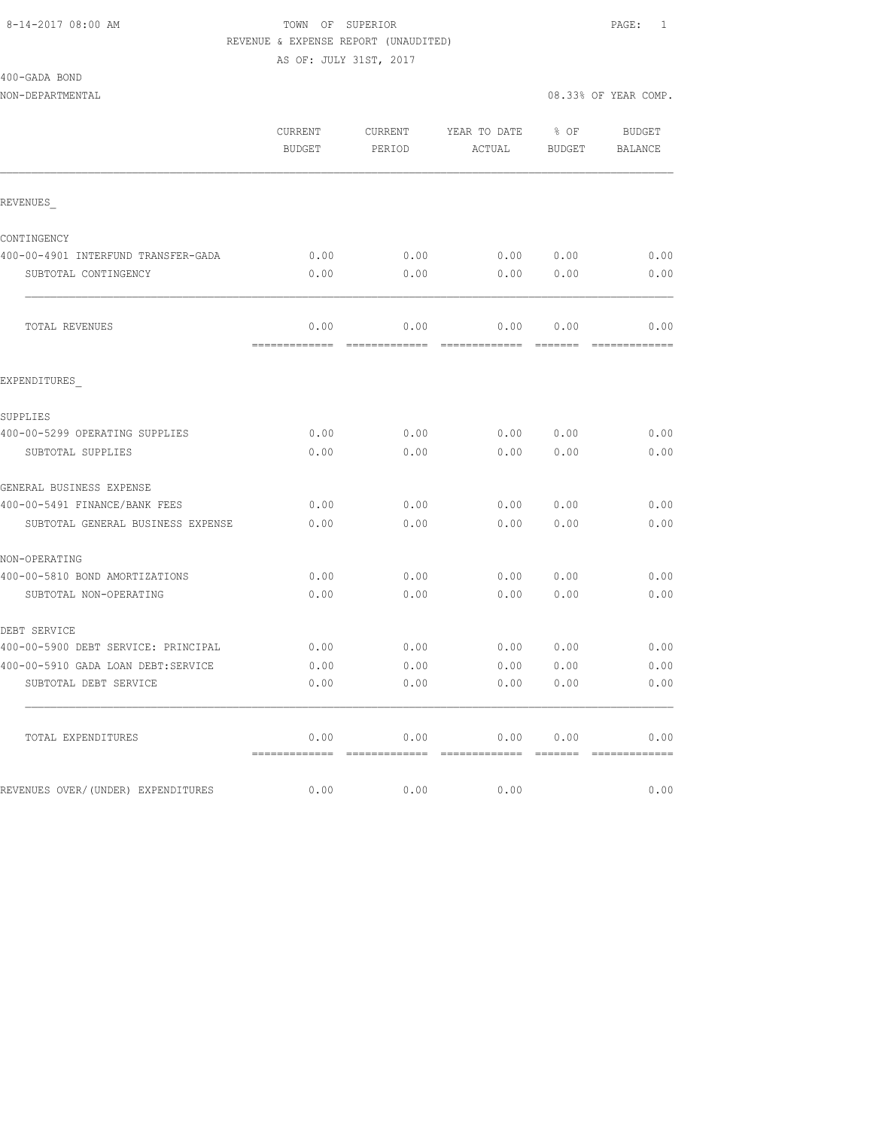400-GADA BOND

NON-DEPARTMENTAL 2008.33% OF YEAR COMP.

|                                     | CURRENT<br><b>BUDGET</b>       | CURRENT<br>PERIOD | YEAR TO DATE<br>ACTUAL | $8$ OF<br>BUDGET | BUDGET<br>BALANCE |
|-------------------------------------|--------------------------------|-------------------|------------------------|------------------|-------------------|
| REVENUES                            |                                |                   |                        |                  |                   |
| CONTINGENCY                         |                                |                   |                        |                  |                   |
| 400-00-4901 INTERFUND TRANSFER-GADA | 0.00                           | 0.00              | 0.00 0.00              |                  | 0.00              |
| SUBTOTAL CONTINGENCY                | 0.00                           | 0.00              | 0.00 0.00              |                  | 0.00              |
| TOTAL REVENUES                      | 0.00                           | 0.00              | 0.00                   | 0.00             | 0.00              |
|                                     | --------                       |                   |                        | --------         |                   |
| EXPENDITURES                        |                                |                   |                        |                  |                   |
| SUPPLIES                            |                                |                   |                        |                  |                   |
| 400-00-5299 OPERATING SUPPLIES      | 0.00                           | 0.00              |                        | 0.00000.00       | 0.00              |
| SUBTOTAL SUPPLIES                   | 0.00                           | 0.00              |                        | 0.00 0.00        | 0.00              |
| GENERAL BUSINESS EXPENSE            |                                |                   |                        |                  |                   |
| 400-00-5491 FINANCE/BANK FEES       | 0.00                           | 0.00              |                        | 0.00 0.00        | 0.00              |
| SUBTOTAL GENERAL BUSINESS EXPENSE   | 0.00                           | 0.00              | 0.00                   | 0.00             | 0.00              |
| NON-OPERATING                       |                                |                   |                        |                  |                   |
| 400-00-5810 BOND AMORTIZATIONS      | 0.00                           | 0.00              |                        | 0.0000000        | 0.00              |
| SUBTOTAL NON-OPERATING              | 0.00                           | 0.00              | 0.00                   | 0.00             | 0.00              |
| DEBT SERVICE                        |                                |                   |                        |                  |                   |
| 400-00-5900 DEBT SERVICE: PRINCIPAL | 0.00                           | 0.00              | 0.00 0.00              |                  | 0.00              |
| 400-00-5910 GADA LOAN DEBT:SERVICE  | 0.00                           | 0.00              |                        | 0.00 0.00        | 0.00              |
| SUBTOTAL DEBT SERVICE               | 0.00                           | 0.00              | 0.00                   | 0.00             | 0.00              |
| TOTAL EXPENDITURES                  | 0.00                           | 0.00              | 0.00                   | 0.00             | 0.00              |
|                                     | ------------------------------ |                   |                        |                  | -------------     |
| REVENUES OVER/(UNDER) EXPENDITURES  | 0.00                           | 0.00              | 0.00                   |                  | 0.00              |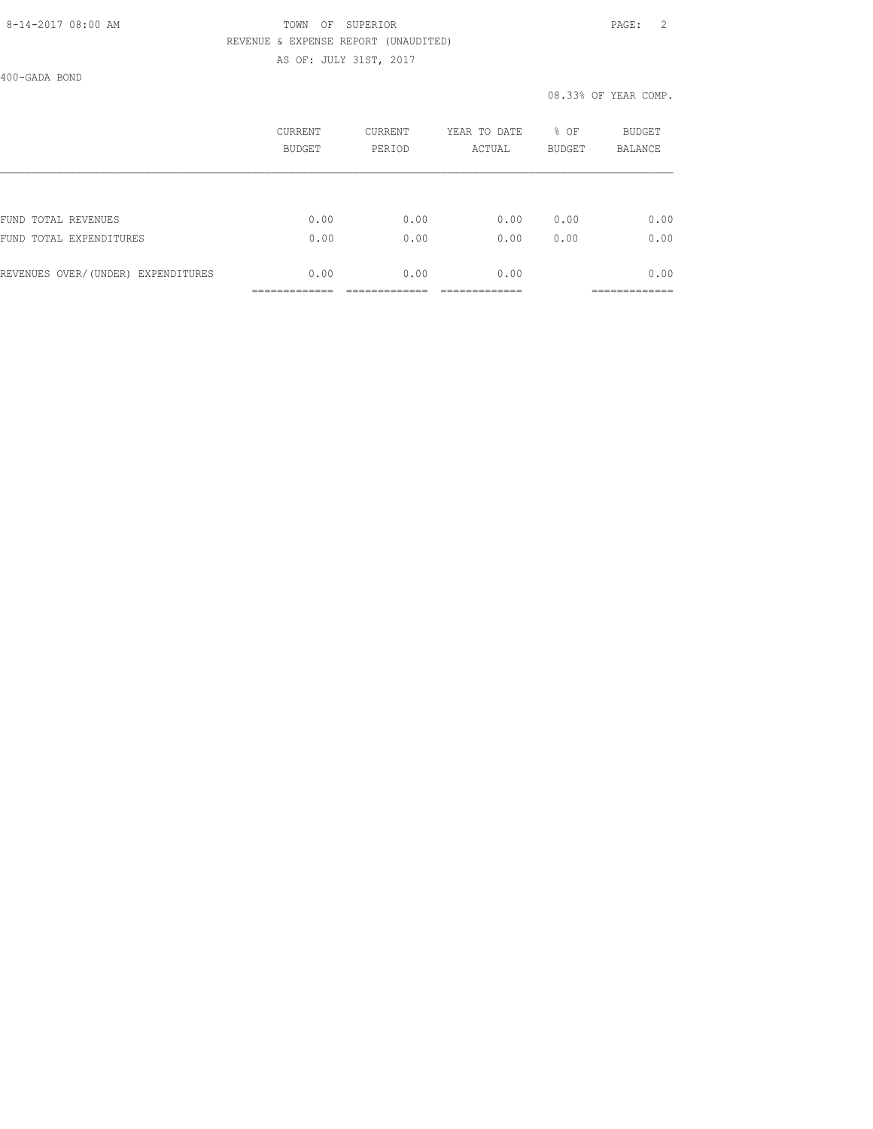### 8-14-2017 08:00 AM TOWN OF SUPERIOR PAGE: 2 REVENUE & EXPENSE REPORT (UNAUDITED) AS OF: JULY 31ST, 2017

400-GADA BOND

|                                    | CURRENT<br><b>BUDGET</b> | <b>CURRENT</b><br>PERIOD | YEAR TO DATE<br>ACTUAL | % OF<br><b>BUDGET</b> | <b>BUDGET</b><br><b>BALANCE</b> |
|------------------------------------|--------------------------|--------------------------|------------------------|-----------------------|---------------------------------|
|                                    |                          |                          |                        |                       |                                 |
| FUND TOTAL REVENUES                | 0.00                     | 0.00                     | 0.00                   | 0.00                  | 0.00                            |
| FUND TOTAL EXPENDITURES            | 0.00                     | 0.00                     | 0.00                   | 0.00                  | 0.00                            |
| REVENUES OVER/(UNDER) EXPENDITURES | 0.00                     | 0.00                     | 0.00                   |                       | 0.00                            |
|                                    |                          |                          |                        |                       |                                 |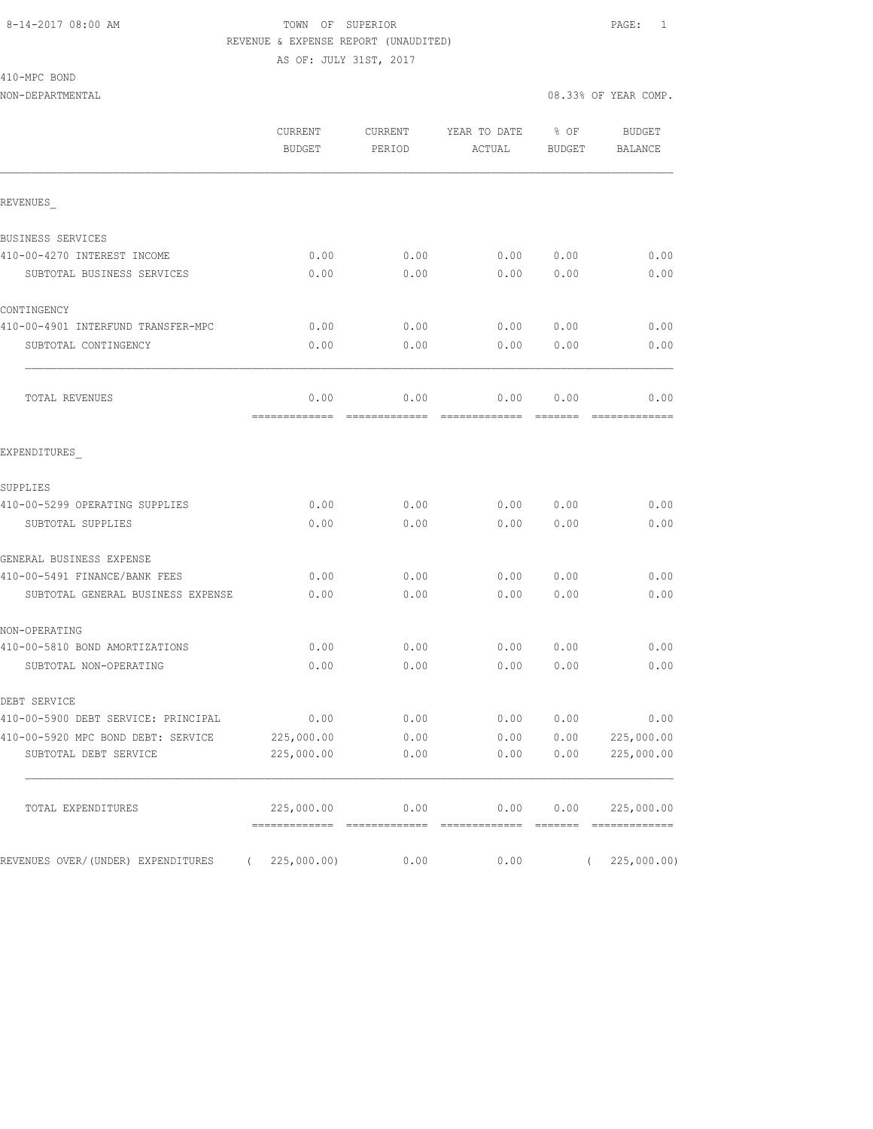AS OF: JULY 31ST, 2017

410-MPC BOND

|                                                | CURRENT<br><b>BUDGET</b>    | CURRENT<br>PERIOD        | YEAR TO DATE<br>ACTUAL    | % OF<br><b>BUDGET</b> | <b>BUDGET</b><br><b>BALANCE</b> |
|------------------------------------------------|-----------------------------|--------------------------|---------------------------|-----------------------|---------------------------------|
| REVENUES                                       |                             |                          |                           |                       |                                 |
| BUSINESS SERVICES                              |                             |                          |                           |                       |                                 |
| 410-00-4270 INTEREST INCOME                    | 0.00                        | 0.00                     | 0.00                      | 0.00                  | 0.00                            |
| SUBTOTAL BUSINESS SERVICES                     | 0.00                        | 0.00                     | 0.00                      | 0.00                  | 0.00                            |
| CONTINGENCY                                    |                             |                          |                           |                       |                                 |
| 410-00-4901 INTERFUND TRANSFER-MPC             | 0.00                        | 0.00                     | 0.00                      | 0.00                  | 0.00                            |
| SUBTOTAL CONTINGENCY                           | 0.00                        | 0.00                     | 0.00                      | 0.00                  | 0.00                            |
| TOTAL REVENUES                                 | 0.00                        | 0.00                     | 0.00                      | 0.00                  | 0.00                            |
| EXPENDITURES                                   |                             |                          |                           |                       |                                 |
| SUPPLIES                                       |                             |                          |                           |                       |                                 |
| 410-00-5299 OPERATING SUPPLIES                 | 0.00                        | 0.00                     | 0.00                      | 0.00                  | 0.00                            |
| SUBTOTAL SUPPLIES                              | 0.00                        | 0.00                     | 0.00                      | 0.00                  | 0.00                            |
| GENERAL BUSINESS EXPENSE                       |                             |                          |                           |                       |                                 |
| 410-00-5491 FINANCE/BANK FEES                  | 0.00                        | 0.00                     | 0.00                      | 0.00                  | 0.00                            |
| SUBTOTAL GENERAL BUSINESS EXPENSE              | 0.00                        | 0.00                     | 0.00                      | 0.00                  | 0.00                            |
| NON-OPERATING                                  |                             |                          |                           |                       |                                 |
| 410-00-5810 BOND AMORTIZATIONS                 | 0.00                        | 0.00                     | 0.00                      | 0.00                  | 0.00                            |
| SUBTOTAL NON-OPERATING                         | 0.00                        | 0.00                     | 0.00                      | 0.00                  | 0.00                            |
| DEBT SERVICE                                   |                             |                          |                           |                       |                                 |
| 410-00-5900 DEBT SERVICE: PRINCIPAL            | 0.00                        | 0.00                     | 0.00                      | 0.00                  | 0.00                            |
| 410-00-5920 MPC BOND DEBT: SERVICE             | 225,000.00                  | 0.00                     | 0.00                      | 0.00                  | 225,000.00                      |
| SUBTOTAL DEBT SERVICE                          | 225,000.00                  | 0.00                     | 0.00                      | 0.00                  | 225,000.00                      |
| TOTAL EXPENDITURES                             | 225,000.00<br>============= | 0.00<br>$22222222222222$ | 0.00<br>$222222222222222$ | 0.00<br>=======       | 225,000.00<br>=============     |
| REVENUES OVER/(UNDER) EXPENDITURES<br>$\left($ | 225,000.00)                 | 0.00                     | 0.00                      | $\left($              | 225,000.00)                     |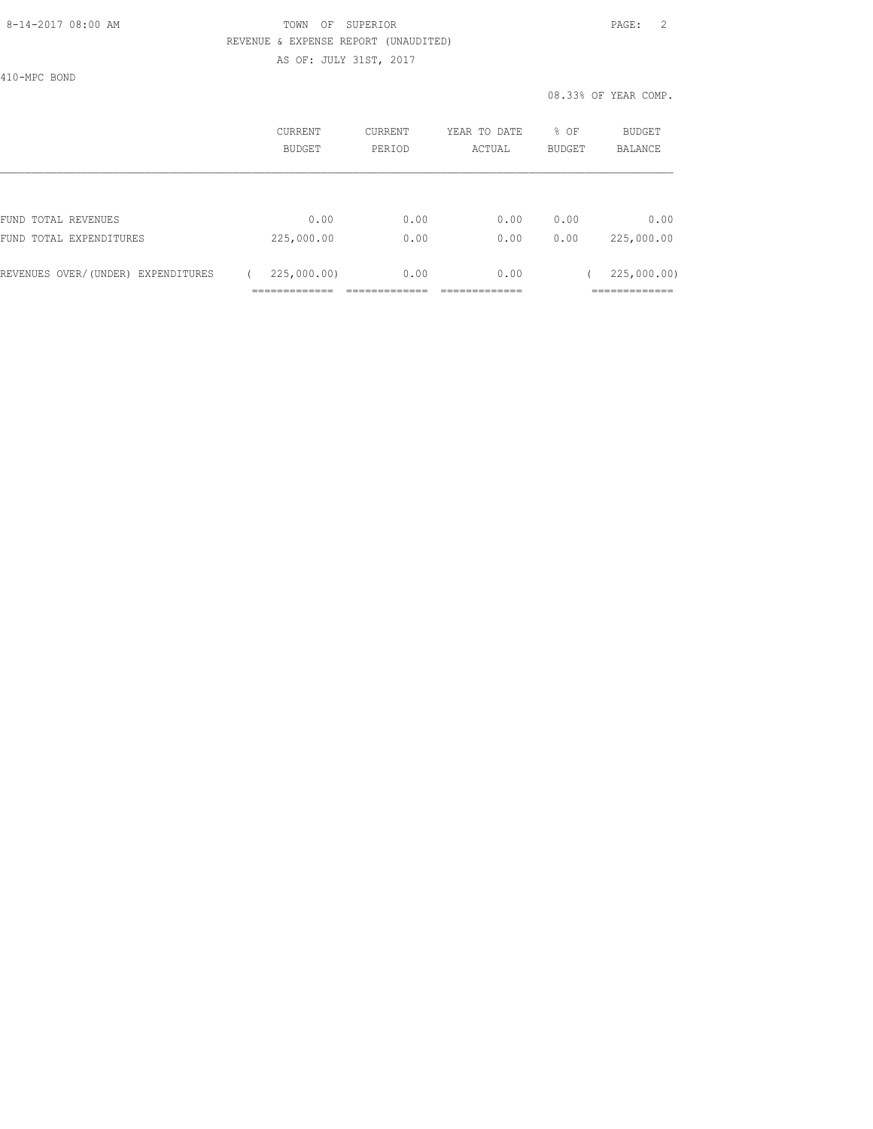## 8-14-2017 08:00 AM TOWN OF SUPERIOR PAGE: 2 REVENUE & EXPENSE REPORT (UNAUDITED) AS OF: JULY 31ST, 2017

410-MPC BOND

|                                    | CURRENT<br><b>BUDGET</b> | CURRENT<br>PERIOD | YEAR TO DATE<br>ACTUAL | % OF<br><b>BUDGET</b> | BUDGET<br><b>BALANCE</b> |
|------------------------------------|--------------------------|-------------------|------------------------|-----------------------|--------------------------|
|                                    |                          |                   |                        |                       |                          |
| FUND TOTAL REVENUES                | 0.00                     | 0.00              | 0.00                   | 0.00                  | 0.00                     |
| FUND TOTAL EXPENDITURES            | 225,000.00               | 0.00              | 0.00                   | 0.00                  | 225,000.00               |
| REVENUES OVER/(UNDER) EXPENDITURES | 225,000.00               | 0.00              | 0.00                   |                       | 225,000.00)              |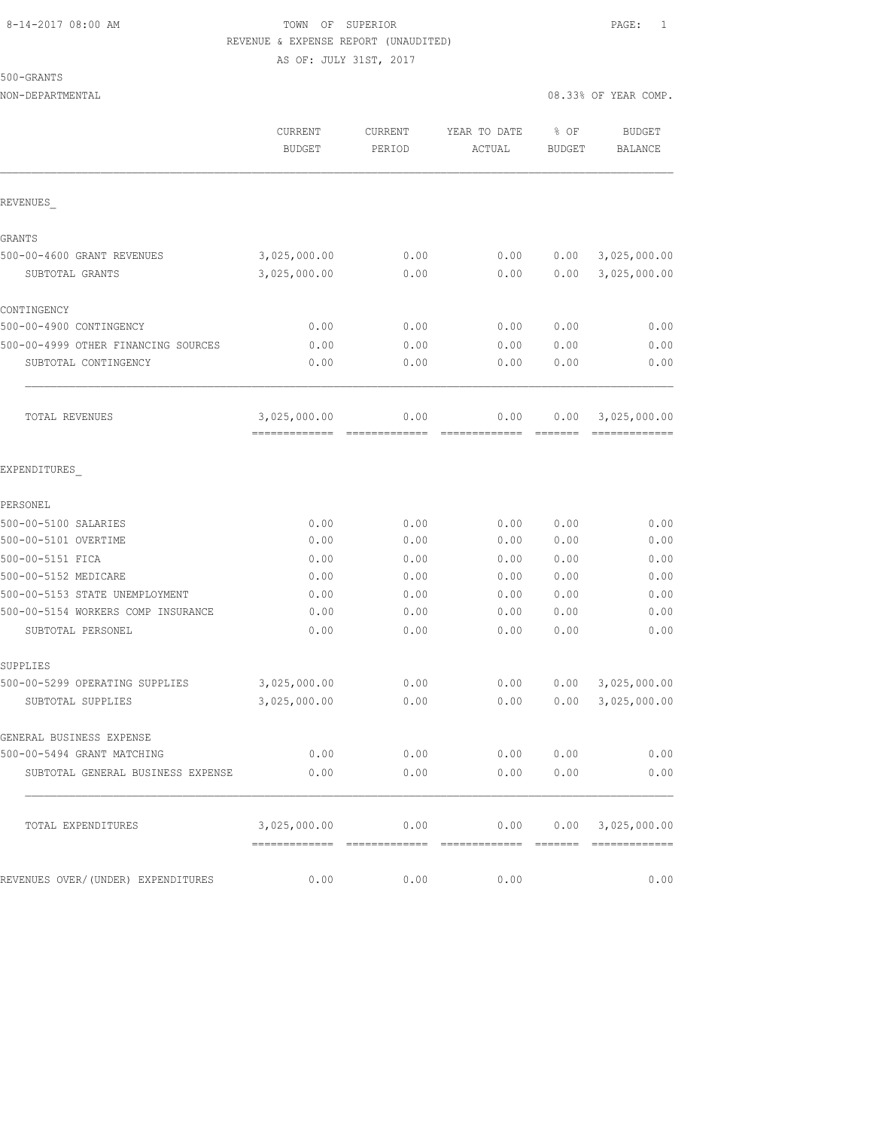500-GRANTS

NON-DEPARTMENTAL 08.33% OF YEAR COMP.

|                                     | CURRENT<br><b>BUDGET</b>      | CURRENT<br>PERIOD | YEAR TO DATE<br>ACTUAL                                    | % OF<br><b>BUDGET</b> | <b>BUDGET</b><br><b>BALANCE</b> |
|-------------------------------------|-------------------------------|-------------------|-----------------------------------------------------------|-----------------------|---------------------------------|
| REVENUES                            |                               |                   |                                                           |                       |                                 |
| GRANTS                              |                               |                   |                                                           |                       |                                 |
| 500-00-4600 GRANT REVENUES          | 3,025,000.00                  | 0.00              | 0.00                                                      | 0.00                  | 3,025,000.00                    |
| SUBTOTAL GRANTS                     | 3,025,000.00                  | 0.00              | 0.00                                                      | 0.00                  | 3,025,000.00                    |
| CONTINGENCY                         |                               |                   |                                                           |                       |                                 |
| 500-00-4900 CONTINGENCY             | 0.00                          | 0.00              | 0.00                                                      | 0.00                  | 0.00                            |
| 500-00-4999 OTHER FINANCING SOURCES | 0.00                          | 0.00              | 0.00                                                      | 0.00                  | 0.00                            |
| SUBTOTAL CONTINGENCY                | 0.00                          | 0.00              | 0.00                                                      | 0.00                  | 0.00                            |
| TOTAL REVENUES                      | 3,025,000.00<br>============= | 0.00<br>=====     | 0.00<br>=============                                     | 0.00                  | 3,025,000.00<br>=============   |
| EXPENDITURES                        |                               |                   |                                                           |                       |                                 |
| PERSONEL                            |                               |                   |                                                           |                       |                                 |
| 500-00-5100 SALARIES                | 0.00                          | 0.00              | 0.00                                                      | 0.00                  | 0.00                            |
| 500-00-5101 OVERTIME                | 0.00                          | 0.00              | 0.00                                                      | 0.00                  | 0.00                            |
| 500-00-5151 FICA                    | 0.00                          | 0.00              | 0.00                                                      | 0.00                  | 0.00                            |
| 500-00-5152 MEDICARE                | 0.00                          | 0.00              | 0.00                                                      | 0.00                  | 0.00                            |
| 500-00-5153 STATE UNEMPLOYMENT      | 0.00                          | 0.00              | 0.00                                                      | 0.00                  | 0.00                            |
| 500-00-5154 WORKERS COMP INSURANCE  | 0.00                          | 0.00              | 0.00                                                      | 0.00                  | 0.00                            |
| SUBTOTAL PERSONEL                   | 0.00                          | 0.00              | 0.00                                                      | 0.00                  | 0.00                            |
| SUPPLIES                            |                               |                   |                                                           |                       |                                 |
| 500-00-5299 OPERATING SUPPLIES      | 3,025,000.00                  | 0.00              | 0.00                                                      | 0.00                  | 3,025,000.00                    |
| SUBTOTAL SUPPLIES                   | 3,025,000.00                  | 0.00              | 0.00                                                      | 0.00                  | 3,025,000.00                    |
| GENERAL BUSINESS EXPENSE            |                               |                   |                                                           |                       |                                 |
| 500-00-5494 GRANT MATCHING          | 0.00                          | 0.00              | 0.00                                                      | 0.00                  | 0.00                            |
| SUBTOTAL GENERAL BUSINESS EXPENSE   | 0.00                          | 0.00              | 0.00                                                      | 0.00                  | 0.00                            |
| TOTAL EXPENDITURES                  |                               |                   | $3,025,000.00$ $0.00$ $0.00$ $0.00$ $0.00$ $3,025,000.00$ |                       |                                 |
|                                     |                               |                   |                                                           |                       |                                 |
| REVENUES OVER/(UNDER) EXPENDITURES  | 0.00                          | 0.00              | 0.00                                                      |                       | 0.00                            |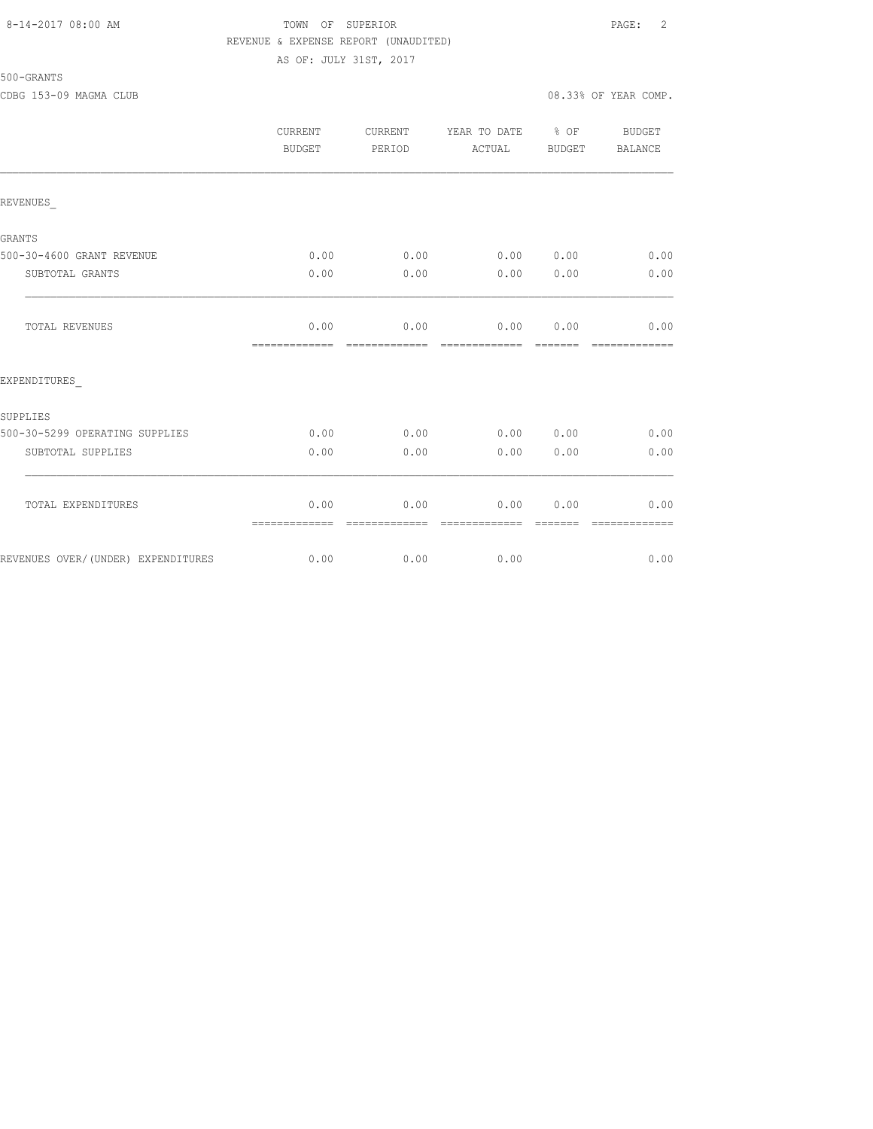## 8-14-2017 08:00 AM TOWN OF SUPERIOR PAGE: 2 REVENUE & EXPENSE REPORT (UNAUDITED) AS OF: JULY 31ST, 2017

500-GRANTS

CDBG 153-09 MAGMA CLUB 08.33% OF YEAR COMP.

|                                    | <b>CURRENT</b><br>BUDGET | <b>CURRENT</b><br>PERIOD | YEAR TO DATE<br>ACTUAL | % OF<br>BUDGET  | BUDGET<br><b>BALANCE</b> |
|------------------------------------|--------------------------|--------------------------|------------------------|-----------------|--------------------------|
| REVENUES                           |                          |                          |                        |                 |                          |
| <b>GRANTS</b>                      |                          |                          |                        |                 |                          |
| 500-30-4600 GRANT REVENUE          | 0.00                     | 0.00                     | 0.00 0.00              |                 | 0.00                     |
| SUBTOTAL GRANTS                    | 0.00                     | 0.00                     | 0.00                   | 0.00            | 0.00                     |
| <b>TOTAL REVENUES</b>              | 0.00<br>=============    | 0.00<br>-------------    | 0.00<br>=============  | 0.00<br>======= | 0.00<br>=============    |
| EXPENDITURES                       |                          |                          |                        |                 |                          |
| SUPPLIES                           |                          |                          |                        |                 |                          |
| 500-30-5299 OPERATING SUPPLIES     | 0.00                     | 0.00                     | 0.00                   | 0.00            | 0.00                     |
| SUBTOTAL SUPPLIES                  | 0.00                     | 0.00                     | 0.00                   | 0.00            | 0.00                     |
| TOTAL EXPENDITURES                 | 0.00<br>=============    | 0.00<br>-------------    | 0.00<br>-------------- | 0.00            | 0.00<br>-------------    |
| REVENUES OVER/(UNDER) EXPENDITURES | 0.00                     | 0.00                     | 0.00                   |                 | 0.00                     |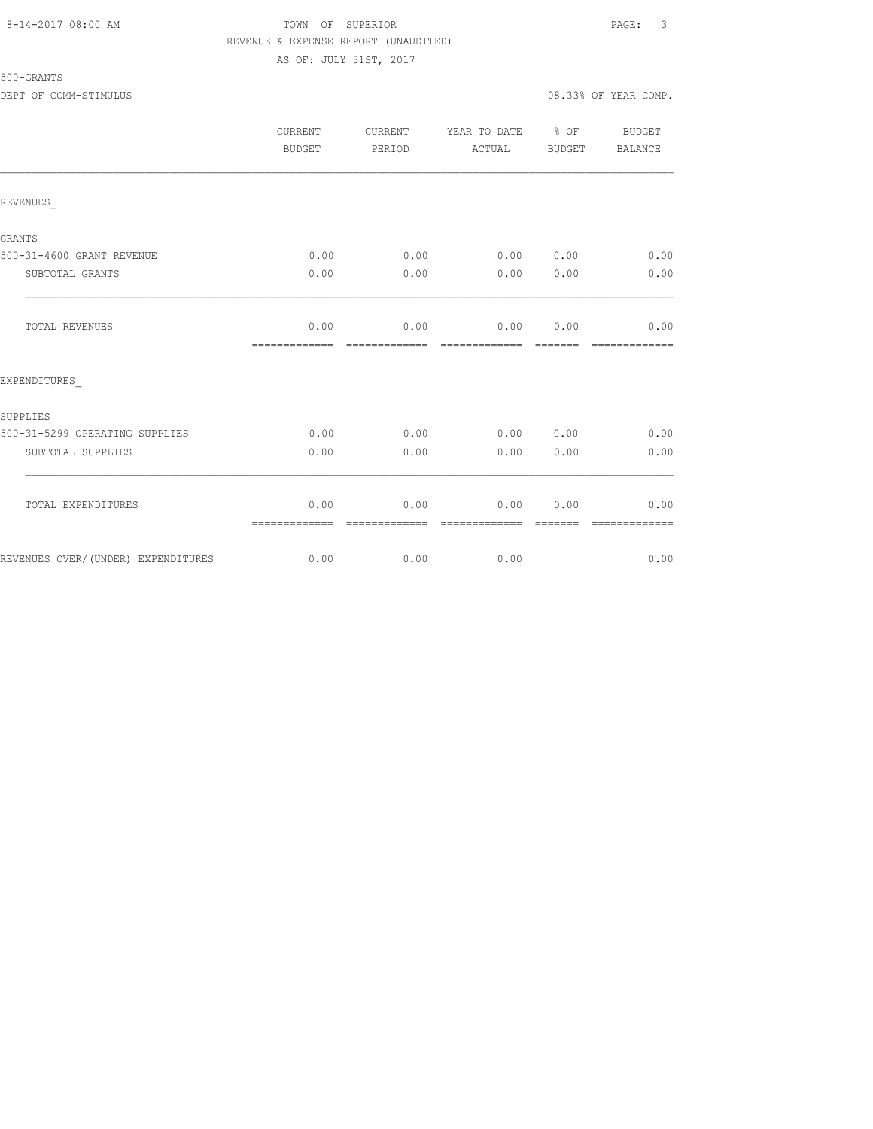### 8-14-2017 08:00 AM TOWN OF SUPERIOR PAGE: 3 REVENUE & EXPENSE REPORT (UNAUDITED) AS OF: JULY 31ST, 2017

500-GRANTS

|                                    | <b>CURRENT</b><br>BUDGET | CURRENT<br>PERIOD | YEAR TO DATE % OF<br>ACTUAL | BUDGET | <b>BUDGET</b><br>BALANCE |
|------------------------------------|--------------------------|-------------------|-----------------------------|--------|--------------------------|
| REVENUES                           |                          |                   |                             |        |                          |
| GRANTS                             |                          |                   |                             |        |                          |
| 500-31-4600 GRANT REVENUE          | 0.00                     | 0.00              | 0.00 0.00                   |        | 0.00                     |
| SUBTOTAL GRANTS                    | 0.00                     | 0.00              | 0.00                        | 0.00   | 0.00                     |
| TOTAL REVENUES                     | 0.00<br>=============    | 0.00              | 0.00<br>-------------       | 0.00   | 0.00                     |
| EXPENDITURES                       |                          |                   |                             |        |                          |
| SUPPLIES                           |                          |                   |                             |        |                          |
| 500-31-5299 OPERATING SUPPLIES     | 0.00                     | 0.00              | 0.00 0.00                   |        | 0.00                     |
| SUBTOTAL SUPPLIES                  | 0.00                     | 0.00              | 0.00                        | 0.00   | 0.00                     |
| TOTAL EXPENDITURES                 | 0.00<br>=============    | 0.00              | 0.00                        | 0.00   | 0.00                     |
| REVENUES OVER/(UNDER) EXPENDITURES | 0.00                     | 0.00              | 0.00                        |        | 0.00                     |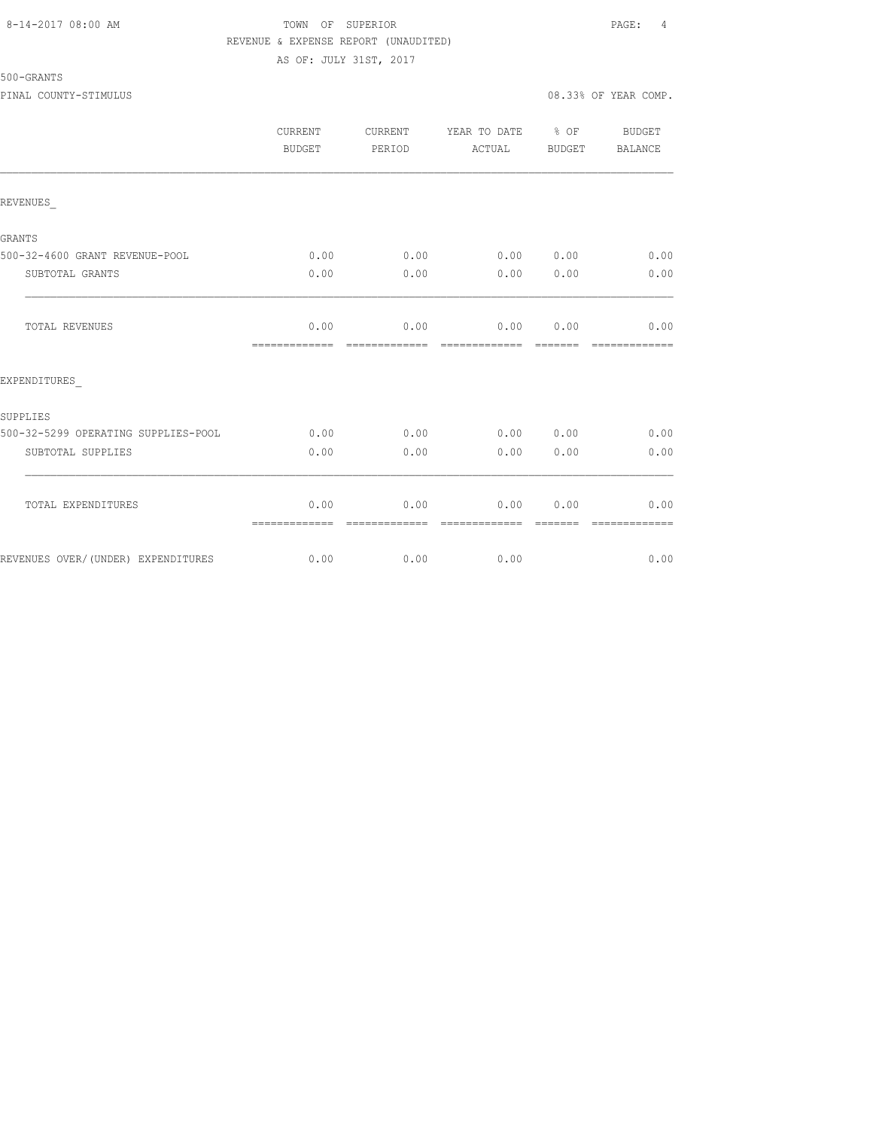### 8-14-2017 08:00 AM TOWN OF SUPERIOR PAGE: 4 REVENUE & EXPENSE REPORT (UNAUDITED) AS OF: JULY 31ST, 2017

500-GRANTS

|                                     | <b>CURRENT</b><br>BUDGET | <b>CURRENT</b><br>PERIOD | YEAR TO DATE<br>ACTUAL | $8$ OF<br>BUDGET | <b>BUDGET</b><br><b>BALANCE</b> |
|-------------------------------------|--------------------------|--------------------------|------------------------|------------------|---------------------------------|
| REVENUES                            |                          |                          |                        |                  |                                 |
| <b>GRANTS</b>                       |                          |                          |                        |                  |                                 |
| 500-32-4600 GRANT REVENUE-POOL      | 0.00                     | 0.00                     | 0.00                   | 0.00             | 0.00                            |
| SUBTOTAL GRANTS                     | 0.00                     | 0.00                     | 0.00                   | 0.00             | 0.00                            |
| <b>TOTAL REVENUES</b>               | 0.00<br>=============    | 0.00                     | 0.00                   | 0.00             | 0.00<br>====                    |
| EXPENDITURES                        |                          |                          |                        |                  |                                 |
| SUPPLIES                            |                          |                          |                        |                  |                                 |
| 500-32-5299 OPERATING SUPPLIES-POOL | 0.00                     | 0.00                     | 0.00                   | 0.00             | 0.00                            |
| SUBTOTAL SUPPLIES                   | 0.00                     | 0.00                     | 0.00                   | 0.00             | 0.00                            |
| TOTAL EXPENDITURES                  | 0.00<br>=============    | 0.00                     | 0.00                   | 0.00             | 0.00                            |
| REVENUES OVER/(UNDER) EXPENDITURES  | 0.00                     | 0.00                     | 0.00                   |                  | 0.00                            |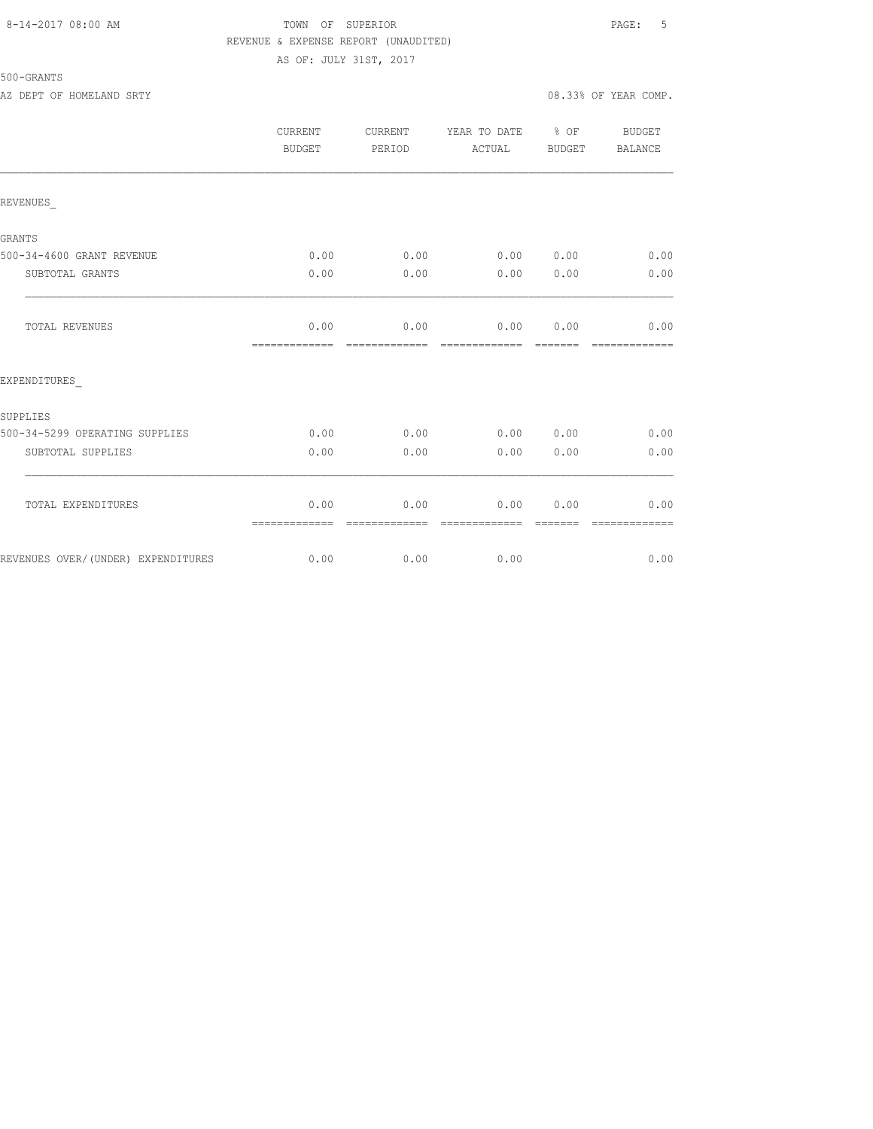### 8-14-2017 08:00 AM TOWN OF SUPERIOR PAGE: 5 REVENUE & EXPENSE REPORT (UNAUDITED) AS OF: JULY 31ST, 2017

# 500-GRANTS

AZ DEPT OF HOMELAND SRTY 08.33% OF YEAR COMP.

|                                    | <b>CURRENT</b><br>BUDGET | CURRENT<br>PERIOD     | YEAR TO DATE % OF<br>ACTUAL | BUDGET | BUDGET<br>BALANCE |
|------------------------------------|--------------------------|-----------------------|-----------------------------|--------|-------------------|
| REVENUES                           |                          |                       |                             |        |                   |
| GRANTS                             |                          |                       |                             |        |                   |
| 500-34-4600 GRANT REVENUE          | 0.00                     | 0.00                  | 0.00 0.00                   |        | 0.00              |
| SUBTOTAL GRANTS                    | 0.00                     | 0.00                  | 0.00                        | 0.00   | 0.00              |
| TOTAL REVENUES                     | 0.00<br>=============    | 0.00                  | 0.00 0.00<br>=============  |        | 0.00              |
| EXPENDITURES                       |                          |                       |                             |        |                   |
| SUPPLIES                           |                          |                       |                             |        |                   |
| 500-34-5299 OPERATING SUPPLIES     | 0.00                     | 0.00                  | 0.00 0.00                   |        | 0.00              |
| SUBTOTAL SUPPLIES                  | 0.00                     | 0.00                  | 0.00                        | 0.00   | 0.00              |
| TOTAL EXPENDITURES                 | 0.00<br>=============    | 0.00<br>------------- | 0.00<br>--------------      | 0.00   | 0.00              |
| REVENUES OVER/(UNDER) EXPENDITURES | 0.00                     | 0.00                  | 0.00                        |        | 0.00              |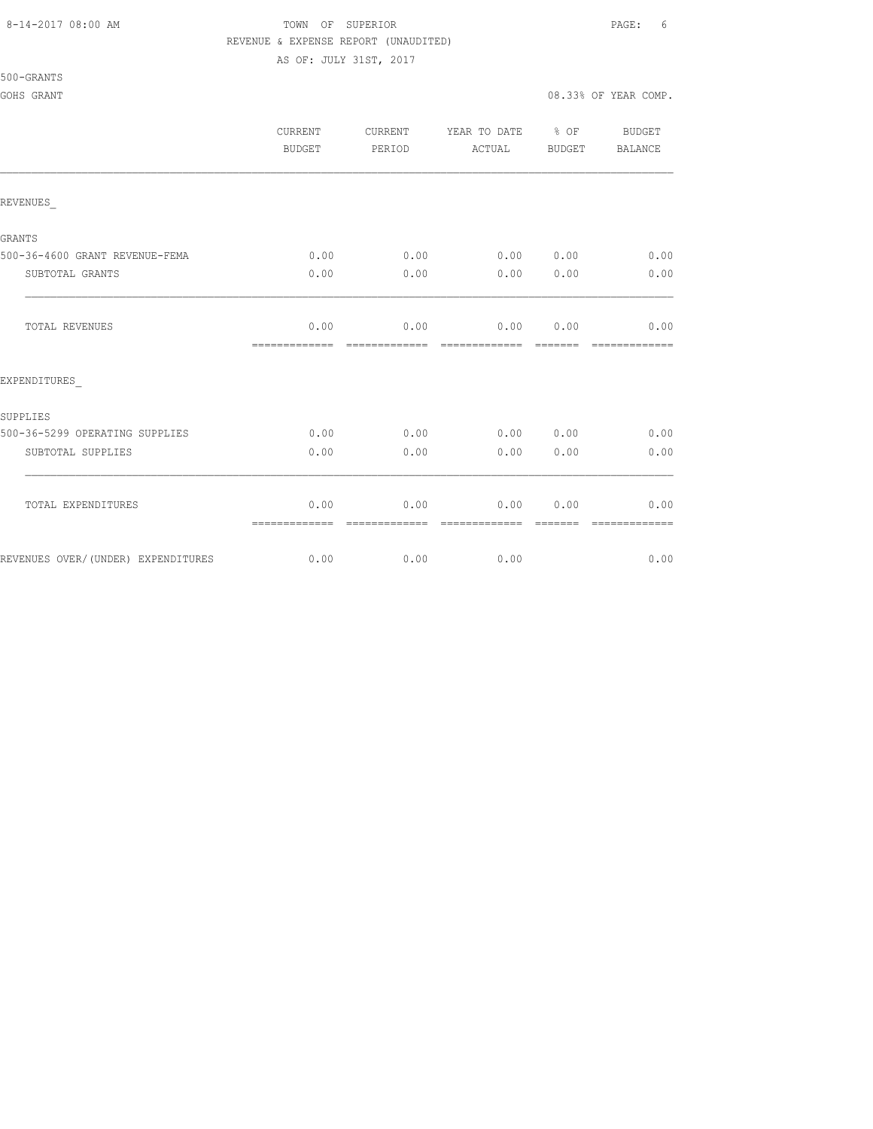AS OF: JULY 31ST, 2017

500-GRANTS

|                                    | <b>CURRENT</b><br>BUDGET | <b>CURRENT</b><br>PERIOD | YEAR TO DATE % OF<br>ACTUAL | BUDGET         | BUDGET<br>BALANCE     |
|------------------------------------|--------------------------|--------------------------|-----------------------------|----------------|-----------------------|
| REVENUES                           |                          |                          |                             |                |                       |
| GRANTS                             |                          |                          |                             |                |                       |
| 500-36-4600 GRANT REVENUE-FEMA     | 0.00                     |                          | $0.00$ 0.00 0.00            |                | 0.00                  |
| SUBTOTAL GRANTS                    | 0.00                     | 0.00                     | 0.00                        | 0.00           | 0.00                  |
| TOTAL REVENUES                     | 0.00<br>=============    | 0.00<br>=============    | 0.00 0.00<br>-------------  | <b>COOCCOO</b> | 0.00<br>============= |
| EXPENDITURES                       |                          |                          |                             |                |                       |
| SUPPLIES                           |                          |                          |                             |                |                       |
| 500-36-5299 OPERATING SUPPLIES     | 0.00                     | 0.00                     | 0.00 0.00                   |                | 0.00                  |
| SUBTOTAL SUPPLIES                  | 0.00                     | 0.00                     | 0.00                        | 0.00           | 0.00                  |
| TOTAL EXPENDITURES                 | 0.00<br>=============    | 0.00                     | 0.00                        | 0.00           | 0.00                  |
| REVENUES OVER/(UNDER) EXPENDITURES | 0.00                     | 0.00                     | 0.00                        |                | 0.00                  |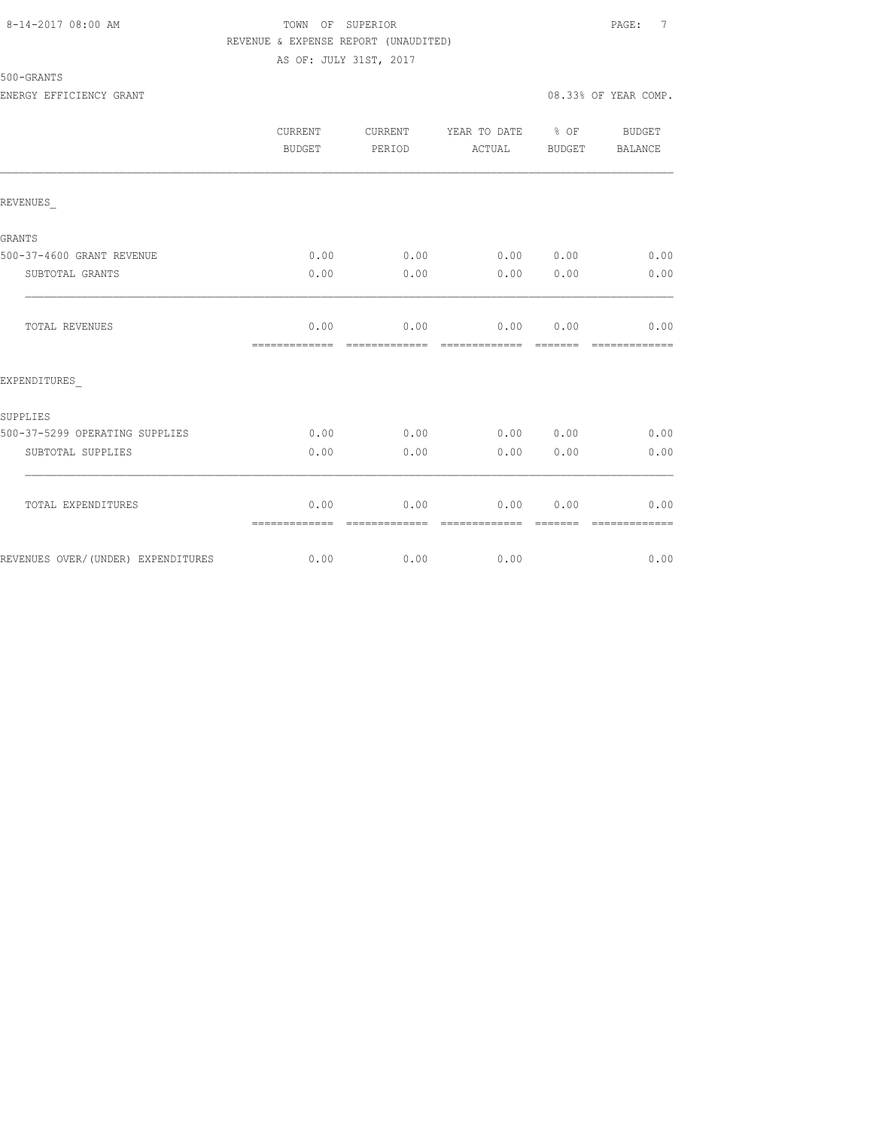### 8-14-2017 08:00 AM TOWN OF SUPERIOR PAGE: 7 REVENUE & EXPENSE REPORT (UNAUDITED) AS OF: JULY 31ST, 2017

# 500-GRANTS

|                                    | CURRENT<br><b>BUDGET</b> | CURRENT<br>PERIOD     | YEAR TO DATE % OF<br>ACTUAL | BUDGET                                                                                                                                                                                                                                                                                                                                                                                                                                                                                         | BUDGET<br><b>BALANCE</b> |
|------------------------------------|--------------------------|-----------------------|-----------------------------|------------------------------------------------------------------------------------------------------------------------------------------------------------------------------------------------------------------------------------------------------------------------------------------------------------------------------------------------------------------------------------------------------------------------------------------------------------------------------------------------|--------------------------|
| REVENUES                           |                          |                       |                             |                                                                                                                                                                                                                                                                                                                                                                                                                                                                                                |                          |
| <b>GRANTS</b>                      |                          |                       |                             |                                                                                                                                                                                                                                                                                                                                                                                                                                                                                                |                          |
| 500-37-4600 GRANT REVENUE          | 0.00                     | 0.00                  | 0.00 0.00                   |                                                                                                                                                                                                                                                                                                                                                                                                                                                                                                | 0.00                     |
| SUBTOTAL GRANTS                    | 0.00                     | 0.00                  | 0.00                        | 0.00                                                                                                                                                                                                                                                                                                                                                                                                                                                                                           | 0.00                     |
| TOTAL REVENUES                     | 0.00<br>-------------    | 0.00<br>------------- | 0.00                        | 0.00<br>$\begin{array}{cccccccccc} \multicolumn{2}{c}{} & \multicolumn{2}{c}{} & \multicolumn{2}{c}{} & \multicolumn{2}{c}{} & \multicolumn{2}{c}{} & \multicolumn{2}{c}{} & \multicolumn{2}{c}{} & \multicolumn{2}{c}{} & \multicolumn{2}{c}{} & \multicolumn{2}{c}{} & \multicolumn{2}{c}{} & \multicolumn{2}{c}{} & \multicolumn{2}{c}{} & \multicolumn{2}{c}{} & \multicolumn{2}{c}{} & \multicolumn{2}{c}{} & \multicolumn{2}{c}{} & \multicolumn{2}{c}{} & \multicolumn{2}{c}{} & \mult$ | 0.00<br>=============    |
| EXPENDITURES                       |                          |                       |                             |                                                                                                                                                                                                                                                                                                                                                                                                                                                                                                |                          |
| SUPPLIES                           |                          |                       |                             |                                                                                                                                                                                                                                                                                                                                                                                                                                                                                                |                          |
| 500-37-5299 OPERATING SUPPLIES     | 0.00                     | 0.00                  | 0.00 0.00                   |                                                                                                                                                                                                                                                                                                                                                                                                                                                                                                | 0.00                     |
| SUBTOTAL SUPPLIES                  | 0.00                     | 0.00                  | 0.00                        | 0.00                                                                                                                                                                                                                                                                                                                                                                                                                                                                                           | 0.00                     |
| TOTAL EXPENDITURES                 | 0.00<br>=============    | 0.00<br>============= | 0.00<br>essessessesse       | 0.00<br>$\begin{array}{cccccc} \multicolumn{2}{c}{} & \multicolumn{2}{c}{} & \multicolumn{2}{c}{} & \multicolumn{2}{c}{} & \multicolumn{2}{c}{} & \multicolumn{2}{c}{} & \multicolumn{2}{c}{} & \multicolumn{2}{c}{} & \multicolumn{2}{c}{} & \multicolumn{2}{c}{} & \multicolumn{2}{c}{} & \multicolumn{2}{c}{} & \multicolumn{2}{c}{} & \multicolumn{2}{c}{} & \multicolumn{2}{c}{} & \multicolumn{2}{c}{} & \multicolumn{2}{c}{} & \multicolumn{2}{c}{} & \multicolumn{2}{c}{} & \multic$   | 0.00<br>=============    |
| REVENUES OVER/(UNDER) EXPENDITURES | 0.00                     | 0.00                  | 0.00                        |                                                                                                                                                                                                                                                                                                                                                                                                                                                                                                | 0.00                     |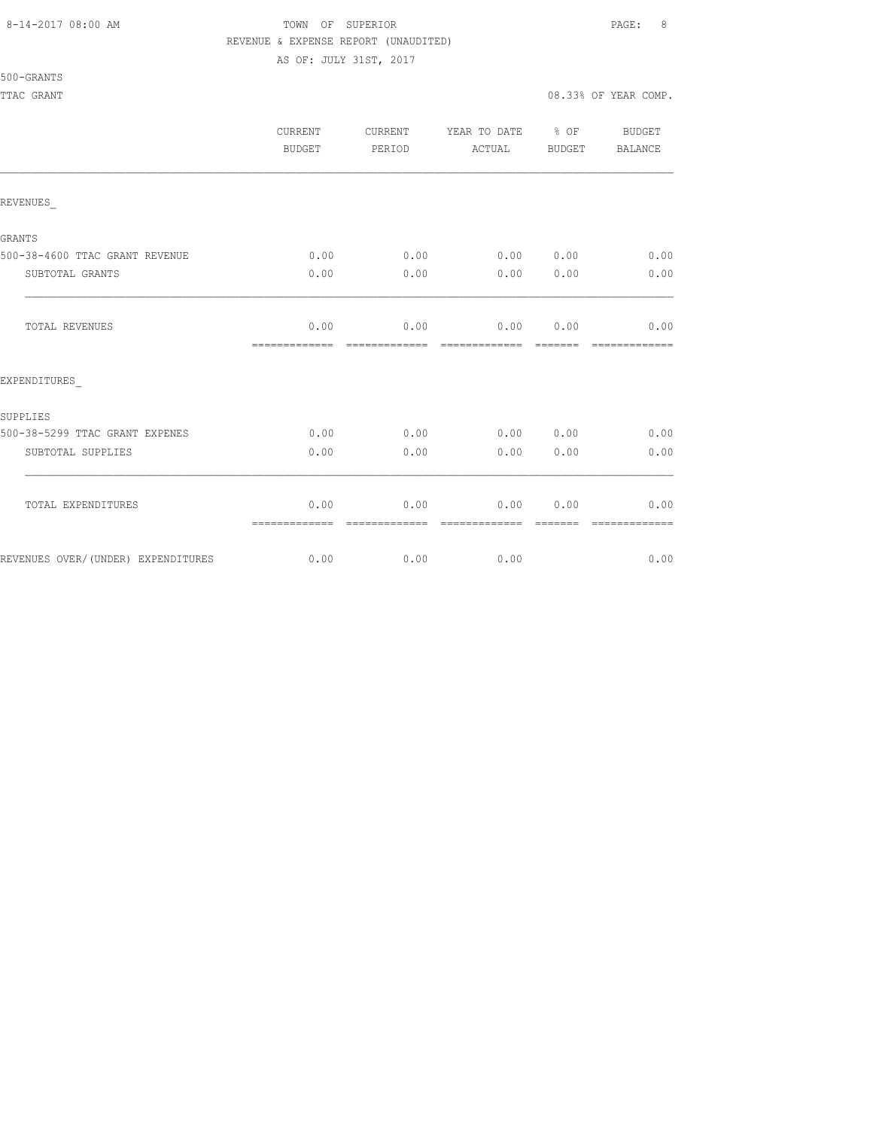#### 8-14-2017 08:00 AM TOWN OF SUPERIOR PAGE: 8 REVENUE & EXPENSE REPORT (UNAUDITED)

AS OF: JULY 31ST, 2017

# 500-GRANTS

TTAC GRANT 608.33% OF YEAR COMP.

|                                    | <b>CURRENT</b><br>BUDGET | CURRENT<br>PERIOD      | YEAR TO DATE % OF<br>ACTUAL | BUDGET           | <b>BUDGET</b><br><b>BALANCE</b> |
|------------------------------------|--------------------------|------------------------|-----------------------------|------------------|---------------------------------|
| REVENUES                           |                          |                        |                             |                  |                                 |
| <b>GRANTS</b>                      |                          |                        |                             |                  |                                 |
| 500-38-4600 TTAC GRANT REVENUE     | 0.00                     | 0.00                   | 0.00 0.00                   |                  | 0.00                            |
| SUBTOTAL GRANTS                    | 0.00                     | 0.00                   | 0.00                        | 0.00             | 0.00                            |
| TOTAL REVENUES                     | 0.00<br>=============    | 0.00<br>-------------  | 0.00<br>-------------       | 0.00             | 0.00                            |
| EXPENDITURES                       |                          |                        |                             |                  |                                 |
| SUPPLIES                           |                          |                        |                             |                  |                                 |
| 500-38-5299 TTAC GRANT EXPENES     | 0.00                     | 0.00                   | 0.00 0.00                   |                  | 0.00                            |
| SUBTOTAL SUPPLIES                  | 0.00                     | 0.00                   | 0.00                        | 0.00             | 0.00                            |
| TOTAL EXPENDITURES                 | 0.00                     | 0.00<br>-------------- | 0.00<br>=============       | 0.00<br>-------- | 0.00<br>-------------           |
| REVENUES OVER/(UNDER) EXPENDITURES | 0.00                     | 0.00                   | 0.00                        |                  | 0.00                            |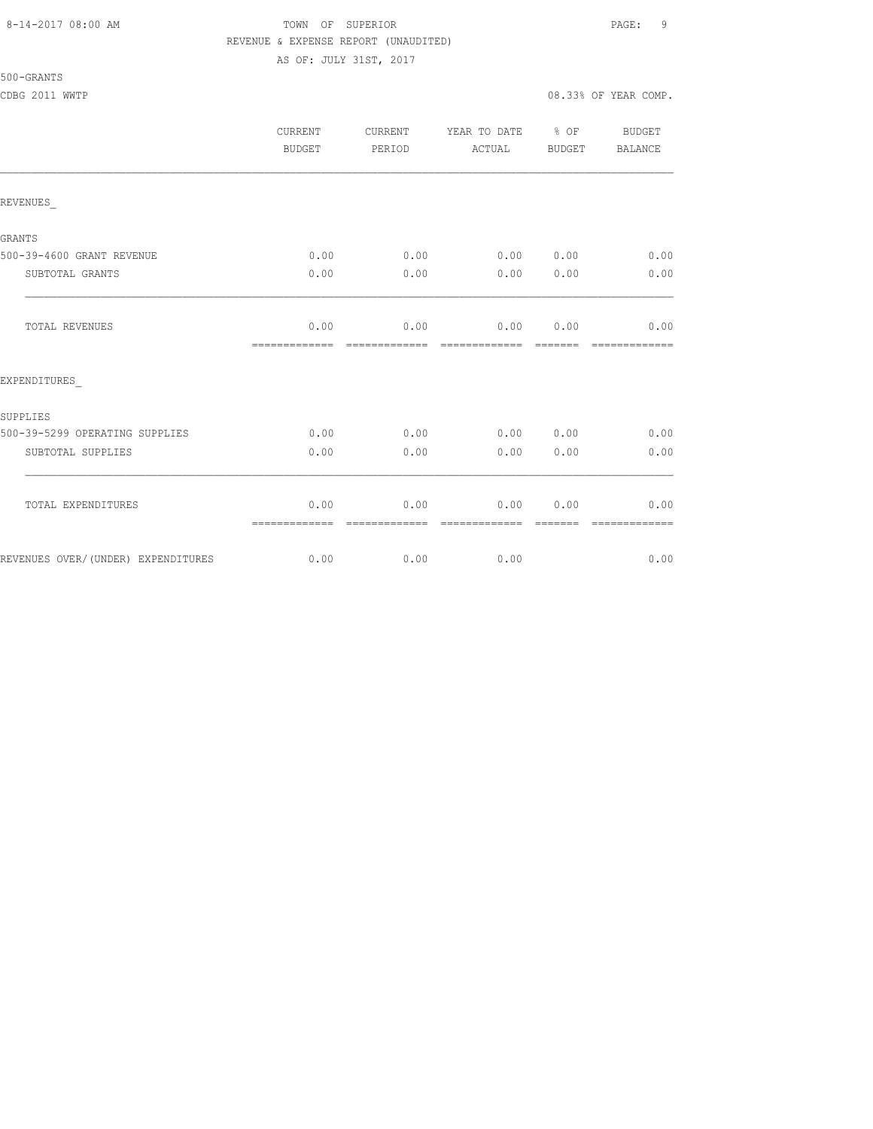## 8-14-2017 08:00 AM TOWN OF SUPERIOR PAGE: 9 REVENUE & EXPENSE REPORT (UNAUDITED)

AS OF: JULY 31ST, 2017

# 500-GRANTS

|                                    | <b>CURRENT</b><br><b>BUDGET</b> | CURRENT<br>PERIOD | YEAR TO DATE % OF<br>ACTUAL | BUDGET  | <b>BUDGET</b><br>BALANCE |
|------------------------------------|---------------------------------|-------------------|-----------------------------|---------|--------------------------|
| REVENUES                           |                                 |                   |                             |         |                          |
| GRANTS                             |                                 |                   |                             |         |                          |
| 500-39-4600 GRANT REVENUE          | 0.00                            | 0.00              | 0.00 0.00                   |         | 0.00                     |
| SUBTOTAL GRANTS                    | 0.00                            | 0.00              | 0.00                        | 0.00    | 0.00                     |
| TOTAL REVENUES                     | 0.00<br>=============           | 0.00              | 0.00 0.00<br>-------------  | ------- | 0.00                     |
| EXPENDITURES                       |                                 |                   |                             |         |                          |
| SUPPLIES                           |                                 |                   |                             |         |                          |
| 500-39-5299 OPERATING SUPPLIES     | 0.00                            | 0.00              | 0.00 0.00                   |         | 0.00                     |
| SUBTOTAL SUPPLIES                  | 0.00                            | 0.00              | 0.00                        | 0.00    | 0.00                     |
| TOTAL EXPENDITURES                 | 0.00<br>=============           | 0.00              | 0.00                        | 0.00    | 0.00                     |
| REVENUES OVER/(UNDER) EXPENDITURES | 0.00                            | 0.00              | 0.00                        |         | 0.00                     |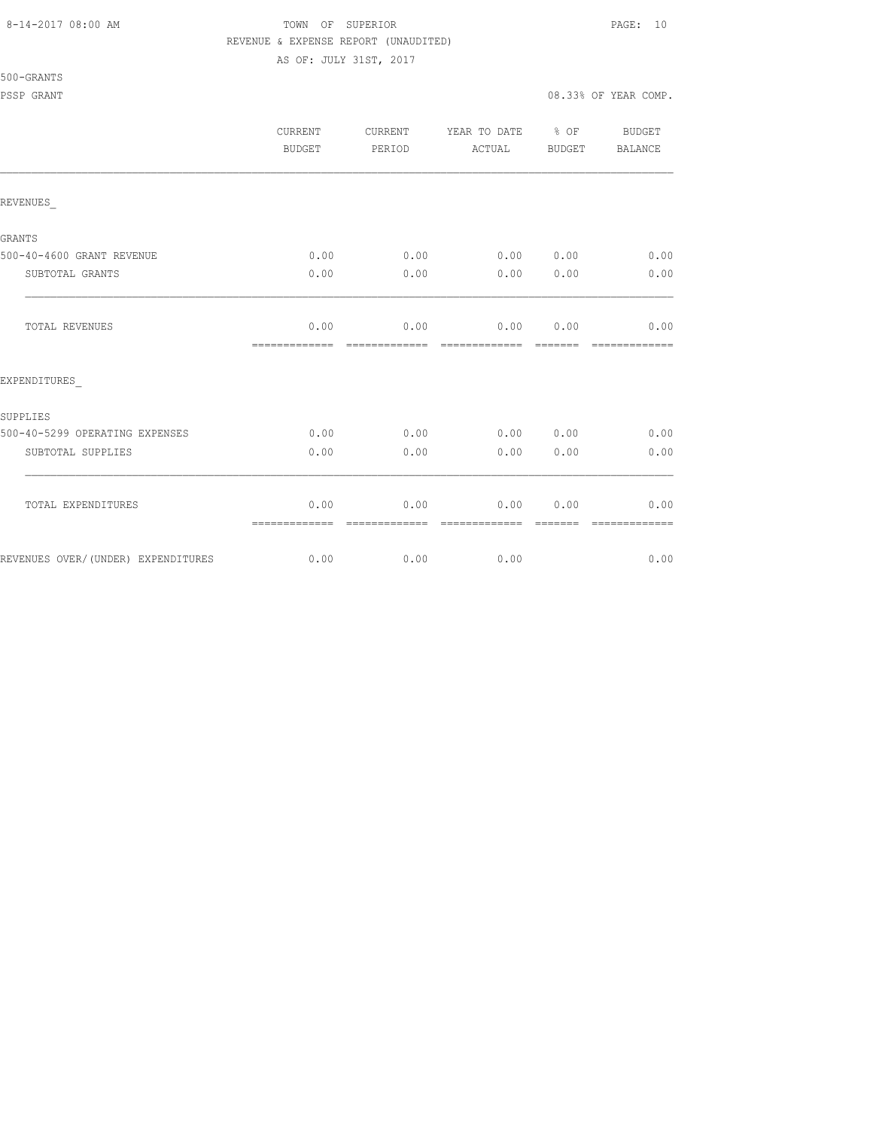#### 8-14-2017 08:00 AM TOWN OF SUPERIOR PAGE: 10 REVENUE & EXPENSE REPORT (UNAUDITED)

AS OF: JULY 31ST, 2017

500-GRANTS

|                                    | CURRENT<br><b>BUDGET</b> | CURRENT<br>PERIOD     | YEAR TO DATE % OF<br>ACTUAL | BUDGET          | BUDGET<br>BALANCE     |
|------------------------------------|--------------------------|-----------------------|-----------------------------|-----------------|-----------------------|
| REVENUES                           |                          |                       |                             |                 |                       |
| GRANTS                             |                          |                       |                             |                 |                       |
| 500-40-4600 GRANT REVENUE          | 0.00                     | 0.00                  | 0.00 0.00                   |                 | 0.00                  |
| SUBTOTAL GRANTS                    | 0.00                     | 0.00                  | 0.00                        | 0.00            | 0.00                  |
| TOTAL REVENUES                     | 0.00<br>=============    | 0.00<br>============= | 0.00<br>=============       | 0.00<br>======= | 0.00<br>============= |
| EXPENDITURES                       |                          |                       |                             |                 |                       |
| SUPPLIES                           |                          |                       |                             |                 |                       |
| 500-40-5299 OPERATING EXPENSES     | 0.00                     | 0.00                  | 0.00 0.00                   |                 | 0.00                  |
| SUBTOTAL SUPPLIES                  | 0.00                     | 0.00                  | 0.00                        | 0.00            | 0.00                  |
| TOTAL EXPENDITURES                 | 0.00<br>=============    | 0.00<br>------------- | 0.00<br>--------------      | 0.00            | 0.00<br>============= |
| REVENUES OVER/(UNDER) EXPENDITURES | 0.00                     | 0.00                  | 0.00                        |                 | 0.00                  |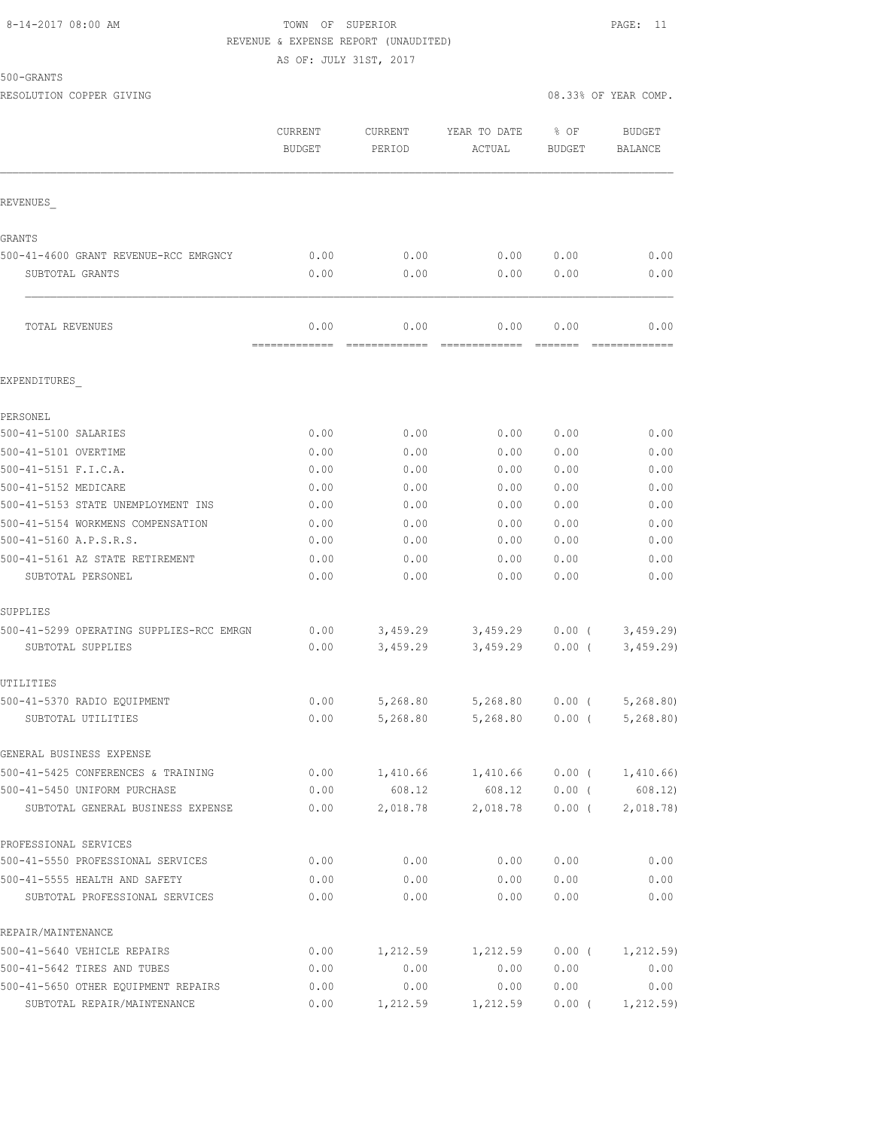#### 8-14-2017 08:00 AM TOWN OF SUPERIOR PAGE: 11 REVENUE & EXPENSE REPORT (UNAUDITED)

AS OF: JULY 31ST, 2017

500-GRANTS

|                                                                   | CURRENT<br><b>BUDGET</b> | <b>CURRENT</b><br>PERIOD | YEAR TO DATE<br>ACTUAL | % OF<br><b>BUDGET</b> | <b>BUDGET</b><br>BALANCE |
|-------------------------------------------------------------------|--------------------------|--------------------------|------------------------|-----------------------|--------------------------|
| REVENUES                                                          |                          |                          |                        |                       |                          |
| GRANTS                                                            |                          |                          |                        |                       |                          |
| 500-41-4600 GRANT REVENUE-RCC EMRGNCY                             | 0.00                     | 0.00                     | 0.00                   | 0.00                  | 0.00                     |
| SUBTOTAL GRANTS                                                   | 0.00                     | 0.00                     | 0.00                   | 0.00                  | 0.00                     |
| TOTAL REVENUES                                                    | 0.00<br>=============    | 0.00                     | 0.00                   | 0.00<br>FEEEEE        | 0.00                     |
| EXPENDITURES                                                      |                          |                          |                        |                       |                          |
| PERSONEL                                                          |                          |                          |                        |                       |                          |
| 500-41-5100 SALARIES                                              | 0.00                     | 0.00                     | 0.00                   | 0.00                  | 0.00                     |
| 500-41-5101 OVERTIME                                              | 0.00                     | 0.00                     | 0.00                   | 0.00                  | 0.00                     |
| 500-41-5151 F.I.C.A.                                              | 0.00                     | 0.00                     | 0.00                   | 0.00                  | 0.00                     |
| 500-41-5152 MEDICARE                                              | 0.00                     | 0.00                     | 0.00                   | 0.00                  | 0.00                     |
| 500-41-5153 STATE UNEMPLOYMENT INS                                | 0.00                     | 0.00                     | 0.00                   | 0.00                  | 0.00                     |
| 500-41-5154 WORKMENS COMPENSATION                                 | 0.00                     | 0.00                     | 0.00                   | 0.00                  | 0.00                     |
| 500-41-5160 A.P.S.R.S.                                            | 0.00                     | 0.00                     | 0.00                   | 0.00                  | 0.00                     |
| 500-41-5161 AZ STATE RETIREMENT                                   | 0.00                     | 0.00                     | 0.00                   | 0.00                  | 0.00                     |
| SUBTOTAL PERSONEL                                                 | 0.00                     | 0.00                     | 0.00                   | 0.00                  | 0.00                     |
| SUPPLIES                                                          |                          |                          |                        |                       |                          |
| 500-41-5299 OPERATING SUPPLIES-RCC EMRGN                          | 0.00                     | 3,459.29                 | 3,459.29               | $0.00$ (              | 3,459.29                 |
| SUBTOTAL SUPPLIES                                                 | 0.00                     | 3,459.29                 | 3,459.29               | $0.00$ (              | 3,459.29                 |
| UTILITIES                                                         |                          |                          |                        |                       |                          |
| 500-41-5370 RADIO EQUIPMENT                                       | 0.00                     | 5,268.80                 | 5,268.80               | $0.00$ (              | 5,268.80                 |
| SUBTOTAL UTILITIES                                                | 0.00                     | 5,268.80                 | 5,268.80               | $0.00$ (              | 5, 268.80                |
| GENERAL BUSINESS EXPENSE                                          |                          |                          |                        |                       |                          |
| 500-41-5425 CONFERENCES & TRAINING                                | 0.00                     | 1,410.66                 | 1,410.66               | $0.00$ (              | 1,410.66)                |
| 500-41-5450 UNIFORM PURCHASE<br>SUBTOTAL GENERAL BUSINESS EXPENSE | 0.00<br>0.00             | 608.12<br>2,018.78       | 608.12<br>2,018.78     | 0.00(<br>$0.00$ (     | 608.12)<br>2,018.78)     |
|                                                                   |                          |                          |                        |                       |                          |
| PROFESSIONAL SERVICES                                             |                          |                          |                        |                       |                          |
| 500-41-5550 PROFESSIONAL SERVICES                                 | 0.00                     | 0.00                     | 0.00                   | 0.00                  | 0.00                     |
| 500-41-5555 HEALTH AND SAFETY<br>SUBTOTAL PROFESSIONAL SERVICES   | 0.00<br>0.00             | 0.00<br>0.00             | 0.00<br>0.00           | 0.00<br>0.00          | 0.00<br>0.00             |
| REPAIR/MAINTENANCE                                                |                          |                          |                        |                       |                          |
| 500-41-5640 VEHICLE REPAIRS                                       | 0.00                     | 1,212.59                 | 1,212.59               | $0.00$ (              | 1,212.59)                |
| 500-41-5642 TIRES AND TUBES                                       | 0.00                     | 0.00                     | 0.00                   | 0.00                  | 0.00                     |
| 500-41-5650 OTHER EQUIPMENT REPAIRS                               | 0.00                     | 0.00                     | 0.00                   | 0.00                  | 0.00                     |
| SUBTOTAL REPAIR/MAINTENANCE                                       | 0.00                     | 1,212.59                 | 1,212.59               | $0.00$ (              | 1, 212.59)               |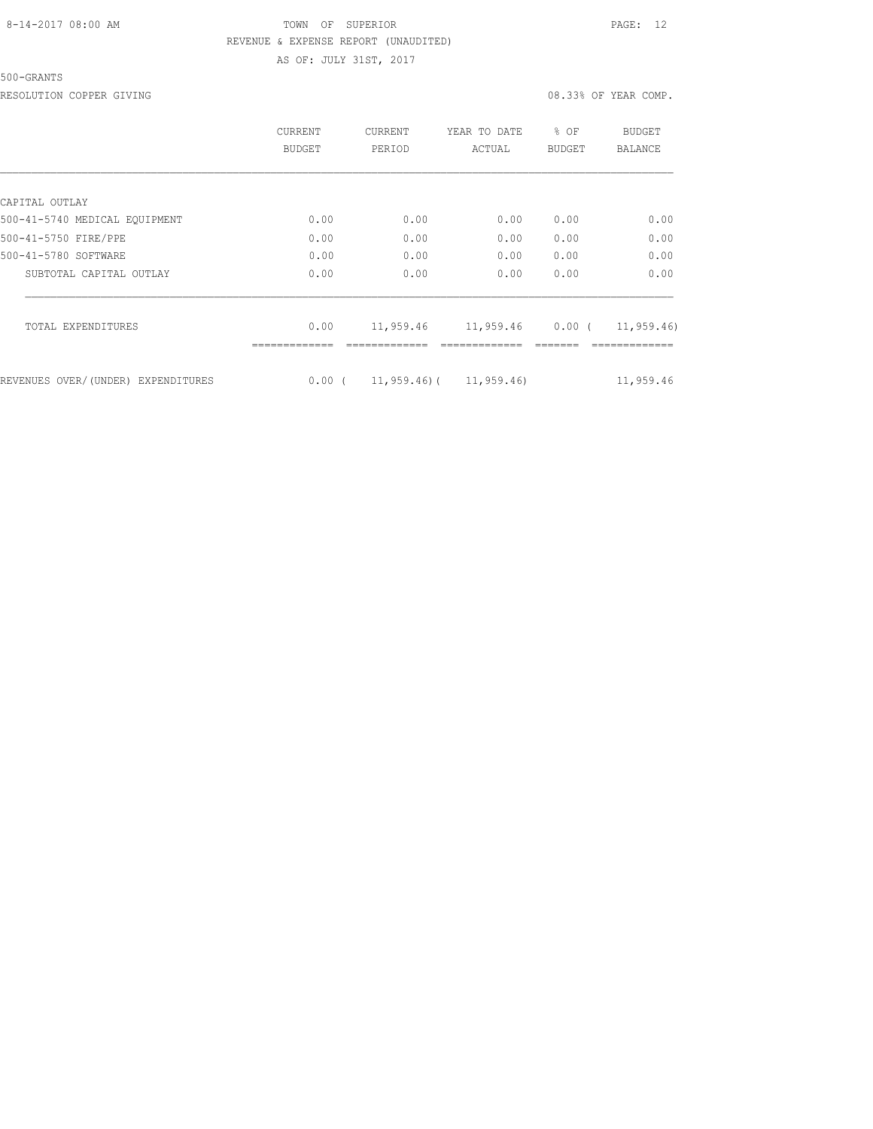500-GRANTS

RESOLUTION COPPER GIVING **EXECUTE A** COMP.

|                                    | CURRENT<br>BUDGET | <b>CURRENT</b><br>PERIOD | YEAR TO DATE<br>ACTUAL      | % OF<br><b>BUDGET</b> | BUDGET<br>BALANCE |
|------------------------------------|-------------------|--------------------------|-----------------------------|-----------------------|-------------------|
|                                    |                   |                          |                             |                       |                   |
| CAPITAL OUTLAY                     |                   |                          |                             |                       |                   |
| 500-41-5740 MEDICAL EOUIPMENT      | 0.00              | 0.00                     | 0.00                        | 0.00                  | 0.00              |
| 500-41-5750 FIRE/PPE               | 0.00              | 0.00                     | 0.00                        | 0.00                  | 0.00              |
| 500-41-5780 SOFTWARE               | 0.00              | 0.00                     | 0.00                        | 0.00                  | 0.00              |
| SUBTOTAL CAPITAL OUTLAY            | 0.00              | 0.00                     | 0.00                        | 0.00                  | 0.00              |
| TOTAL EXPENDITURES                 | 0.00              | 11,959.46                | 11,959.46                   | $0.00$ (              | 11,959.46)        |
|                                    |                   |                          |                             |                       |                   |
| REVENUES OVER/(UNDER) EXPENDITURES | 0.00(             |                          | $11,959.46$ ( $11,959.46$ ) |                       | 11,959.46         |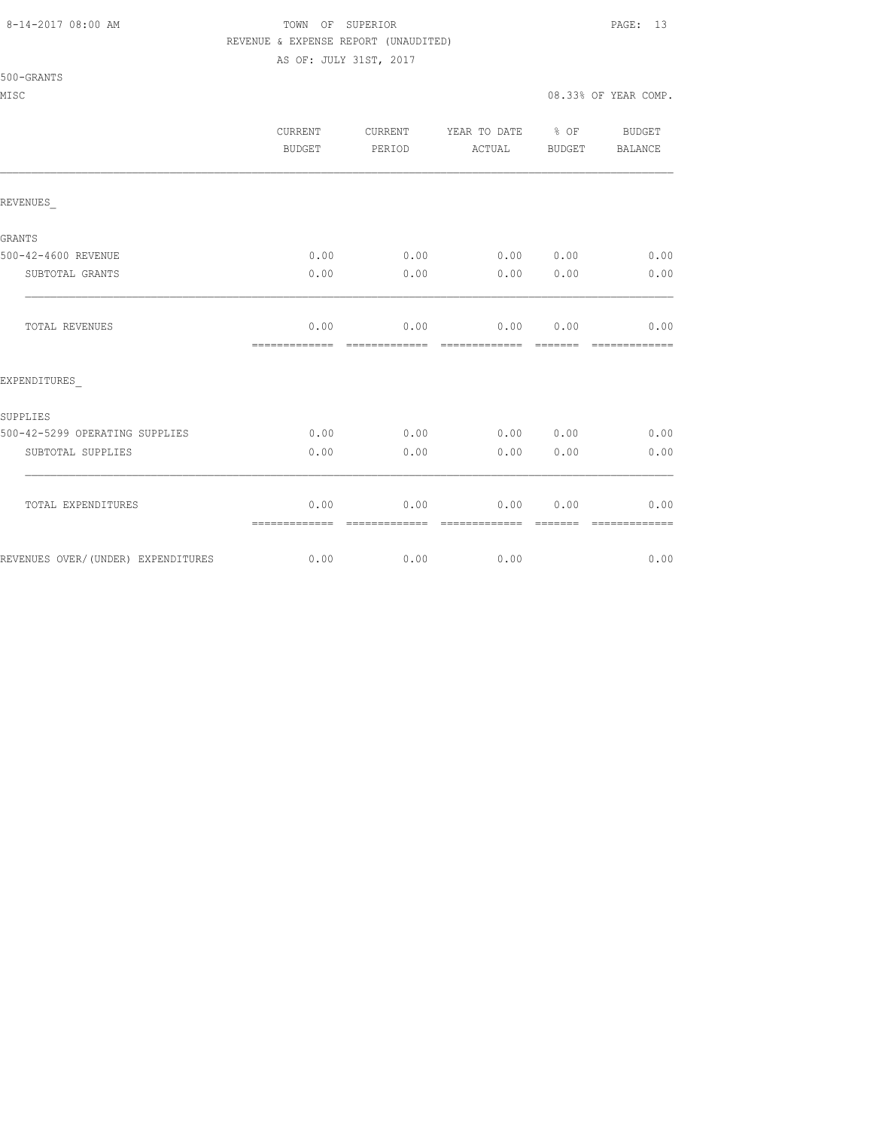500-GRANTS

#### 8-14-2017 08:00 AM TOWN OF SUPERIOR PAGE: 13 REVENUE & EXPENSE REPORT (UNAUDITED)

AS OF: JULY 31ST, 2017

MISC 600 and the complete of the complete of the complete of the complete of the complete of the complete of the complete of the complete of the complete of the complete of the complete of the complete of the complete of t

|                                    | CURRENT<br>BUDGET      | CURRENT<br>PERIOD     | YEAR TO DATE % OF BUDGET<br>ACTUAL                                                                                                                                                                                                                                                                                                                                                                                                                                                                             | BUDGET   | <b>BALANCE</b>        |
|------------------------------------|------------------------|-----------------------|----------------------------------------------------------------------------------------------------------------------------------------------------------------------------------------------------------------------------------------------------------------------------------------------------------------------------------------------------------------------------------------------------------------------------------------------------------------------------------------------------------------|----------|-----------------------|
| REVENUES                           |                        |                       |                                                                                                                                                                                                                                                                                                                                                                                                                                                                                                                |          |                       |
| GRANTS                             |                        |                       |                                                                                                                                                                                                                                                                                                                                                                                                                                                                                                                |          |                       |
| 500-42-4600 REVENUE                |                        |                       | $0.00$ 0.00 0.00 0.00 0.00                                                                                                                                                                                                                                                                                                                                                                                                                                                                                     |          | 0.00                  |
| SUBTOTAL GRANTS                    | 0.00                   | 0.00                  | 0.00 0.00                                                                                                                                                                                                                                                                                                                                                                                                                                                                                                      |          | 0.00                  |
| TOTAL REVENUES                     | 0.00<br>-------------- | --------------        | $0.00$ $0.00$ $0.00$<br>$\begin{array}{cccccccccccccc} \multicolumn{2}{c}{} & \multicolumn{2}{c}{} & \multicolumn{2}{c}{} & \multicolumn{2}{c}{} & \multicolumn{2}{c}{} & \multicolumn{2}{c}{} & \multicolumn{2}{c}{} & \multicolumn{2}{c}{} & \multicolumn{2}{c}{} & \multicolumn{2}{c}{} & \multicolumn{2}{c}{} & \multicolumn{2}{c}{} & \multicolumn{2}{c}{} & \multicolumn{2}{c}{} & \multicolumn{2}{c}{} & \multicolumn{2}{c}{} & \multicolumn{2}{c}{} & \multicolumn{2}{c}{} & \multicolumn{2}{c}{} & \$ | -------- | 0.00<br>------------- |
| EXPENDITURES                       |                        |                       |                                                                                                                                                                                                                                                                                                                                                                                                                                                                                                                |          |                       |
| SUPPLIES                           |                        |                       |                                                                                                                                                                                                                                                                                                                                                                                                                                                                                                                |          |                       |
| 500-42-5299 OPERATING SUPPLIES     |                        |                       | $0.00$ 0.00 0.00 0.00 0.00 0.00                                                                                                                                                                                                                                                                                                                                                                                                                                                                                |          |                       |
| SUBTOTAL SUPPLIES                  | 0.00                   |                       | $0.00$ 0.00 0.00                                                                                                                                                                                                                                                                                                                                                                                                                                                                                               |          | 0.00                  |
| TOTAL EXPENDITURES                 | 0.00<br>=============  | 0.00<br>------------- | $0.00$ $0.00$<br>--------------                                                                                                                                                                                                                                                                                                                                                                                                                                                                                | -------- | 0.00<br>------------- |
| REVENUES OVER/(UNDER) EXPENDITURES |                        | $0.00$ 0.00           | 0.00                                                                                                                                                                                                                                                                                                                                                                                                                                                                                                           |          | 0.00                  |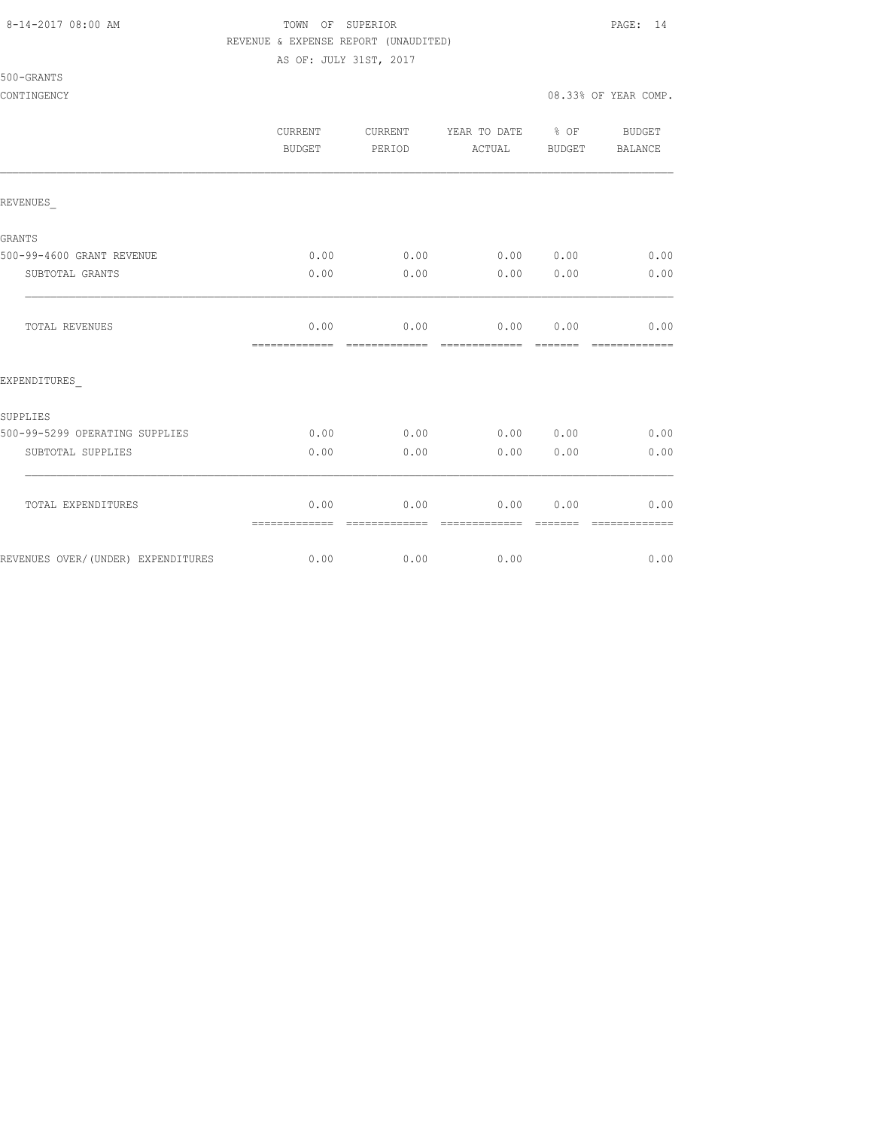#### 8-14-2017 08:00 AM TOWN OF SUPERIOR PAGE: 14 REVENUE & EXPENSE REPORT (UNAUDITED)

AS OF: JULY 31ST, 2017

500-GRANTS

### CONTINGENCY 08.33% OF YEAR COMP.

|                                    | <b>CURRENT</b><br>BUDGET | <b>CURRENT</b><br>PERIOD | YEAR TO DATE<br>ACTUAL | $\frac{6}{6}$ OF<br>BUDGET | <b>BUDGET</b><br><b>BALANCE</b> |
|------------------------------------|--------------------------|--------------------------|------------------------|----------------------------|---------------------------------|
| REVENUES                           |                          |                          |                        |                            |                                 |
| GRANTS                             |                          |                          |                        |                            |                                 |
| 500-99-4600 GRANT REVENUE          | 0.00                     | 0.00                     |                        |                            | $0.00$ $0.00$ $0.00$            |
| SUBTOTAL GRANTS                    | 0.00                     | 0.00                     | 0.00                   | 0.00                       | 0.00                            |
| TOTAL REVENUES                     | 0.00<br>=============    | 0.00<br>--------------   | =============          | 0.0000000<br>--------      | 0.00<br>=============           |
| EXPENDITURES                       |                          |                          |                        |                            |                                 |
| SUPPLIES                           |                          |                          |                        |                            |                                 |
| 500-99-5299 OPERATING SUPPLIES     | 0.00                     | 0.00                     |                        | 0.00 0.00                  | 0.00                            |
| SUBTOTAL SUPPLIES                  | 0.00                     | 0.00                     | 0.00                   | 0.00                       | 0.00                            |
| TOTAL EXPENDITURES                 | 0.00<br>=============    | 0.00<br>=============    | 0.00<br>=============  | 0.00<br>--------           | 0.00<br>=============           |
| REVENUES OVER/(UNDER) EXPENDITURES | 0.00                     | 0.00                     | 0.00                   |                            | 0.00                            |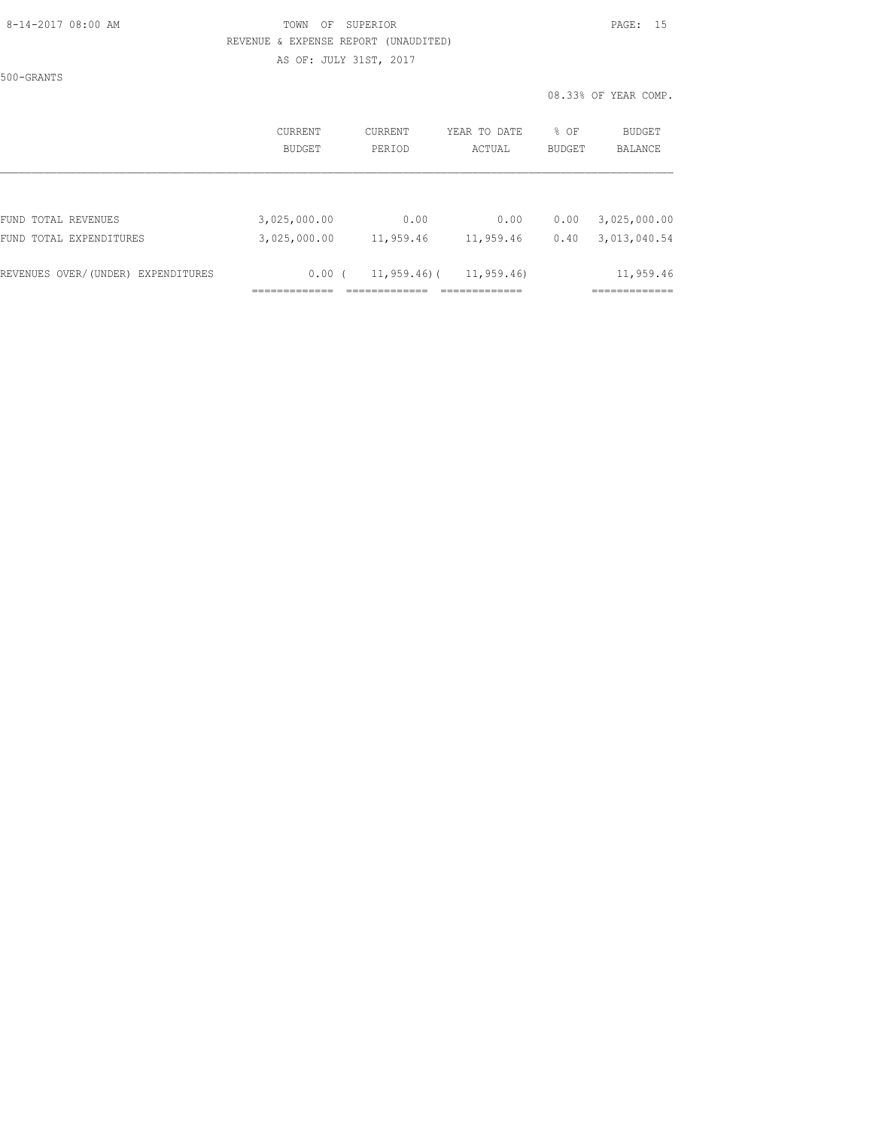### 8-14-2017 08:00 AM TOWN OF SUPERIOR PAGE: 15 REVENUE & EXPENSE REPORT (UNAUDITED)

AS OF: JULY 31ST, 2017

500-GRANTS

|                                    | CURRENT       | CURRENT         | YEAR TO DATE | % OF          | <b>BUDGET</b>          |
|------------------------------------|---------------|-----------------|--------------|---------------|------------------------|
|                                    | <b>BUDGET</b> | PERIOD          | ACTUAL       | <b>BUDGET</b> | <b>BALANCE</b>         |
| FUND TOTAL REVENUES                | 3,025,000.00  | 0.00            | 0.00         | 0.00          | 3,025,000.00           |
| FUND TOTAL EXPENDITURES            | 3,025,000.00  | 11,959.46       | 11,959.46    | 0.40          | 3,013,040.54           |
| REVENUES OVER/(UNDER) EXPENDITURES | 0.00(         | $11,959.46$ ) ( | 11,959.46)   |               | 11,959.46<br>--------- |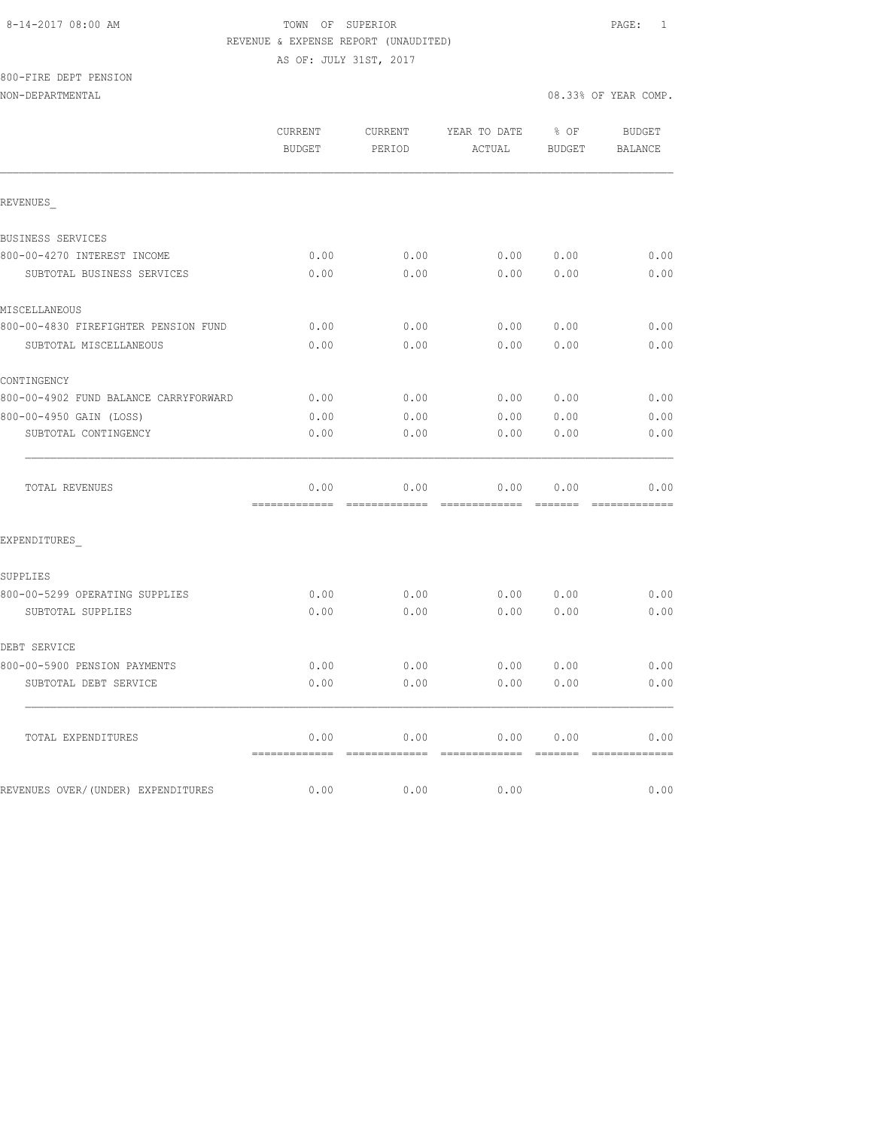### 8-14-2017 08:00 AM TOWN OF SUPERIOR PAGE: 1 REVENUE & EXPENSE REPORT (UNAUDITED)

AS OF: JULY 31ST, 2017

800-FIRE DEPT PENSION

NON-DEPARTMENTAL 08.33% OF YEAR COMP.

|                                       | CURRENT<br><b>BUDGET</b> | CURRENT<br>PERIOD     | YEAR TO DATE<br>ACTUAL | % OF<br><b>BUDGET</b>                                                                                                                                                                                                                                                                                                                                                                                                                                                                              | <b>BUDGET</b><br><b>BALANCE</b>                                                                                                                                                                                                                                                                                                                                                                                                                                                                |
|---------------------------------------|--------------------------|-----------------------|------------------------|----------------------------------------------------------------------------------------------------------------------------------------------------------------------------------------------------------------------------------------------------------------------------------------------------------------------------------------------------------------------------------------------------------------------------------------------------------------------------------------------------|------------------------------------------------------------------------------------------------------------------------------------------------------------------------------------------------------------------------------------------------------------------------------------------------------------------------------------------------------------------------------------------------------------------------------------------------------------------------------------------------|
| REVENUES                              |                          |                       |                        |                                                                                                                                                                                                                                                                                                                                                                                                                                                                                                    |                                                                                                                                                                                                                                                                                                                                                                                                                                                                                                |
| BUSINESS SERVICES                     |                          |                       |                        |                                                                                                                                                                                                                                                                                                                                                                                                                                                                                                    |                                                                                                                                                                                                                                                                                                                                                                                                                                                                                                |
| 800-00-4270 INTEREST INCOME           | 0.00                     | 0.00                  | 0.00                   | 0.00                                                                                                                                                                                                                                                                                                                                                                                                                                                                                               | 0.00                                                                                                                                                                                                                                                                                                                                                                                                                                                                                           |
| SUBTOTAL BUSINESS SERVICES            | 0.00                     | 0.00                  | 0.00                   | 0.00                                                                                                                                                                                                                                                                                                                                                                                                                                                                                               | 0.00                                                                                                                                                                                                                                                                                                                                                                                                                                                                                           |
| MISCELLANEOUS                         |                          |                       |                        |                                                                                                                                                                                                                                                                                                                                                                                                                                                                                                    |                                                                                                                                                                                                                                                                                                                                                                                                                                                                                                |
| 800-00-4830 FIREFIGHTER PENSION FUND  | 0.00                     | 0.00                  | 0.00                   | 0.00                                                                                                                                                                                                                                                                                                                                                                                                                                                                                               | 0.00                                                                                                                                                                                                                                                                                                                                                                                                                                                                                           |
| SUBTOTAL MISCELLANEOUS                | 0.00                     | 0.00                  | 0.00                   | 0.00                                                                                                                                                                                                                                                                                                                                                                                                                                                                                               | 0.00                                                                                                                                                                                                                                                                                                                                                                                                                                                                                           |
| CONTINGENCY                           |                          |                       |                        |                                                                                                                                                                                                                                                                                                                                                                                                                                                                                                    |                                                                                                                                                                                                                                                                                                                                                                                                                                                                                                |
| 800-00-4902 FUND BALANCE CARRYFORWARD | 0.00                     | 0.00                  | 0.00                   | 0.00                                                                                                                                                                                                                                                                                                                                                                                                                                                                                               | 0.00                                                                                                                                                                                                                                                                                                                                                                                                                                                                                           |
| 800-00-4950 GAIN (LOSS)               | 0.00                     | 0.00                  | 0.00                   | 0.00                                                                                                                                                                                                                                                                                                                                                                                                                                                                                               | 0.00                                                                                                                                                                                                                                                                                                                                                                                                                                                                                           |
| SUBTOTAL CONTINGENCY                  | 0.00                     | 0.00                  | 0.00                   | 0.00                                                                                                                                                                                                                                                                                                                                                                                                                                                                                               | 0.00                                                                                                                                                                                                                                                                                                                                                                                                                                                                                           |
| TOTAL REVENUES                        | 0.00<br>=============    | 0.00<br>------------- | 0.00<br>=============  | 0.00<br><b>BEEFEE</b>                                                                                                                                                                                                                                                                                                                                                                                                                                                                              | 0.00<br>$\begin{array}{cccccccccccccc} \multicolumn{2}{c}{} & \multicolumn{2}{c}{} & \multicolumn{2}{c}{} & \multicolumn{2}{c}{} & \multicolumn{2}{c}{} & \multicolumn{2}{c}{} & \multicolumn{2}{c}{} & \multicolumn{2}{c}{} & \multicolumn{2}{c}{} & \multicolumn{2}{c}{} & \multicolumn{2}{c}{} & \multicolumn{2}{c}{} & \multicolumn{2}{c}{} & \multicolumn{2}{c}{} & \multicolumn{2}{c}{} & \multicolumn{2}{c}{} & \multicolumn{2}{c}{} & \multicolumn{2}{c}{} & \multicolumn{2}{c}{} & \$ |
| EXPENDITURES                          |                          |                       |                        |                                                                                                                                                                                                                                                                                                                                                                                                                                                                                                    |                                                                                                                                                                                                                                                                                                                                                                                                                                                                                                |
| SUPPLIES                              |                          |                       |                        |                                                                                                                                                                                                                                                                                                                                                                                                                                                                                                    |                                                                                                                                                                                                                                                                                                                                                                                                                                                                                                |
| 800-00-5299 OPERATING SUPPLIES        | 0.00                     | 0.00                  | 0.00                   | 0.00                                                                                                                                                                                                                                                                                                                                                                                                                                                                                               | 0.00                                                                                                                                                                                                                                                                                                                                                                                                                                                                                           |
| SUBTOTAL SUPPLIES                     | 0.00                     | 0.00                  | 0.00                   | 0.00                                                                                                                                                                                                                                                                                                                                                                                                                                                                                               | 0.00                                                                                                                                                                                                                                                                                                                                                                                                                                                                                           |
| DEBT SERVICE                          |                          |                       |                        |                                                                                                                                                                                                                                                                                                                                                                                                                                                                                                    |                                                                                                                                                                                                                                                                                                                                                                                                                                                                                                |
| 800-00-5900 PENSION PAYMENTS          | 0.00                     | 0.00                  | 0.00                   | 0.00                                                                                                                                                                                                                                                                                                                                                                                                                                                                                               | 0.00                                                                                                                                                                                                                                                                                                                                                                                                                                                                                           |
| SUBTOTAL DEBT SERVICE                 | 0.00                     | 0.00                  | 0.00                   | 0.00                                                                                                                                                                                                                                                                                                                                                                                                                                                                                               | 0.00                                                                                                                                                                                                                                                                                                                                                                                                                                                                                           |
| TOTAL EXPENDITURES                    | 0.00<br>=============    | 0.00<br>============= | 0.00<br>=============  | 0.00<br>$\qquad \qquad \qquad =\qquad \qquad =\qquad \qquad =\qquad \qquad =\qquad \qquad =\qquad \qquad =\qquad \qquad =\qquad \qquad =\qquad \qquad =\qquad \qquad =\qquad \qquad =\qquad \qquad =\qquad \qquad =\qquad \qquad =\qquad \qquad =\qquad \qquad =\qquad \qquad =\qquad \qquad =\qquad \qquad =\qquad \qquad =\qquad \qquad =\qquad \qquad =\qquad \qquad =\qquad \qquad =\qquad \qquad =\qquad \qquad =\qquad \qquad =\qquad \qquad =\qquad \qquad =\qquad \qquad =\qquad \qquad =$ | 0.00<br>=============                                                                                                                                                                                                                                                                                                                                                                                                                                                                          |
| REVENUES OVER/(UNDER) EXPENDITURES    | 0.00                     | 0.00                  | 0.00                   |                                                                                                                                                                                                                                                                                                                                                                                                                                                                                                    | 0.00                                                                                                                                                                                                                                                                                                                                                                                                                                                                                           |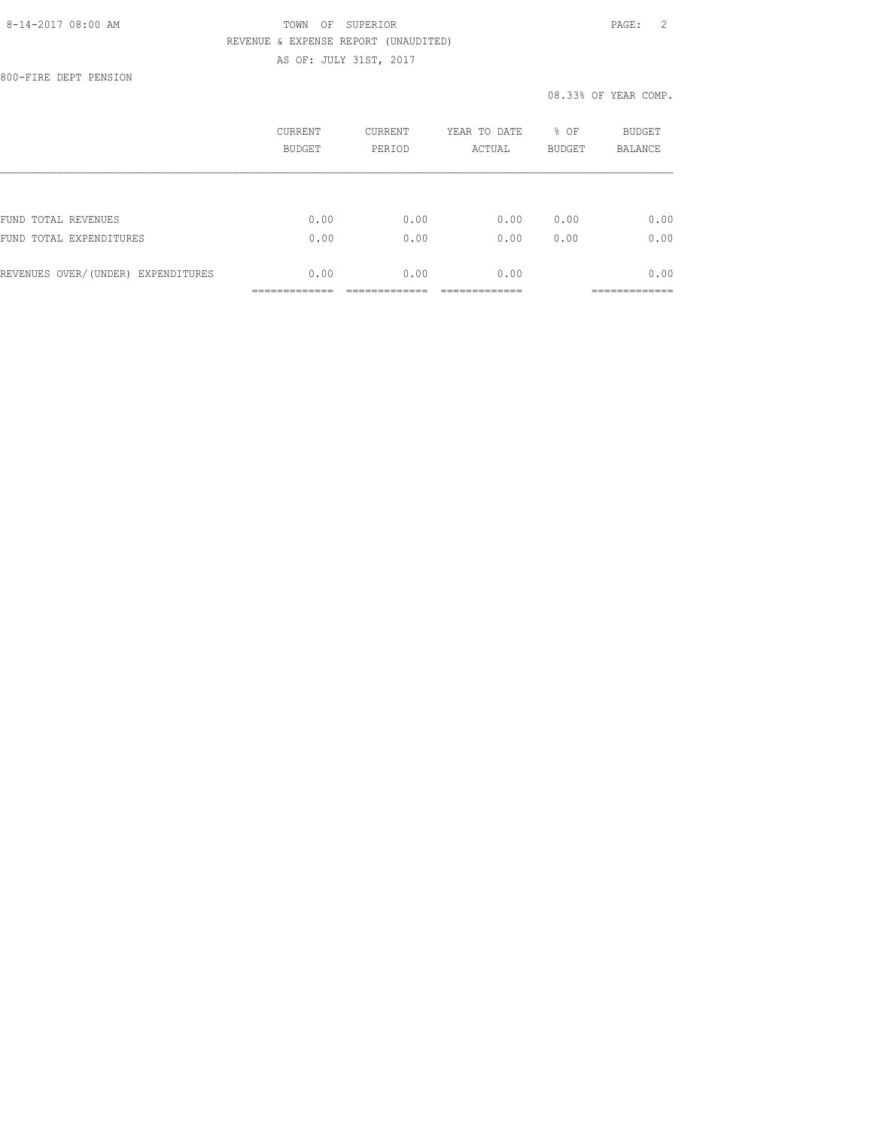800-FIRE DEPT PENSION

|                                    | CURRENT<br><b>BUDGET</b> | <b>CURRENT</b><br>PERIOD | YEAR TO DATE<br>ACTUAL | % OF<br><b>BUDGET</b> | BUDGET<br><b>BALANCE</b> |
|------------------------------------|--------------------------|--------------------------|------------------------|-----------------------|--------------------------|
|                                    |                          |                          |                        |                       |                          |
| FUND TOTAL REVENUES                | 0.00                     | 0.00                     | 0.00                   | 0.00                  | 0.00                     |
| FUND<br>TOTAL EXPENDITURES         | 0.00                     | 0.00                     | 0.00                   | 0.00                  | 0.00                     |
| REVENUES OVER/(UNDER) EXPENDITURES | 0.00                     | 0.00                     | 0.00                   |                       | 0.00                     |
|                                    |                          |                          |                        |                       | _________                |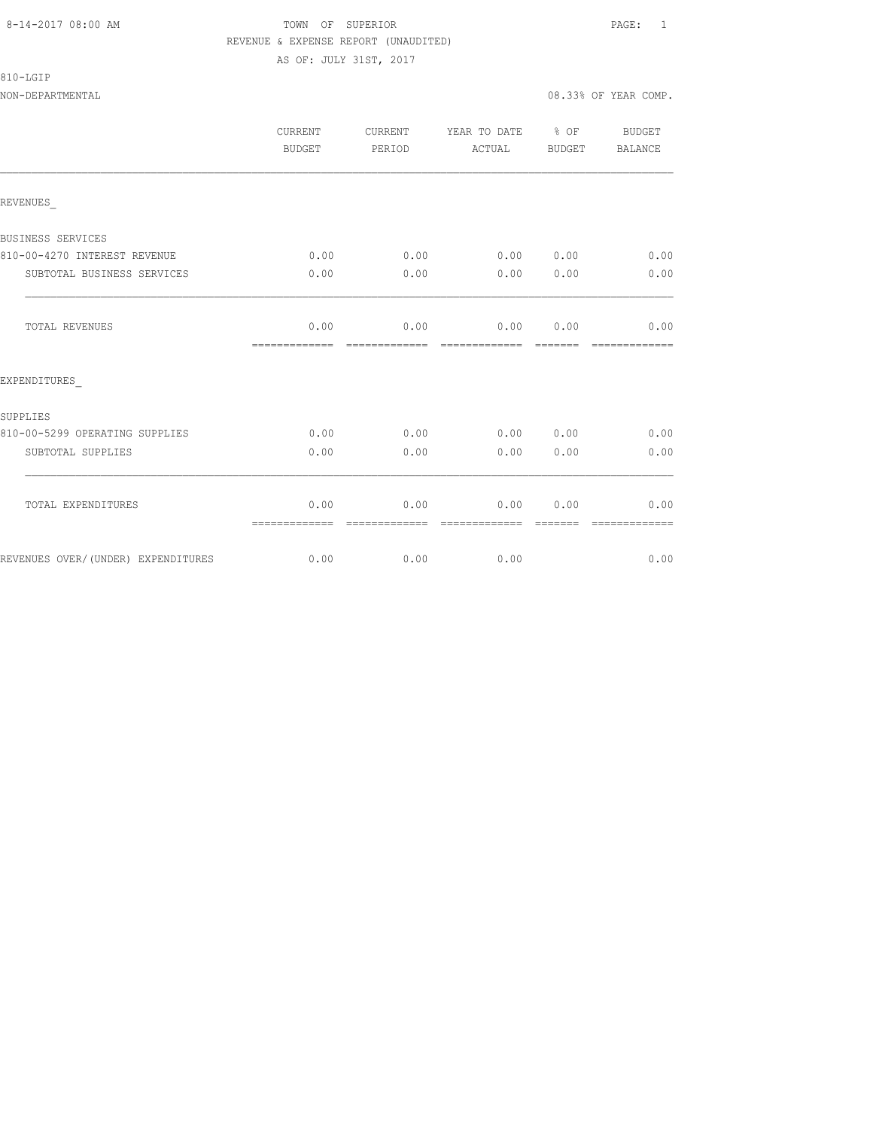# 810-LGIP

NON-DEPARTMENTAL 08.33% OF YEAR COMP.

|                                    | CURRENT<br>BUDGET     | CURRENT<br>PERIOD      | YEAR TO DATE % OF<br>ACTUAL | BUDGET           | BUDGET<br>BALANCE     |
|------------------------------------|-----------------------|------------------------|-----------------------------|------------------|-----------------------|
| REVENUES                           |                       |                        |                             |                  |                       |
| BUSINESS SERVICES                  |                       |                        |                             |                  |                       |
| 810-00-4270 INTEREST REVENUE       | 0.00                  | 0.00                   | 0.00 0.00                   |                  | 0.00                  |
| SUBTOTAL BUSINESS SERVICES         | 0.00                  | 0.00                   | 0.00                        | 0.00             | 0.00                  |
| TOTAL REVENUES                     | 0.00<br>============= | =============          | $0.00$ 0.00                 | 0.00             | 0.00<br>============= |
| EXPENDITURES                       |                       |                        |                             |                  |                       |
| SUPPLIES                           |                       |                        |                             |                  |                       |
| 810-00-5299 OPERATING SUPPLIES     | 0.00                  | 0.00                   | 0.00 0.00                   |                  | 0.00                  |
| SUBTOTAL SUPPLIES                  | 0.00                  | 0.00                   | 0.00                        | 0.00             | 0.00                  |
| TOTAL EXPENDITURES                 | 0.00                  | 0.00<br>-------------- | 0.00                        | 0.00<br>-------- | 0.00<br>------------- |
| REVENUES OVER/(UNDER) EXPENDITURES | =============<br>0.00 | 0.00                   | 0.00                        |                  | 0.00                  |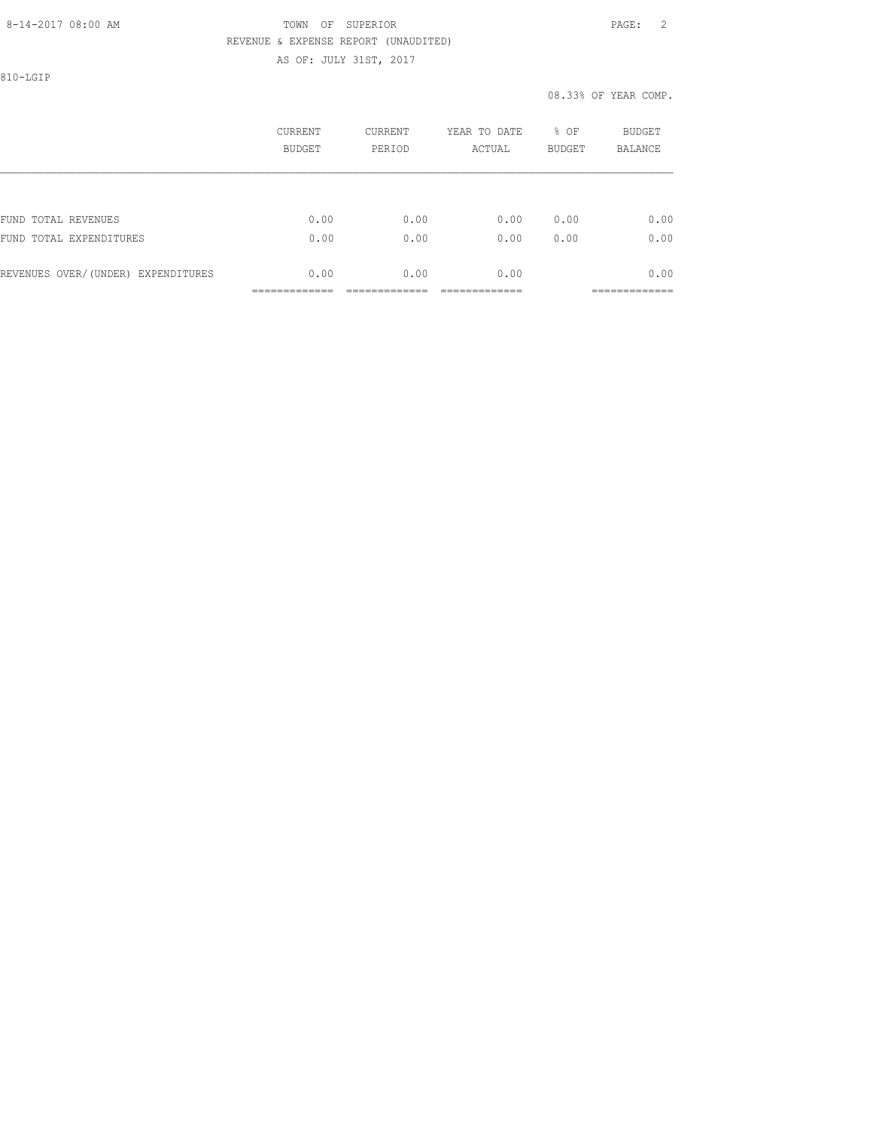810-LGIP

|                                    | CURRENT<br>BUDGET | <b>CURRENT</b><br>PERIOD | YEAR TO DATE<br>ACTUAL | % OF<br><b>BUDGET</b> | BUDGET<br><b>BALANCE</b> |
|------------------------------------|-------------------|--------------------------|------------------------|-----------------------|--------------------------|
|                                    |                   |                          |                        |                       |                          |
| FUND TOTAL REVENUES                | 0.00              | 0.00                     | 0.00                   | 0.00                  | 0.00                     |
| FUND TOTAL EXPENDITURES            | 0.00              | 0.00                     | 0.00                   | 0.00                  | 0.00                     |
| REVENUES OVER/(UNDER) EXPENDITURES | 0.00              | 0.00                     | 0.00                   |                       | 0.00                     |
|                                    |                   |                          |                        |                       | ------------             |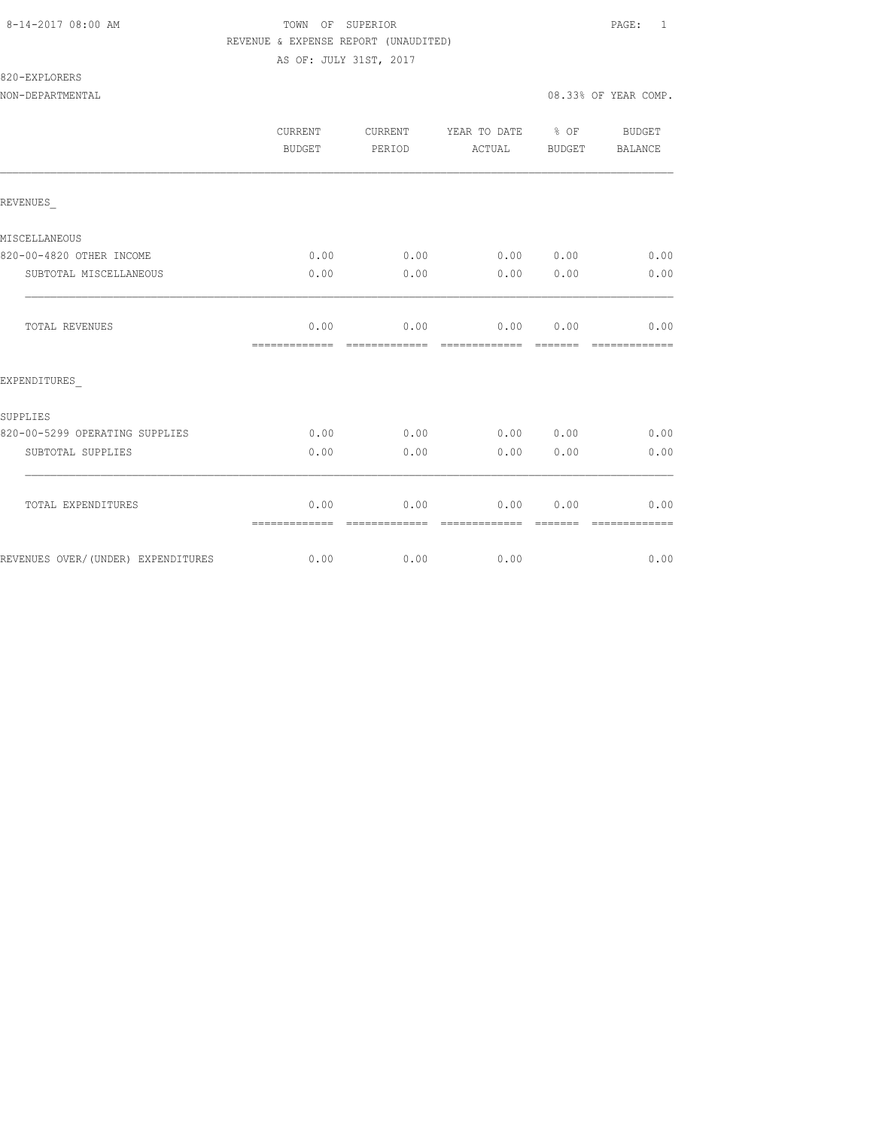820-EXPLORERS

NON-DEPARTMENTAL 08.33% OF YEAR COMP.

|                                     | CURRENT<br>BUDGET     | CURRENT<br>PERIOD            | YEAR TO DATE % OF<br>ACTUAL | BUDGET | BUDGET<br><b>BALANCE</b> |
|-------------------------------------|-----------------------|------------------------------|-----------------------------|--------|--------------------------|
| REVENUES                            |                       |                              |                             |        |                          |
| MISCELLANEOUS                       |                       |                              |                             |        |                          |
| 820-00-4820 OTHER INCOME            | 0.00                  | 0.00                         | 0.00 0.00                   |        | 0.00                     |
| SUBTOTAL MISCELLANEOUS              | 0.00                  | 0.00                         | 0.00                        | 0.00   | 0.00                     |
| TOTAL REVENUES                      | 0.00<br>============= | =============                | $0.00$ $0.00$ $0.00$        |        | 0.00<br>--------------   |
| EXPENDITURES                        |                       |                              |                             |        |                          |
| SUPPLIES                            |                       |                              |                             |        |                          |
| 820-00-5299 OPERATING SUPPLIES      | 0.00                  | 0.00                         | 0.00 0.00                   |        | 0.00                     |
| SUBTOTAL SUPPLIES                   | 0.00                  | 0.00                         | 0.00                        | 0.00   | 0.00                     |
| TOTAL EXPENDITURES                  | 0.00                  | 0.00                         | 0.00                        | 0.00   | 0.00                     |
| REVENUES OVER/ (UNDER) EXPENDITURES | =============<br>0.00 | -------------<br>$0.00$ 0.00 | -------------               |        | -------------<br>0.00    |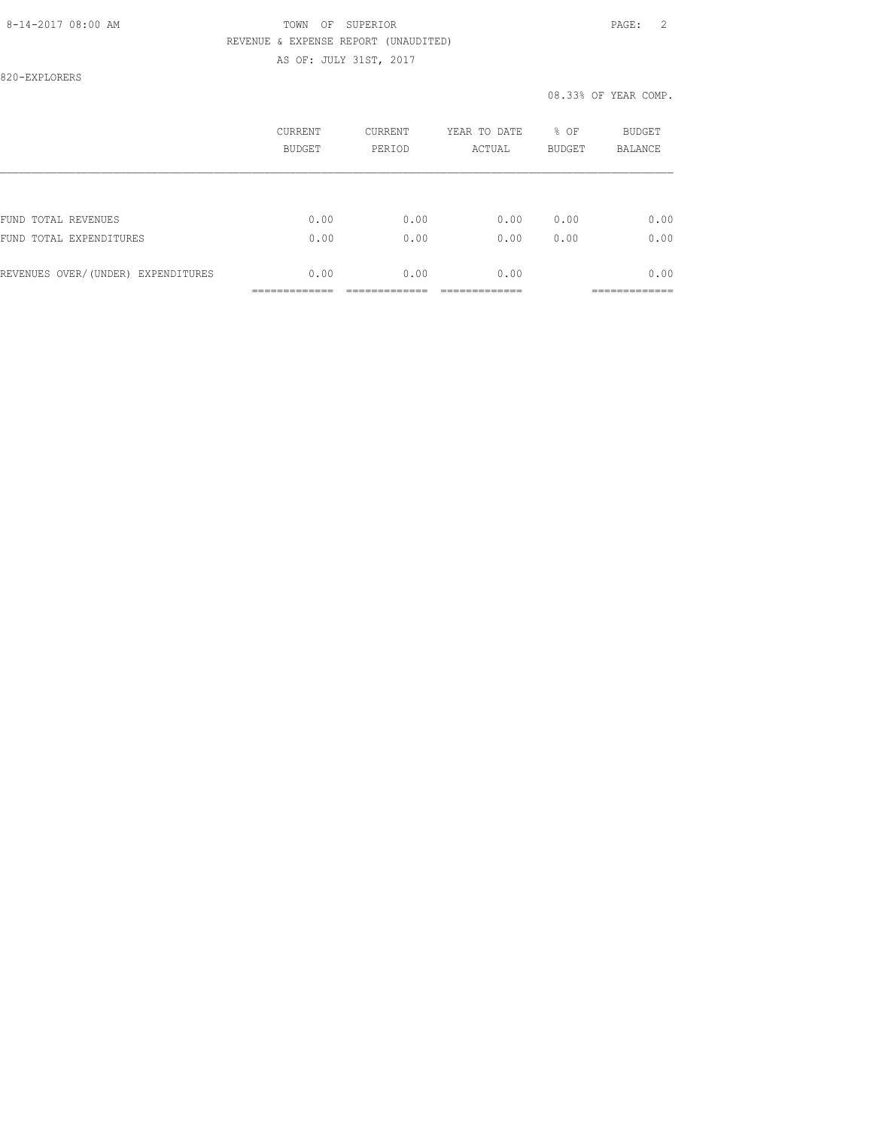820-EXPLORERS

|                                    | CURRENT<br>BUDGET | CURRENT<br>PERIOD | YEAR TO DATE<br>ACTUAL | % OF<br><b>BUDGET</b> | BUDGET<br><b>BALANCE</b> |
|------------------------------------|-------------------|-------------------|------------------------|-----------------------|--------------------------|
|                                    |                   |                   |                        |                       |                          |
| FUND TOTAL REVENUES                | 0.00              | 0.00              | 0.00                   | 0.00                  | 0.00                     |
| FUND TOTAL EXPENDITURES            | 0.00              | 0.00              | 0.00                   | 0.00                  | 0.00                     |
| REVENUES OVER/(UNDER) EXPENDITURES | 0.00              | 0.00              | 0.00                   |                       | 0.00                     |
|                                    |                   |                   |                        |                       |                          |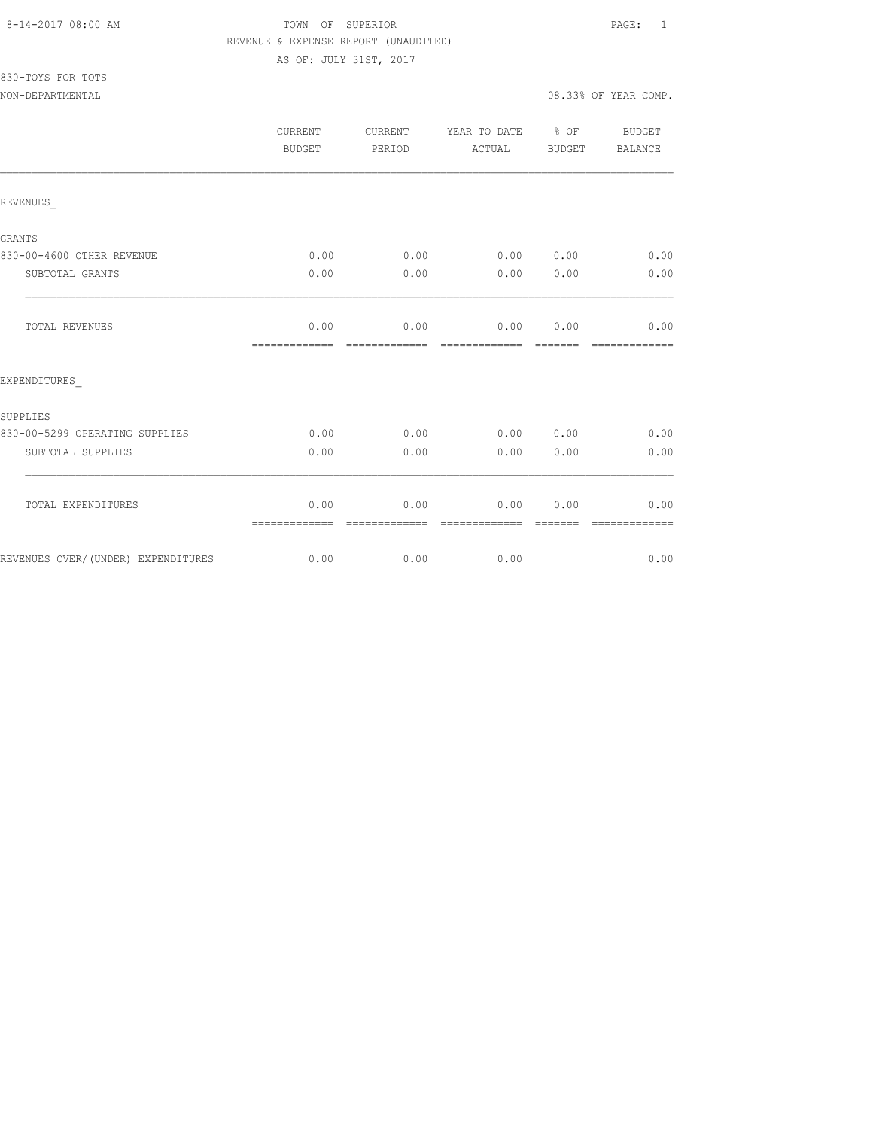# 830-TOYS FOR TOTS

NON-DEPARTMENTAL 08.33% OF YEAR COMP.

|                                | CURRENT<br><b>BUDGET</b> | CURRENT<br>PERIOD | YEAR TO DATE<br>ACTUAL | $\frac{6}{6}$ OF<br>BUDGET | BUDGET<br>BALANCE     |
|--------------------------------|--------------------------|-------------------|------------------------|----------------------------|-----------------------|
| REVENUES                       |                          |                   |                        |                            |                       |
| GRANTS                         |                          |                   |                        |                            |                       |
| 830-00-4600 OTHER REVENUE      | 0.00                     | 0.00              | 0.00                   | 0.00                       | 0.00                  |
| SUBTOTAL GRANTS                | 0.00                     | 0.00              | 0.00                   | 0.00                       | 0.00                  |
| TOTAL REVENUES                 | 0.00                     | 0.00              | 0.00                   | 0.00                       | 0.00                  |
| EXPENDITURES                   |                          |                   |                        |                            |                       |
| SUPPLIES                       |                          |                   |                        |                            |                       |
| 830-00-5299 OPERATING SUPPLIES | 0.00                     | 0.00              | 0.00                   | 0.00                       | 0.00                  |
| SUBTOTAL SUPPLIES              | 0.00                     | 0.00              | 0.00                   | 0.00                       | 0.00                  |
| TOTAL EXPENDITURES             | 0.00<br>=============    | 0.00<br>--------  | 0.00<br>=============  | 0.00<br>----               | 0.00<br>------------- |

REVENUES OVER/(UNDER) EXPENDITURES 0.00 0.00 0.00 0.00 0.00 0.00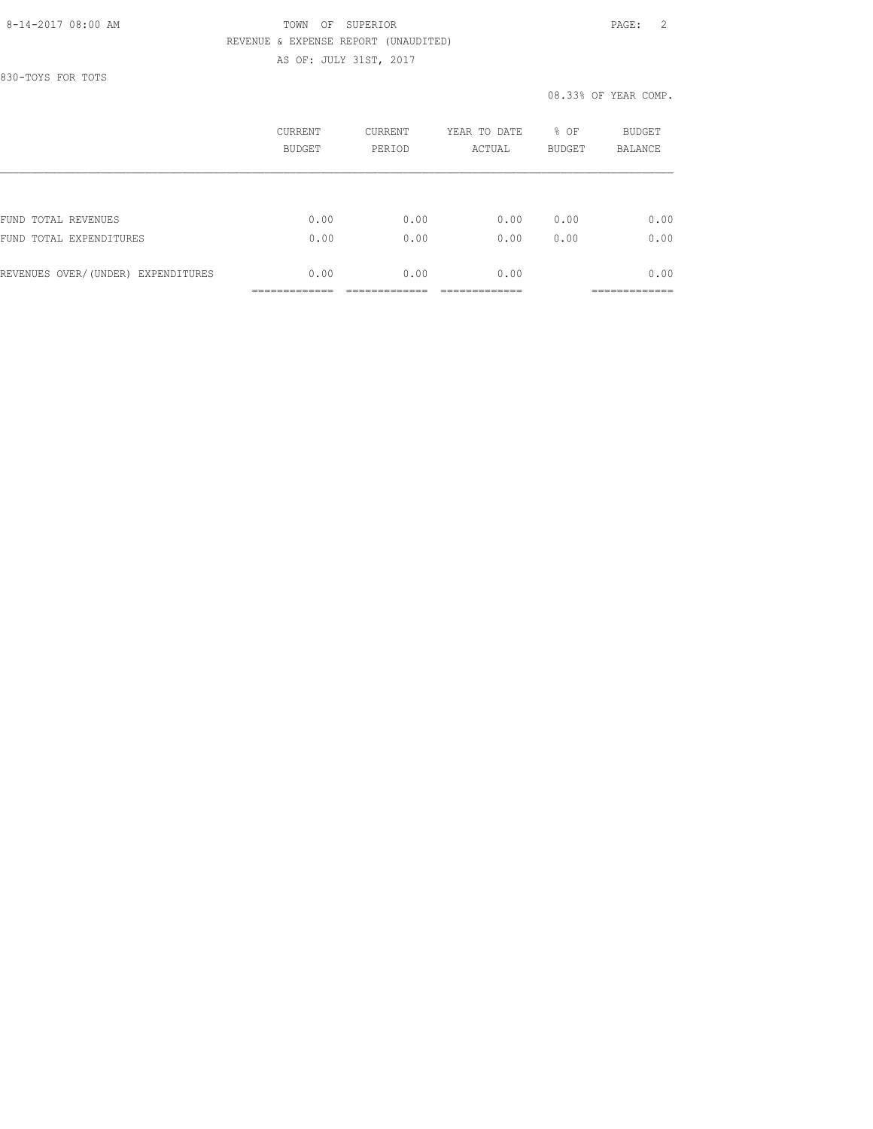830-TOYS FOR TOTS

|                                    | CURRENT<br>BUDGET | CURRENT<br>PERIOD | YEAR TO DATE<br>ACTUAL | % OF<br><b>BUDGET</b> | BUDGET<br><b>BALANCE</b> |
|------------------------------------|-------------------|-------------------|------------------------|-----------------------|--------------------------|
|                                    |                   |                   |                        |                       |                          |
| FUND TOTAL REVENUES                | 0.00              | 0.00              | 0.00                   | 0.00                  | 0.00                     |
| FUND TOTAL EXPENDITURES            | 0.00              | 0.00              | 0.00                   | 0.00                  | 0.00                     |
| REVENUES OVER/(UNDER) EXPENDITURES | 0.00              | 0.00              | 0.00                   |                       | 0.00                     |
|                                    |                   |                   |                        |                       |                          |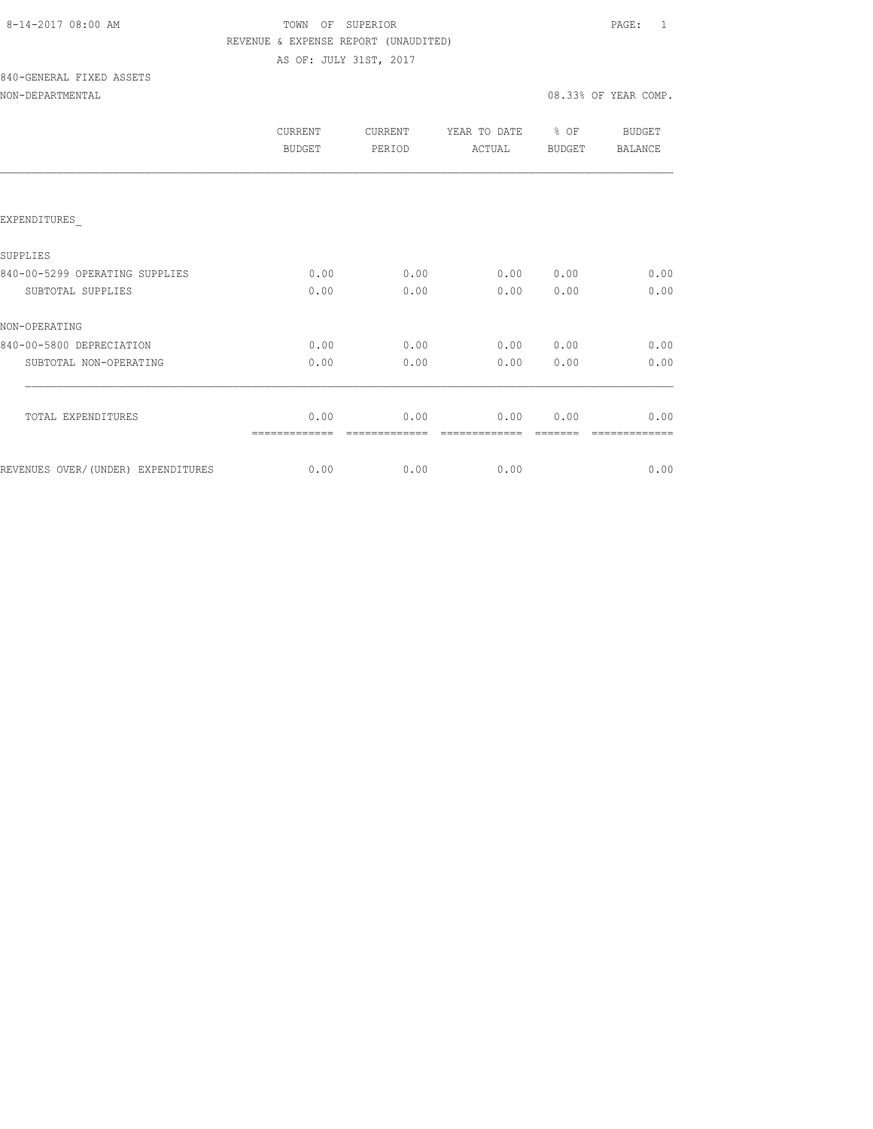# TOWN OF SUPERIOR **Example 2014** PAGE: 1 REVENUE & EXPENSE REPORT (UNAUDITED) AS OF: JULY 31ST, 2017

840-GENERAL FIXED ASSETS

| CURRENT<br><b>BUDGET</b> | CURRENT<br>PERIOD | YEAR TO DATE<br>ACTUAL | $8$ OF<br><b>BUDGET</b> | <b>BUDGET</b><br>BALANCE |
|--------------------------|-------------------|------------------------|-------------------------|--------------------------|
|                          |                   |                        |                         |                          |
|                          |                   |                        |                         |                          |
|                          |                   |                        |                         |                          |
| 0.00                     | 0.00              | 0.00                   | 0.00                    | 0.00                     |
| 0.00                     | 0.00              | 0.00                   | 0.00                    | 0.00                     |
|                          |                   |                        |                         |                          |
| 0.00                     | 0.00              | 0.00                   | 0.00                    | 0.00                     |
| 0.00                     | 0.00              | 0.00                   | 0.00                    | 0.00                     |
|                          |                   |                        |                         |                          |
| 0.00                     | 0.00              | 0.00                   | 0.00                    | 0.00                     |
|                          |                   |                        |                         | 0.00                     |
|                          | 0.00              |                        | 0.00<br>0.00            |                          |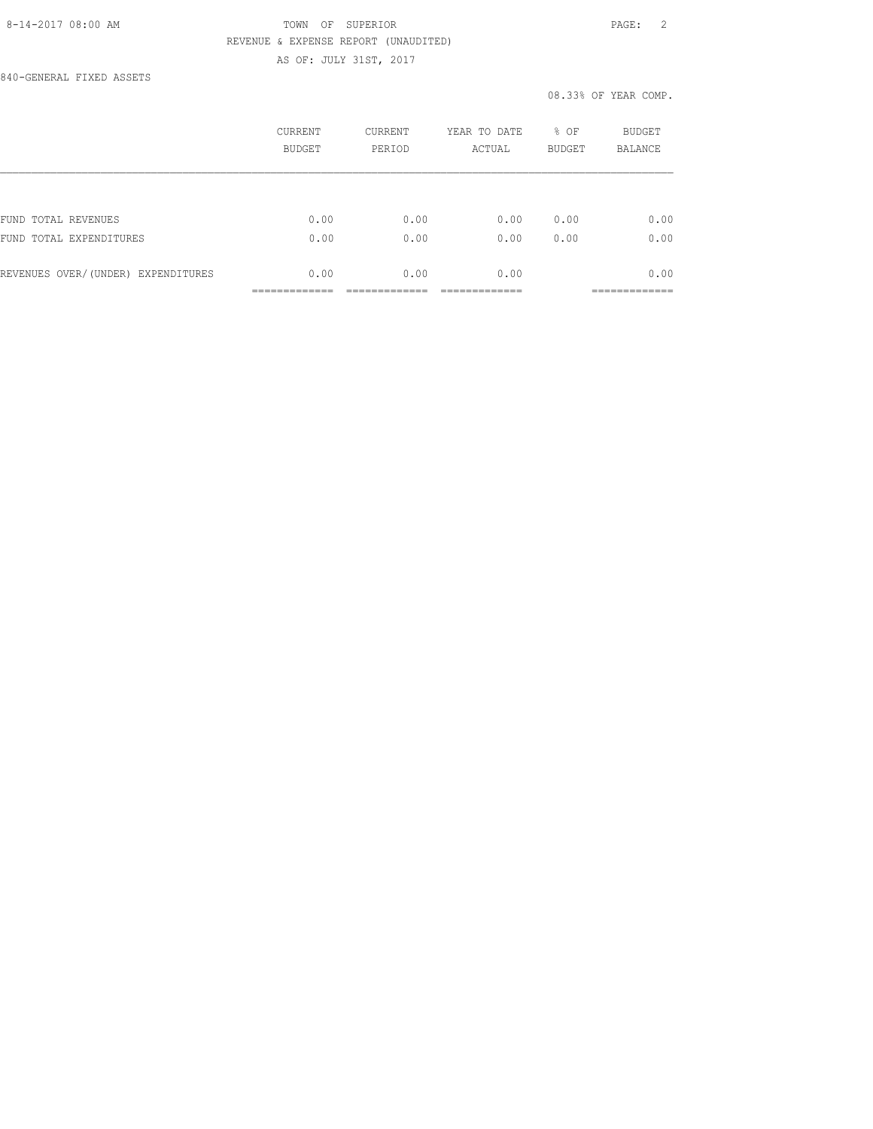840-GENERAL FIXED ASSETS

|                                    | CURRENT<br><b>BUDGET</b> | <b>CURRENT</b><br>PERIOD | YEAR TO DATE<br>ACTUAL | % OF<br><b>BUDGET</b> | BUDGET<br><b>BALANCE</b> |
|------------------------------------|--------------------------|--------------------------|------------------------|-----------------------|--------------------------|
|                                    |                          |                          |                        |                       |                          |
| FUND TOTAL REVENUES                | 0.00                     | 0.00                     | 0.00                   | 0.00                  | 0.00                     |
| FUND TOTAL EXPENDITURES            | 0.00                     | 0.00                     | 0.00                   | 0.00                  | 0.00                     |
| REVENUES OVER/(UNDER) EXPENDITURES | 0.00                     | 0.00                     | 0.00                   |                       | 0.00                     |
|                                    |                          |                          |                        |                       | ----------               |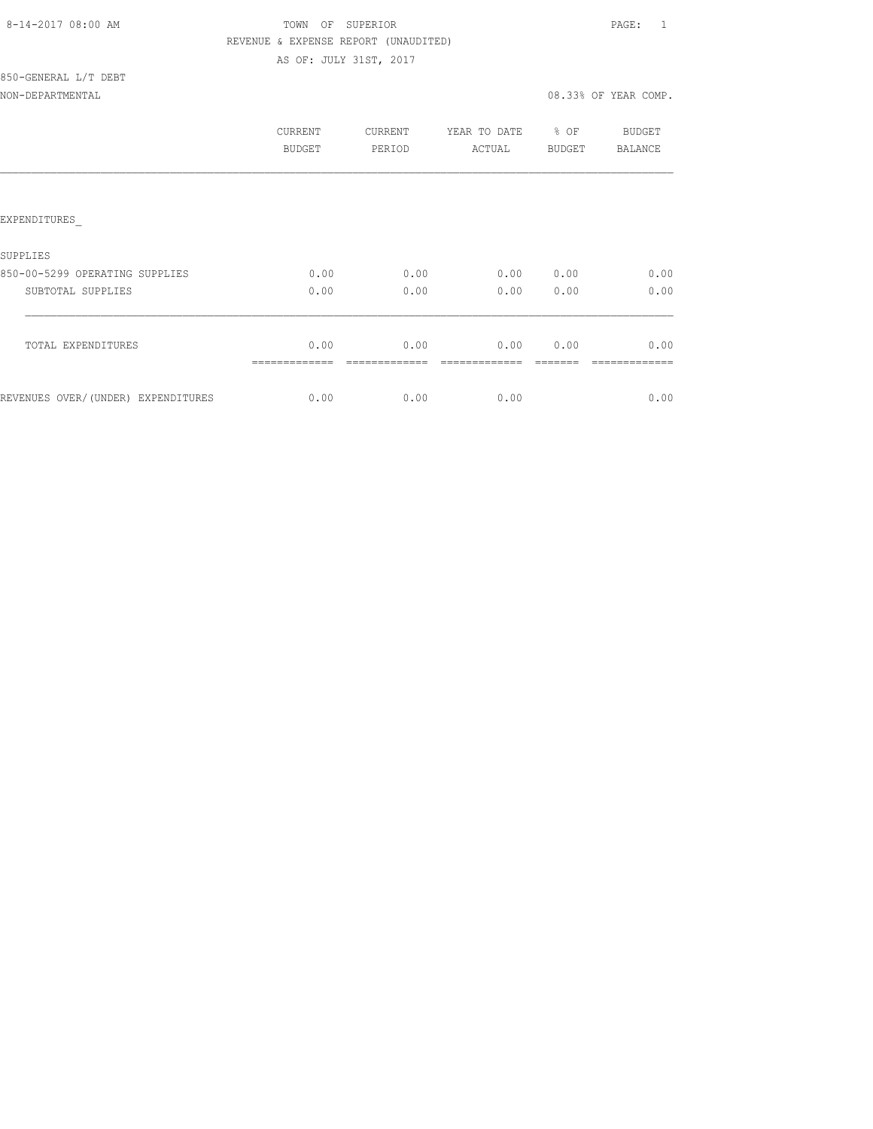| 8-14-2017 08:00 AM |  |
|--------------------|--|
|                    |  |

# TOWN OF SUPERIOR **Example 2014** PAGE: 1 REVENUE & EXPENSE REPORT (UNAUDITED) AS OF: JULY 31ST, 2017

850-GENERAL L/T DEBT

NON-DEPARTMENTAL 2008.33% OF YEAR COMP.

|                                    | CURRENT<br>BUDGET | <b>CURRENT</b><br>PERIOD | YEAR TO DATE<br>ACTUAL | % OF<br>BUDGET | BUDGET<br>BALANCE |
|------------------------------------|-------------------|--------------------------|------------------------|----------------|-------------------|
|                                    |                   |                          |                        |                |                   |
| <b>EXPENDITURES</b>                |                   |                          |                        |                |                   |
| SUPPLIES                           |                   |                          |                        |                |                   |
| 850-00-5299 OPERATING SUPPLIES     | 0.00              | 0.00                     | 0.00                   | 0.00           | 0.00              |
| SUBTOTAL SUPPLIES                  | 0.00              | 0.00                     | 0.00                   | 0.00           | 0.00              |
|                                    | 0.00              | 0.00                     | 0.00                   | 0.00           | 0.00              |
| TOTAL EXPENDITURES                 |                   |                          |                        |                |                   |
| REVENUES OVER/(UNDER) EXPENDITURES | 0.00              | 0.00                     | 0.00                   |                | 0.00              |